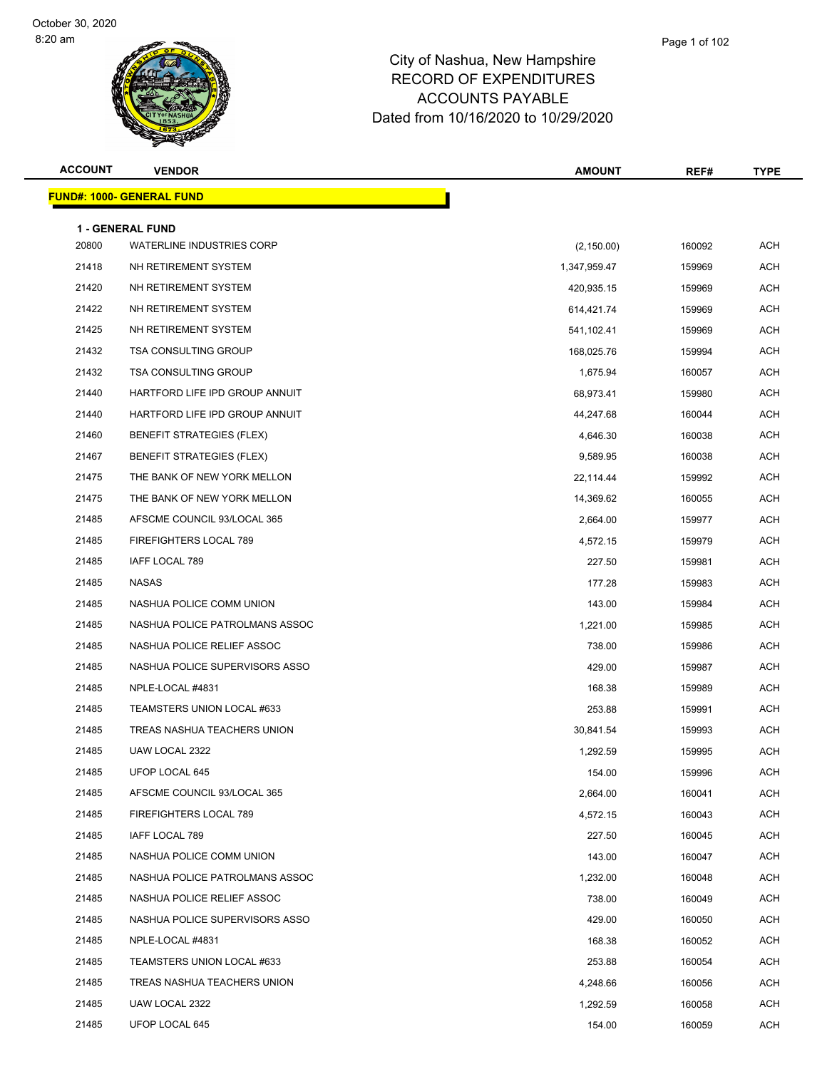| <b>ACCOUNT</b> | <b>VENDOR</b>                                               | <b>AMOUNT</b> | REF#   | <b>TYPE</b> |
|----------------|-------------------------------------------------------------|---------------|--------|-------------|
|                | <b>FUND#: 1000- GENERAL FUND</b>                            |               |        |             |
|                |                                                             |               |        |             |
| 20800          | <b>1 - GENERAL FUND</b><br><b>WATERLINE INDUSTRIES CORP</b> | (2, 150.00)   | 160092 | <b>ACH</b>  |
| 21418          | NH RETIREMENT SYSTEM                                        | 1,347,959.47  | 159969 | ACH         |
| 21420          | NH RETIREMENT SYSTEM                                        | 420,935.15    | 159969 | ACH         |
| 21422          | NH RETIREMENT SYSTEM                                        | 614,421.74    | 159969 | <b>ACH</b>  |
| 21425          | NH RETIREMENT SYSTEM                                        | 541,102.41    | 159969 | ACH         |
| 21432          | <b>TSA CONSULTING GROUP</b>                                 | 168,025.76    | 159994 | <b>ACH</b>  |
| 21432          | <b>TSA CONSULTING GROUP</b>                                 | 1,675.94      | 160057 | <b>ACH</b>  |
| 21440          | HARTFORD LIFE IPD GROUP ANNUIT                              | 68,973.41     | 159980 | ACH         |
| 21440          | HARTFORD LIFE IPD GROUP ANNUIT                              | 44,247.68     | 160044 | <b>ACH</b>  |
| 21460          | <b>BENEFIT STRATEGIES (FLEX)</b>                            | 4,646.30      | 160038 | ACH         |
| 21467          | <b>BENEFIT STRATEGIES (FLEX)</b>                            | 9,589.95      | 160038 | <b>ACH</b>  |
| 21475          | THE BANK OF NEW YORK MELLON                                 | 22,114.44     | 159992 | <b>ACH</b>  |
| 21475          | THE BANK OF NEW YORK MELLON                                 | 14,369.62     | 160055 | ACH         |
| 21485          | AFSCME COUNCIL 93/LOCAL 365                                 | 2,664.00      | 159977 | <b>ACH</b>  |
| 21485          | FIREFIGHTERS LOCAL 789                                      | 4,572.15      | 159979 | ACH         |
| 21485          | IAFF LOCAL 789                                              | 227.50        | 159981 | <b>ACH</b>  |
| 21485          | <b>NASAS</b>                                                | 177.28        | 159983 | <b>ACH</b>  |
| 21485          | NASHUA POLICE COMM UNION                                    | 143.00        | 159984 | ACH         |
| 21485          | NASHUA POLICE PATROLMANS ASSOC                              | 1,221.00      | 159985 | <b>ACH</b>  |
| 21485          | NASHUA POLICE RELIEF ASSOC                                  | 738.00        | 159986 | ACH         |
| 21485          | NASHUA POLICE SUPERVISORS ASSO                              | 429.00        | 159987 | <b>ACH</b>  |
| 21485          | NPLE-LOCAL #4831                                            | 168.38        | 159989 | <b>ACH</b>  |
| 21485          | TEAMSTERS UNION LOCAL #633                                  | 253.88        | 159991 | ACH         |
| 21485          | TREAS NASHUA TEACHERS UNION                                 | 30,841.54     | 159993 | <b>ACH</b>  |
| 21485          | UAW LOCAL 2322                                              | 1,292.59      | 159995 | ACH         |
| 21485          | UFOP LOCAL 645                                              | 154.00        | 159996 | ACH         |
| 21485          | AFSCME COUNCIL 93/LOCAL 365                                 | 2,664.00      | 160041 | ACH         |
| 21485          | FIREFIGHTERS LOCAL 789                                      | 4,572.15      | 160043 | ACH         |
| 21485          | IAFF LOCAL 789                                              | 227.50        | 160045 | ACH         |
| 21485          | NASHUA POLICE COMM UNION                                    | 143.00        | 160047 | ACH         |
| 21485          | NASHUA POLICE PATROLMANS ASSOC                              | 1,232.00      | 160048 | ACH         |
| 21485          | NASHUA POLICE RELIEF ASSOC                                  | 738.00        | 160049 | ACH         |
| 21485          | NASHUA POLICE SUPERVISORS ASSO                              | 429.00        | 160050 | ACH         |
| 21485          | NPLE-LOCAL #4831                                            | 168.38        | 160052 | ACH         |
| 21485          | TEAMSTERS UNION LOCAL #633                                  | 253.88        | 160054 | ACH         |
| 21485          | TREAS NASHUA TEACHERS UNION                                 | 4,248.66      | 160056 | ACH         |
| 21485          | UAW LOCAL 2322                                              | 1,292.59      | 160058 | ACH         |
| 21485          | UFOP LOCAL 645                                              | 154.00        | 160059 | ACH         |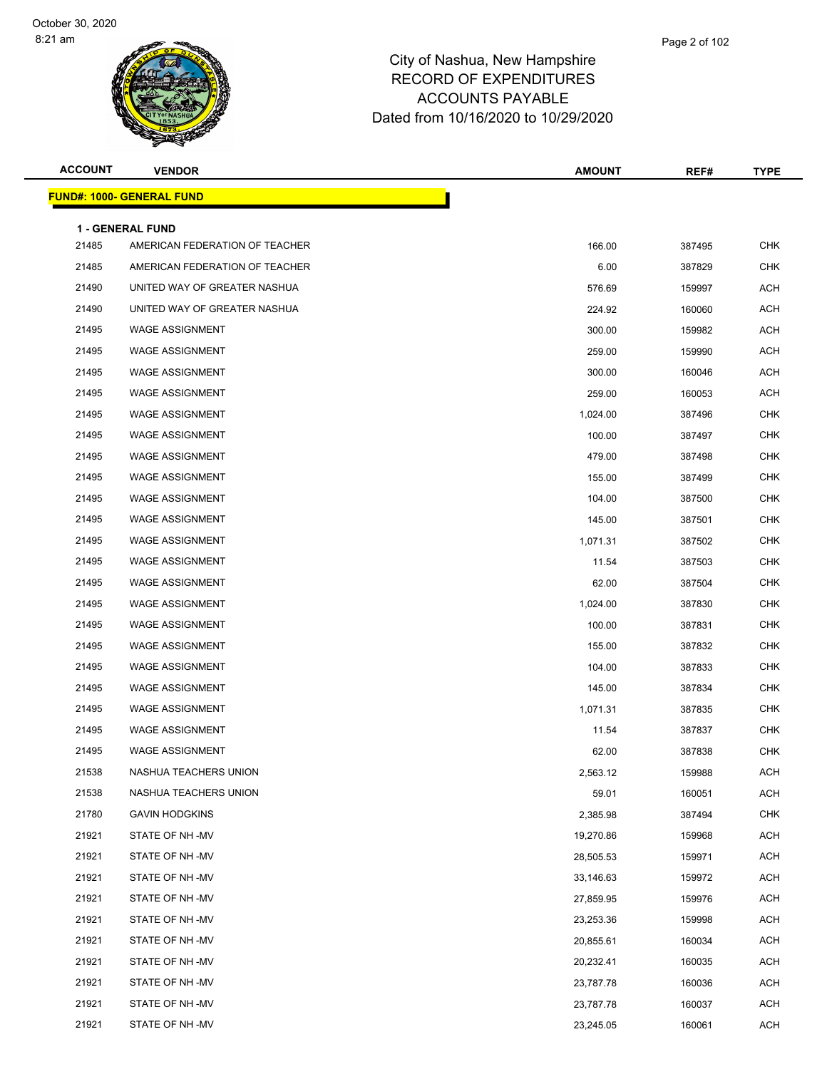| <b>ACCOUNT</b> | <b>VENDOR</b>                                             | AMOUNT    | REF#   | <b>TYPE</b> |
|----------------|-----------------------------------------------------------|-----------|--------|-------------|
|                | <u> FUND#: 1000- GENERAL FUND</u>                         |           |        |             |
|                |                                                           |           |        |             |
| 21485          | <b>1 - GENERAL FUND</b><br>AMERICAN FEDERATION OF TEACHER | 166.00    | 387495 | <b>CHK</b>  |
| 21485          | AMERICAN FEDERATION OF TEACHER                            | 6.00      | 387829 | <b>CHK</b>  |
| 21490          | UNITED WAY OF GREATER NASHUA                              | 576.69    | 159997 | ACH         |
| 21490          | UNITED WAY OF GREATER NASHUA                              | 224.92    | 160060 | <b>ACH</b>  |
| 21495          | <b>WAGE ASSIGNMENT</b>                                    | 300.00    | 159982 | ACH         |
| 21495          | <b>WAGE ASSIGNMENT</b>                                    | 259.00    | 159990 | <b>ACH</b>  |
| 21495          | <b>WAGE ASSIGNMENT</b>                                    | 300.00    | 160046 | <b>ACH</b>  |
| 21495          | <b>WAGE ASSIGNMENT</b>                                    | 259.00    | 160053 | ACH         |
| 21495          | <b>WAGE ASSIGNMENT</b>                                    | 1,024.00  | 387496 | <b>CHK</b>  |
| 21495          | <b>WAGE ASSIGNMENT</b>                                    | 100.00    | 387497 | <b>CHK</b>  |
| 21495          | <b>WAGE ASSIGNMENT</b>                                    | 479.00    | 387498 | <b>CHK</b>  |
| 21495          | <b>WAGE ASSIGNMENT</b>                                    | 155.00    | 387499 | <b>CHK</b>  |
| 21495          | <b>WAGE ASSIGNMENT</b>                                    | 104.00    | 387500 | <b>CHK</b>  |
| 21495          | <b>WAGE ASSIGNMENT</b>                                    | 145.00    | 387501 | <b>CHK</b>  |
| 21495          | <b>WAGE ASSIGNMENT</b>                                    | 1,071.31  | 387502 | <b>CHK</b>  |
| 21495          | <b>WAGE ASSIGNMENT</b>                                    | 11.54     | 387503 | <b>CHK</b>  |
| 21495          | <b>WAGE ASSIGNMENT</b>                                    | 62.00     | 387504 | <b>CHK</b>  |
| 21495          | <b>WAGE ASSIGNMENT</b>                                    | 1,024.00  | 387830 | <b>CHK</b>  |
| 21495          | <b>WAGE ASSIGNMENT</b>                                    | 100.00    | 387831 | <b>CHK</b>  |
| 21495          | <b>WAGE ASSIGNMENT</b>                                    | 155.00    | 387832 | <b>CHK</b>  |
| 21495          | <b>WAGE ASSIGNMENT</b>                                    | 104.00    | 387833 | <b>CHK</b>  |
| 21495          | <b>WAGE ASSIGNMENT</b>                                    | 145.00    | 387834 | <b>CHK</b>  |
| 21495          | <b>WAGE ASSIGNMENT</b>                                    | 1,071.31  | 387835 | <b>CHK</b>  |
| 21495          | <b>WAGE ASSIGNMENT</b>                                    | 11.54     | 387837 | <b>CHK</b>  |
| 21495          | <b>WAGE ASSIGNMENT</b>                                    | 62.00     | 387838 | <b>CHK</b>  |
| 21538          | NASHUA TEACHERS UNION                                     | 2,563.12  | 159988 | <b>ACH</b>  |
| 21538          | NASHUA TEACHERS UNION                                     | 59.01     | 160051 | <b>ACH</b>  |
| 21780          | <b>GAVIN HODGKINS</b>                                     | 2,385.98  | 387494 | <b>CHK</b>  |
| 21921          | STATE OF NH-MV                                            | 19,270.86 | 159968 | <b>ACH</b>  |
| 21921          | STATE OF NH-MV                                            | 28,505.53 | 159971 | ACH         |
| 21921          | STATE OF NH -MV                                           | 33,146.63 | 159972 | <b>ACH</b>  |
| 21921          | STATE OF NH -MV                                           | 27,859.95 | 159976 | <b>ACH</b>  |
| 21921          | STATE OF NH-MV                                            | 23,253.36 | 159998 | ACH         |
| 21921          | STATE OF NH -MV                                           | 20,855.61 | 160034 | <b>ACH</b>  |
| 21921          | STATE OF NH -MV                                           | 20,232.41 | 160035 | ACH         |
| 21921          | STATE OF NH-MV                                            | 23,787.78 | 160036 | <b>ACH</b>  |
| 21921          | STATE OF NH -MV                                           | 23,787.78 | 160037 | <b>ACH</b>  |
| 21921          | STATE OF NH -MV                                           | 23,245.05 | 160061 | <b>ACH</b>  |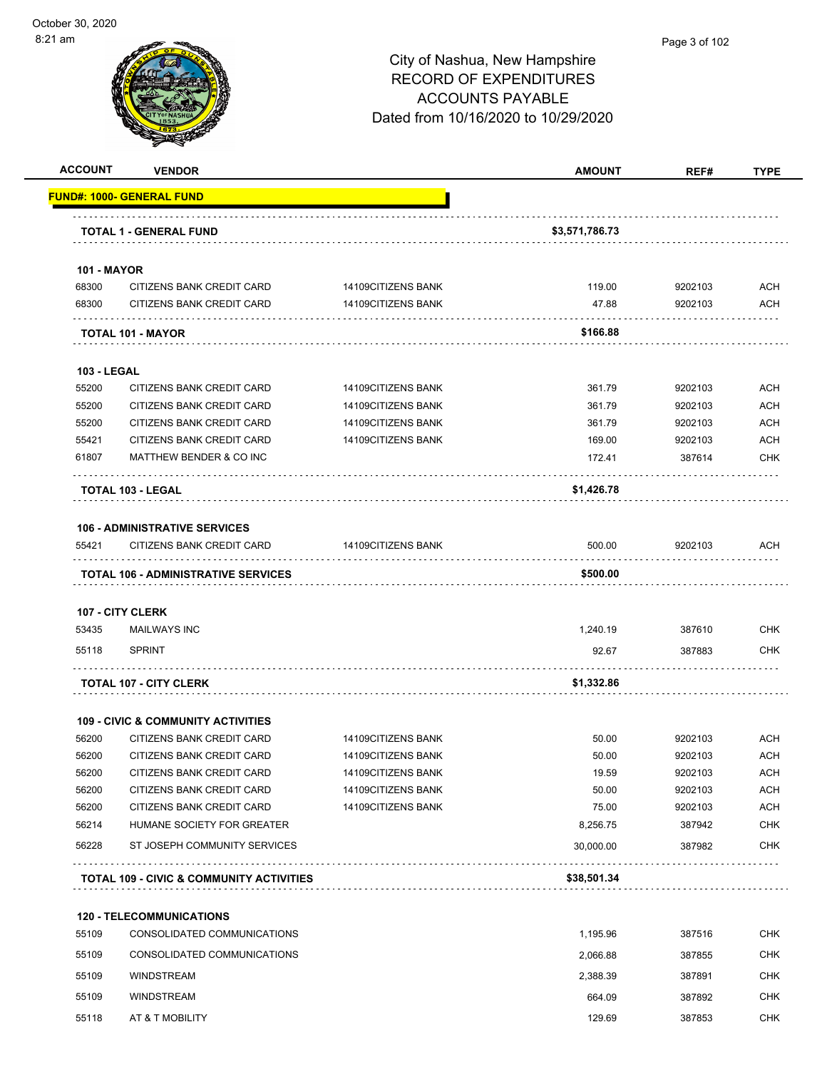| <b>ACCOUNT</b>     | <b>VENDOR</b>                                                  |                    | <b>AMOUNT</b>  | REF#    | <b>TYPE</b> |
|--------------------|----------------------------------------------------------------|--------------------|----------------|---------|-------------|
|                    | <u> FUND#: 1000- GENERAL FUND</u>                              |                    |                |         |             |
|                    | <b>TOTAL 1 - GENERAL FUND</b>                                  |                    | \$3,571,786.73 |         |             |
| <b>101 - MAYOR</b> |                                                                |                    |                |         |             |
| 68300              | CITIZENS BANK CREDIT CARD                                      | 14109CITIZENS BANK | 119.00         | 9202103 | ACH         |
| 68300              | CITIZENS BANK CREDIT CARD                                      | 14109CITIZENS BANK | 47.88          | 9202103 | <b>ACH</b>  |
|                    | TOTAL 101 - MAYOR                                              |                    | \$166.88       |         |             |
| <b>103 - LEGAL</b> |                                                                |                    |                |         |             |
| 55200              | CITIZENS BANK CREDIT CARD                                      | 14109CITIZENS BANK | 361.79         | 9202103 | <b>ACH</b>  |
| 55200              | CITIZENS BANK CREDIT CARD                                      | 14109CITIZENS BANK | 361.79         | 9202103 | <b>ACH</b>  |
| 55200              | CITIZENS BANK CREDIT CARD                                      | 14109CITIZENS BANK | 361.79         | 9202103 | <b>ACH</b>  |
| 55421              | CITIZENS BANK CREDIT CARD                                      | 14109CITIZENS BANK | 169.00         | 9202103 | <b>ACH</b>  |
| 61807              | MATTHEW BENDER & CO INC                                        |                    | 172.41         | 387614  | CHK         |
|                    | TOTAL 103 - LEGAL                                              |                    | \$1,426.78     |         |             |
|                    | <b>106 - ADMINISTRATIVE SERVICES</b>                           |                    |                |         |             |
| 55421              | CITIZENS BANK CREDIT CARD                                      | 14109CITIZENS BANK | 500.00         | 9202103 | ACH         |
|                    | TOTAL 106 - ADMINISTRATIVE SERVICES                            |                    | \$500.00       |         |             |
|                    | <b>107 - CITY CLERK</b>                                        |                    |                |         |             |
| 53435              | <b>MAILWAYS INC</b>                                            |                    | 1,240.19       | 387610  | <b>CHK</b>  |
| 55118              | <b>SPRINT</b>                                                  |                    | 92.67          | 387883  | CHK         |
|                    | <b>TOTAL 107 - CITY CLERK</b>                                  |                    | \$1,332.86     |         |             |
|                    | <b>109 - CIVIC &amp; COMMUNITY ACTIVITIES</b>                  |                    |                |         |             |
| 56200              | CITIZENS BANK CREDIT CARD                                      | 14109CITIZENS BANK | 50.00          | 9202103 | ACH         |
| 56200              | CITIZENS BANK CREDIT CARD                                      | 14109CITIZENS BANK | 50.00          | 9202103 | <b>ACH</b>  |
| 56200              | CITIZENS BANK CREDIT CARD                                      | 14109CITIZENS BANK | 19.59          | 9202103 | <b>ACH</b>  |
| 56200              | CITIZENS BANK CREDIT CARD                                      | 14109CITIZENS BANK | 50.00          | 9202103 | <b>ACH</b>  |
| 56200              | CITIZENS BANK CREDIT CARD                                      | 14109CITIZENS BANK | 75.00          | 9202103 | <b>ACH</b>  |
| 56214              | HUMANE SOCIETY FOR GREATER                                     |                    | 8,256.75       | 387942  | <b>CHK</b>  |
| 56228              | ST JOSEPH COMMUNITY SERVICES                                   |                    | 30,000.00      | 387982  | CHK         |
|                    | <b>TOTAL 109 - CIVIC &amp; COMMUNITY ACTIVITIES</b>            |                    | \$38,501.34    |         |             |
|                    |                                                                |                    |                |         |             |
| 55109              | <b>120 - TELECOMMUNICATIONS</b><br>CONSOLIDATED COMMUNICATIONS |                    | 1,195.96       | 387516  | <b>CHK</b>  |
|                    |                                                                |                    |                |         |             |
| 55109              | CONSOLIDATED COMMUNICATIONS                                    |                    | 2,066.88       | 387855  | <b>CHK</b>  |
| 55109              | <b>WINDSTREAM</b>                                              |                    | 2,388.39       | 387891  | CHK         |
| 55109              | <b>WINDSTREAM</b>                                              |                    | 664.09         | 387892  | <b>CHK</b>  |
| 55118              | AT & T MOBILITY                                                |                    | 129.69         | 387853  | CHK         |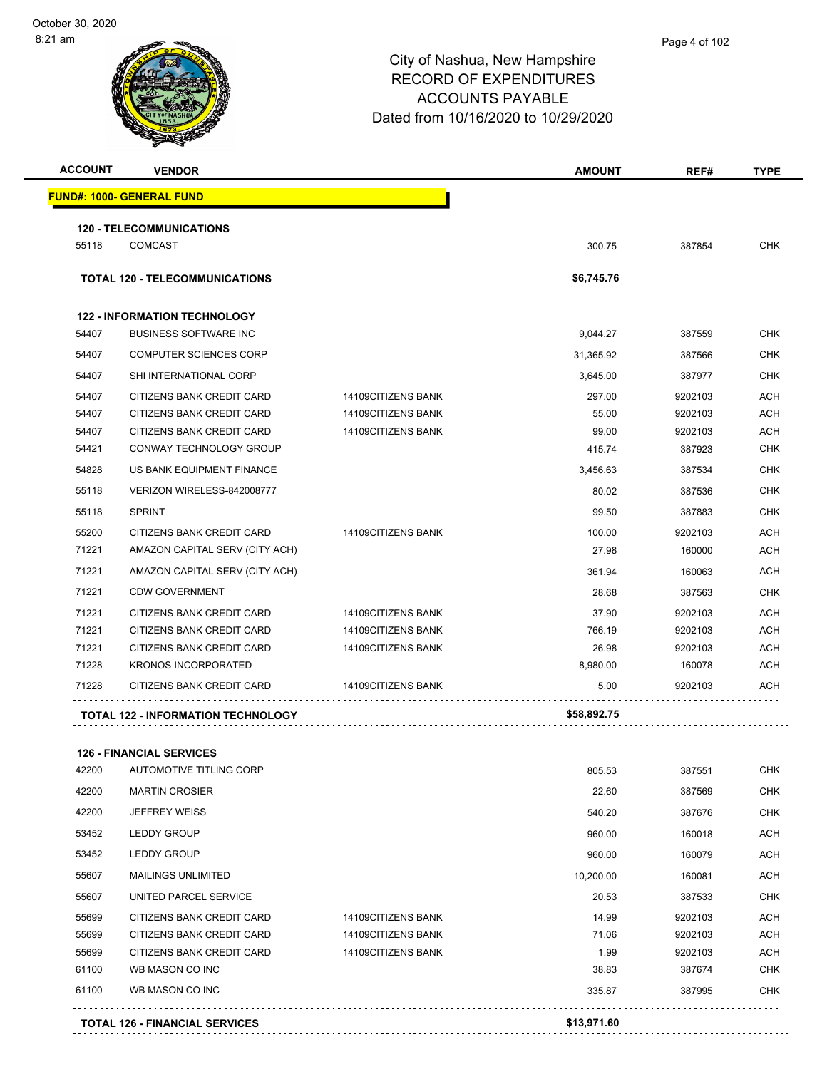—

| 1 am           |                                                   | City of Nashua, New Hampshire<br><b>RECORD OF EXPENDITURES</b><br><b>ACCOUNTS PAYABLE</b><br>Dated from 10/16/2020 to 10/29/2020 |               | Page 4 of 102 |             |  |
|----------------|---------------------------------------------------|----------------------------------------------------------------------------------------------------------------------------------|---------------|---------------|-------------|--|
| <b>ACCOUNT</b> | <b>VENDOR</b>                                     |                                                                                                                                  | <b>AMOUNT</b> | REF#          | <b>TYPE</b> |  |
|                | <b>FUND#: 1000- GENERAL FUND</b>                  |                                                                                                                                  |               |               |             |  |
| 55118          | <b>120 - TELECOMMUNICATIONS</b><br><b>COMCAST</b> |                                                                                                                                  | 300.75        | 387854        | CHK         |  |
|                | <b>TOTAL 120 - TELECOMMUNICATIONS</b>             |                                                                                                                                  | \$6,745.76    |               |             |  |
|                | <b>122 - INFORMATION TECHNOLOGY</b>               |                                                                                                                                  |               |               |             |  |
| 54407          | <b>BUSINESS SOFTWARE INC</b>                      |                                                                                                                                  | 9,044.27      | 387559        | <b>CHK</b>  |  |
| 54407          | <b>COMPUTER SCIENCES CORP</b>                     |                                                                                                                                  | 31,365.92     | 387566        | <b>CHK</b>  |  |
| 54407          | SHI INTERNATIONAL CORP                            |                                                                                                                                  | 3,645.00      | 387977        | <b>CHK</b>  |  |
| 54407          | CITIZENS BANK CREDIT CARD                         | 14109CITIZENS BANK                                                                                                               | 297.00        | 9202103       | <b>ACH</b>  |  |
| 54407          | CITIZENS BANK CREDIT CARD                         | 14109CITIZENS BANK                                                                                                               | 55.00         | 9202103       | <b>ACH</b>  |  |
| 54407          | CITIZENS BANK CREDIT CARD                         | 14109CITIZENS BANK                                                                                                               | 99.00         | 9202103       | <b>ACH</b>  |  |
| 54421          | CONWAY TECHNOLOGY GROUP                           |                                                                                                                                  | 415.74        | 387923        | <b>CHK</b>  |  |
| 54828          | US BANK EQUIPMENT FINANCE                         |                                                                                                                                  | 3,456.63      | 387534        | <b>CHK</b>  |  |
| 55118          | VERIZON WIRELESS-842008777                        |                                                                                                                                  | 80.02         | 387536        | <b>CHK</b>  |  |
| 55118          | <b>SPRINT</b>                                     |                                                                                                                                  | 99.50         | 387883        | <b>CHK</b>  |  |
| 55200          | CITIZENS BANK CREDIT CARD                         | 14109CITIZENS BANK                                                                                                               | 100.00        | 9202103       | <b>ACH</b>  |  |
| 71221          | AMAZON CAPITAL SERV (CITY ACH)                    |                                                                                                                                  | 27.98         | 160000        | <b>ACH</b>  |  |
| 71221          | AMAZON CAPITAL SERV (CITY ACH)                    |                                                                                                                                  | 361.94        | 160063        | <b>ACH</b>  |  |
| 71221          | <b>CDW GOVERNMENT</b>                             |                                                                                                                                  | 28.68         | 387563        | <b>CHK</b>  |  |
| 71221          | CITIZENS BANK CREDIT CARD                         | 14109CITIZENS BANK                                                                                                               | 37.90         | 9202103       | <b>ACH</b>  |  |
| 71221          | CITIZENS BANK CREDIT CARD                         | 14109CITIZENS BANK                                                                                                               | 766.19        | 9202103       | <b>ACH</b>  |  |
| 71221          | CITIZENS BANK CREDIT CARD                         | 14109CITIZENS BANK                                                                                                               | 26.98         | 9202103       | <b>ACH</b>  |  |
| 71228          | <b>KRONOS INCORPORATED</b>                        |                                                                                                                                  | 8,980.00      | 160078        | <b>ACH</b>  |  |
| 71228          | CITIZENS BANK CREDIT CARD                         | 14109CITIZENS BANK                                                                                                               | 5.00          | 9202103       | ACH         |  |
|                |                                                   |                                                                                                                                  |               |               |             |  |

### **126 - FINANCIAL SERVICES**

| 61100 | WB MASON CO INC           |                    | 335.87    | 387995  | <b>CHK</b> |
|-------|---------------------------|--------------------|-----------|---------|------------|
| 61100 | WB MASON CO INC           |                    | 38.83     | 387674  | <b>CHK</b> |
| 55699 | CITIZENS BANK CREDIT CARD | 14109CITIZENS BANK | 1.99      | 9202103 | <b>ACH</b> |
| 55699 | CITIZENS BANK CREDIT CARD | 14109CITIZENS BANK | 71.06     | 9202103 | <b>ACH</b> |
| 55699 | CITIZENS BANK CREDIT CARD | 14109CITIZENS BANK | 14.99     | 9202103 | <b>ACH</b> |
| 55607 | UNITED PARCEL SERVICE     |                    | 20.53     | 387533  | <b>CHK</b> |
| 55607 | <b>MAILINGS UNLIMITED</b> |                    | 10,200.00 | 160081  | <b>ACH</b> |
| 53452 | <b>LEDDY GROUP</b>        |                    | 960.00    | 160079  | <b>ACH</b> |
| 53452 | <b>LEDDY GROUP</b>        |                    | 960.00    | 160018  | <b>ACH</b> |
| 42200 | <b>JEFFREY WEISS</b>      |                    | 540.20    | 387676  | <b>CHK</b> |
| 42200 | <b>MARTIN CROSIER</b>     |                    | 22.60     | 387569  | <b>CHK</b> |
| 42200 | AUTOMOTIVE TITLING CORP   |                    | 805.53    | 387551  | <b>CHK</b> |

**TOTAL 126 - FINANCIAL SERVICES \$13,971.60**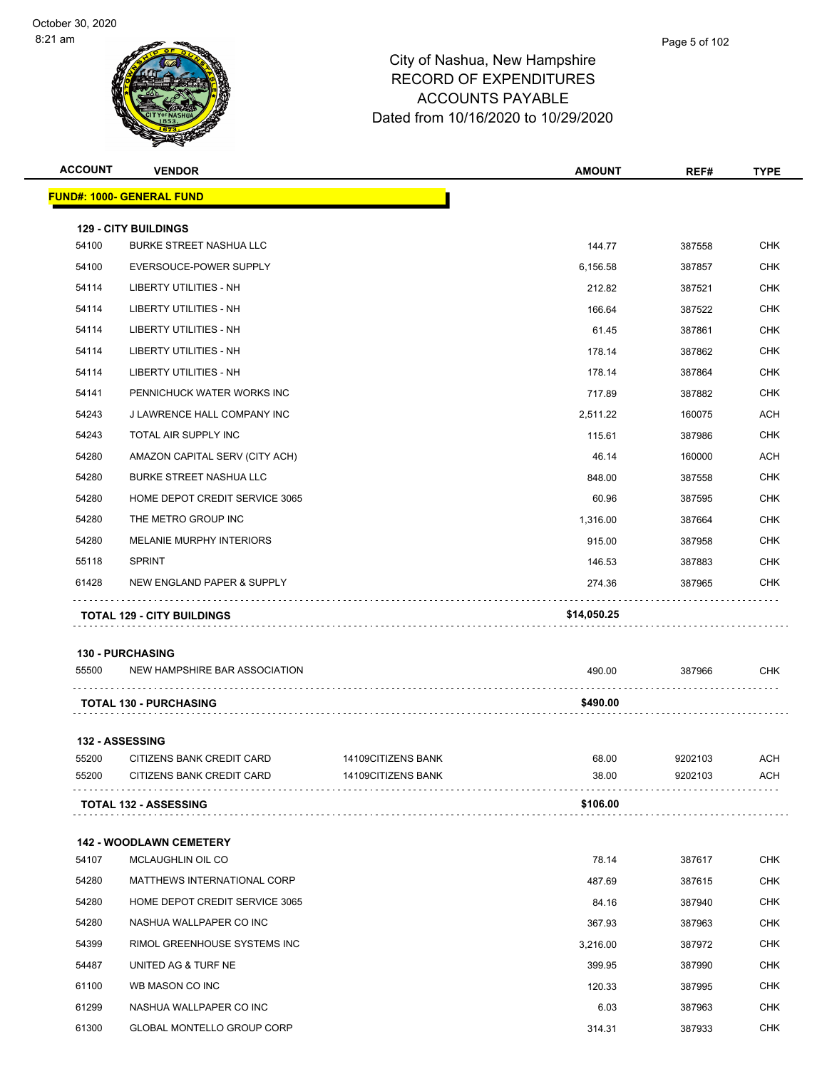| <b>ACCOUNT</b> | <b>VENDOR</b>                                                 |                    | <b>AMOUNT</b> | REF#    | <b>TYPE</b> |
|----------------|---------------------------------------------------------------|--------------------|---------------|---------|-------------|
|                | <u> FUND#: 1000- GENERAL FUND</u>                             |                    |               |         |             |
|                |                                                               |                    |               |         |             |
| 54100          | <b>129 - CITY BUILDINGS</b><br><b>BURKE STREET NASHUA LLC</b> |                    | 144.77        | 387558  | <b>CHK</b>  |
| 54100          | EVERSOUCE-POWER SUPPLY                                        |                    | 6,156.58      | 387857  | <b>CHK</b>  |
| 54114          | LIBERTY UTILITIES - NH                                        |                    | 212.82        | 387521  | CHK         |
| 54114          | <b>LIBERTY UTILITIES - NH</b>                                 |                    | 166.64        | 387522  | <b>CHK</b>  |
| 54114          | LIBERTY UTILITIES - NH                                        |                    | 61.45         | 387861  | <b>CHK</b>  |
| 54114          | LIBERTY UTILITIES - NH                                        |                    | 178.14        | 387862  | CHK         |
| 54114          | LIBERTY UTILITIES - NH                                        |                    | 178.14        | 387864  | <b>CHK</b>  |
| 54141          | PENNICHUCK WATER WORKS INC                                    |                    | 717.89        | 387882  | CHK         |
| 54243          | J LAWRENCE HALL COMPANY INC                                   |                    | 2,511.22      | 160075  | ACH         |
| 54243          | TOTAL AIR SUPPLY INC                                          |                    | 115.61        | 387986  | <b>CHK</b>  |
| 54280          | AMAZON CAPITAL SERV (CITY ACH)                                |                    | 46.14         | 160000  | ACH         |
| 54280          | <b>BURKE STREET NASHUA LLC</b>                                |                    | 848.00        | 387558  | <b>CHK</b>  |
| 54280          | HOME DEPOT CREDIT SERVICE 3065                                |                    | 60.96         | 387595  | CHK         |
| 54280          | THE METRO GROUP INC                                           |                    | 1,316.00      | 387664  | <b>CHK</b>  |
| 54280          | MELANIE MURPHY INTERIORS                                      |                    | 915.00        | 387958  | <b>CHK</b>  |
| 55118          | <b>SPRINT</b>                                                 |                    | 146.53        | 387883  | CHK         |
| 61428          | NEW ENGLAND PAPER & SUPPLY                                    |                    | 274.36        | 387965  | <b>CHK</b>  |
|                |                                                               |                    |               |         |             |
|                | <b>TOTAL 129 - CITY BUILDINGS</b>                             |                    | \$14,050.25   |         |             |
|                | <b>130 - PURCHASING</b>                                       |                    |               |         |             |
| 55500          | NEW HAMPSHIRE BAR ASSOCIATION                                 |                    | 490.00        | 387966  | CHK         |
|                |                                                               |                    |               |         |             |
|                | <b>TOTAL 130 - PURCHASING</b>                                 |                    | \$490.00      |         |             |
|                | 132 - ASSESSING                                               |                    |               |         |             |
| 55200          | CITIZENS BANK CREDIT CARD                                     | 14109CITIZENS BANK | 68.00         | 9202103 | ACH         |
| 55200          | CITIZENS BANK CREDIT CARD                                     | 14109CITIZENS BANK | 38.00         | 9202103 | ACH         |
|                | <b>TOTAL 132 - ASSESSING</b>                                  |                    | \$106.00      |         |             |
|                |                                                               |                    |               |         |             |
|                | <b>142 - WOODLAWN CEMETERY</b>                                |                    |               |         |             |
| 54107          | MCLAUGHLIN OIL CO                                             |                    | 78.14         | 387617  | <b>CHK</b>  |
| 54280          | MATTHEWS INTERNATIONAL CORP                                   |                    | 487.69        | 387615  | <b>CHK</b>  |
| 54280          | HOME DEPOT CREDIT SERVICE 3065                                |                    | 84.16         | 387940  | CHK         |
| 54280          | NASHUA WALLPAPER CO INC                                       |                    | 367.93        | 387963  | <b>CHK</b>  |
| 54399          | RIMOL GREENHOUSE SYSTEMS INC                                  |                    | 3,216.00      | 387972  | CHK         |
| 54487          | UNITED AG & TURF NE                                           |                    | 399.95        | 387990  | <b>CHK</b>  |
| 61100          | WB MASON CO INC                                               |                    | 120.33        | 387995  | <b>CHK</b>  |
| 61299          | NASHUA WALLPAPER CO INC                                       |                    | 6.03          | 387963  | CHK         |
| 61300          | <b>GLOBAL MONTELLO GROUP CORP</b>                             |                    | 314.31        | 387933  | <b>CHK</b>  |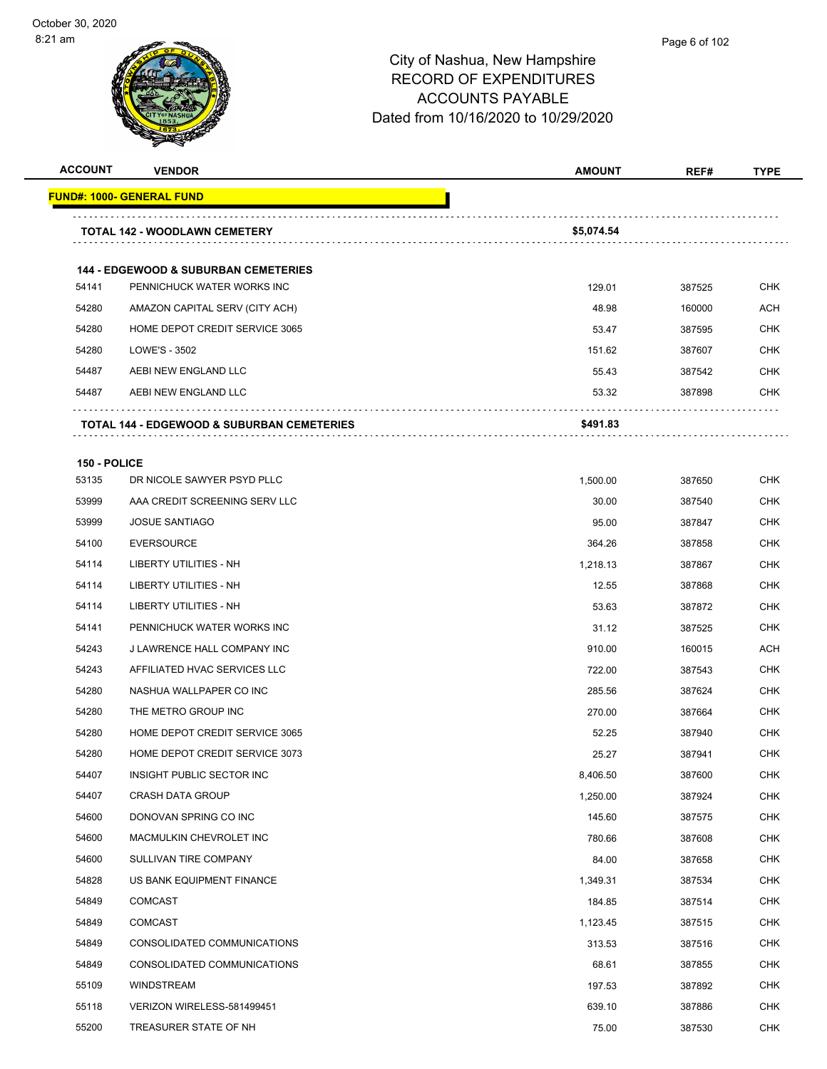# City of Nashua, New Hampshire RECORD OF EXPENDITURES ACCOUNTS PAYABLE

Dated from 10/16/2020 to 10/29/2020

| <b>ACCOUNT</b> | <b>VENDOR</b>                                         | <b>AMOUNT</b> | REF#   | <b>TYPE</b> |
|----------------|-------------------------------------------------------|---------------|--------|-------------|
|                | <u> FUND#: 1000- GENERAL FUND</u>                     |               |        |             |
|                |                                                       |               |        |             |
|                | TOTAL 142 - WOODLAWN CEMETERY                         | \$5,074.54    |        |             |
|                | <b>144 - EDGEWOOD &amp; SUBURBAN CEMETERIES</b>       |               |        |             |
| 54141          | PENNICHUCK WATER WORKS INC                            | 129.01        | 387525 | CHK         |
| 54280          | AMAZON CAPITAL SERV (CITY ACH)                        | 48.98         | 160000 | <b>ACH</b>  |
| 54280          | HOME DEPOT CREDIT SERVICE 3065                        | 53.47         | 387595 | CHK         |
| 54280          | LOWE'S - 3502                                         | 151.62        | 387607 | <b>CHK</b>  |
| 54487          | AEBI NEW ENGLAND LLC                                  | 55.43         | 387542 | CHK         |
| 54487          | AEBI NEW ENGLAND LLC                                  | 53.32         | 387898 | CHK         |
|                | <b>TOTAL 144 - EDGEWOOD &amp; SUBURBAN CEMETERIES</b> | \$491.83      |        |             |
|                |                                                       |               |        |             |
| 53135          | 150 - POLICE<br>DR NICOLE SAWYER PSYD PLLC            | 1,500.00      | 387650 | <b>CHK</b>  |
| 53999          | AAA CREDIT SCREENING SERV LLC                         | 30.00         | 387540 | CHK         |
| 53999          | <b>JOSUE SANTIAGO</b>                                 | 95.00         | 387847 | <b>CHK</b>  |
| 54100          | <b>EVERSOURCE</b>                                     | 364.26        | 387858 | <b>CHK</b>  |
| 54114          | LIBERTY UTILITIES - NH                                | 1,218.13      | 387867 | CHK         |
| 54114          | LIBERTY UTILITIES - NH                                | 12.55         | 387868 | <b>CHK</b>  |
| 54114          | LIBERTY UTILITIES - NH                                | 53.63         | 387872 | CHK         |
| 54141          | PENNICHUCK WATER WORKS INC                            | 31.12         | 387525 | <b>CHK</b>  |
| 54243          | J LAWRENCE HALL COMPANY INC                           | 910.00        | 160015 | ACH         |
| 54243          | AFFILIATED HVAC SERVICES LLC                          | 722.00        | 387543 | CHK         |
| 54280          | NASHUA WALLPAPER CO INC                               | 285.56        | 387624 | <b>CHK</b>  |
| 54280          | THE METRO GROUP INC                                   | 270.00        | 387664 | CHK         |
| 54280          | HOME DEPOT CREDIT SERVICE 3065                        | 52.25         | 387940 | CHK         |
| 54280          | HOME DEPOT CREDIT SERVICE 3073                        | 25.27         | 387941 | CHK         |
| 54407          | INSIGHT PUBLIC SECTOR INC                             | 8,406.50      | 387600 | CHK         |
| 54407          | <b>CRASH DATA GROUP</b>                               | 1,250.00      | 387924 | <b>CHK</b>  |
| 54600          | DONOVAN SPRING CO INC                                 | 145.60        | 387575 | <b>CHK</b>  |
| 54600          | MACMULKIN CHEVROLET INC                               | 780.66        | 387608 | <b>CHK</b>  |
| 54600          | SULLIVAN TIRE COMPANY                                 | 84.00         | 387658 | <b>CHK</b>  |
| 54828          | US BANK EQUIPMENT FINANCE                             | 1,349.31      | 387534 | CHK         |
| 54849          | <b>COMCAST</b>                                        | 184.85        | 387514 | <b>CHK</b>  |
| 54849          | <b>COMCAST</b>                                        | 1,123.45      | 387515 | <b>CHK</b>  |
| 54849          | CONSOLIDATED COMMUNICATIONS                           | 313.53        | 387516 | <b>CHK</b>  |
| 54849          | CONSOLIDATED COMMUNICATIONS                           | 68.61         | 387855 | CHK         |
| 55109          | WINDSTREAM                                            | 197.53        | 387892 | CHK         |
| 55118          | VERIZON WIRELESS-581499451                            | 639.10        | 387886 | <b>CHK</b>  |
| 55200          | TREASURER STATE OF NH                                 | 75.00         | 387530 | <b>CHK</b>  |
|                |                                                       |               |        |             |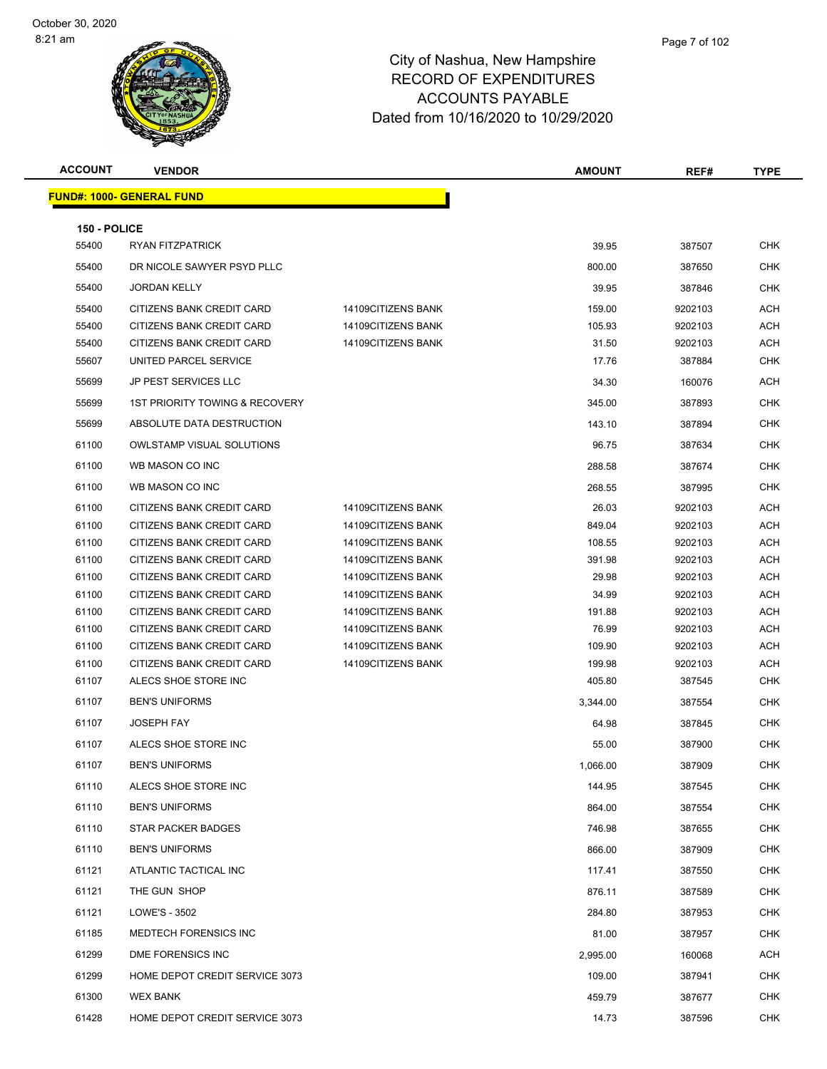### Page 7 of 102

| <b>ACCOUNT</b>        | <b>VENDOR</b>                    |                    | <b>AMOUNT</b> | REF#    | <b>TYPE</b> |
|-----------------------|----------------------------------|--------------------|---------------|---------|-------------|
|                       | <b>FUND#: 1000- GENERAL FUND</b> |                    |               |         |             |
|                       |                                  |                    |               |         |             |
| 150 - POLICE<br>55400 | <b>RYAN FITZPATRICK</b>          |                    | 39.95         | 387507  | <b>CHK</b>  |
| 55400                 | DR NICOLE SAWYER PSYD PLLC       |                    | 800.00        | 387650  | <b>CHK</b>  |
| 55400                 | <b>JORDAN KELLY</b>              |                    | 39.95         | 387846  | CHK         |
| 55400                 | CITIZENS BANK CREDIT CARD        | 14109CITIZENS BANK | 159.00        | 9202103 | <b>ACH</b>  |
| 55400                 | CITIZENS BANK CREDIT CARD        | 14109CITIZENS BANK | 105.93        | 9202103 | ACH         |
| 55400                 | CITIZENS BANK CREDIT CARD        | 14109CITIZENS BANK | 31.50         | 9202103 | <b>ACH</b>  |
| 55607                 | UNITED PARCEL SERVICE            |                    | 17.76         | 387884  | <b>CHK</b>  |
| 55699                 | <b>JP PEST SERVICES LLC</b>      |                    | 34.30         | 160076  | <b>ACH</b>  |
| 55699                 | 1ST PRIORITY TOWING & RECOVERY   |                    | 345.00        | 387893  | CHK         |
| 55699                 | ABSOLUTE DATA DESTRUCTION        |                    | 143.10        | 387894  | <b>CHK</b>  |
| 61100                 | <b>OWLSTAMP VISUAL SOLUTIONS</b> |                    | 96.75         | 387634  | <b>CHK</b>  |
| 61100                 | WB MASON CO INC                  |                    | 288.58        | 387674  | CHK         |
| 61100                 | WB MASON CO INC                  |                    | 268.55        | 387995  | <b>CHK</b>  |
| 61100                 | CITIZENS BANK CREDIT CARD        | 14109CITIZENS BANK | 26.03         | 9202103 | ACH         |
| 61100                 | CITIZENS BANK CREDIT CARD        | 14109CITIZENS BANK | 849.04        | 9202103 | <b>ACH</b>  |
| 61100                 | CITIZENS BANK CREDIT CARD        | 14109CITIZENS BANK | 108.55        | 9202103 | <b>ACH</b>  |
| 61100                 | CITIZENS BANK CREDIT CARD        | 14109CITIZENS BANK | 391.98        | 9202103 | <b>ACH</b>  |
| 61100                 | CITIZENS BANK CREDIT CARD        | 14109CITIZENS BANK | 29.98         | 9202103 | ACH         |
| 61100                 | CITIZENS BANK CREDIT CARD        | 14109CITIZENS BANK | 34.99         | 9202103 | <b>ACH</b>  |
| 61100                 | CITIZENS BANK CREDIT CARD        | 14109CITIZENS BANK | 191.88        | 9202103 | ACH         |
| 61100                 | CITIZENS BANK CREDIT CARD        | 14109CITIZENS BANK | 76.99         | 9202103 | <b>ACH</b>  |
| 61100                 | CITIZENS BANK CREDIT CARD        | 14109CITIZENS BANK | 109.90        | 9202103 | ACH         |
| 61100                 | CITIZENS BANK CREDIT CARD        | 14109CITIZENS BANK | 199.98        | 9202103 | ACH         |
| 61107                 | ALECS SHOE STORE INC             |                    | 405.80        | 387545  | <b>CHK</b>  |
| 61107                 | <b>BEN'S UNIFORMS</b>            |                    | 3,344.00      | 387554  | <b>CHK</b>  |
| 61107                 | <b>JOSEPH FAY</b>                |                    | 64.98         | 387845  | <b>CHK</b>  |
| 61107                 | ALECS SHOE STORE INC             |                    | 55.00         | 387900  | <b>CHK</b>  |
| 61107                 | <b>BEN'S UNIFORMS</b>            |                    | 1,066.00      | 387909  | <b>CHK</b>  |
| 61110                 | ALECS SHOE STORE INC             |                    | 144.95        | 387545  | <b>CHK</b>  |
| 61110                 | <b>BEN'S UNIFORMS</b>            |                    | 864.00        | 387554  | <b>CHK</b>  |
| 61110                 | STAR PACKER BADGES               |                    | 746.98        | 387655  | <b>CHK</b>  |
| 61110                 | <b>BEN'S UNIFORMS</b>            |                    | 866.00        | 387909  | <b>CHK</b>  |
| 61121                 | ATLANTIC TACTICAL INC            |                    | 117.41        | 387550  | <b>CHK</b>  |
| 61121                 | THE GUN SHOP                     |                    | 876.11        | 387589  | <b>CHK</b>  |
| 61121                 | LOWE'S - 3502                    |                    | 284.80        | 387953  | <b>CHK</b>  |
| 61185                 | MEDTECH FORENSICS INC            |                    | 81.00         | 387957  | <b>CHK</b>  |
| 61299                 | DME FORENSICS INC                |                    | 2,995.00      | 160068  | ACH         |
| 61299                 | HOME DEPOT CREDIT SERVICE 3073   |                    | 109.00        | 387941  | <b>CHK</b>  |
| 61300                 | <b>WEX BANK</b>                  |                    | 459.79        | 387677  | <b>CHK</b>  |
| 61428                 | HOME DEPOT CREDIT SERVICE 3073   |                    | 14.73         | 387596  | <b>CHK</b>  |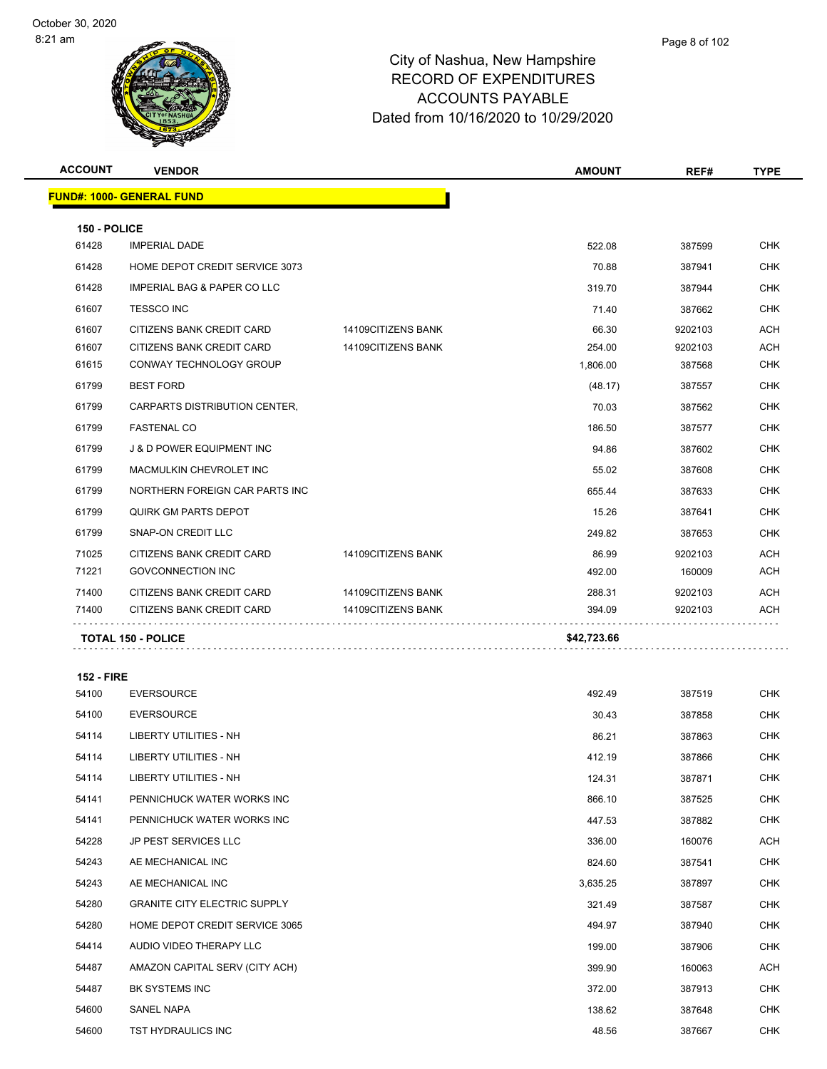| <b>ACCOUNT</b>    | <b>VENDOR</b>                        |                    | <b>AMOUNT</b> | REF#    | <b>TYPE</b> |
|-------------------|--------------------------------------|--------------------|---------------|---------|-------------|
|                   | <b>FUND#: 1000- GENERAL FUND</b>     |                    |               |         |             |
| 150 - POLICE      |                                      |                    |               |         |             |
| 61428             | <b>IMPERIAL DADE</b>                 |                    | 522.08        | 387599  | <b>CHK</b>  |
| 61428             | HOME DEPOT CREDIT SERVICE 3073       |                    | 70.88         | 387941  | <b>CHK</b>  |
| 61428             | IMPERIAL BAG & PAPER CO LLC          |                    | 319.70        | 387944  | <b>CHK</b>  |
| 61607             | <b>TESSCO INC</b>                    |                    | 71.40         | 387662  | <b>CHK</b>  |
| 61607             | CITIZENS BANK CREDIT CARD            | 14109CITIZENS BANK | 66.30         | 9202103 | <b>ACH</b>  |
| 61607             | CITIZENS BANK CREDIT CARD            | 14109CITIZENS BANK | 254.00        | 9202103 | <b>ACH</b>  |
| 61615             | CONWAY TECHNOLOGY GROUP              |                    | 1,806.00      | 387568  | <b>CHK</b>  |
| 61799             | <b>BEST FORD</b>                     |                    | (48.17)       | 387557  | <b>CHK</b>  |
| 61799             | CARPARTS DISTRIBUTION CENTER,        |                    | 70.03         | 387562  | <b>CHK</b>  |
| 61799             | <b>FASTENAL CO</b>                   |                    | 186.50        | 387577  | <b>CHK</b>  |
| 61799             | <b>J &amp; D POWER EQUIPMENT INC</b> |                    | 94.86         | 387602  | <b>CHK</b>  |
| 61799             | MACMULKIN CHEVROLET INC              |                    | 55.02         | 387608  | <b>CHK</b>  |
| 61799             | NORTHERN FOREIGN CAR PARTS INC       |                    | 655.44        | 387633  | <b>CHK</b>  |
| 61799             | QUIRK GM PARTS DEPOT                 |                    | 15.26         | 387641  | <b>CHK</b>  |
| 61799             | <b>SNAP-ON CREDIT LLC</b>            |                    | 249.82        | 387653  | <b>CHK</b>  |
| 71025             | CITIZENS BANK CREDIT CARD            | 14109CITIZENS BANK | 86.99         | 9202103 | <b>ACH</b>  |
| 71221             | <b>GOVCONNECTION INC</b>             |                    | 492.00        | 160009  | <b>ACH</b>  |
| 71400             | CITIZENS BANK CREDIT CARD            | 14109CITIZENS BANK | 288.31        | 9202103 | <b>ACH</b>  |
| 71400             | CITIZENS BANK CREDIT CARD            | 14109CITIZENS BANK | 394.09        | 9202103 | ACH         |
|                   | <b>TOTAL 150 - POLICE</b>            |                    | \$42,723.66   |         |             |
| <b>152 - FIRE</b> |                                      |                    |               |         |             |
| 54100             | <b>EVERSOURCE</b>                    |                    | 492.49        | 387519  | CHK.        |
| 54100             | <b>EVERSOURCE</b>                    |                    | 30.43         | 387858  | <b>CHK</b>  |

| 54100 | <b>EVERSOURCE</b>                   | 30.43    | 387858 | <b>CHK</b> |
|-------|-------------------------------------|----------|--------|------------|
| 54114 | LIBERTY UTILITIES - NH              | 86.21    | 387863 | <b>CHK</b> |
| 54114 | LIBERTY UTILITIES - NH              | 412.19   | 387866 | <b>CHK</b> |
| 54114 | <b>LIBERTY UTILITIES - NH</b>       | 124.31   | 387871 | <b>CHK</b> |
| 54141 | PENNICHUCK WATER WORKS INC          | 866.10   | 387525 | <b>CHK</b> |
| 54141 | PENNICHUCK WATER WORKS INC          | 447.53   | 387882 | CHK        |
| 54228 | JP PEST SERVICES LLC                | 336.00   | 160076 | ACH        |
| 54243 | AE MECHANICAL INC                   | 824.60   | 387541 | <b>CHK</b> |
| 54243 | AE MECHANICAL INC                   | 3,635.25 | 387897 | <b>CHK</b> |
| 54280 | <b>GRANITE CITY ELECTRIC SUPPLY</b> | 321.49   | 387587 | <b>CHK</b> |
| 54280 | HOME DEPOT CREDIT SERVICE 3065      | 494.97   | 387940 | <b>CHK</b> |
| 54414 | AUDIO VIDEO THERAPY LLC             | 199.00   | 387906 | <b>CHK</b> |
| 54487 | AMAZON CAPITAL SERV (CITY ACH)      | 399.90   | 160063 | ACH        |
| 54487 | <b>BK SYSTEMS INC</b>               | 372.00   | 387913 | <b>CHK</b> |
| 54600 | <b>SANEL NAPA</b>                   | 138.62   | 387648 | <b>CHK</b> |
| 54600 | TST HYDRAULICS INC                  | 48.56    | 387667 | <b>CHK</b> |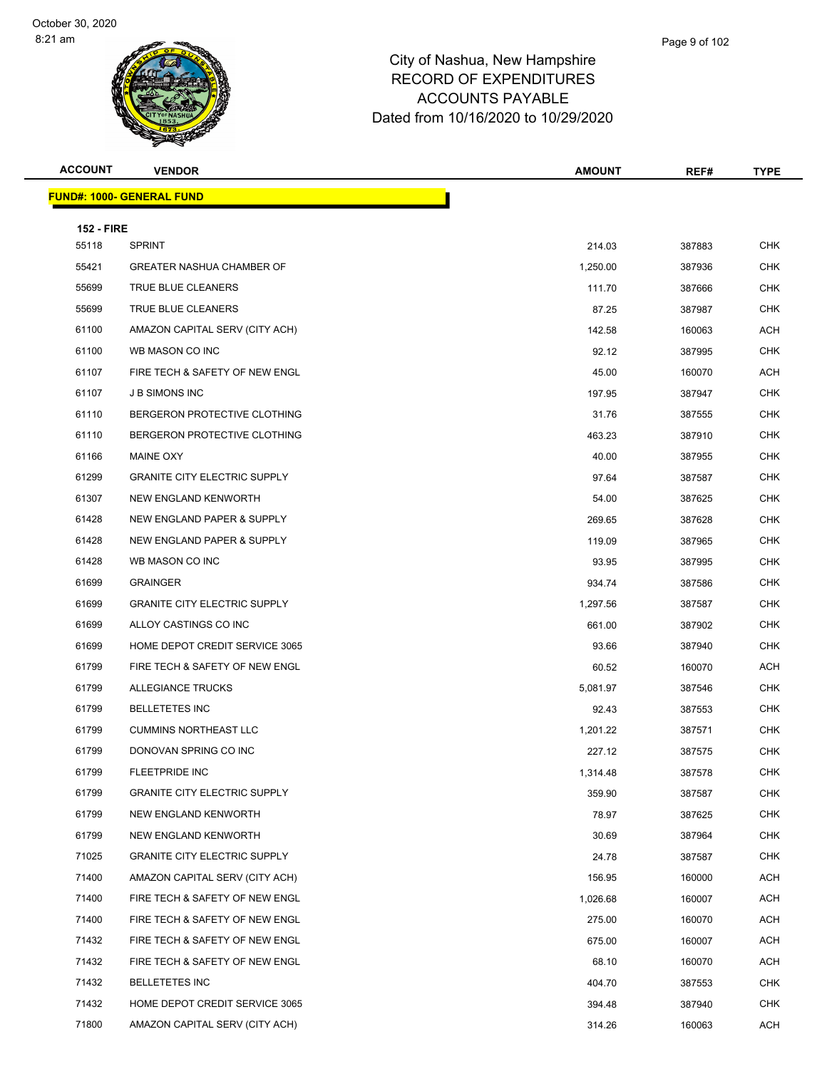| <b>ACCOUNT</b>    | <b>VENDOR</b>                       | <b>AMOUNT</b> | REF#   | <b>TYPE</b> |
|-------------------|-------------------------------------|---------------|--------|-------------|
|                   | <b>FUND#: 1000- GENERAL FUND</b>    |               |        |             |
| <b>152 - FIRE</b> |                                     |               |        |             |
| 55118             | <b>SPRINT</b>                       | 214.03        | 387883 | <b>CHK</b>  |
| 55421             | <b>GREATER NASHUA CHAMBER OF</b>    | 1,250.00      | 387936 | CHK         |
| 55699             | TRUE BLUE CLEANERS                  | 111.70        | 387666 | <b>CHK</b>  |
| 55699             | TRUE BLUE CLEANERS                  | 87.25         | 387987 | CHK         |
| 61100             | AMAZON CAPITAL SERV (CITY ACH)      | 142.58        | 160063 | <b>ACH</b>  |
| 61100             | WB MASON CO INC                     | 92.12         | 387995 | <b>CHK</b>  |
| 61107             | FIRE TECH & SAFETY OF NEW ENGL      | 45.00         | 160070 | ACH         |
| 61107             | <b>J B SIMONS INC</b>               | 197.95        | 387947 | <b>CHK</b>  |
| 61110             | BERGERON PROTECTIVE CLOTHING        | 31.76         | 387555 | <b>CHK</b>  |
| 61110             | BERGERON PROTECTIVE CLOTHING        | 463.23        | 387910 | <b>CHK</b>  |
| 61166             | MAINE OXY                           | 40.00         | 387955 | <b>CHK</b>  |
| 61299             | <b>GRANITE CITY ELECTRIC SUPPLY</b> | 97.64         | 387587 | CHK         |
| 61307             | NEW ENGLAND KENWORTH                | 54.00         | 387625 | <b>CHK</b>  |
| 61428             | NEW ENGLAND PAPER & SUPPLY          | 269.65        | 387628 | CHK         |
| 61428             | NEW ENGLAND PAPER & SUPPLY          | 119.09        | 387965 | <b>CHK</b>  |
| 61428             | WB MASON CO INC                     | 93.95         | 387995 | <b>CHK</b>  |
| 61699             | <b>GRAINGER</b>                     | 934.74        | 387586 | CHK         |
| 61699             | <b>GRANITE CITY ELECTRIC SUPPLY</b> | 1,297.56      | 387587 | <b>CHK</b>  |
| 61699             | ALLOY CASTINGS CO INC               | 661.00        | 387902 | <b>CHK</b>  |
| 61699             | HOME DEPOT CREDIT SERVICE 3065      | 93.66         | 387940 | <b>CHK</b>  |
| 61799             | FIRE TECH & SAFETY OF NEW ENGL      | 60.52         | 160070 | ACH         |
| 61799             | <b>ALLEGIANCE TRUCKS</b>            | 5,081.97      | 387546 | CHK         |
| 61799             | <b>BELLETETES INC</b>               | 92.43         | 387553 | <b>CHK</b>  |
| 61799             | <b>CUMMINS NORTHEAST LLC</b>        | 1,201.22      | 387571 | CHK         |
| 61799             | DONOVAN SPRING CO INC               | 227.12        | 387575 | <b>CHK</b>  |
| 61799             | FLEETPRIDE INC                      | 1,314.48      | 387578 | CHK         |
| 61799             | <b>GRANITE CITY ELECTRIC SUPPLY</b> | 359.90        | 387587 | <b>CHK</b>  |
| 61799             | NEW ENGLAND KENWORTH                | 78.97         | 387625 | <b>CHK</b>  |
| 61799             | NEW ENGLAND KENWORTH                | 30.69         | 387964 | <b>CHK</b>  |
| 71025             | <b>GRANITE CITY ELECTRIC SUPPLY</b> | 24.78         | 387587 | <b>CHK</b>  |
| 71400             | AMAZON CAPITAL SERV (CITY ACH)      | 156.95        | 160000 | <b>ACH</b>  |
| 71400             | FIRE TECH & SAFETY OF NEW ENGL      | 1,026.68      | 160007 | ACH         |
| 71400             | FIRE TECH & SAFETY OF NEW ENGL      | 275.00        | 160070 | <b>ACH</b>  |
| 71432             | FIRE TECH & SAFETY OF NEW ENGL      | 675.00        | 160007 | <b>ACH</b>  |
| 71432             | FIRE TECH & SAFETY OF NEW ENGL      | 68.10         | 160070 | ACH         |
| 71432             | <b>BELLETETES INC</b>               | 404.70        | 387553 | <b>CHK</b>  |
| 71432             | HOME DEPOT CREDIT SERVICE 3065      | 394.48        | 387940 | CHK         |
| 71800             | AMAZON CAPITAL SERV (CITY ACH)      | 314.26        | 160063 | <b>ACH</b>  |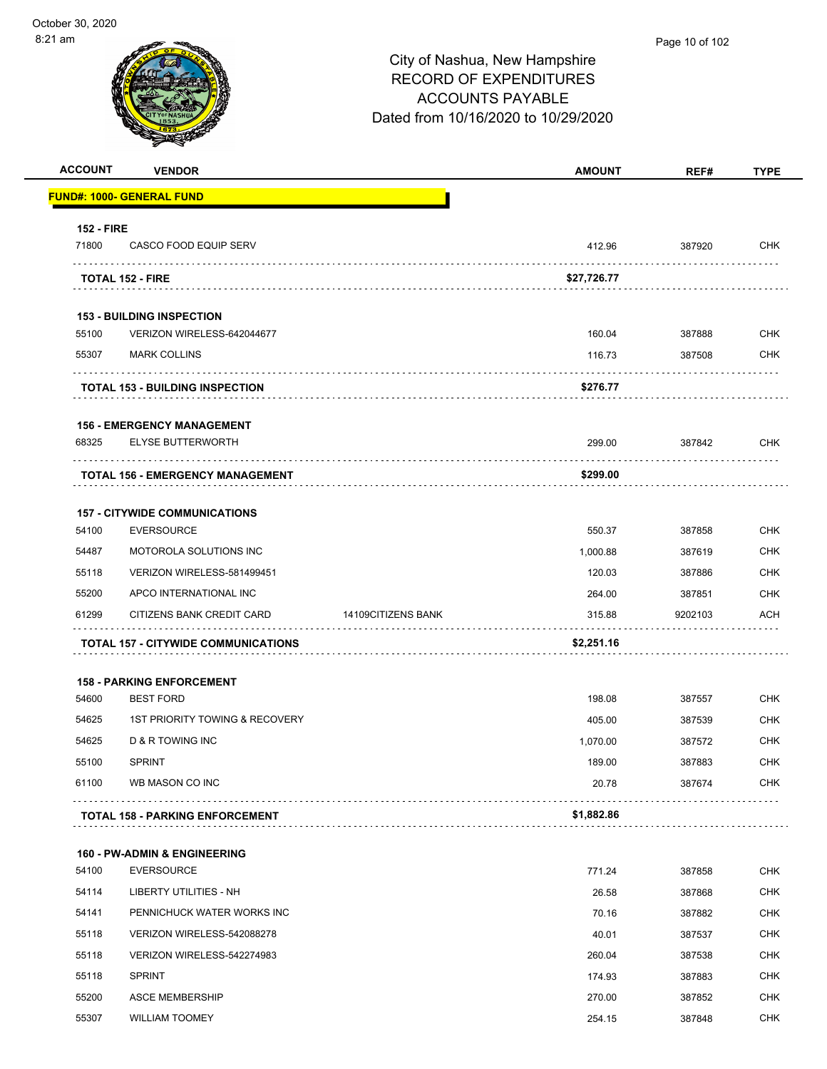# City of Nashua, New Hampshire RECORD OF EXPENDITURES ACCOUNTS PAYABLE Dated from 10/16/2020 to 10/29/2020 **ACCOUNT VENDOR AMOUNT REF# TYPE FUND#: 1000- GENERAL FUND 152 - FIRE** 71800 CASCO FOOD EQUIP SERV 412.96 387920 CHK . . . . . . . . . . . . . . . . . **TOTAL 152 - FIRE \$27,726.77 153 - BUILDING INSPECTION** 55100 VERIZON WIRELESS-642044677 160.04 387888 CHK 55307 MARK COLLINS 116.73 387508 CHK . . . . . . . . . . . . . . . . . . . . . . . . . . . **TOTAL 153 - BUILDING INSPECTION \$276.77 156 - EMERGENCY MANAGEMENT** 68325 ELYSE BUTTERWORTH 299.00 387842 CHK **TOTAL 156 - EMERGENCY MANAGEMENT \$299.00 157 - CITYWIDE COMMUNICATIONS** 54100 EVERSOURCE 550.37 387858 CHK 54487 MOTOROLA SOLUTIONS INC 1,000.88 387619 CHK 55118 VERIZON WIRELESS-581499451 120.03 387886 CHK 55200 APCO INTERNATIONAL INC 264.00 387851 CHK 61299 CITIZENS BANK CREDIT CARD 14109CITIZENS BANK 1998 315.88 9202103 ACH . . . . . . . . . . . . . . . . والأناب **TOTAL 157 - CITYWIDE COMMUNICATIONS \$2,251.16 158 - PARKING ENFORCEMENT** 54600 BEST FORD 198.08 387557 CHK 54625 1ST PRIORITY TOWING & RECOVERY 405.00 387539 CHK 54625 D & R TOWING INC 1,070.00 387572 CHK 55100 SPRINT 189.00 387883 CHK 61100 WB MASON CO INC 20.78 387674 CHK . . . . . . . . . . . . . . . . . . . . . . . . . . . . . . . . . **TOTAL 158 - PARKING ENFORCEMENT \$1,882.86 160 - PW-ADMIN & ENGINEERING** 54100 EVERSOURCE 771.24 387858 CHK 54114 LIBERTY UTILITIES - NH 26.58 387868 CHK

| 54114 | LIBERTY UTILITIES - NH     | 26.58  | 387868 | <b>CHK</b> |
|-------|----------------------------|--------|--------|------------|
| 54141 | PENNICHUCK WATER WORKS INC | 70.16  | 387882 | <b>CHK</b> |
| 55118 | VERIZON WIRELESS-542088278 | 40.01  | 387537 | <b>CHK</b> |
| 55118 | VERIZON WIRELESS-542274983 | 260.04 | 387538 | <b>CHK</b> |
| 55118 | <b>SPRINT</b>              | 174.93 | 387883 | <b>CHK</b> |
| 55200 | ASCE MEMBERSHIP            | 270.00 | 387852 | <b>CHK</b> |
| 55307 | <b>WILLIAM TOOMEY</b>      | 254.15 | 387848 | <b>CHK</b> |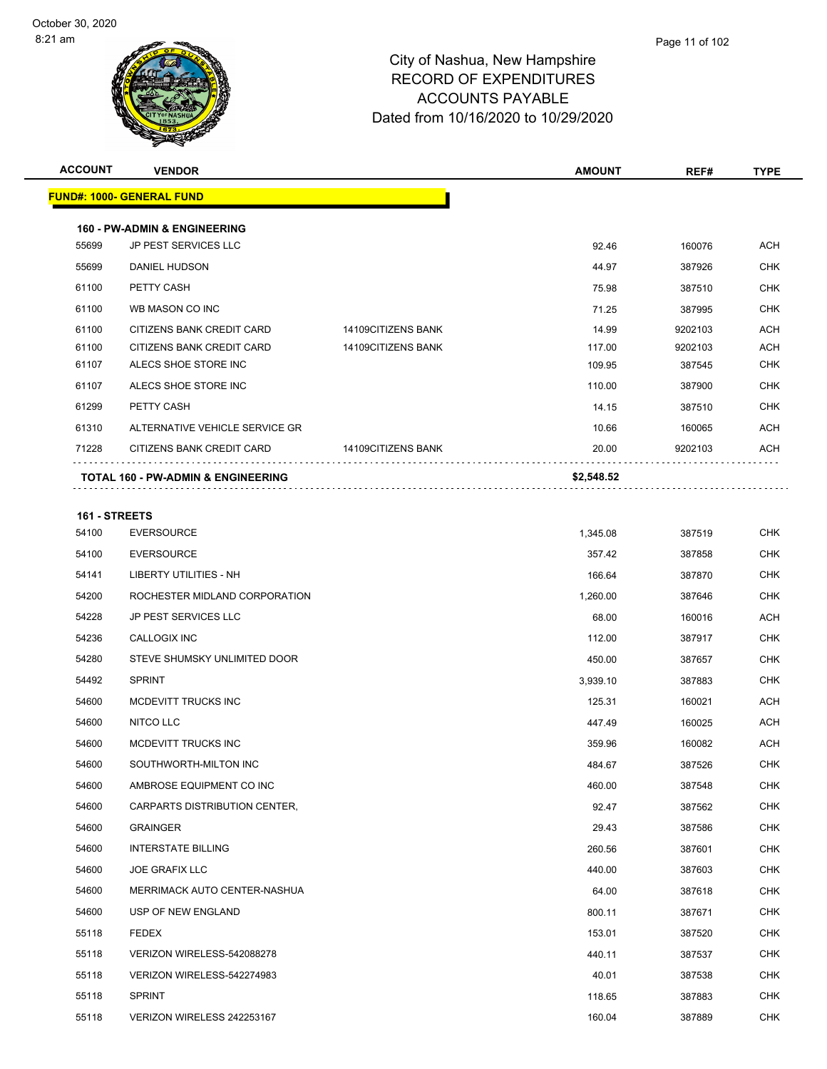| <b>ACCOUNT</b> | <b>VENDOR</b>                                 |                    | <b>AMOUNT</b> | REF#    | <b>TYPE</b> |
|----------------|-----------------------------------------------|--------------------|---------------|---------|-------------|
|                | <b>FUND#: 1000- GENERAL FUND</b>              |                    |               |         |             |
|                |                                               |                    |               |         |             |
|                | <b>160 - PW-ADMIN &amp; ENGINEERING</b>       |                    |               |         |             |
| 55699          | JP PEST SERVICES LLC                          |                    | 92.46         | 160076  | <b>ACH</b>  |
| 55699          | <b>DANIEL HUDSON</b>                          |                    | 44.97         | 387926  | <b>CHK</b>  |
| 61100          | PETTY CASH                                    |                    | 75.98         | 387510  | <b>CHK</b>  |
| 61100          | WB MASON CO INC                               |                    | 71.25         | 387995  | <b>CHK</b>  |
| 61100          | CITIZENS BANK CREDIT CARD                     | 14109CITIZENS BANK | 14.99         | 9202103 | <b>ACH</b>  |
| 61100          | CITIZENS BANK CREDIT CARD                     | 14109CITIZENS BANK | 117.00        | 9202103 | <b>ACH</b>  |
| 61107          | ALECS SHOE STORE INC                          |                    | 109.95        | 387545  | <b>CHK</b>  |
| 61107          | ALECS SHOE STORE INC                          |                    | 110.00        | 387900  | <b>CHK</b>  |
| 61299          | PETTY CASH                                    |                    | 14.15         | 387510  | <b>CHK</b>  |
| 61310          | ALTERNATIVE VEHICLE SERVICE GR                |                    | 10.66         | 160065  | <b>ACH</b>  |
| 71228          | CITIZENS BANK CREDIT CARD                     | 14109CITIZENS BANK | 20.00         | 9202103 | <b>ACH</b>  |
|                | <b>TOTAL 160 - PW-ADMIN &amp; ENGINEERING</b> |                    | \$2,548.52    |         |             |
|                |                                               |                    |               |         |             |

# **161 - STREETS** EVERSOURCE 1,345.08 387519 CHK EVERSOURCE 357.42 387858 CHK LIBERTY UTILITIES - NH 166.64 387870 CHK ROCHESTER MIDLAND CORPORATION 1,260.00 387646 CHK JP PEST SERVICES LLC 68.00 160016 ACH CALLOGIX INC 112.00 387917 CHK STEVE SHUMSKY UNLIMITED DOOR 450.00 387657 CHK SPRINT 3,939.10 387883 CHK 54600 MCDEVITT TRUCKS INC 2002 125.31 160021 ACH 54600 NITCO LLC 20025 ACH 54600 MCDEVITT TRUCKS INC 2002 ACH SOUTHWORTH-MILTON INC 484.67 387526 CHK AMBROSE EQUIPMENT CO INC 460.00 387548 CHK CARPARTS DISTRIBUTION CENTER, 92.47 387562 CHK GRAINGER 29.43 387586 CHK INTERSTATE BILLING 260.56 387601 CHK JOE GRAFIX LLC 440.00 387603 CHK MERRIMACK AUTO CENTER-NASHUA 64.00 387618 CHK USP OF NEW ENGLAND 800.11 387671 CHK FEDEX 153.01 387520 CHK VERIZON WIRELESS-542088278 440.11 387537 CHK VERIZON WIRELESS-542274983 40.01 387538 CHK SPRINT 118.65 387883 CHK VERIZON WIRELESS 242253167 160.04 387889 CHK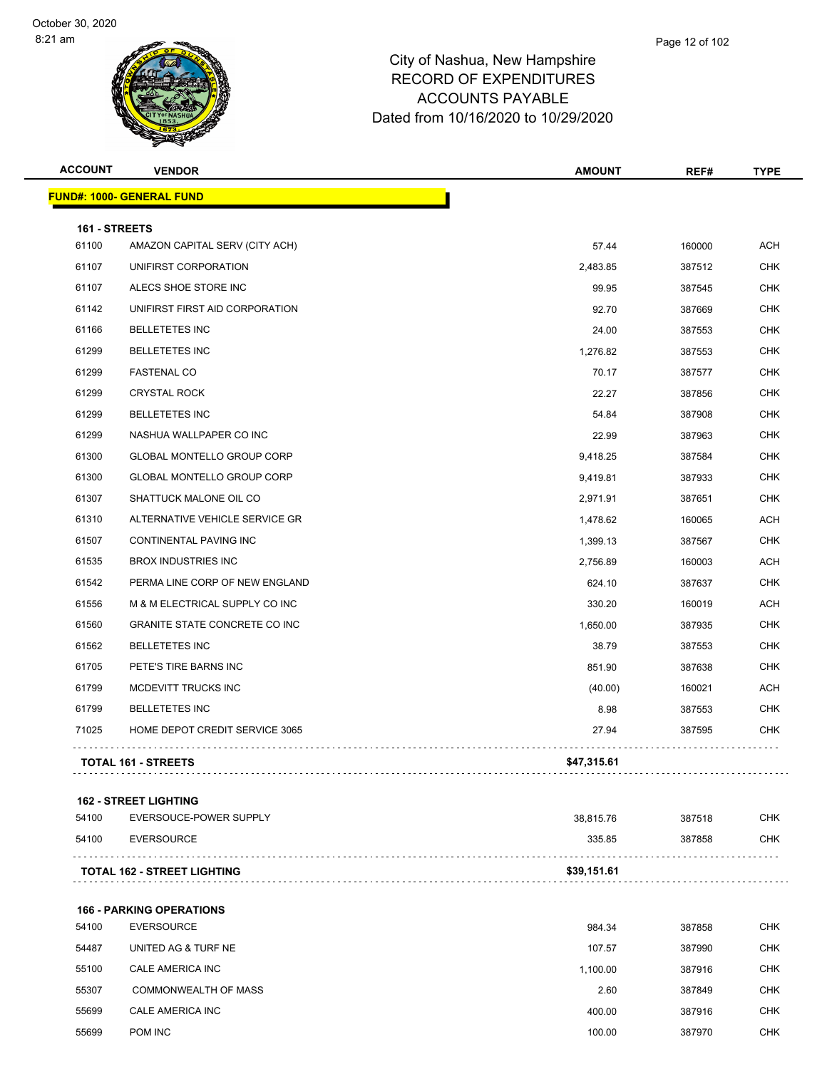| <b>ACCOUNT</b> | <b>VENDOR</b>                      | <b>AMOUNT</b> | REF#   | <b>TYPE</b> |
|----------------|------------------------------------|---------------|--------|-------------|
|                | <b>FUND#: 1000- GENERAL FUND</b>   |               |        |             |
| 161 - STREETS  |                                    |               |        |             |
| 61100          | AMAZON CAPITAL SERV (CITY ACH)     | 57.44         | 160000 | <b>ACH</b>  |
| 61107          | UNIFIRST CORPORATION               | 2,483.85      | 387512 | <b>CHK</b>  |
| 61107          | ALECS SHOE STORE INC               | 99.95         | 387545 | <b>CHK</b>  |
| 61142          | UNIFIRST FIRST AID CORPORATION     | 92.70         | 387669 | <b>CHK</b>  |
| 61166          | <b>BELLETETES INC</b>              | 24.00         | 387553 | <b>CHK</b>  |
| 61299          | <b>BELLETETES INC</b>              | 1,276.82      | 387553 | <b>CHK</b>  |
| 61299          | <b>FASTENAL CO</b>                 | 70.17         | 387577 | CHK         |
| 61299          | <b>CRYSTAL ROCK</b>                | 22.27         | 387856 | <b>CHK</b>  |
| 61299          | <b>BELLETETES INC</b>              | 54.84         | 387908 | <b>CHK</b>  |
| 61299          | NASHUA WALLPAPER CO INC            | 22.99         | 387963 | <b>CHK</b>  |
| 61300          | GLOBAL MONTELLO GROUP CORP         | 9,418.25      | 387584 | <b>CHK</b>  |
| 61300          | GLOBAL MONTELLO GROUP CORP         | 9,419.81      | 387933 | <b>CHK</b>  |
| 61307          | SHATTUCK MALONE OIL CO             | 2,971.91      | 387651 | <b>CHK</b>  |
| 61310          | ALTERNATIVE VEHICLE SERVICE GR     | 1,478.62      | 160065 | <b>ACH</b>  |
| 61507          | <b>CONTINENTAL PAVING INC</b>      | 1,399.13      | 387567 | <b>CHK</b>  |
| 61535          | <b>BROX INDUSTRIES INC</b>         | 2,756.89      | 160003 | <b>ACH</b>  |
| 61542          | PERMA LINE CORP OF NEW ENGLAND     | 624.10        | 387637 | <b>CHK</b>  |
| 61556          | M & M ELECTRICAL SUPPLY CO INC     | 330.20        | 160019 | <b>ACH</b>  |
| 61560          | GRANITE STATE CONCRETE CO INC      | 1,650.00      | 387935 | <b>CHK</b>  |
| 61562          | <b>BELLETETES INC</b>              | 38.79         | 387553 | <b>CHK</b>  |
| 61705          | PETE'S TIRE BARNS INC              | 851.90        | 387638 | <b>CHK</b>  |
| 61799          | MCDEVITT TRUCKS INC                | (40.00)       | 160021 | <b>ACH</b>  |
| 61799          | <b>BELLETETES INC</b>              | 8.98          | 387553 | <b>CHK</b>  |
| 71025          | HOME DEPOT CREDIT SERVICE 3065     | 27.94         | 387595 | CHK         |
|                | <b>TOTAL 161 - STREETS</b>         | \$47,315.61   |        |             |
|                | <b>162 - STREET LIGHTING</b>       |               |        |             |
| 54100          | EVERSOUCE-POWER SUPPLY             | 38,815.76     | 387518 | <b>CHK</b>  |
| 54100          | <b>EVERSOURCE</b>                  | 335.85        | 387858 | <b>CHK</b>  |
|                | <b>TOTAL 162 - STREET LIGHTING</b> | \$39,151.61   |        |             |
|                | <b>166 - PARKING OPERATIONS</b>    |               |        |             |
| 54100          | <b>EVERSOURCE</b>                  | 984.34        | 387858 | <b>CHK</b>  |
| 54487          | UNITED AG & TURF NE                | 107.57        | 387990 | <b>CHK</b>  |
| 55100          | CALE AMERICA INC                   | 1,100.00      | 387916 | <b>CHK</b>  |
| 55307          | <b>COMMONWEALTH OF MASS</b>        | 2.60          | 387849 | <b>CHK</b>  |
| 55699          | CALE AMERICA INC                   | 400.00        | 387916 | <b>CHK</b>  |
|                |                                    |               |        |             |

POM INC 100.00 387970 CHK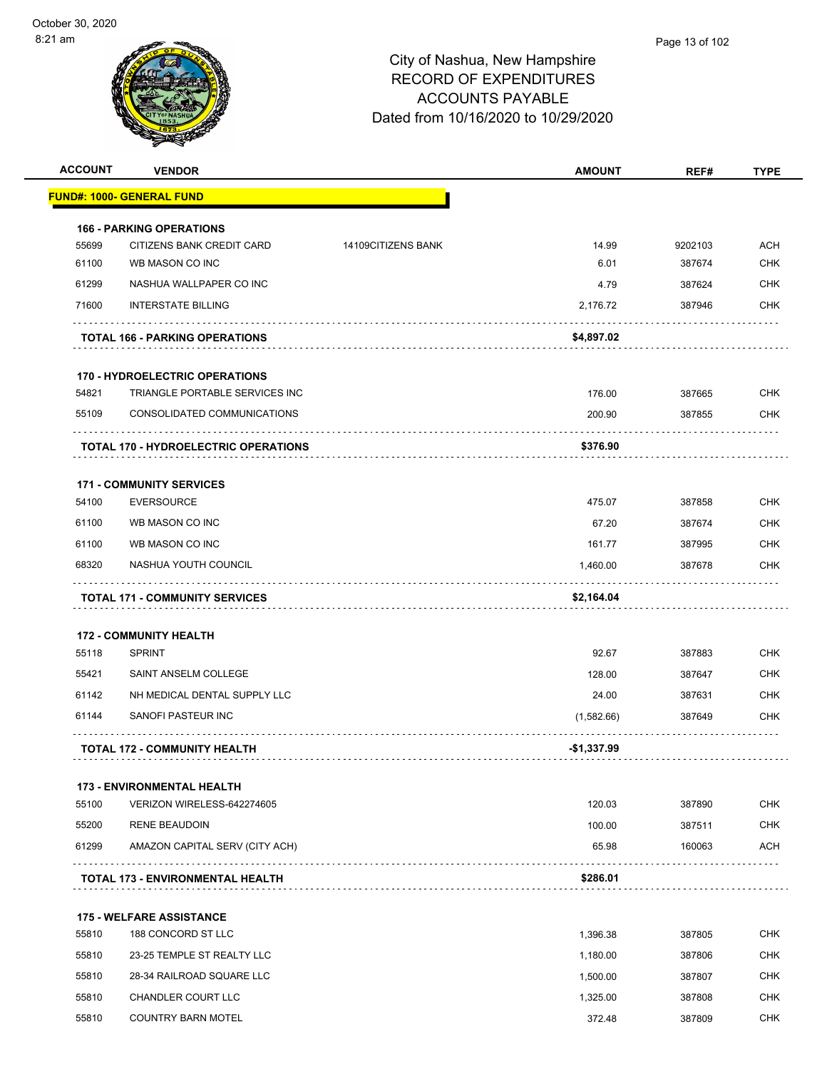| <b>ACCOUNT</b> | <b>VENDOR</b>                                  |                    | <b>AMOUNT</b> | REF#    | <b>TYPE</b> |
|----------------|------------------------------------------------|--------------------|---------------|---------|-------------|
|                | <u> FUND#: 1000- GENERAL FUND</u>              |                    |               |         |             |
|                | <b>166 - PARKING OPERATIONS</b>                |                    |               |         |             |
| 55699          | CITIZENS BANK CREDIT CARD                      | 14109CITIZENS BANK | 14.99         | 9202103 | <b>ACH</b>  |
| 61100          | WB MASON CO INC                                |                    | 6.01          | 387674  | <b>CHK</b>  |
| 61299          | NASHUA WALLPAPER CO INC                        |                    | 4.79          | 387624  | CHK         |
| 71600          | <b>INTERSTATE BILLING</b>                      |                    | 2,176.72      | 387946  | <b>CHK</b>  |
|                | <b>TOTAL 166 - PARKING OPERATIONS</b>          |                    | \$4,897.02    |         |             |
|                | <b>170 - HYDROELECTRIC OPERATIONS</b>          |                    |               |         |             |
| 54821          | TRIANGLE PORTABLE SERVICES INC                 |                    | 176.00        | 387665  | CHK         |
| 55109          | CONSOLIDATED COMMUNICATIONS                    |                    | 200.90        | 387855  | CHK         |
|                | <b>TOTAL 170 - HYDROELECTRIC OPERATIONS</b>    |                    | \$376.90      |         |             |
|                | <b>171 - COMMUNITY SERVICES</b>                |                    |               |         |             |
| 54100          | <b>EVERSOURCE</b>                              |                    | 475.07        | 387858  | <b>CHK</b>  |
| 61100          | WB MASON CO INC                                |                    | 67.20         | 387674  | CHK         |
| 61100          | WB MASON CO INC                                |                    | 161.77        | 387995  | <b>CHK</b>  |
| 68320          | NASHUA YOUTH COUNCIL                           |                    | 1,460.00      | 387678  | <b>CHK</b>  |
|                | <b>TOTAL 171 - COMMUNITY SERVICES</b>          |                    | \$2,164.04    |         |             |
|                |                                                |                    |               |         |             |
| 55118          | <b>172 - COMMUNITY HEALTH</b><br><b>SPRINT</b> |                    | 92.67         | 387883  | CHK         |
| 55421          | SAINT ANSELM COLLEGE                           |                    | 128.00        | 387647  | <b>CHK</b>  |
| 61142          | NH MEDICAL DENTAL SUPPLY LLC                   |                    | 24.00         | 387631  | <b>CHK</b>  |
| 61144          | SANOFI PASTEUR INC                             |                    | (1,582.66)    | 387649  | CHK         |
|                | <b>TOTAL 172 - COMMUNITY HEALTH</b>            |                    | -\$1,337.99   |         |             |
|                |                                                |                    |               |         |             |
|                | <b>173 - ENVIRONMENTAL HEALTH</b>              |                    |               |         |             |
| 55100          | VERIZON WIRELESS-642274605                     |                    | 120.03        | 387890  | <b>CHK</b>  |
| 55200          | <b>RENE BEAUDOIN</b>                           |                    | 100.00        | 387511  | <b>CHK</b>  |
| 61299          | AMAZON CAPITAL SERV (CITY ACH)                 |                    | 65.98         | 160063  | <b>ACH</b>  |
|                | <b>TOTAL 173 - ENVIRONMENTAL HEALTH</b>        |                    | \$286.01      |         |             |
|                | <b>175 - WELFARE ASSISTANCE</b>                |                    |               |         |             |
| 55810          | 188 CONCORD ST LLC                             |                    | 1,396.38      | 387805  | <b>CHK</b>  |
| 55810          | 23-25 TEMPLE ST REALTY LLC                     |                    | 1,180.00      | 387806  | <b>CHK</b>  |
| 55810          | 28-34 RAILROAD SQUARE LLC                      |                    | 1,500.00      | 387807  | <b>CHK</b>  |
| 55810          | CHANDLER COURT LLC                             |                    | 1,325.00      | 387808  | <b>CHK</b>  |
| 55810          | <b>COUNTRY BARN MOTEL</b>                      |                    | 372.48        | 387809  | <b>CHK</b>  |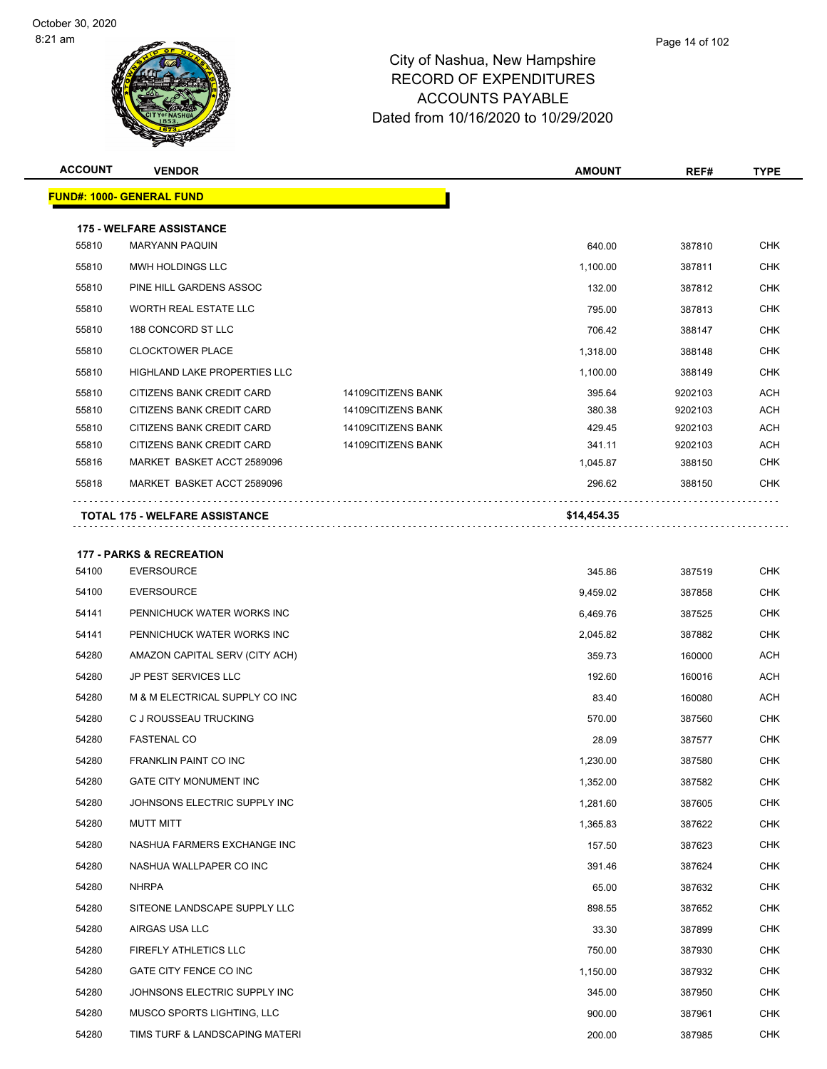| <b>ACCOUNT</b> | <b>VENDOR</b>                                            |                    | <b>AMOUNT</b> | REF#    | <b>TYPE</b> |
|----------------|----------------------------------------------------------|--------------------|---------------|---------|-------------|
|                | <b>FUND#: 1000- GENERAL FUND</b>                         |                    |               |         |             |
|                | <b>175 - WELFARE ASSISTANCE</b>                          |                    |               |         |             |
| 55810          | <b>MARYANN PAQUIN</b>                                    |                    | 640.00        | 387810  | <b>CHK</b>  |
| 55810          | MWH HOLDINGS LLC                                         |                    | 1,100.00      | 387811  | <b>CHK</b>  |
| 55810          | PINE HILL GARDENS ASSOC                                  |                    | 132.00        | 387812  | <b>CHK</b>  |
| 55810          | WORTH REAL ESTATE LLC                                    |                    | 795.00        | 387813  | CHK         |
| 55810          | 188 CONCORD ST LLC                                       |                    | 706.42        | 388147  | <b>CHK</b>  |
| 55810          | <b>CLOCKTOWER PLACE</b>                                  |                    | 1,318.00      | 388148  | <b>CHK</b>  |
| 55810          | HIGHLAND LAKE PROPERTIES LLC                             |                    | 1,100.00      | 388149  | CHK         |
| 55810          | CITIZENS BANK CREDIT CARD                                | 14109CITIZENS BANK | 395.64        | 9202103 | <b>ACH</b>  |
| 55810          | CITIZENS BANK CREDIT CARD                                | 14109CITIZENS BANK | 380.38        | 9202103 | <b>ACH</b>  |
| 55810          | CITIZENS BANK CREDIT CARD                                | 14109CITIZENS BANK | 429.45        | 9202103 | <b>ACH</b>  |
| 55810          | CITIZENS BANK CREDIT CARD                                | 14109CITIZENS BANK | 341.11        | 9202103 | <b>ACH</b>  |
| 55816          | MARKET BASKET ACCT 2589096                               |                    | 1,045.87      | 388150  | CHK         |
| 55818          | MARKET BASKET ACCT 2589096                               |                    | 296.62        | 388150  | CHK         |
|                | <b>TOTAL 175 - WELFARE ASSISTANCE</b>                    |                    | \$14,454.35   |         |             |
|                |                                                          |                    |               |         |             |
| 54100          | <b>177 - PARKS &amp; RECREATION</b><br><b>EVERSOURCE</b> |                    | 345.86        | 387519  | <b>CHK</b>  |
| 54100          | <b>EVERSOURCE</b>                                        |                    | 9,459.02      | 387858  | <b>CHK</b>  |
| 54141          | PENNICHUCK WATER WORKS INC                               |                    | 6,469.76      | 387525  | <b>CHK</b>  |
| 54141          | PENNICHUCK WATER WORKS INC                               |                    | 2,045.82      | 387882  | <b>CHK</b>  |
| 54280          | AMAZON CAPITAL SERV (CITY ACH)                           |                    | 359.73        | 160000  | ACH         |
| 54280          | <b>JP PEST SERVICES LLC</b>                              |                    |               |         | <b>ACH</b>  |
|                |                                                          |                    | 192.60        | 160016  |             |
| 54280          | M & M ELECTRICAL SUPPLY CO INC                           |                    | 83.40         | 160080  | ACH         |
| 54280          | C J ROUSSEAU TRUCKING                                    |                    | 570.00        | 387560  | <b>CHK</b>  |
| 54280          | <b>FASTENAL CO</b>                                       |                    | 28.09         | 387577  | <b>CHK</b>  |
| 54280          | <b>FRANKLIN PAINT CO INC</b>                             |                    | 1,230.00      | 387580  | CHK         |
| 54280          | <b>GATE CITY MONUMENT INC</b>                            |                    | 1,352.00      | 387582  | <b>CHK</b>  |
| 54280          | JOHNSONS ELECTRIC SUPPLY INC                             |                    | 1,281.60      | 387605  | <b>CHK</b>  |
| 54280          | <b>MUTT MITT</b>                                         |                    | 1,365.83      | 387622  | <b>CHK</b>  |
| 54280          | NASHUA FARMERS EXCHANGE INC                              |                    | 157.50        | 387623  | <b>CHK</b>  |
| 54280          | NASHUA WALLPAPER CO INC                                  |                    | 391.46        | 387624  | CHK         |
| 54280          | NHRPA                                                    |                    | 65.00         | 387632  | <b>CHK</b>  |
| 54280          | SITEONE LANDSCAPE SUPPLY LLC                             |                    | 898.55        | 387652  | <b>CHK</b>  |
| 54280          | AIRGAS USA LLC                                           |                    | 33.30         | 387899  | <b>CHK</b>  |
| 54280          | FIREFLY ATHLETICS LLC                                    |                    | 750.00        | 387930  | <b>CHK</b>  |
| 54280          | GATE CITY FENCE CO INC                                   |                    | 1,150.00      | 387932  | CHK         |
| 54280          | JOHNSONS ELECTRIC SUPPLY INC                             |                    | 345.00        | 387950  | <b>CHK</b>  |
| 54280          | MUSCO SPORTS LIGHTING, LLC                               |                    | 900.00        | 387961  | <b>CHK</b>  |
| 54280          | TIMS TURF & LANDSCAPING MATERI                           |                    | 200.00        | 387985  | <b>CHK</b>  |
|                |                                                          |                    |               |         |             |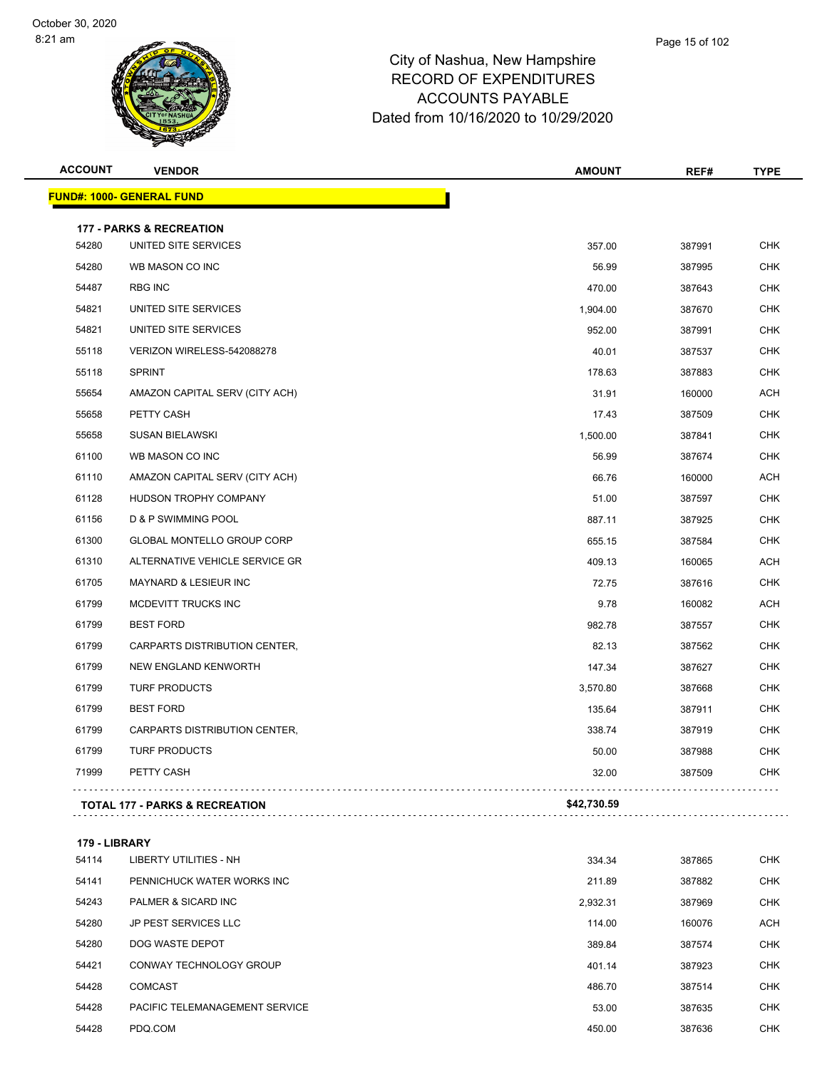| <b>ACCOUNT</b> | <b>VENDOR</b>                             | <b>AMOUNT</b> | REF#   | <b>TYPE</b> |
|----------------|-------------------------------------------|---------------|--------|-------------|
|                | <b>FUND#: 1000- GENERAL FUND</b>          |               |        |             |
|                | <b>177 - PARKS &amp; RECREATION</b>       |               |        |             |
| 54280          | UNITED SITE SERVICES                      | 357.00        | 387991 | <b>CHK</b>  |
| 54280          | WB MASON CO INC                           | 56.99         | 387995 | <b>CHK</b>  |
| 54487          | <b>RBG INC</b>                            | 470.00        | 387643 | <b>CHK</b>  |
| 54821          | UNITED SITE SERVICES                      | 1,904.00      | 387670 | <b>CHK</b>  |
| 54821          | UNITED SITE SERVICES                      | 952.00        | 387991 | <b>CHK</b>  |
| 55118          | VERIZON WIRELESS-542088278                | 40.01         | 387537 | <b>CHK</b>  |
| 55118          | <b>SPRINT</b>                             | 178.63        | 387883 | <b>CHK</b>  |
| 55654          | AMAZON CAPITAL SERV (CITY ACH)            | 31.91         | 160000 | <b>ACH</b>  |
| 55658          | PETTY CASH                                | 17.43         | 387509 | <b>CHK</b>  |
| 55658          | <b>SUSAN BIELAWSKI</b>                    | 1,500.00      | 387841 | <b>CHK</b>  |
| 61100          | WB MASON CO INC                           | 56.99         | 387674 | <b>CHK</b>  |
| 61110          | AMAZON CAPITAL SERV (CITY ACH)            | 66.76         | 160000 | <b>ACH</b>  |
| 61128          | HUDSON TROPHY COMPANY                     | 51.00         | 387597 | CHK         |
| 61156          | D & P SWIMMING POOL                       | 887.11        | 387925 | <b>CHK</b>  |
| 61300          | <b>GLOBAL MONTELLO GROUP CORP</b>         | 655.15        | 387584 | <b>CHK</b>  |
| 61310          | ALTERNATIVE VEHICLE SERVICE GR            | 409.13        | 160065 | <b>ACH</b>  |
| 61705          | <b>MAYNARD &amp; LESIEUR INC</b>          | 72.75         | 387616 | <b>CHK</b>  |
| 61799          | MCDEVITT TRUCKS INC                       | 9.78          | 160082 | <b>ACH</b>  |
| 61799          | <b>BEST FORD</b>                          | 982.78        | 387557 | <b>CHK</b>  |
| 61799          | CARPARTS DISTRIBUTION CENTER,             | 82.13         | 387562 | <b>CHK</b>  |
| 61799          | NEW ENGLAND KENWORTH                      | 147.34        | 387627 | <b>CHK</b>  |
| 61799          | <b>TURF PRODUCTS</b>                      | 3,570.80      | 387668 | <b>CHK</b>  |
| 61799          | <b>BEST FORD</b>                          | 135.64        | 387911 | <b>CHK</b>  |
| 61799          | CARPARTS DISTRIBUTION CENTER,             | 338.74        | 387919 | <b>CHK</b>  |
| 61799          | <b>TURF PRODUCTS</b>                      | 50.00         | 387988 | <b>CHK</b>  |
| 71999          | PETTY CASH                                | 32.00         | 387509 | CHK         |
|                | <b>TOTAL 177 - PARKS &amp; RECREATION</b> | \$42,730.59   |        |             |
| 179 - LIBRARY  |                                           |               |        |             |
| 54114          | <b>LIBERTY UTILITIES - NH</b>             | 334.34        | 387865 | <b>CHK</b>  |
| 54141          | PENNICHUCK WATER WORKS INC                | 211.89        | 387882 | CHK         |
| 54243          | PALMER & SICARD INC                       | 2,932.31      | 387969 | <b>CHK</b>  |
| 54280          | <b>JP PEST SERVICES LLC</b>               | 114.00        | 160076 | <b>ACH</b>  |
|                |                                           |               |        |             |

| 54280 | JP PEST SERVICES LLC           | 114.00 | 160076 | ACH        |
|-------|--------------------------------|--------|--------|------------|
| 54280 | DOG WASTE DEPOT                | 389.84 | 387574 | <b>CHK</b> |
| 54421 | CONWAY TECHNOLOGY GROUP        | 401.14 | 387923 | <b>CHK</b> |
| 54428 | <b>COMCAST</b>                 | 486.70 | 387514 | <b>CHK</b> |
| 54428 | PACIFIC TELEMANAGEMENT SERVICE | 53.00  | 387635 | <b>CHK</b> |
| 54428 | PDQ.COM                        | 450.00 | 387636 | <b>CHK</b> |
|       |                                |        |        |            |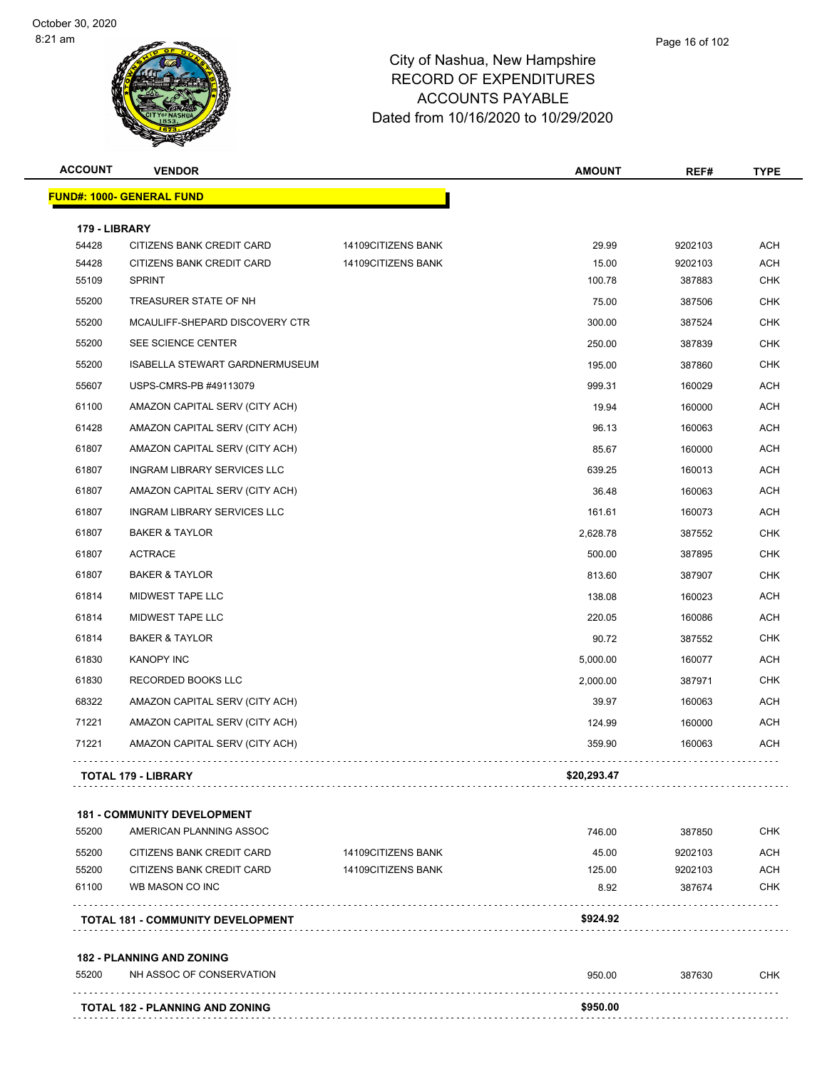| <b>ACCOUNT</b> | <b>VENDOR</b>                            |                    | <b>AMOUNT</b> | REF#    | <b>TYPE</b> |
|----------------|------------------------------------------|--------------------|---------------|---------|-------------|
|                | <b>FUND#: 1000- GENERAL FUND</b>         |                    |               |         |             |
| 179 - LIBRARY  |                                          |                    |               |         |             |
| 54428          | CITIZENS BANK CREDIT CARD                | 14109CITIZENS BANK | 29.99         | 9202103 | <b>ACH</b>  |
| 54428          | CITIZENS BANK CREDIT CARD                | 14109CITIZENS BANK | 15.00         | 9202103 | <b>ACH</b>  |
| 55109          | <b>SPRINT</b>                            |                    | 100.78        | 387883  | <b>CHK</b>  |
| 55200          | TREASURER STATE OF NH                    |                    | 75.00         | 387506  | <b>CHK</b>  |
| 55200          | MCAULIFF-SHEPARD DISCOVERY CTR           |                    | 300.00        | 387524  | <b>CHK</b>  |
| 55200          | SEE SCIENCE CENTER                       |                    | 250.00        | 387839  | <b>CHK</b>  |
| 55200          | ISABELLA STEWART GARDNERMUSEUM           |                    | 195.00        | 387860  | <b>CHK</b>  |
| 55607          | USPS-CMRS-PB #49113079                   |                    | 999.31        | 160029  | <b>ACH</b>  |
| 61100          | AMAZON CAPITAL SERV (CITY ACH)           |                    | 19.94         | 160000  | <b>ACH</b>  |
| 61428          | AMAZON CAPITAL SERV (CITY ACH)           |                    | 96.13         | 160063  | ACH         |
| 61807          | AMAZON CAPITAL SERV (CITY ACH)           |                    | 85.67         | 160000  | <b>ACH</b>  |
| 61807          | INGRAM LIBRARY SERVICES LLC              |                    | 639.25        | 160013  | <b>ACH</b>  |
| 61807          | AMAZON CAPITAL SERV (CITY ACH)           |                    | 36.48         | 160063  | ACH         |
| 61807          | INGRAM LIBRARY SERVICES LLC              |                    | 161.61        | 160073  | <b>ACH</b>  |
| 61807          | <b>BAKER &amp; TAYLOR</b>                |                    | 2,628.78      | 387552  | <b>CHK</b>  |
| 61807          | <b>ACTRACE</b>                           |                    | 500.00        | 387895  | <b>CHK</b>  |
| 61807          | <b>BAKER &amp; TAYLOR</b>                |                    | 813.60        | 387907  | <b>CHK</b>  |
| 61814          | MIDWEST TAPE LLC                         |                    | 138.08        | 160023  | <b>ACH</b>  |
| 61814          | MIDWEST TAPE LLC                         |                    | 220.05        | 160086  | <b>ACH</b>  |
| 61814          | <b>BAKER &amp; TAYLOR</b>                |                    | 90.72         | 387552  | <b>CHK</b>  |
| 61830          | <b>KANOPY INC</b>                        |                    | 5,000.00      | 160077  | <b>ACH</b>  |
| 61830          | RECORDED BOOKS LLC                       |                    | 2,000.00      | 387971  | <b>CHK</b>  |
| 68322          | AMAZON CAPITAL SERV (CITY ACH)           |                    | 39.97         | 160063  | ACH         |
| 71221          | AMAZON CAPITAL SERV (CITY ACH)           |                    | 124.99        | 160000  | <b>ACH</b>  |
| 71221          | AMAZON CAPITAL SERV (CITY ACH)           |                    | 359.90        | 160063  | <b>ACH</b>  |
|                |                                          |                    |               |         |             |
|                | TOTAL 179 - LIBRARY                      |                    | \$20,293.47   |         |             |
|                | <b>181 - COMMUNITY DEVELOPMENT</b>       |                    |               |         |             |
| 55200          | AMERICAN PLANNING ASSOC                  |                    | 746.00        | 387850  | <b>CHK</b>  |
| 55200          | CITIZENS BANK CREDIT CARD                | 14109CITIZENS BANK | 45.00         | 9202103 | ACH         |
| 55200          | CITIZENS BANK CREDIT CARD                | 14109CITIZENS BANK | 125.00        | 9202103 | ACH         |
| 61100          | WB MASON CO INC                          |                    | 8.92          | 387674  | <b>CHK</b>  |
|                | <b>TOTAL 181 - COMMUNITY DEVELOPMENT</b> |                    | \$924.92      |         |             |
|                | <b>182 - PLANNING AND ZONING</b>         |                    |               |         |             |
| 55200          | NH ASSOC OF CONSERVATION                 |                    | 950.00        | 387630  | <b>CHK</b>  |
|                | TOTAL 182 - PLANNING AND ZONING          |                    | \$950.00      |         |             |
|                |                                          |                    |               |         |             |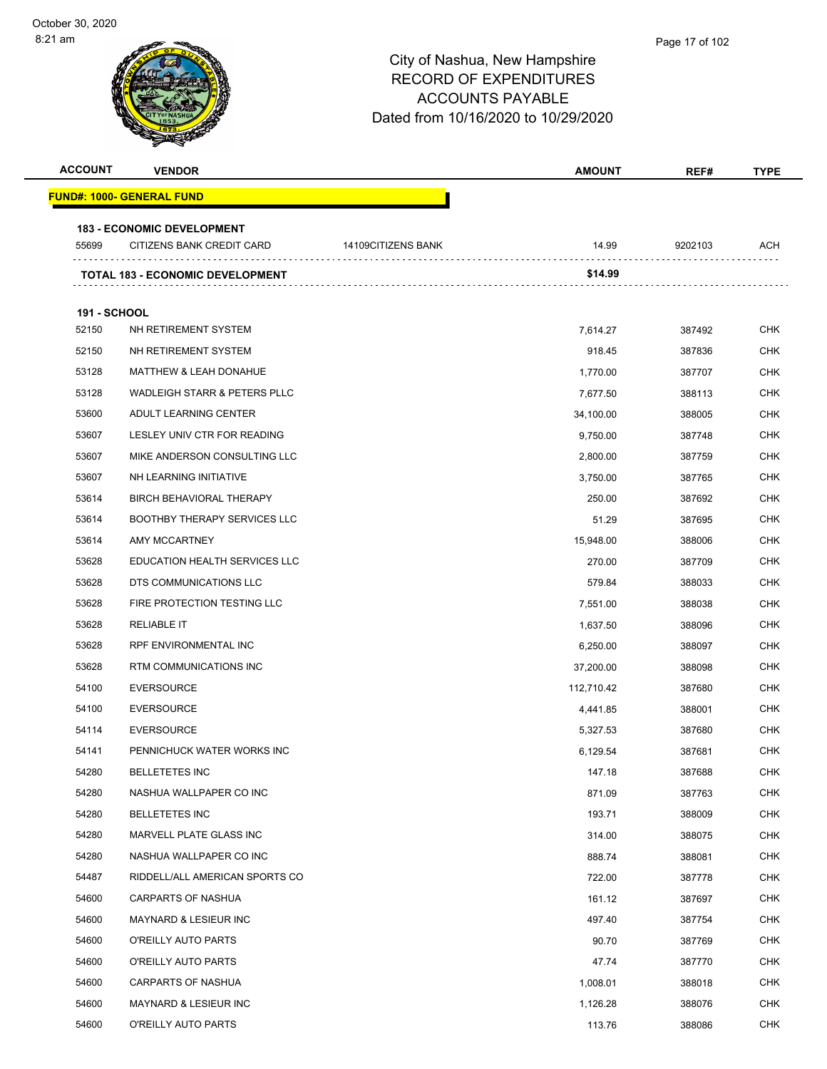| <b>ACCOUNT</b>               | <b>VENDOR</b>                           |                    | <b>AMOUNT</b> | REF#    | <b>TYPE</b> |
|------------------------------|-----------------------------------------|--------------------|---------------|---------|-------------|
|                              | <b>FUND#: 1000- GENERAL FUND</b>        |                    |               |         |             |
|                              | <b>183 - ECONOMIC DEVELOPMENT</b>       |                    |               |         |             |
| 55699                        | CITIZENS BANK CREDIT CARD               | 14109CITIZENS BANK | 14.99         | 9202103 | <b>ACH</b>  |
|                              | <b>TOTAL 183 - ECONOMIC DEVELOPMENT</b> |                    | \$14.99       |         |             |
|                              |                                         |                    |               |         |             |
| <b>191 - SCHOOL</b><br>52150 | NH RETIREMENT SYSTEM                    |                    | 7,614.27      | 387492  | <b>CHK</b>  |
| 52150                        | NH RETIREMENT SYSTEM                    |                    | 918.45        | 387836  | <b>CHK</b>  |
| 53128                        | <b>MATTHEW &amp; LEAH DONAHUE</b>       |                    | 1,770.00      | 387707  | CHK         |
| 53128                        | <b>WADLEIGH STARR &amp; PETERS PLLC</b> |                    | 7,677.50      | 388113  | <b>CHK</b>  |
| 53600                        | ADULT LEARNING CENTER                   |                    | 34,100.00     | 388005  | <b>CHK</b>  |
| 53607                        | LESLEY UNIV CTR FOR READING             |                    | 9,750.00      | 387748  | <b>CHK</b>  |
| 53607                        | MIKE ANDERSON CONSULTING LLC            |                    | 2,800.00      | 387759  | CHK         |
| 53607                        | NH LEARNING INITIATIVE                  |                    | 3,750.00      | 387765  | CHK         |
| 53614                        | <b>BIRCH BEHAVIORAL THERAPY</b>         |                    | 250.00        | 387692  | <b>CHK</b>  |
| 53614                        | <b>BOOTHBY THERAPY SERVICES LLC</b>     |                    | 51.29         | 387695  | CHK         |
| 53614                        | AMY MCCARTNEY                           |                    | 15,948.00     | 388006  | <b>CHK</b>  |
| 53628                        | <b>EDUCATION HEALTH SERVICES LLC</b>    |                    | 270.00        | 387709  | <b>CHK</b>  |
| 53628                        | DTS COMMUNICATIONS LLC                  |                    | 579.84        | 388033  | CHK         |
| 53628                        | FIRE PROTECTION TESTING LLC             |                    | 7,551.00      | 388038  | <b>CHK</b>  |
| 53628                        | <b>RELIABLE IT</b>                      |                    | 1,637.50      | 388096  | <b>CHK</b>  |
| 53628                        | RPF ENVIRONMENTAL INC                   |                    | 6,250.00      | 388097  | <b>CHK</b>  |
| 53628                        | RTM COMMUNICATIONS INC                  |                    | 37,200.00     | 388098  | <b>CHK</b>  |
| 54100                        | <b>EVERSOURCE</b>                       |                    | 112,710.42    | 387680  | CHK         |
| 54100                        | <b>EVERSOURCE</b>                       |                    | 4,441.85      | 388001  | <b>CHK</b>  |
| 54114                        | <b>EVERSOURCE</b>                       |                    | 5,327.53      | 387680  | CHK         |
| 54141                        | PENNICHUCK WATER WORKS INC              |                    | 6,129.54      | 387681  | <b>CHK</b>  |
| 54280                        | <b>BELLETETES INC</b>                   |                    | 147.18        | 387688  | <b>CHK</b>  |
| 54280                        | NASHUA WALLPAPER CO INC                 |                    | 871.09        | 387763  | <b>CHK</b>  |
| 54280                        | <b>BELLETETES INC</b>                   |                    | 193.71        | 388009  | <b>CHK</b>  |
| 54280                        | MARVELL PLATE GLASS INC                 |                    | 314.00        | 388075  | <b>CHK</b>  |
| 54280                        | NASHUA WALLPAPER CO INC                 |                    | 888.74        | 388081  | <b>CHK</b>  |
| 54487                        | RIDDELL/ALL AMERICAN SPORTS CO          |                    | 722.00        | 387778  | <b>CHK</b>  |
| 54600                        | CARPARTS OF NASHUA                      |                    | 161.12        | 387697  | CHK         |
| 54600                        | <b>MAYNARD &amp; LESIEUR INC</b>        |                    | 497.40        | 387754  | <b>CHK</b>  |
| 54600                        | O'REILLY AUTO PARTS                     |                    | 90.70         | 387769  | <b>CHK</b>  |
| 54600                        | O'REILLY AUTO PARTS                     |                    | 47.74         | 387770  | <b>CHK</b>  |
| 54600                        | CARPARTS OF NASHUA                      |                    | 1,008.01      | 388018  | CHK         |
| 54600                        | <b>MAYNARD &amp; LESIEUR INC</b>        |                    | 1,126.28      | 388076  | CHK         |
| 54600                        | O'REILLY AUTO PARTS                     |                    | 113.76        | 388086  | <b>CHK</b>  |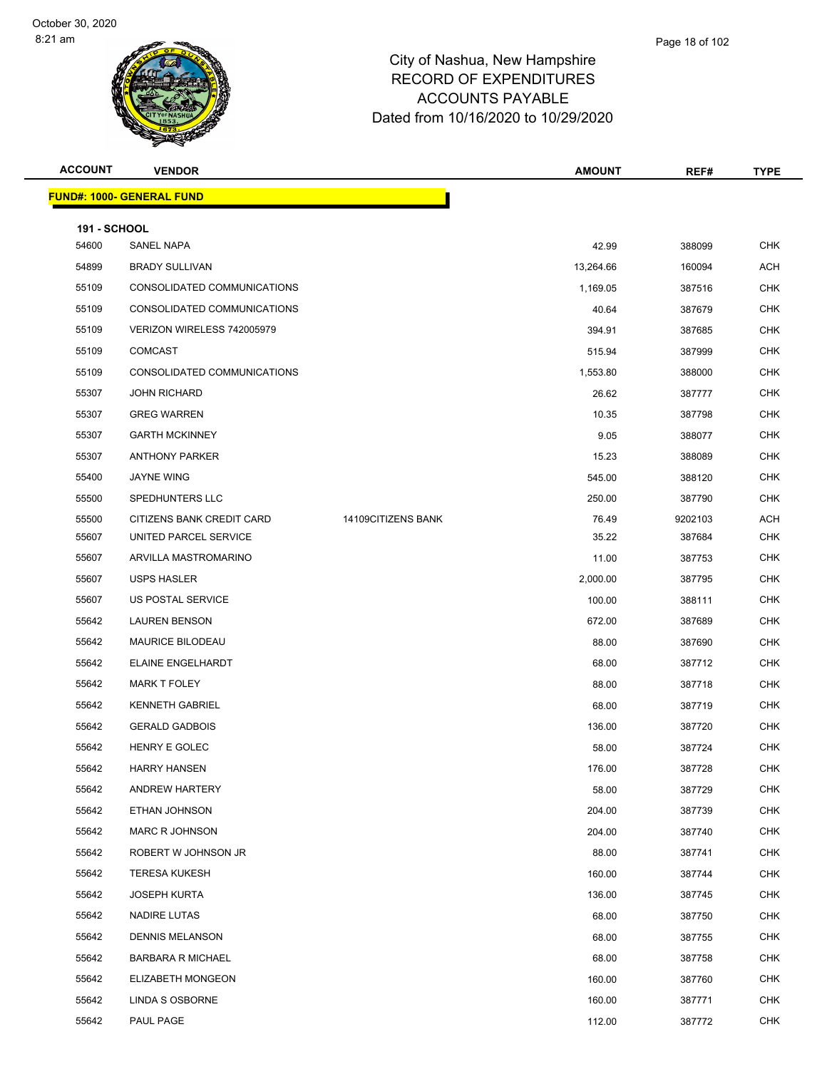| <b>ACCOUNT</b>               | <b>VENDOR</b>                    |                    | <b>AMOUNT</b> | REF#    | <b>TYPE</b> |
|------------------------------|----------------------------------|--------------------|---------------|---------|-------------|
|                              | <b>FUND#: 1000- GENERAL FUND</b> |                    |               |         |             |
|                              |                                  |                    |               |         |             |
| <b>191 - SCHOOL</b><br>54600 | SANEL NAPA                       |                    | 42.99         | 388099  | CHK         |
| 54899                        | <b>BRADY SULLIVAN</b>            |                    | 13,264.66     | 160094  | ACH         |
| 55109                        | CONSOLIDATED COMMUNICATIONS      |                    | 1,169.05      | 387516  | <b>CHK</b>  |
| 55109                        | CONSOLIDATED COMMUNICATIONS      |                    | 40.64         | 387679  | <b>CHK</b>  |
| 55109                        | VERIZON WIRELESS 742005979       |                    | 394.91        | 387685  | <b>CHK</b>  |
| 55109                        | <b>COMCAST</b>                   |                    | 515.94        | 387999  | <b>CHK</b>  |
| 55109                        | CONSOLIDATED COMMUNICATIONS      |                    | 1,553.80      | 388000  | <b>CHK</b>  |
| 55307                        | <b>JOHN RICHARD</b>              |                    | 26.62         | 387777  | <b>CHK</b>  |
| 55307                        | <b>GREG WARREN</b>               |                    | 10.35         | 387798  | <b>CHK</b>  |
| 55307                        | <b>GARTH MCKINNEY</b>            |                    | 9.05          | 388077  | <b>CHK</b>  |
| 55307                        | <b>ANTHONY PARKER</b>            |                    | 15.23         | 388089  | <b>CHK</b>  |
| 55400                        | <b>JAYNE WING</b>                |                    | 545.00        | 388120  | <b>CHK</b>  |
| 55500                        | SPEDHUNTERS LLC                  |                    | 250.00        | 387790  | <b>CHK</b>  |
| 55500                        | CITIZENS BANK CREDIT CARD        | 14109CITIZENS BANK | 76.49         | 9202103 | <b>ACH</b>  |
| 55607                        | UNITED PARCEL SERVICE            |                    | 35.22         | 387684  | <b>CHK</b>  |
| 55607                        | ARVILLA MASTROMARINO             |                    | 11.00         | 387753  | <b>CHK</b>  |
| 55607                        | <b>USPS HASLER</b>               |                    | 2,000.00      | 387795  | <b>CHK</b>  |
| 55607                        | US POSTAL SERVICE                |                    | 100.00        | 388111  | <b>CHK</b>  |
| 55642                        | <b>LAUREN BENSON</b>             |                    | 672.00        | 387689  | <b>CHK</b>  |
| 55642                        | <b>MAURICE BILODEAU</b>          |                    | 88.00         | 387690  | <b>CHK</b>  |
| 55642                        | ELAINE ENGELHARDT                |                    | 68.00         | 387712  | <b>CHK</b>  |
| 55642                        | MARK T FOLEY                     |                    | 88.00         | 387718  | <b>CHK</b>  |
| 55642                        | <b>KENNETH GABRIEL</b>           |                    | 68.00         | 387719  | <b>CHK</b>  |
| 55642                        | <b>GERALD GADBOIS</b>            |                    | 136.00        | 387720  | <b>CHK</b>  |
| 55642                        | HENRY E GOLEC                    |                    | 58.00         | 387724  | <b>CHK</b>  |
| 55642                        | <b>HARRY HANSEN</b>              |                    | 176.00        | 387728  | <b>CHK</b>  |
| 55642                        | ANDREW HARTERY                   |                    | 58.00         | 387729  | <b>CHK</b>  |
| 55642                        | ETHAN JOHNSON                    |                    | 204.00        | 387739  | CHK         |
| 55642                        | <b>MARC R JOHNSON</b>            |                    | 204.00        | 387740  | <b>CHK</b>  |
| 55642                        | ROBERT W JOHNSON JR              |                    | 88.00         | 387741  | <b>CHK</b>  |
| 55642                        | <b>TERESA KUKESH</b>             |                    | 160.00        | 387744  | <b>CHK</b>  |
| 55642                        | <b>JOSEPH KURTA</b>              |                    | 136.00        | 387745  | <b>CHK</b>  |
| 55642                        | <b>NADIRE LUTAS</b>              |                    | 68.00         | 387750  | <b>CHK</b>  |
| 55642                        | <b>DENNIS MELANSON</b>           |                    | 68.00         | 387755  | <b>CHK</b>  |
| 55642                        | <b>BARBARA R MICHAEL</b>         |                    | 68.00         | 387758  | <b>CHK</b>  |
| 55642                        | <b>ELIZABETH MONGEON</b>         |                    | 160.00        | 387760  | <b>CHK</b>  |
| 55642                        | LINDA S OSBORNE                  |                    | 160.00        | 387771  | <b>CHK</b>  |
| 55642                        | PAUL PAGE                        |                    | 112.00        | 387772  | <b>CHK</b>  |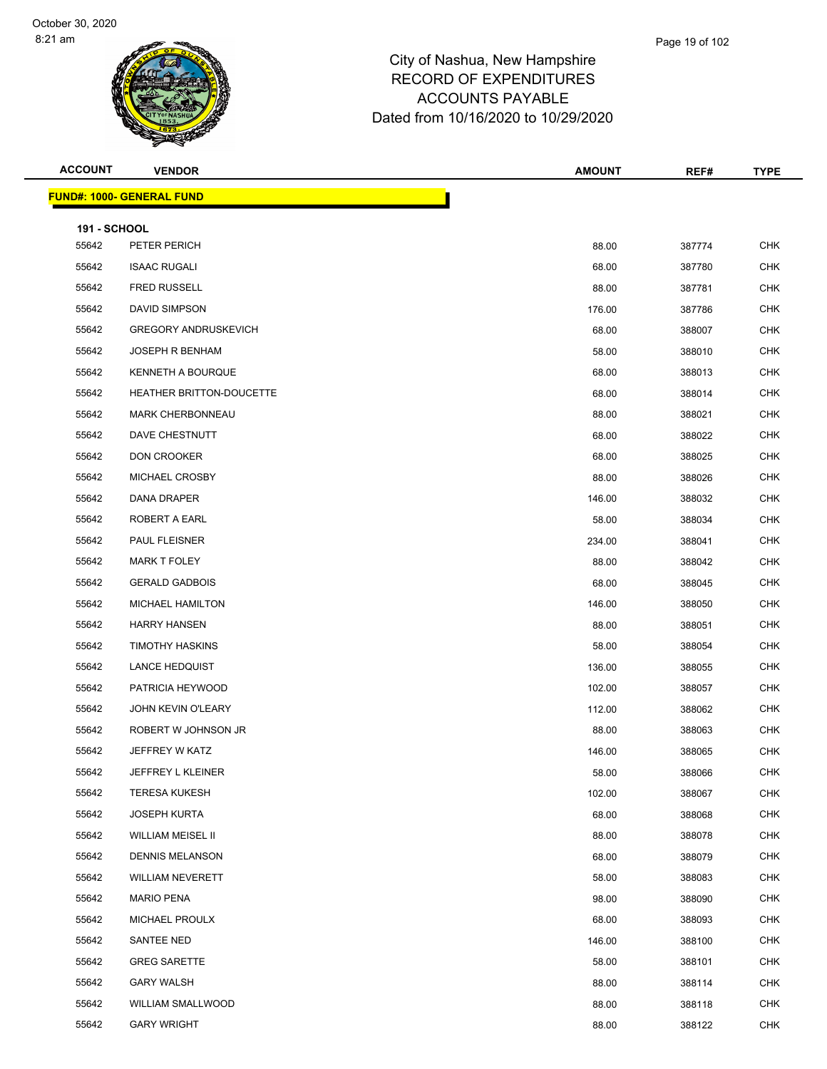### Page 19 of 102

| <b>ACCOUNT</b>               | <b>VENDOR</b>                    | <b>AMOUNT</b> | REF#   | <b>TYPE</b> |
|------------------------------|----------------------------------|---------------|--------|-------------|
|                              | <b>FUND#: 1000- GENERAL FUND</b> |               |        |             |
|                              |                                  |               |        |             |
| <b>191 - SCHOOL</b><br>55642 | PETER PERICH                     | 88.00         | 387774 | <b>CHK</b>  |
| 55642                        | <b>ISAAC RUGALI</b>              | 68.00         | 387780 | <b>CHK</b>  |
| 55642                        | <b>FRED RUSSELL</b>              | 88.00         | 387781 | <b>CHK</b>  |
| 55642                        | DAVID SIMPSON                    | 176.00        | 387786 | <b>CHK</b>  |
| 55642                        | <b>GREGORY ANDRUSKEVICH</b>      | 68.00         | 388007 | CHK         |
| 55642                        | <b>JOSEPH R BENHAM</b>           | 58.00         | 388010 | <b>CHK</b>  |
| 55642                        | KENNETH A BOURQUE                | 68.00         | 388013 | <b>CHK</b>  |
| 55642                        | HEATHER BRITTON-DOUCETTE         | 68.00         | 388014 | <b>CHK</b>  |
| 55642                        | <b>MARK CHERBONNEAU</b>          | 88.00         | 388021 | <b>CHK</b>  |
| 55642                        | DAVE CHESTNUTT                   | 68.00         | 388022 | CHK         |
| 55642                        | <b>DON CROOKER</b>               | 68.00         | 388025 | <b>CHK</b>  |
| 55642                        | MICHAEL CROSBY                   | 88.00         | 388026 | <b>CHK</b>  |
| 55642                        | <b>DANA DRAPER</b>               | 146.00        | 388032 | <b>CHK</b>  |
| 55642                        | ROBERT A EARL                    | 58.00         | 388034 | <b>CHK</b>  |
| 55642                        | PAUL FLEISNER                    | 234.00        | 388041 | CHK         |
| 55642                        | <b>MARK T FOLEY</b>              | 88.00         | 388042 | <b>CHK</b>  |
| 55642                        | <b>GERALD GADBOIS</b>            | 68.00         | 388045 | <b>CHK</b>  |
| 55642                        | <b>MICHAEL HAMILTON</b>          | 146.00        | 388050 | <b>CHK</b>  |
| 55642                        | <b>HARRY HANSEN</b>              | 88.00         | 388051 | <b>CHK</b>  |
| 55642                        | <b>TIMOTHY HASKINS</b>           | 58.00         | 388054 | CHK         |
| 55642                        | <b>LANCE HEDQUIST</b>            | 136.00        | 388055 | <b>CHK</b>  |
| 55642                        | PATRICIA HEYWOOD                 | 102.00        | 388057 | <b>CHK</b>  |
| 55642                        | <b>JOHN KEVIN O'LEARY</b>        | 112.00        | 388062 | <b>CHK</b>  |
| 55642                        | ROBERT W JOHNSON JR              | 88.00         | 388063 | <b>CHK</b>  |
| 55642                        | JEFFREY W KATZ                   | 146.00        | 388065 | CHK         |
| 55642                        | JEFFREY L KLEINER                | 58.00         | 388066 | <b>CHK</b>  |
| 55642                        | <b>TERESA KUKESH</b>             | 102.00        | 388067 | CHK         |
| 55642                        | <b>JOSEPH KURTA</b>              | 68.00         | 388068 | <b>CHK</b>  |
| 55642                        | WILLIAM MEISEL II                | 88.00         | 388078 | <b>CHK</b>  |
| 55642                        | <b>DENNIS MELANSON</b>           | 68.00         | 388079 | <b>CHK</b>  |
| 55642                        | <b>WILLIAM NEVERETT</b>          | 58.00         | 388083 | CHK         |
| 55642                        | <b>MARIO PENA</b>                | 98.00         | 388090 | <b>CHK</b>  |
| 55642                        | MICHAEL PROULX                   | 68.00         | 388093 | <b>CHK</b>  |
| 55642                        | SANTEE NED                       | 146.00        | 388100 | <b>CHK</b>  |
| 55642                        | <b>GREG SARETTE</b>              | 58.00         | 388101 | <b>CHK</b>  |
| 55642                        | <b>GARY WALSH</b>                | 88.00         | 388114 | <b>CHK</b>  |
| 55642                        | WILLIAM SMALLWOOD                | 88.00         | 388118 | <b>CHK</b>  |
| 55642                        | <b>GARY WRIGHT</b>               | 88.00         | 388122 | <b>CHK</b>  |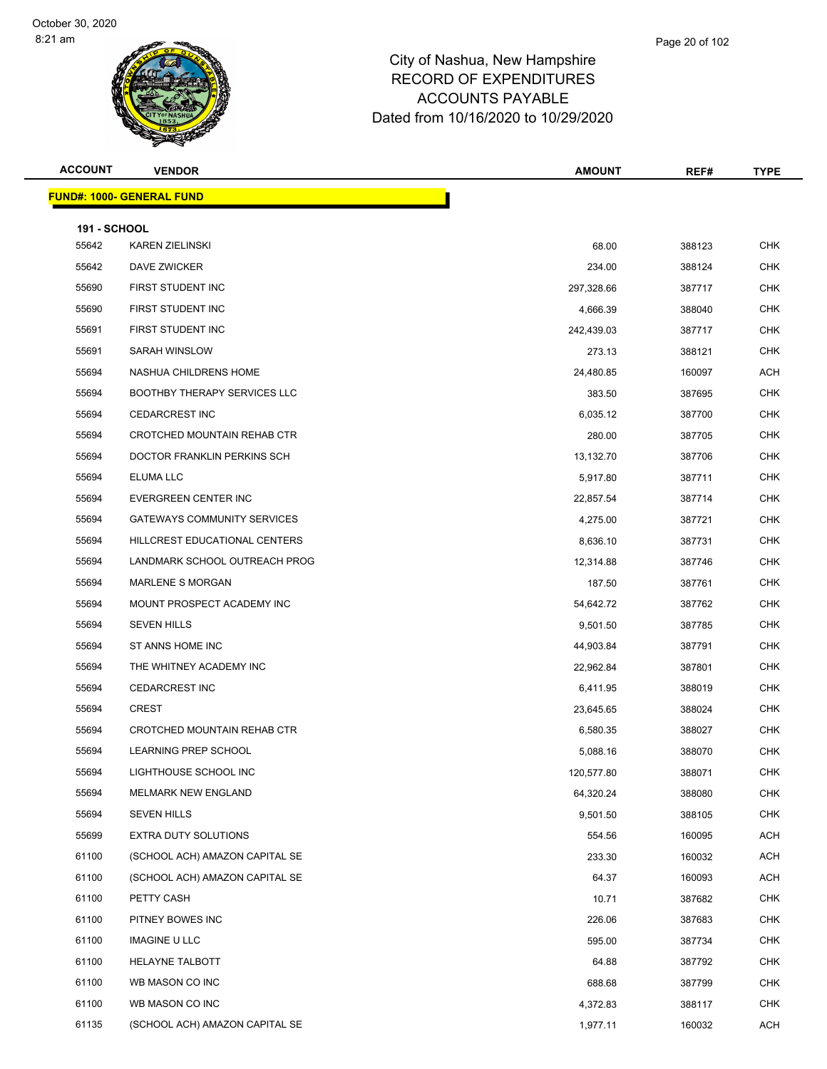### Page 20 of 102

# City of Nashua, New Hampshire RECORD OF EXPENDITURES ACCOUNTS PAYABLE Dated from 10/16/2020 to 10/29/2020

ĥ.

| אוור<br>,,,,, | VENDOR |  | <b>AMOUNT</b><br>วเมพา | --- | TVDE |
|---------------|--------|--|------------------------|-----|------|
|               |        |  |                        |     |      |
|               |        |  |                        |     |      |

|                     | <u> FUND#: 1000- GENERAL FUND</u>   |            |        |            |
|---------------------|-------------------------------------|------------|--------|------------|
| <b>191 - SCHOOL</b> |                                     |            |        |            |
| 55642               | <b>KAREN ZIELINSKI</b>              | 68.00      | 388123 | <b>CHK</b> |
| 55642               | DAVE ZWICKER                        | 234.00     | 388124 | <b>CHK</b> |
| 55690               | FIRST STUDENT INC                   | 297,328.66 | 387717 | <b>CHK</b> |
| 55690               | FIRST STUDENT INC                   | 4,666.39   | 388040 | <b>CHK</b> |
| 55691               | FIRST STUDENT INC                   | 242,439.03 | 387717 | CHK        |
| 55691               | SARAH WINSLOW                       | 273.13     | 388121 | <b>CHK</b> |
| 55694               | NASHUA CHILDRENS HOME               | 24,480.85  | 160097 | ACH        |
| 55694               | <b>BOOTHBY THERAPY SERVICES LLC</b> | 383.50     | 387695 | <b>CHK</b> |
| 55694               | <b>CEDARCREST INC</b>               | 6,035.12   | 387700 | <b>CHK</b> |
| 55694               | CROTCHED MOUNTAIN REHAB CTR         | 280.00     | 387705 | CHK        |
| 55694               | DOCTOR FRANKLIN PERKINS SCH         | 13,132.70  | 387706 | <b>CHK</b> |
| 55694               | ELUMA LLC                           | 5,917.80   | 387711 | <b>CHK</b> |
| 55694               | EVERGREEN CENTER INC                | 22,857.54  | 387714 | <b>CHK</b> |
| 55694               | <b>GATEWAYS COMMUNITY SERVICES</b>  | 4,275.00   | 387721 | <b>CHK</b> |
| 55694               | HILLCREST EDUCATIONAL CENTERS       | 8,636.10   | 387731 | CHK        |
| 55694               | LANDMARK SCHOOL OUTREACH PROG       | 12,314.88  | 387746 | <b>CHK</b> |
| 55694               | <b>MARLENE S MORGAN</b>             | 187.50     | 387761 | <b>CHK</b> |
| 55694               | MOUNT PROSPECT ACADEMY INC          | 54,642.72  | 387762 | <b>CHK</b> |
| 55694               | <b>SEVEN HILLS</b>                  | 9,501.50   | 387785 | <b>CHK</b> |
| 55694               | ST ANNS HOME INC                    | 44,903.84  | 387791 | CHK        |
| 55694               | THE WHITNEY ACADEMY INC             | 22,962.84  | 387801 | <b>CHK</b> |
| 55694               | <b>CEDARCREST INC</b>               | 6,411.95   | 388019 | <b>CHK</b> |
| 55694               | <b>CREST</b>                        | 23,645.65  | 388024 | CHK        |
| 55694               | CROTCHED MOUNTAIN REHAB CTR         | 6,580.35   | 388027 | <b>CHK</b> |
| 55694               | LEARNING PREP SCHOOL                | 5,088.16   | 388070 | CHK        |
| 55694               | LIGHTHOUSE SCHOOL INC               | 120,577.80 | 388071 | <b>CHK</b> |
| 55694               | <b>MELMARK NEW ENGLAND</b>          | 64,320.24  | 388080 | <b>CHK</b> |
| 55694               | <b>SEVEN HILLS</b>                  | 9,501.50   | 388105 | <b>CHK</b> |
| 55699               | EXTRA DUTY SOLUTIONS                | 554.56     | 160095 | <b>ACH</b> |
| 61100               | (SCHOOL ACH) AMAZON CAPITAL SE      | 233.30     | 160032 | <b>ACH</b> |
| 61100               | (SCHOOL ACH) AMAZON CAPITAL SE      | 64.37      | 160093 | <b>ACH</b> |
| 61100               | PETTY CASH                          | 10.71      | 387682 | <b>CHK</b> |
| 61100               | PITNEY BOWES INC                    | 226.06     | 387683 | <b>CHK</b> |
| 61100               | <b>IMAGINE U LLC</b>                | 595.00     | 387734 | <b>CHK</b> |
| 61100               | <b>HELAYNE TALBOTT</b>              | 64.88      | 387792 | CHK        |
| 61100               | WB MASON CO INC                     | 688.68     | 387799 | <b>CHK</b> |
| 61100               | WB MASON CO INC                     | 4,372.83   | 388117 | <b>CHK</b> |
| 61135               | (SCHOOL ACH) AMAZON CAPITAL SE      | 1,977.11   | 160032 | ACH        |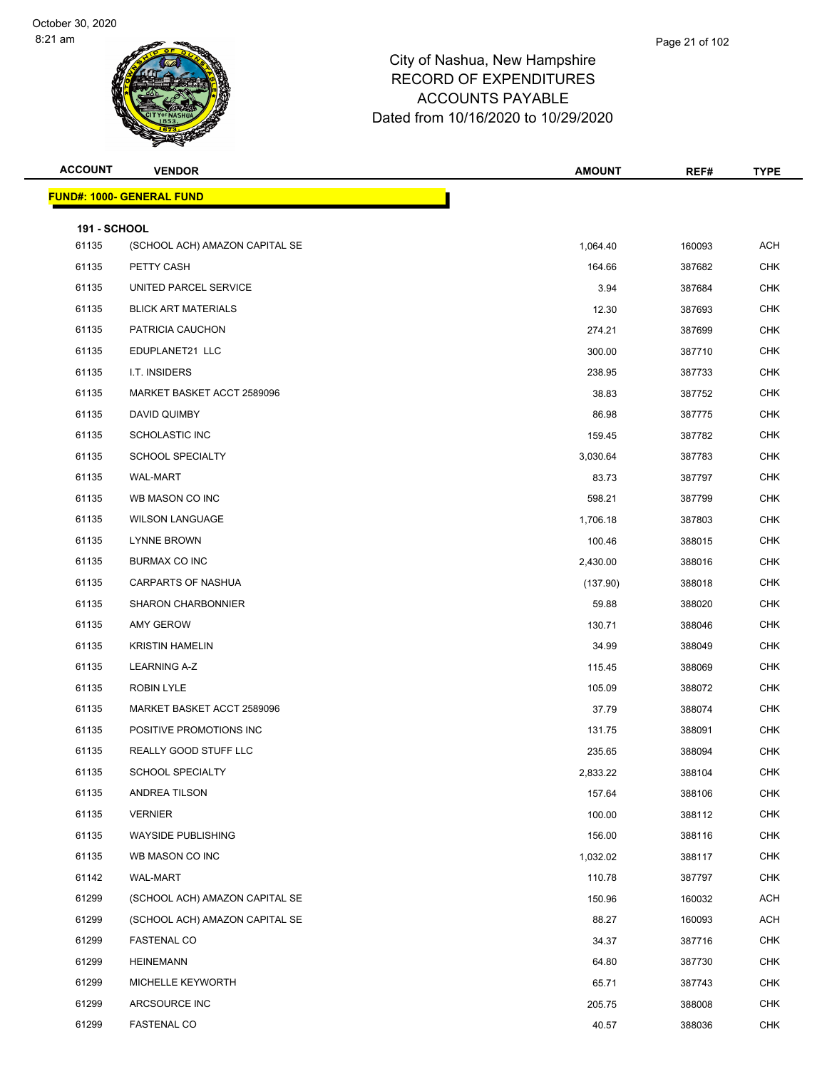| <b>ACCOUNT</b>               | <b>VENDOR</b>                    | <b>AMOUNT</b> | REF#   | <b>TYPE</b> |
|------------------------------|----------------------------------|---------------|--------|-------------|
|                              | <b>FUND#: 1000- GENERAL FUND</b> |               |        |             |
|                              |                                  |               |        |             |
| <b>191 - SCHOOL</b><br>61135 | (SCHOOL ACH) AMAZON CAPITAL SE   | 1,064.40      | 160093 | <b>ACH</b>  |
| 61135                        | PETTY CASH                       | 164.66        | 387682 | <b>CHK</b>  |
| 61135                        | UNITED PARCEL SERVICE            | 3.94          | 387684 | <b>CHK</b>  |
| 61135                        | <b>BLICK ART MATERIALS</b>       | 12.30         | 387693 | <b>CHK</b>  |
| 61135                        | PATRICIA CAUCHON                 | 274.21        | 387699 | <b>CHK</b>  |
| 61135                        | EDUPLANET21 LLC                  | 300.00        | 387710 | <b>CHK</b>  |
| 61135                        | I.T. INSIDERS                    | 238.95        | 387733 | <b>CHK</b>  |
| 61135                        | MARKET BASKET ACCT 2589096       | 38.83         | 387752 | <b>CHK</b>  |
| 61135                        | DAVID QUIMBY                     | 86.98         | 387775 | <b>CHK</b>  |
| 61135                        | <b>SCHOLASTIC INC</b>            | 159.45        | 387782 | <b>CHK</b>  |
| 61135                        | <b>SCHOOL SPECIALTY</b>          | 3,030.64      | 387783 | <b>CHK</b>  |
| 61135                        | <b>WAL-MART</b>                  | 83.73         | 387797 | <b>CHK</b>  |
| 61135                        | WB MASON CO INC                  | 598.21        | 387799 | <b>CHK</b>  |
| 61135                        | <b>WILSON LANGUAGE</b>           | 1,706.18      | 387803 | <b>CHK</b>  |
| 61135                        | LYNNE BROWN                      | 100.46        | 388015 | <b>CHK</b>  |
| 61135                        | <b>BURMAX CO INC</b>             | 2,430.00      | 388016 | <b>CHK</b>  |
| 61135                        | <b>CARPARTS OF NASHUA</b>        | (137.90)      | 388018 | <b>CHK</b>  |
| 61135                        | <b>SHARON CHARBONNIER</b>        | 59.88         | 388020 | <b>CHK</b>  |
| 61135                        | AMY GEROW                        | 130.71        | 388046 | <b>CHK</b>  |
| 61135                        | <b>KRISTIN HAMELIN</b>           | 34.99         | 388049 | <b>CHK</b>  |
| 61135                        | <b>LEARNING A-Z</b>              | 115.45        | 388069 | <b>CHK</b>  |
| 61135                        | <b>ROBIN LYLE</b>                | 105.09        | 388072 | <b>CHK</b>  |
| 61135                        | MARKET BASKET ACCT 2589096       | 37.79         | 388074 | <b>CHK</b>  |
| 61135                        | POSITIVE PROMOTIONS INC          | 131.75        | 388091 | <b>CHK</b>  |
| 61135                        | REALLY GOOD STUFF LLC            | 235.65        | 388094 | <b>CHK</b>  |
| 61135                        | SCHOOL SPECIALTY                 | 2,833.22      | 388104 | CHK         |
| 61135                        | <b>ANDREA TILSON</b>             | 157.64        | 388106 | CHK         |
| 61135                        | <b>VERNIER</b>                   | 100.00        | 388112 | <b>CHK</b>  |
| 61135                        | <b>WAYSIDE PUBLISHING</b>        | 156.00        | 388116 | <b>CHK</b>  |
| 61135                        | WB MASON CO INC                  | 1,032.02      | 388117 | <b>CHK</b>  |
| 61142                        | WAL-MART                         | 110.78        | 387797 | <b>CHK</b>  |
| 61299                        | (SCHOOL ACH) AMAZON CAPITAL SE   | 150.96        | 160032 | ACH         |
| 61299                        | (SCHOOL ACH) AMAZON CAPITAL SE   | 88.27         | 160093 | <b>ACH</b>  |
| 61299                        | <b>FASTENAL CO</b>               | 34.37         | 387716 | <b>CHK</b>  |
| 61299                        | HEINEMANN                        | 64.80         | 387730 | <b>CHK</b>  |
| 61299                        | MICHELLE KEYWORTH                | 65.71         | 387743 | <b>CHK</b>  |
| 61299                        | ARCSOURCE INC                    | 205.75        | 388008 | <b>CHK</b>  |
| 61299                        | <b>FASTENAL CO</b>               | 40.57         | 388036 | <b>CHK</b>  |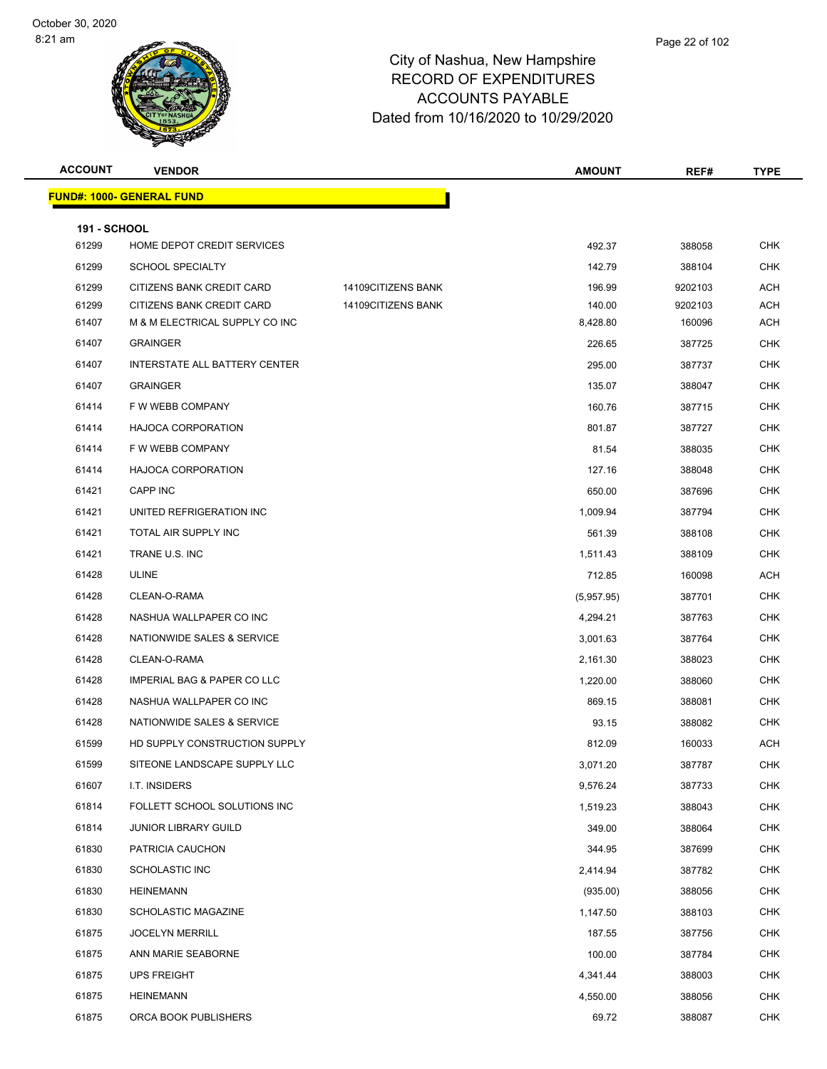### Page 22 of 102

| <b>ACCOUNT</b>      | <b>VENDOR</b>                          |                    | <b>AMOUNT</b> | REF#    | <b>TYPE</b> |
|---------------------|----------------------------------------|--------------------|---------------|---------|-------------|
|                     | <b>FUND#: 1000- GENERAL FUND</b>       |                    |               |         |             |
| <b>191 - SCHOOL</b> |                                        |                    |               |         |             |
| 61299               | HOME DEPOT CREDIT SERVICES             |                    | 492.37        | 388058  | <b>CHK</b>  |
| 61299               | <b>SCHOOL SPECIALTY</b>                |                    | 142.79        | 388104  | <b>CHK</b>  |
| 61299               | CITIZENS BANK CREDIT CARD              | 14109CITIZENS BANK | 196.99        | 9202103 | <b>ACH</b>  |
| 61299               | CITIZENS BANK CREDIT CARD              | 14109CITIZENS BANK | 140.00        | 9202103 | <b>ACH</b>  |
| 61407               | M & M ELECTRICAL SUPPLY CO INC         |                    | 8,428.80      | 160096  | ACH         |
| 61407               | <b>GRAINGER</b>                        |                    | 226.65        | 387725  | <b>CHK</b>  |
| 61407               | <b>INTERSTATE ALL BATTERY CENTER</b>   |                    | 295.00        | 387737  | <b>CHK</b>  |
| 61407               | <b>GRAINGER</b>                        |                    | 135.07        | 388047  | <b>CHK</b>  |
| 61414               | F W WEBB COMPANY                       |                    | 160.76        | 387715  | <b>CHK</b>  |
| 61414               | <b>HAJOCA CORPORATION</b>              |                    | 801.87        | 387727  | <b>CHK</b>  |
| 61414               | F W WEBB COMPANY                       |                    | 81.54         | 388035  | <b>CHK</b>  |
| 61414               | <b>HAJOCA CORPORATION</b>              |                    | 127.16        | 388048  | <b>CHK</b>  |
| 61421               | CAPP INC                               |                    | 650.00        | 387696  | <b>CHK</b>  |
| 61421               | UNITED REFRIGERATION INC               |                    | 1,009.94      | 387794  | <b>CHK</b>  |
| 61421               | TOTAL AIR SUPPLY INC                   |                    | 561.39        | 388108  | <b>CHK</b>  |
| 61421               | TRANE U.S. INC                         |                    | 1,511.43      | 388109  | <b>CHK</b>  |
| 61428               | <b>ULINE</b>                           |                    | 712.85        | 160098  | <b>ACH</b>  |
| 61428               | CLEAN-O-RAMA                           |                    | (5,957.95)    | 387701  | <b>CHK</b>  |
| 61428               | NASHUA WALLPAPER CO INC                |                    | 4,294.21      | 387763  | <b>CHK</b>  |
| 61428               | NATIONWIDE SALES & SERVICE             |                    | 3,001.63      | 387764  | <b>CHK</b>  |
| 61428               | CLEAN-O-RAMA                           |                    | 2,161.30      | 388023  | <b>CHK</b>  |
| 61428               | <b>IMPERIAL BAG &amp; PAPER CO LLC</b> |                    | 1,220.00      | 388060  | <b>CHK</b>  |
| 61428               | NASHUA WALLPAPER CO INC                |                    | 869.15        | 388081  | <b>CHK</b>  |
| 61428               | NATIONWIDE SALES & SERVICE             |                    | 93.15         | 388082  | <b>CHK</b>  |
| 61599               | HD SUPPLY CONSTRUCTION SUPPLY          |                    | 812.09        | 160033  | ACH         |
| 61599               | SITEONE LANDSCAPE SUPPLY LLC           |                    | 3,071.20      | 387787  | <b>CHK</b>  |
| 61607               | I.T. INSIDERS                          |                    | 9,576.24      | 387733  | <b>CHK</b>  |
| 61814               | FOLLETT SCHOOL SOLUTIONS INC           |                    | 1,519.23      | 388043  | <b>CHK</b>  |
| 61814               | <b>JUNIOR LIBRARY GUILD</b>            |                    | 349.00        | 388064  | <b>CHK</b>  |
| 61830               | PATRICIA CAUCHON                       |                    | 344.95        | 387699  | <b>CHK</b>  |
| 61830               | <b>SCHOLASTIC INC</b>                  |                    | 2,414.94      | 387782  | <b>CHK</b>  |
| 61830               | <b>HEINEMANN</b>                       |                    | (935.00)      | 388056  | <b>CHK</b>  |
| 61830               | SCHOLASTIC MAGAZINE                    |                    | 1,147.50      | 388103  | <b>CHK</b>  |
| 61875               | <b>JOCELYN MERRILL</b>                 |                    | 187.55        | 387756  | <b>CHK</b>  |
| 61875               | ANN MARIE SEABORNE                     |                    | 100.00        | 387784  | <b>CHK</b>  |
| 61875               | <b>UPS FREIGHT</b>                     |                    | 4,341.44      | 388003  | <b>CHK</b>  |
| 61875               | <b>HEINEMANN</b>                       |                    | 4,550.00      | 388056  | <b>CHK</b>  |
| 61875               | ORCA BOOK PUBLISHERS                   |                    | 69.72         | 388087  | <b>CHK</b>  |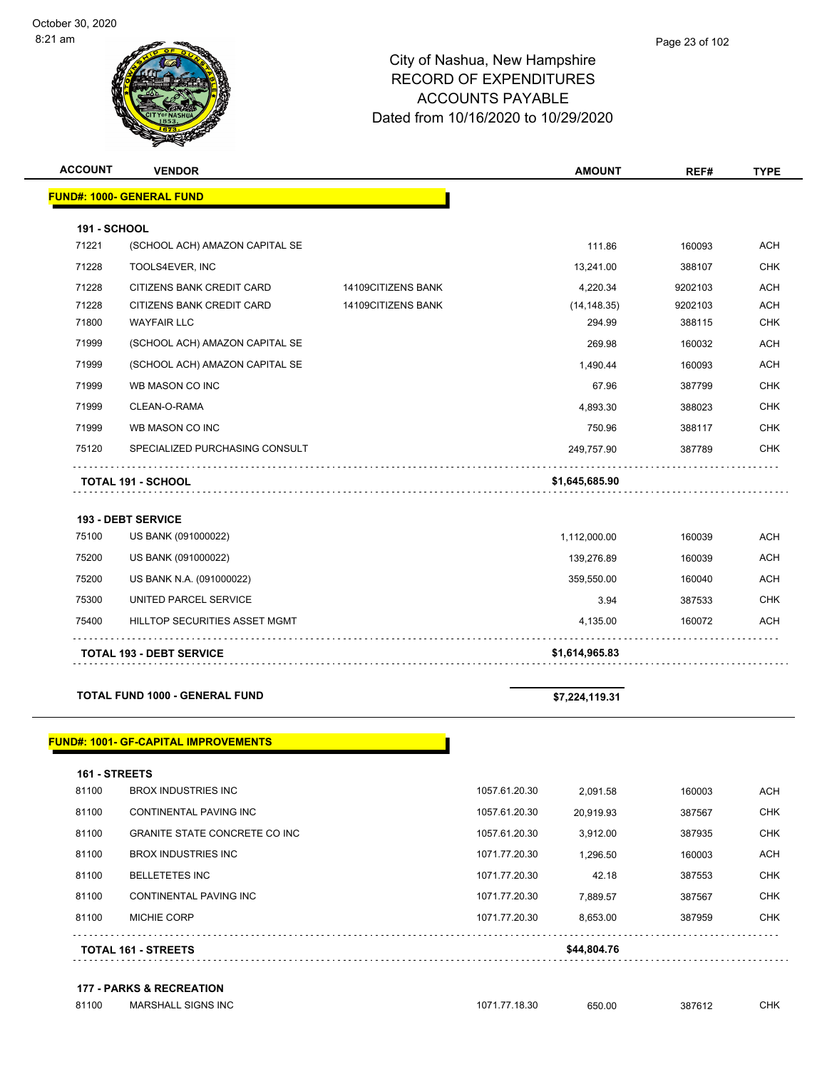| <b>ACCOUNT</b>        | <b>VENDOR</b>                                   |                    | <b>AMOUNT</b>          | REF#              | <b>TYPE</b>              |
|-----------------------|-------------------------------------------------|--------------------|------------------------|-------------------|--------------------------|
|                       | <b>FUND#: 1000- GENERAL FUND</b>                |                    |                        |                   |                          |
|                       |                                                 |                    |                        |                   |                          |
| 191 - SCHOOL<br>71221 | (SCHOOL ACH) AMAZON CAPITAL SE                  |                    | 111.86                 | 160093            | <b>ACH</b>               |
| 71228                 | TOOLS4EVER, INC                                 |                    |                        | 388107            | <b>CHK</b>               |
|                       |                                                 |                    | 13,241.00              |                   |                          |
| 71228<br>71228        | CITIZENS BANK CREDIT CARD                       | 14109CITIZENS BANK | 4,220.34               | 9202103           | <b>ACH</b>               |
| 71800                 | CITIZENS BANK CREDIT CARD<br><b>WAYFAIR LLC</b> | 14109CITIZENS BANK | (14, 148.35)<br>294.99 | 9202103<br>388115 | <b>ACH</b><br><b>CHK</b> |
| 71999                 | (SCHOOL ACH) AMAZON CAPITAL SE                  |                    | 269.98                 | 160032            | <b>ACH</b>               |
| 71999                 | (SCHOOL ACH) AMAZON CAPITAL SE                  |                    | 1,490.44               | 160093            | <b>ACH</b>               |
| 71999                 | WB MASON CO INC                                 |                    | 67.96                  | 387799            | <b>CHK</b>               |
|                       |                                                 |                    |                        |                   |                          |
| 71999                 | CLEAN-O-RAMA                                    |                    | 4,893.30               | 388023            | <b>CHK</b>               |
| 71999                 | WB MASON CO INC                                 |                    | 750.96                 | 388117            | <b>CHK</b>               |
| 75120                 | SPECIALIZED PURCHASING CONSULT                  |                    | 249,757.90             | 387789            | <b>CHK</b>               |
|                       | <b>TOTAL 191 - SCHOOL</b>                       |                    | \$1,645,685.90         |                   |                          |
|                       | <b>193 - DEBT SERVICE</b>                       |                    |                        |                   |                          |
| 75100                 | US BANK (091000022)                             |                    | 1,112,000.00           | 160039            | <b>ACH</b>               |
| 75200                 | US BANK (091000022)                             |                    | 139,276.89             | 160039            | <b>ACH</b>               |
| 75200                 | US BANK N.A. (091000022)                        |                    | 359,550.00             | 160040            | <b>ACH</b>               |
| 75300                 | UNITED PARCEL SERVICE                           |                    | 3.94                   | 387533            | <b>CHK</b>               |
| 75400                 | HILLTOP SECURITIES ASSET MGMT                   |                    | 4,135.00               | 160072            | <b>ACH</b>               |
|                       | <b>TOTAL 193 - DEBT SERVICE</b>                 |                    | \$1,614,965.83         |                   |                          |
|                       |                                                 |                    |                        |                   |                          |
|                       | <b>TOTAL FUND 1000 - GENERAL FUND</b>           |                    | \$7,224,119.31         |                   |                          |
|                       |                                                 |                    |                        |                   |                          |

### **FUND#: 1001- GF-CAPITAL IMPROVEMENTS**

| 81100<br>81100 | <b>CONTINENTAL PAVING INC</b><br><b>GRANITE STATE CONCRETE CO INC.</b> | 1057.61.20.30<br>1057.61.20.30 | 20.919.93<br>3,912.00 | 387567<br>387935 | <b>CHK</b><br><b>CHK</b> |
|----------------|------------------------------------------------------------------------|--------------------------------|-----------------------|------------------|--------------------------|
| 81100          | BROX INDUSTRIES INC                                                    | 1071.77.20.30                  | 1,296.50              | 160003           | <b>ACH</b>               |
| 81100          | <b>BELLETETES INC</b>                                                  | 1071.77.20.30                  | 42.18                 | 387553           | <b>CHK</b>               |
| 81100          | CONTINENTAL PAVING INC                                                 | 1071.77.20.30                  | 7.889.57              | 387567           | <b>CHK</b>               |
| 81100          | <b>MICHIE CORP</b>                                                     | 1071.77.20.30                  | 8.653.00              | 387959           | <b>CHK</b>               |
|                | <b>TOTAL 161 - STREETS</b>                                             |                                | \$44,804.76           |                  |                          |
|                |                                                                        |                                |                       |                  |                          |

### **177 - PARKS & RECREATION**

| 81100 | <b>MARSHALL SIGNS INC</b> | 1071.77.18.30 | 650.00 | 387612 | CHK. |
|-------|---------------------------|---------------|--------|--------|------|
|       |                           |               |        |        |      |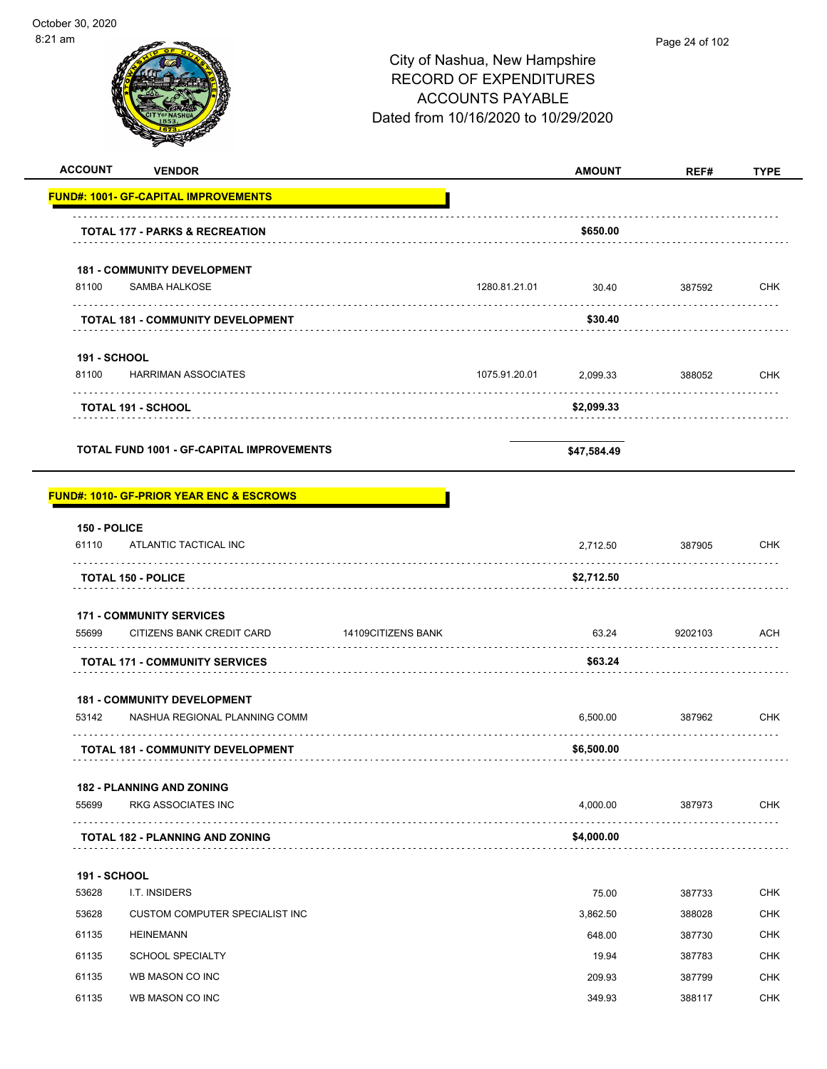| <b>ACCOUNT</b>        | <b>VENDOR</b>                                       |                    |                    | <b>AMOUNT</b> | REF#    | <b>TYPE</b> |
|-----------------------|-----------------------------------------------------|--------------------|--------------------|---------------|---------|-------------|
|                       | <b>FUND#: 1001- GF-CAPITAL IMPROVEMENTS</b>         |                    |                    |               |         |             |
|                       | <b>TOTAL 177 - PARKS &amp; RECREATION</b>           |                    |                    | \$650.00      |         |             |
|                       | <b>181 - COMMUNITY DEVELOPMENT</b>                  |                    |                    |               |         |             |
| 81100                 | <b>SAMBA HALKOSE</b>                                |                    | 1280.81.21.01<br>. | 30.40         | 387592  | CHK         |
|                       | <b>TOTAL 181 - COMMUNITY DEVELOPMENT</b>            |                    |                    | \$30.40       |         |             |
| <b>191 - SCHOOL</b>   |                                                     |                    |                    |               |         |             |
| 81100                 | HARRIMAN ASSOCIATES                                 |                    | 1075.91.20.01      | 2,099.33      | 388052  | <b>CHK</b>  |
|                       | <b>TOTAL 191 - SCHOOL</b>                           |                    |                    | \$2,099.33    |         |             |
|                       | <b>TOTAL FUND 1001 - GF-CAPITAL IMPROVEMENTS</b>    |                    |                    | \$47,584.49   |         |             |
|                       | <b>FUND#: 1010- GF-PRIOR YEAR ENC &amp; ESCROWS</b> |                    |                    |               |         |             |
|                       |                                                     |                    |                    |               |         |             |
| 150 - POLICE<br>61110 | ATLANTIC TACTICAL INC                               |                    |                    | 2,712.50      | 387905  | <b>CHK</b>  |
|                       | <b>TOTAL 150 - POLICE</b>                           |                    |                    | \$2,712.50    |         |             |
|                       | <b>171 - COMMUNITY SERVICES</b>                     |                    |                    |               |         |             |
| 55699                 | CITIZENS BANK CREDIT CARD                           | 14109CITIZENS BANK |                    | 63.24         | 9202103 | <b>ACH</b>  |
|                       | <b>TOTAL 171 - COMMUNITY SERVICES</b>               |                    |                    | \$63.24       |         |             |
|                       | <b>181 - COMMUNITY DEVELOPMENT</b>                  |                    |                    |               |         |             |
| 53142                 | NASHUA REGIONAL PLANNING COMM                       |                    |                    | 6.500.00      | 387962  | <b>CHK</b>  |
|                       | <b>TOTAL 181 - COMMUNITY DEVELOPMENT</b>            |                    |                    | \$6,500.00    |         |             |
|                       | <b>182 - PLANNING AND ZONING</b>                    |                    |                    |               |         |             |
| 55699                 | <b>RKG ASSOCIATES INC</b>                           |                    |                    | 4,000.00      | 387973  | <b>CHK</b>  |
|                       | <b>TOTAL 182 - PLANNING AND ZONING</b>              |                    |                    | \$4,000.00    |         |             |
| <b>191 - SCHOOL</b>   |                                                     |                    |                    |               |         |             |
| 53628                 | I.T. INSIDERS                                       |                    |                    | 75.00         | 387733  | <b>CHK</b>  |
| 53628                 | CUSTOM COMPUTER SPECIALIST INC                      |                    |                    | 3,862.50      | 388028  | <b>CHK</b>  |
| 61135                 | <b>HEINEMANN</b>                                    |                    |                    | 648.00        | 387730  | <b>CHK</b>  |
| 61135                 | <b>SCHOOL SPECIALTY</b>                             |                    |                    | 19.94         | 387783  | <b>CHK</b>  |
| 61135                 | WB MASON CO INC                                     |                    |                    | 209.93        | 387799  | <b>CHK</b>  |
| 61135                 | WB MASON CO INC                                     |                    |                    | 349.93        | 388117  | <b>CHK</b>  |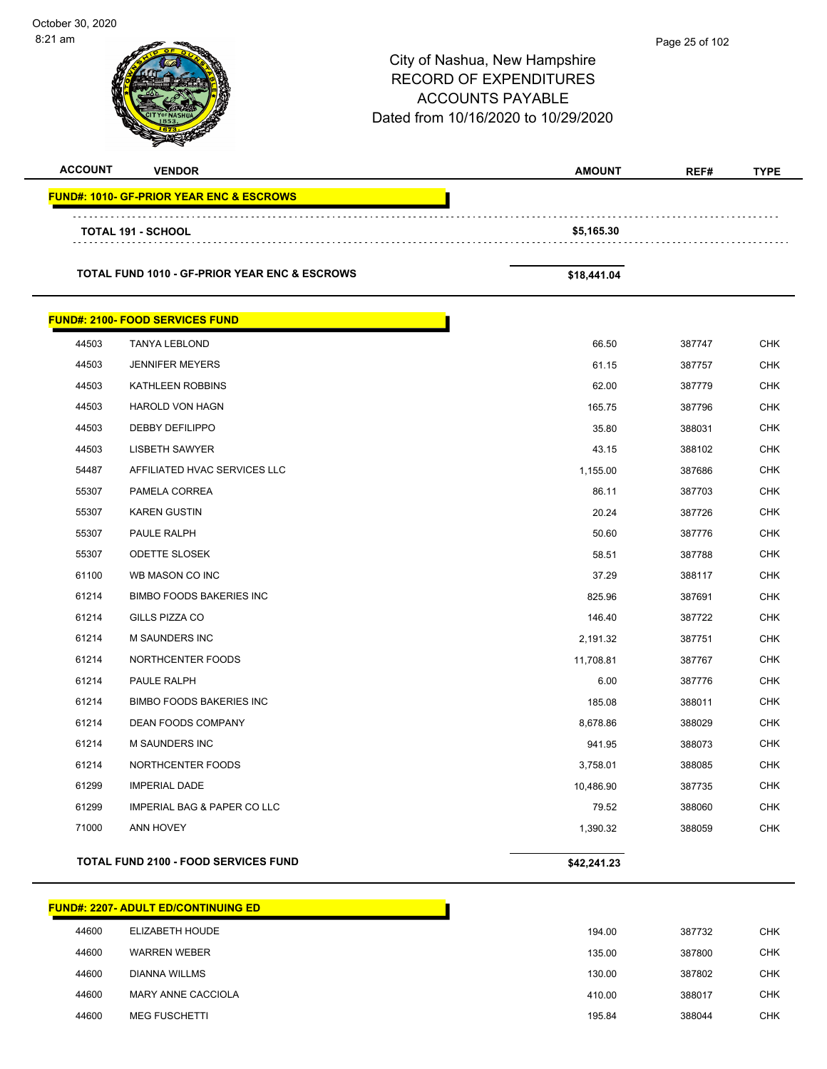| October 30, 2020<br>8:21 am |                                                          | City of Nashua, New Hampshire<br><b>RECORD OF EXPENDITURES</b><br><b>ACCOUNTS PAYABLE</b><br>Dated from 10/16/2020 to 10/29/2020 | Page 25 of 102 |             |
|-----------------------------|----------------------------------------------------------|----------------------------------------------------------------------------------------------------------------------------------|----------------|-------------|
| <b>ACCOUNT</b>              | <b>VENDOR</b>                                            | <b>AMOUNT</b>                                                                                                                    | REF#           | <b>TYPE</b> |
|                             | <b>FUND#: 1010- GF-PRIOR YEAR ENC &amp; ESCROWS</b>      |                                                                                                                                  |                |             |
|                             | <b>TOTAL 191 - SCHOOL</b>                                | \$5,165.30                                                                                                                       |                |             |
|                             |                                                          |                                                                                                                                  |                |             |
|                             | <b>TOTAL FUND 1010 - GF-PRIOR YEAR ENC &amp; ESCROWS</b> | \$18,441.04                                                                                                                      |                |             |
|                             | <b>FUND#: 2100- FOOD SERVICES FUND</b>                   |                                                                                                                                  |                |             |
| 44503                       | <b>TANYA LEBLOND</b>                                     | 66.50                                                                                                                            | 387747         | <b>CHK</b>  |
| 44503                       | <b>JENNIFER MEYERS</b>                                   | 61.15                                                                                                                            | 387757         | <b>CHK</b>  |
| 44503                       | KATHLEEN ROBBINS                                         | 62.00                                                                                                                            | 387779         | <b>CHK</b>  |
| 44503                       | <b>HAROLD VON HAGN</b>                                   | 165.75                                                                                                                           | 387796         | <b>CHK</b>  |
| 44503                       | <b>DEBBY DEFILIPPO</b>                                   | 35.80                                                                                                                            | 388031         | <b>CHK</b>  |
| 44503                       | <b>LISBETH SAWYER</b>                                    | 43.15                                                                                                                            | 388102         | <b>CHK</b>  |
| 54487                       | AFFILIATED HVAC SERVICES LLC                             | 1,155.00                                                                                                                         | 387686         | <b>CHK</b>  |
| 55307                       | PAMELA CORREA                                            | 86.11                                                                                                                            | 387703         | <b>CHK</b>  |
| 55307                       | <b>KAREN GUSTIN</b>                                      | 20.24                                                                                                                            | 387726         | <b>CHK</b>  |
| 55307                       | PAULE RALPH                                              | 50.60                                                                                                                            | 387776         | <b>CHK</b>  |
| 55307                       | <b>ODETTE SLOSEK</b>                                     | 58.51                                                                                                                            | 387788         | <b>CHK</b>  |
| 61100                       | WB MASON CO INC                                          | 37.29                                                                                                                            | 388117         | <b>CHK</b>  |
| 61214                       | <b>BIMBO FOODS BAKERIES INC</b>                          | 825.96                                                                                                                           | 387691         | <b>CHK</b>  |
| 61214                       | GILLS PIZZA CO                                           | 146.40                                                                                                                           | 387722         | <b>CHK</b>  |
| 61214                       | <b>M SAUNDERS INC</b>                                    | 2,191.32                                                                                                                         | 387751         | <b>CHK</b>  |
| 61214                       | NORTHCENTER FOODS                                        | 11,708.81                                                                                                                        | 387767         | <b>CHK</b>  |
| 61214                       | PAULE RALPH                                              | 6.00                                                                                                                             | 387776         | <b>CHK</b>  |
| 61214                       | <b>BIMBO FOODS BAKERIES INC</b>                          | 185.08                                                                                                                           | 388011         | <b>CHK</b>  |
| 61214                       | DEAN FOODS COMPANY                                       | 8,678.86                                                                                                                         | 388029         | CHK         |
| 61214                       | M SAUNDERS INC                                           | 941.95                                                                                                                           | 388073         | <b>CHK</b>  |
| 61214                       | NORTHCENTER FOODS                                        | 3,758.01                                                                                                                         | 388085         | <b>CHK</b>  |
| 61299                       | <b>IMPERIAL DADE</b>                                     | 10,486.90                                                                                                                        | 387735         | <b>CHK</b>  |
| 61299                       | IMPERIAL BAG & PAPER CO LLC                              | 79.52                                                                                                                            | 388060         | CHK         |
| 71000                       | ANN HOVEY                                                | 1,390.32                                                                                                                         | 388059         | <b>CHK</b>  |
|                             | TOTAL FUND 2100 - FOOD SERVICES FUND                     | \$42,241.23                                                                                                                      |                |             |

|       | <b>FUND#: 2207- ADULT ED/CONTINUING ED</b> |        |        |
|-------|--------------------------------------------|--------|--------|
| 44600 | ELIZABETH HOUDE                            | 194.00 |        |
| 44600 | <b>WARREN WEBER</b>                        | 135.00 | 387800 |
| 44600 | DIANNA WILLMS                              | 130.00 | 387802 |
| 44600 | MARY ANNE CACCIOLA                         | 410.00 | 388017 |
| 44600 | <b>MEG FUSCHETTI</b>                       | 195.84 | 388044 |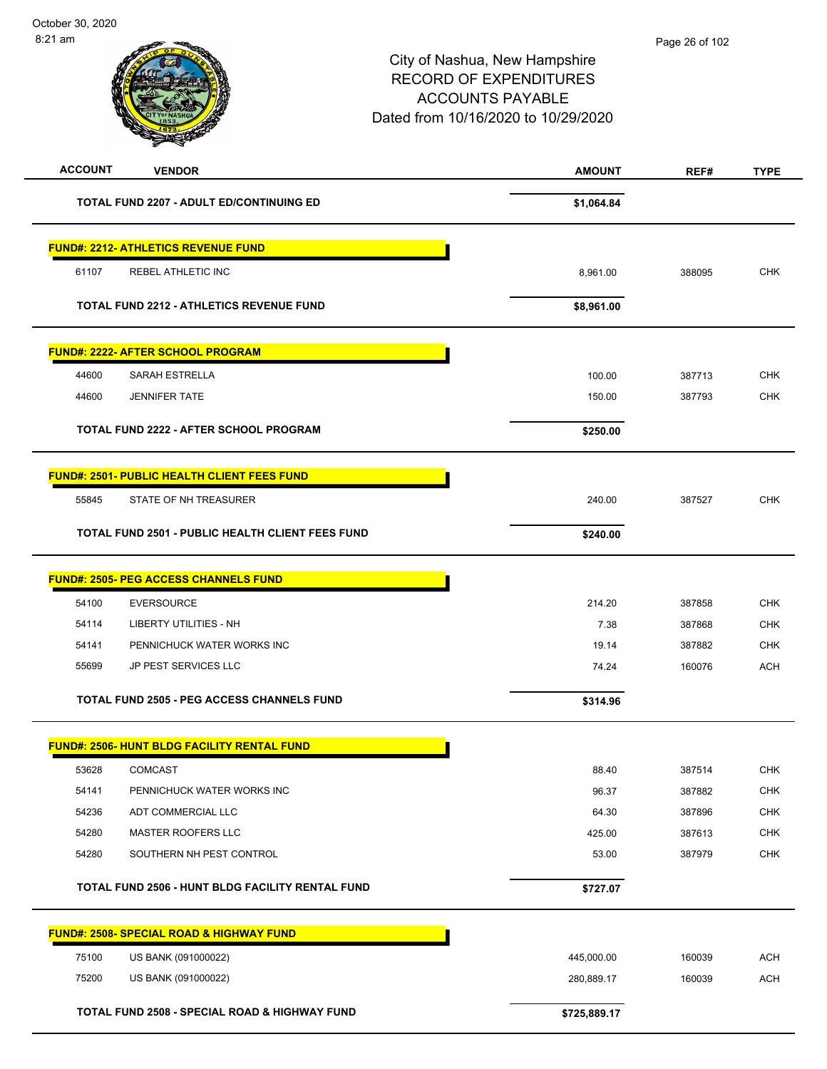| <b>ACCOUNT</b><br><b>VENDOR</b>                          | <b>AMOUNT</b> | REF#   | <b>TYPE</b> |
|----------------------------------------------------------|---------------|--------|-------------|
| <b>TOTAL FUND 2207 - ADULT ED/CONTINUING ED</b>          | \$1,064.84    |        |             |
| <b>FUND#: 2212- ATHLETICS REVENUE FUND</b>               |               |        |             |
| REBEL ATHLETIC INC<br>61107                              | 8,961.00      | 388095 | <b>CHK</b>  |
|                                                          |               |        |             |
| <b>TOTAL FUND 2212 - ATHLETICS REVENUE FUND</b>          | \$8,961.00    |        |             |
| <b>FUND#: 2222- AFTER SCHOOL PROGRAM</b>                 |               |        |             |
| 44600<br><b>SARAH ESTRELLA</b>                           | 100.00        | 387713 | <b>CHK</b>  |
| 44600<br><b>JENNIFER TATE</b>                            | 150.00        | 387793 | <b>CHK</b>  |
| TOTAL FUND 2222 - AFTER SCHOOL PROGRAM                   |               |        |             |
|                                                          | \$250.00      |        |             |
| <b>FUND#: 2501- PUBLIC HEALTH CLIENT FEES FUND</b>       |               |        |             |
| STATE OF NH TREASURER<br>55845                           | 240.00        | 387527 | <b>CHK</b>  |
| TOTAL FUND 2501 - PUBLIC HEALTH CLIENT FEES FUND         | \$240.00      |        |             |
| <b>FUND#: 2505- PEG ACCESS CHANNELS FUND</b>             |               |        |             |
| 54100<br><b>EVERSOURCE</b>                               | 214.20        | 387858 | <b>CHK</b>  |
| 54114<br>LIBERTY UTILITIES - NH                          | 7.38          | 387868 | <b>CHK</b>  |
| 54141<br>PENNICHUCK WATER WORKS INC                      | 19.14         | 387882 | <b>CHK</b>  |
| 55699<br>JP PEST SERVICES LLC                            | 74.24         | 160076 | <b>ACH</b>  |
| <b>TOTAL FUND 2505 - PEG ACCESS CHANNELS FUND</b>        | \$314.96      |        |             |
| <b>FUND#: 2506- HUNT BLDG FACILITY RENTAL FUND</b>       |               |        |             |
| 53628<br><b>COMCAST</b>                                  | 88.40         | 387514 | <b>CHK</b>  |
| 54141<br>PENNICHUCK WATER WORKS INC                      | 96.37         | 387882 | <b>CHK</b>  |
| 54236<br>ADT COMMERCIAL LLC                              | 64.30         | 387896 | <b>CHK</b>  |
| 54280<br>MASTER ROOFERS LLC                              | 425.00        | 387613 | <b>CHK</b>  |
| 54280<br>SOUTHERN NH PEST CONTROL                        | 53.00         | 387979 | CHK         |
| TOTAL FUND 2506 - HUNT BLDG FACILITY RENTAL FUND         | \$727.07      |        |             |
| <b>FUND#: 2508- SPECIAL ROAD &amp; HIGHWAY FUND</b>      |               |        |             |
| 75100<br>US BANK (091000022)                             | 445,000.00    | 160039 | <b>ACH</b>  |
| 75200<br>US BANK (091000022)                             | 280,889.17    | 160039 | <b>ACH</b>  |
| <b>TOTAL FUND 2508 - SPECIAL ROAD &amp; HIGHWAY FUND</b> | \$725,889.17  |        |             |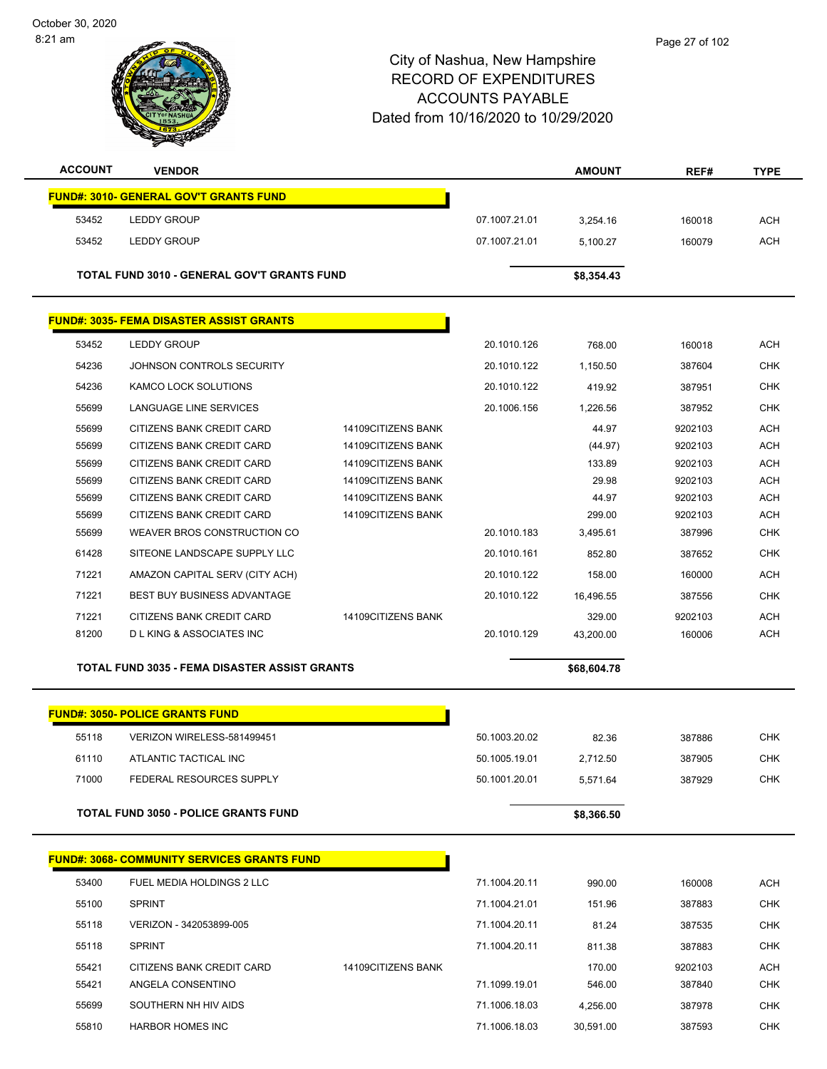October 30, 2020 8:21 am



### City of Nashua, New Hampshire RECORD OF EXPENDITURES ACCOUNTS PAYABLE Dated from 10/16/2020 to 10/29/2020

| <b>ACCOUNT</b>                            | <b>VENDOR</b>                                      |                    |               | <b>AMOUNT</b> | REF#    | <b>TYPE</b> |
|-------------------------------------------|----------------------------------------------------|--------------------|---------------|---------------|---------|-------------|
|                                           | <b>FUND#: 3010- GENERAL GOV'T GRANTS FUND</b>      |                    |               |               |         |             |
| 53452                                     | <b>LEDDY GROUP</b>                                 |                    | 07.1007.21.01 | 3.254.16      | 160018  | <b>ACH</b>  |
| 53452                                     | <b>LEDDY GROUP</b>                                 |                    | 07.1007.21.01 | 5,100.27      | 160079  | <b>ACH</b>  |
|                                           | <b>TOTAL FUND 3010 - GENERAL GOV'T GRANTS FUND</b> |                    |               | \$8,354.43    |         |             |
|                                           | <b>FUND#: 3035- FEMA DISASTER ASSIST GRANTS</b>    |                    |               |               |         |             |
| 53452                                     | <b>LEDDY GROUP</b>                                 |                    | 20.1010.126   | 768.00        | 160018  | <b>ACH</b>  |
| 54236                                     | JOHNSON CONTROLS SECURITY                          |                    | 20.1010.122   | 1,150.50      | 387604  | <b>CHK</b>  |
| 54236                                     | <b>KAMCO LOCK SOLUTIONS</b>                        |                    | 20.1010.122   | 419.92        | 387951  | <b>CHK</b>  |
| 55699                                     | LANGUAGE LINE SERVICES                             |                    | 20.1006.156   | 1,226.56      | 387952  | <b>CHK</b>  |
| 55699                                     | CITIZENS BANK CREDIT CARD                          | 14109CITIZENS BANK |               | 44.97         | 9202103 | <b>ACH</b>  |
| 55699                                     | CITIZENS BANK CREDIT CARD                          | 14109CITIZENS BANK |               | (44.97)       | 9202103 | <b>ACH</b>  |
| 55699                                     | CITIZENS BANK CREDIT CARD                          | 14109CITIZENS BANK |               | 133.89        | 9202103 | <b>ACH</b>  |
| 55699                                     | CITIZENS BANK CREDIT CARD                          | 14109CITIZENS BANK |               | 29.98         | 9202103 | <b>ACH</b>  |
| 55699                                     | CITIZENS BANK CREDIT CARD                          | 14109CITIZENS BANK |               | 44.97         | 9202103 | <b>ACH</b>  |
| 55699                                     | CITIZENS BANK CREDIT CARD                          | 14109CITIZENS BANK |               | 299.00        | 9202103 | <b>ACH</b>  |
| 55699                                     | WEAVER BROS CONSTRUCTION CO                        |                    | 20.1010.183   | 3,495.61      | 387996  | <b>CHK</b>  |
| 61428                                     | SITEONE LANDSCAPE SUPPLY LLC                       |                    | 20.1010.161   | 852.80        | 387652  | <b>CHK</b>  |
| $\rightarrow$ $\sim$ $\sim$ $\rightarrow$ |                                                    |                    | 0.01010100    |               |         |             |

 71221 AMAZON CAPITAL SERV (CITY ACH) 20.1010.122 158.00 160000 ACH 71221 BEST BUY BUSINESS ADVANTAGE 20.1010.122 16,496.55 387556 CHK 71221 CITIZENS BANK CREDIT CARD 14109CITIZENS BANK 329.00 9202103 ACH 81200 D L KING & ASSOCIATES INC 20.1010.129 43,200.00 160006 ACH **TOTAL FUND 3035 - FEMA DISASTER ASSIST GRANTS \$68,604.78** \$68,604.78

**FUND#: 3050- POLICE GRANTS FUND** 55118 VERIZON WIRELESS-581499451 50.1003.20.02 82.36 387886 CHK 61110 ATLANTIC TACTICAL INC 60.1005.19.01 50.1005.19.01 50.1005.19.01 2,712.50 387905 CHK 71000 FEDERAL RESOURCES SUPPLY 50.1001.20.01 5,571.64 387929 CHK **TOTAL FUND 3050 - POLICE GRANTS FUND \$8,366.50** 

|       | <b>FUND#: 3068- COMMUNITY SERVICES GRANTS FUND</b> |                    |               |           |         |            |
|-------|----------------------------------------------------|--------------------|---------------|-----------|---------|------------|
| 53400 | FUEL MEDIA HOLDINGS 2 LLC                          |                    | 71.1004.20.11 | 990.00    | 160008  | <b>ACH</b> |
| 55100 | <b>SPRINT</b>                                      |                    | 71.1004.21.01 | 151.96    | 387883  | <b>CHK</b> |
| 55118 | VERIZON - 342053899-005                            |                    | 71.1004.20.11 | 81.24     | 387535  | <b>CHK</b> |
| 55118 | <b>SPRINT</b>                                      |                    | 71.1004.20.11 | 811.38    | 387883  | <b>CHK</b> |
| 55421 | CITIZENS BANK CREDIT CARD                          | 14109CITIZENS BANK |               | 170.00    | 9202103 | ACH        |
| 55421 | ANGELA CONSENTINO                                  |                    | 71.1099.19.01 | 546.00    | 387840  | <b>CHK</b> |
| 55699 | SOUTHERN NH HIV AIDS                               |                    | 71.1006.18.03 | 4.256.00  | 387978  | <b>CHK</b> |
| 55810 | <b>HARBOR HOMES INC</b>                            |                    | 71.1006.18.03 | 30.591.00 | 387593  | <b>CHK</b> |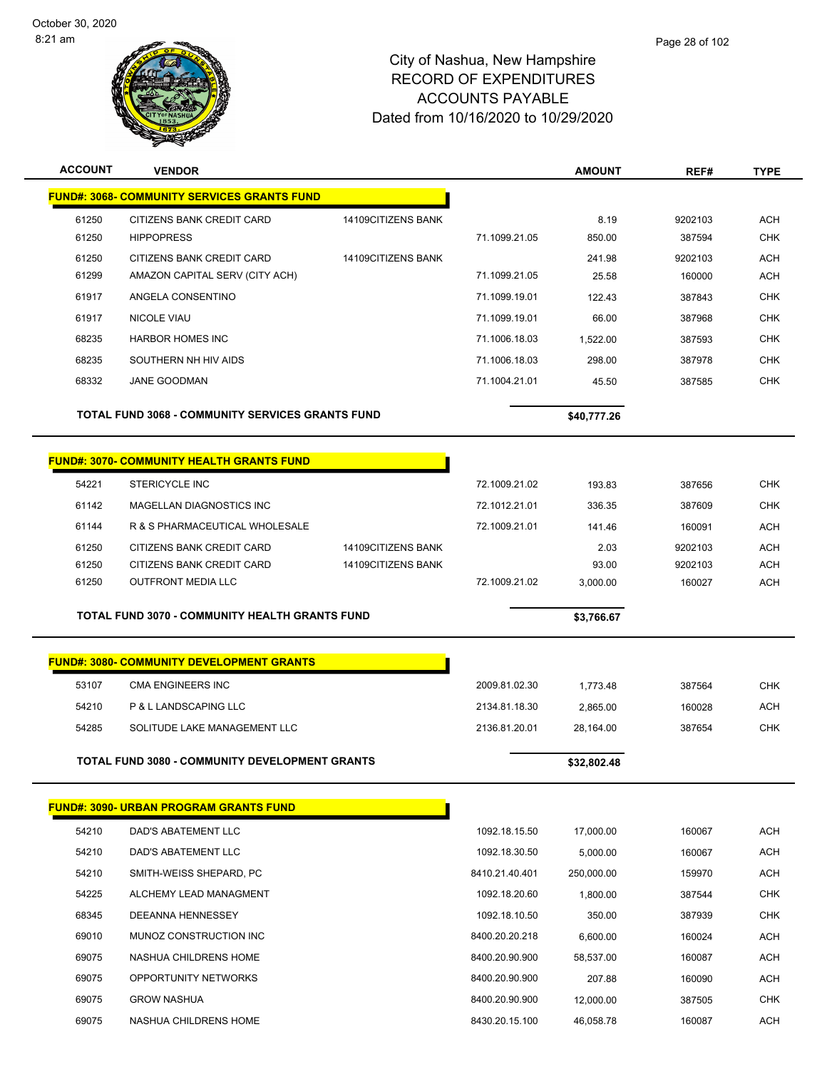

| <b>ACCOUNT</b> | <b>VENDOR</b>                                           |                    |                | <b>AMOUNT</b> | REF#    | <b>TYPE</b> |
|----------------|---------------------------------------------------------|--------------------|----------------|---------------|---------|-------------|
|                | <b>FUND#: 3068- COMMUNITY SERVICES GRANTS FUND</b>      |                    |                |               |         |             |
| 61250          | CITIZENS BANK CREDIT CARD                               | 14109CITIZENS BANK |                | 8.19          | 9202103 | <b>ACH</b>  |
| 61250          | <b>HIPPOPRESS</b>                                       |                    | 71.1099.21.05  | 850.00        | 387594  | <b>CHK</b>  |
| 61250          | CITIZENS BANK CREDIT CARD                               | 14109CITIZENS BANK |                | 241.98        | 9202103 | <b>ACH</b>  |
| 61299          | AMAZON CAPITAL SERV (CITY ACH)                          |                    | 71.1099.21.05  | 25.58         | 160000  | <b>ACH</b>  |
| 61917          | ANGELA CONSENTINO                                       |                    | 71.1099.19.01  | 122.43        | 387843  | <b>CHK</b>  |
| 61917          | <b>NICOLE VIAU</b>                                      |                    | 71.1099.19.01  | 66.00         | 387968  | <b>CHK</b>  |
| 68235          | <b>HARBOR HOMES INC</b>                                 |                    | 71.1006.18.03  | 1,522.00      | 387593  | CHK         |
| 68235          | SOUTHERN NH HIV AIDS                                    |                    | 71.1006.18.03  | 298.00        | 387978  | <b>CHK</b>  |
| 68332          | <b>JANE GOODMAN</b>                                     |                    | 71.1004.21.01  | 45.50         | 387585  | <b>CHK</b>  |
|                | <b>TOTAL FUND 3068 - COMMUNITY SERVICES GRANTS FUND</b> |                    |                | \$40,777.26   |         |             |
|                | <b>FUND#: 3070- COMMUNITY HEALTH GRANTS FUND</b>        |                    |                |               |         |             |
| 54221          | <b>STERICYCLE INC</b>                                   |                    | 72.1009.21.02  | 193.83        | 387656  | <b>CHK</b>  |
| 61142          | MAGELLAN DIAGNOSTICS INC                                |                    | 72.1012.21.01  | 336.35        | 387609  | <b>CHK</b>  |
| 61144          | R & S PHARMACEUTICAL WHOLESALE                          |                    | 72.1009.21.01  | 141.46        | 160091  | ACH         |
| 61250          | CITIZENS BANK CREDIT CARD                               | 14109CITIZENS BANK |                | 2.03          | 9202103 | <b>ACH</b>  |
| 61250          | CITIZENS BANK CREDIT CARD                               | 14109CITIZENS BANK |                | 93.00         | 9202103 | <b>ACH</b>  |
| 61250          | <b>OUTFRONT MEDIA LLC</b>                               |                    | 72.1009.21.02  | 3,000.00      | 160027  | <b>ACH</b>  |
|                | <b>TOTAL FUND 3070 - COMMUNITY HEALTH GRANTS FUND</b>   |                    |                | \$3,766.67    |         |             |
|                | <b>FUND#: 3080- COMMUNITY DEVELOPMENT GRANTS</b>        |                    |                |               |         |             |
| 53107          | <b>CMA ENGINEERS INC</b>                                |                    | 2009.81.02.30  | 1,773.48      | 387564  | <b>CHK</b>  |
| 54210          | P & L LANDSCAPING LLC                                   |                    | 2134.81.18.30  | 2,865.00      | 160028  | <b>ACH</b>  |
| 54285          | SOLITUDE LAKE MANAGEMENT LLC                            |                    | 2136.81.20.01  | 28,164.00     | 387654  | <b>CHK</b>  |
|                | <b>TOTAL FUND 3080 - COMMUNITY DEVELOPMENT GRANTS</b>   |                    |                | \$32.802.48   |         |             |
|                |                                                         |                    |                |               |         |             |
|                | <b>FUND#: 3090- URBAN PROGRAM GRANTS FUND</b>           |                    |                |               |         |             |
| 54210          | DAD'S ABATEMENT LLC                                     |                    | 1092.18.15.50  | 17,000.00     | 160067  | <b>ACH</b>  |
| 54210          | <b>DAD'S ABATEMENT LLC</b>                              |                    | 1092.18.30.50  | 5,000.00      | 160067  | <b>ACH</b>  |
| 54210          | SMITH-WEISS SHEPARD, PC                                 |                    | 8410.21.40.401 | 250,000.00    | 159970  | ACH         |
| 54225          | ALCHEMY LEAD MANAGMENT                                  |                    | 1092.18.20.60  | 1,800.00      | 387544  | <b>CHK</b>  |
| 68345          | DEEANNA HENNESSEY                                       |                    | 1092.18.10.50  | 350.00        | 387939  | CHK         |
| 69010          | MUNOZ CONSTRUCTION INC                                  |                    | 8400.20.20.218 | 6,600.00      | 160024  | ACH         |
| 69075          | NASHUA CHILDRENS HOME                                   |                    | 8400.20.90.900 | 58,537.00     | 160087  | <b>ACH</b>  |
| 69075          | OPPORTUNITY NETWORKS                                    |                    | 8400.20.90.900 | 207.88        | 160090  | ACH         |
| 69075          | <b>GROW NASHUA</b>                                      |                    | 8400.20.90.900 | 12,000.00     | 387505  | CHK         |
| 69075          | NASHUA CHILDRENS HOME                                   |                    | 8430.20.15.100 | 46,058.78     | 160087  | <b>ACH</b>  |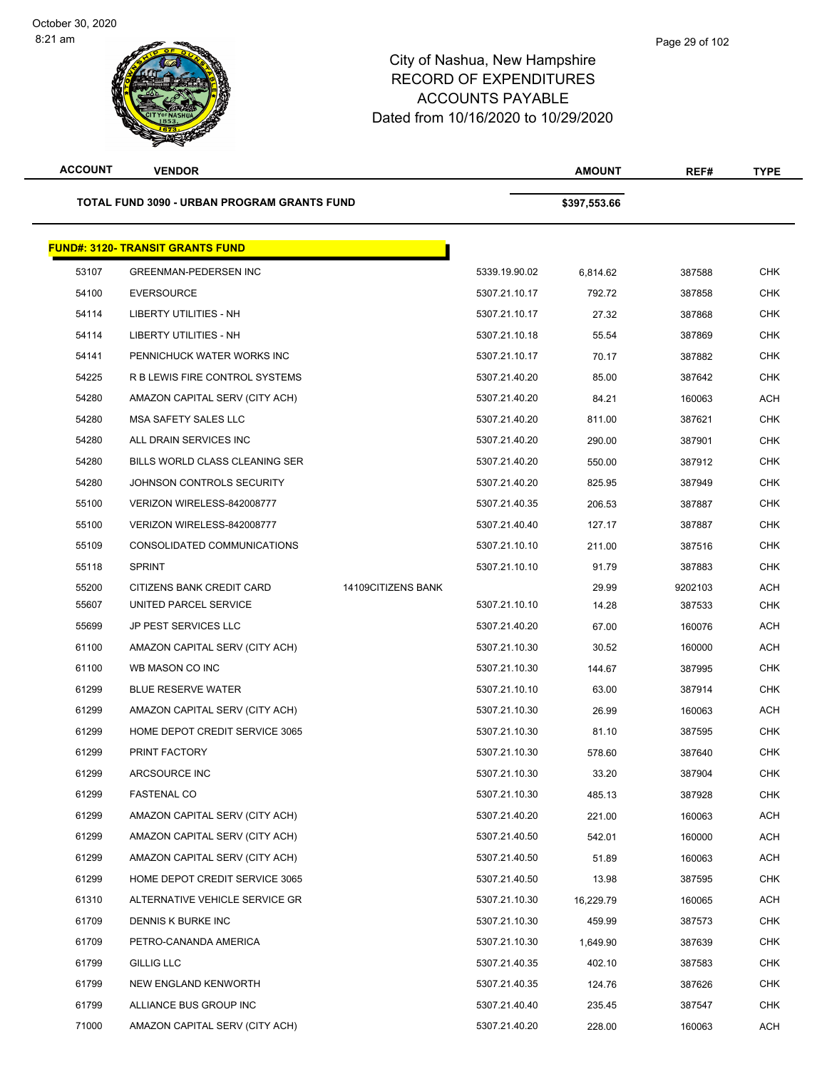| <b>ACCOUNT</b> | <b>VENDOR</b>                               |                    |               | <b>AMOUNT</b> | REF#    | <b>TYPE</b> |
|----------------|---------------------------------------------|--------------------|---------------|---------------|---------|-------------|
|                | TOTAL FUND 3090 - URBAN PROGRAM GRANTS FUND |                    |               | \$397,553.66  |         |             |
|                | <b>FUND#: 3120- TRANSIT GRANTS FUND</b>     |                    |               |               |         |             |
| 53107          | <b>GREENMAN-PEDERSEN INC</b>                |                    | 5339.19.90.02 | 6,814.62      | 387588  | <b>CHK</b>  |
| 54100          | <b>EVERSOURCE</b>                           |                    | 5307.21.10.17 | 792.72        | 387858  | <b>CHK</b>  |
| 54114          | LIBERTY UTILITIES - NH                      |                    | 5307.21.10.17 | 27.32         | 387868  | <b>CHK</b>  |
| 54114          | <b>LIBERTY UTILITIES - NH</b>               |                    | 5307.21.10.18 | 55.54         | 387869  | <b>CHK</b>  |
| 54141          | PENNICHUCK WATER WORKS INC                  |                    | 5307.21.10.17 | 70.17         | 387882  | <b>CHK</b>  |
| 54225          | R B LEWIS FIRE CONTROL SYSTEMS              |                    | 5307.21.40.20 | 85.00         | 387642  | <b>CHK</b>  |
| 54280          | AMAZON CAPITAL SERV (CITY ACH)              |                    | 5307.21.40.20 | 84.21         | 160063  | <b>ACH</b>  |
| 54280          | MSA SAFETY SALES LLC                        |                    | 5307.21.40.20 | 811.00        | 387621  | <b>CHK</b>  |
| 54280          | ALL DRAIN SERVICES INC                      |                    | 5307.21.40.20 | 290.00        | 387901  | <b>CHK</b>  |
| 54280          | BILLS WORLD CLASS CLEANING SER              |                    | 5307.21.40.20 | 550.00        | 387912  | <b>CHK</b>  |
| 54280          | JOHNSON CONTROLS SECURITY                   |                    | 5307.21.40.20 | 825.95        | 387949  | <b>CHK</b>  |
| 55100          | VERIZON WIRELESS-842008777                  |                    | 5307.21.40.35 | 206.53        | 387887  | <b>CHK</b>  |
| 55100          | VERIZON WIRELESS-842008777                  |                    | 5307.21.40.40 | 127.17        | 387887  | <b>CHK</b>  |
| 55109          | CONSOLIDATED COMMUNICATIONS                 |                    | 5307.21.10.10 | 211.00        | 387516  | <b>CHK</b>  |
| 55118          | <b>SPRINT</b>                               |                    | 5307.21.10.10 | 91.79         | 387883  | <b>CHK</b>  |
| 55200          | CITIZENS BANK CREDIT CARD                   | 14109CITIZENS BANK |               | 29.99         | 9202103 | <b>ACH</b>  |
| 55607          | UNITED PARCEL SERVICE                       |                    | 5307.21.10.10 | 14.28         | 387533  | <b>CHK</b>  |
| 55699          | <b>JP PEST SERVICES LLC</b>                 |                    | 5307.21.40.20 | 67.00         | 160076  | <b>ACH</b>  |
| 61100          | AMAZON CAPITAL SERV (CITY ACH)              |                    | 5307.21.10.30 | 30.52         | 160000  | <b>ACH</b>  |
| 61100          | WB MASON CO INC                             |                    | 5307.21.10.30 | 144.67        | 387995  | <b>CHK</b>  |
| 61299          | <b>BLUE RESERVE WATER</b>                   |                    | 5307.21.10.10 | 63.00         | 387914  | <b>CHK</b>  |
| 61299          | AMAZON CAPITAL SERV (CITY ACH)              |                    | 5307.21.10.30 | 26.99         | 160063  | <b>ACH</b>  |
| 61299          | HOME DEPOT CREDIT SERVICE 3065              |                    | 5307.21.10.30 | 81.10         | 387595  | <b>CHK</b>  |
| 61299          | PRINT FACTORY                               |                    | 5307.21.10.30 | 578.60        | 387640  | CHK         |
| 61299          | ARCSOURCE INC                               |                    | 5307.21.10.30 | 33.20         | 387904  | <b>CHK</b>  |
| 61299          | <b>FASTENAL CO</b>                          |                    | 5307.21.10.30 | 485.13        | 387928  | <b>CHK</b>  |
| 61299          | AMAZON CAPITAL SERV (CITY ACH)              |                    | 5307.21.40.20 | 221.00        | 160063  | <b>ACH</b>  |
| 61299          | AMAZON CAPITAL SERV (CITY ACH)              |                    | 5307.21.40.50 | 542.01        | 160000  | <b>ACH</b>  |
| 61299          | AMAZON CAPITAL SERV (CITY ACH)              |                    | 5307.21.40.50 | 51.89         | 160063  | <b>ACH</b>  |
| 61299          | HOME DEPOT CREDIT SERVICE 3065              |                    | 5307.21.40.50 | 13.98         | 387595  | <b>CHK</b>  |
| 61310          | ALTERNATIVE VEHICLE SERVICE GR              |                    | 5307.21.10.30 | 16,229.79     | 160065  | <b>ACH</b>  |
| 61709          | DENNIS K BURKE INC                          |                    | 5307.21.10.30 | 459.99        | 387573  | <b>CHK</b>  |
| 61709          | PETRO-CANANDA AMERICA                       |                    | 5307.21.10.30 | 1,649.90      | 387639  | <b>CHK</b>  |
| 61799          | <b>GILLIG LLC</b>                           |                    | 5307.21.40.35 | 402.10        | 387583  | <b>CHK</b>  |
| 61799          | NEW ENGLAND KENWORTH                        |                    | 5307.21.40.35 | 124.76        | 387626  | CHK         |
| 61799          | ALLIANCE BUS GROUP INC                      |                    | 5307.21.40.40 | 235.45        | 387547  | CHK         |
| 71000          | AMAZON CAPITAL SERV (CITY ACH)              |                    | 5307.21.40.20 | 228.00        | 160063  | <b>ACH</b>  |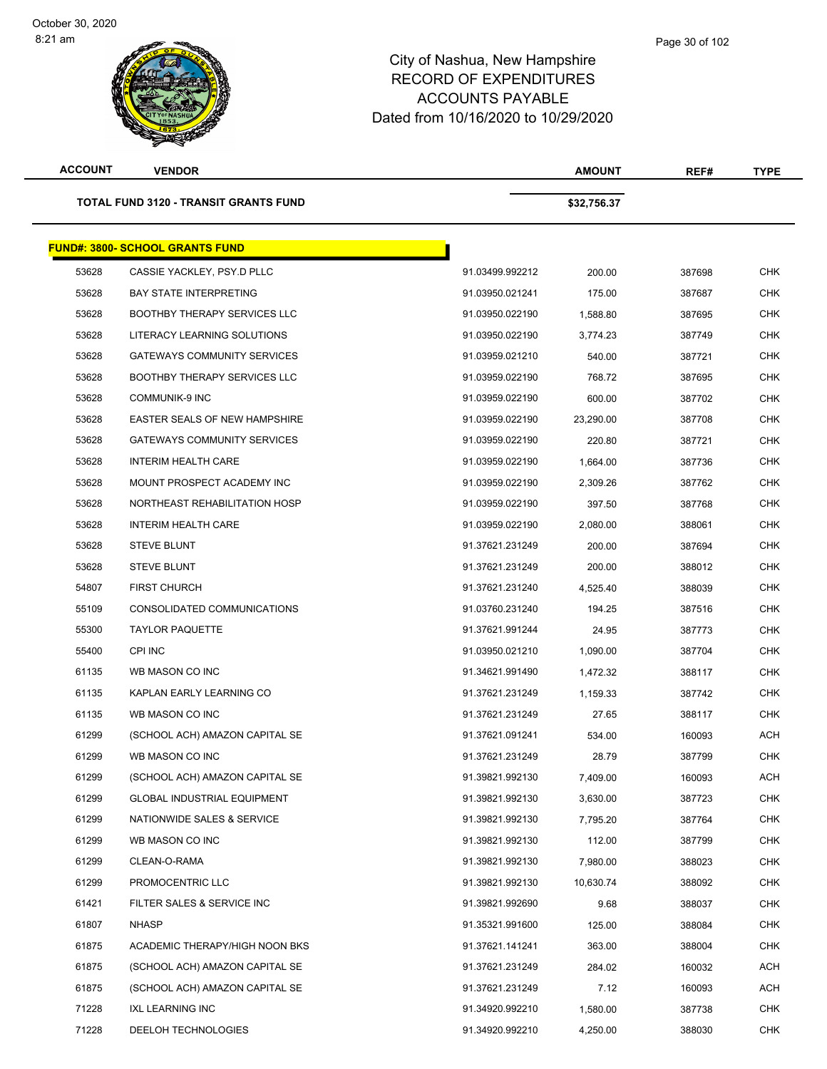**ACCOUNT VENDOR AMOUNT REF# TYPE TOTAL FUND 3120 - TRANSIT GRANTS FUND \$32,756.37 FUND#: 3800- SCHOOL GRANTS FUND** CASSIE YACKLEY, PSY.D PLLC 91.03499.992212 200.00 387698 CHK BAY STATE INTERPRETING 91.03950.021241 175.00 387687 CHK BOOTHBY THERAPY SERVICES LLC 91.03950.022190 1,588.80 387695 CHK LITERACY LEARNING SOLUTIONS 91.03950.022190 3,774.23 387749 CHK GATEWAYS COMMUNITY SERVICES 91.03959.021210 540.00 387721 CHK BOOTHBY THERAPY SERVICES LLC 91.03959.022190 768.72 387695 CHK COMMUNIK-9 INC 91.03959.022190 600.00 387702 CHK EASTER SEALS OF NEW HAMPSHIRE 91.03959.022190 23,290.00 387708 CHK GATEWAYS COMMUNITY SERVICES 91.03959.022190 220.80 387721 CHK INTERIM HEALTH CARE 91.03959.022190 1,664.00 387736 CHK MOUNT PROSPECT ACADEMY INC 91.03959.022190 2,309.26 387762 CHK NORTHEAST REHABILITATION HOSP 91.03959.022190 397.50 387768 CHK INTERIM HEALTH CARE 91.03959.022190 2,080.00 388061 CHK STEVE BLUNT 91.37621.231249 200.00 387694 CHK STEVE BLUNT 91.37621.231249 200.00 388012 CHK FIRST CHURCH 91.37621.231240 4,525.40 388039 CHK CONSOLIDATED COMMUNICATIONS 91.03760.231240 194.25 387516 CHK TAYLOR PAQUETTE 91.37621.991244 24.95 387773 CHK CPI INC 91.03950.021210 1,090.00 387704 CHK WB MASON CO INC 91.34621.991490 1,472.32 388117 CHK KAPLAN EARLY LEARNING CO 91.37621.231249 1,159.33 387742 CHK WB MASON CO INC 91.37621.231249 27.65 388117 CHK (SCHOOL ACH) AMAZON CAPITAL SE 91.37621.091241 534.00 160093 ACH WB MASON CO INC 91.37621.231249 28.79 387799 CHK (SCHOOL ACH) AMAZON CAPITAL SE 91.39821.992130 7,409.00 160093 ACH GLOBAL INDUSTRIAL EQUIPMENT 91.39821.992130 3,630.00 387723 CHK NATIONWIDE SALES & SERVICE 91.39821.992130 7,795.20 387764 CHK WB MASON CO INC 91.39821.992130 112.00 387799 CHK CLEAN-O-RAMA 91.39821.992130 7,980.00 388023 CHK PROMOCENTRIC LLC 91.39821.992130 10,630.74 388092 CHK FILTER SALES & SERVICE INC 91.39821.992690 9.68 388037 CHK NHASP 91.35321.991600 125.00 388084 CHK ACADEMIC THERAPY/HIGH NOON BKS 91.37621.141241 363.00 388004 CHK (SCHOOL ACH) AMAZON CAPITAL SE 91.37621.231249 284.02 160032 ACH (SCHOOL ACH) AMAZON CAPITAL SE 91.37621.231249 7.12 160093 ACH IXL LEARNING INC 91.34920.992210 1,580.00 387738 CHK DEELOH TECHNOLOGIES 91.34920.992210 4,250.00 388030 CHK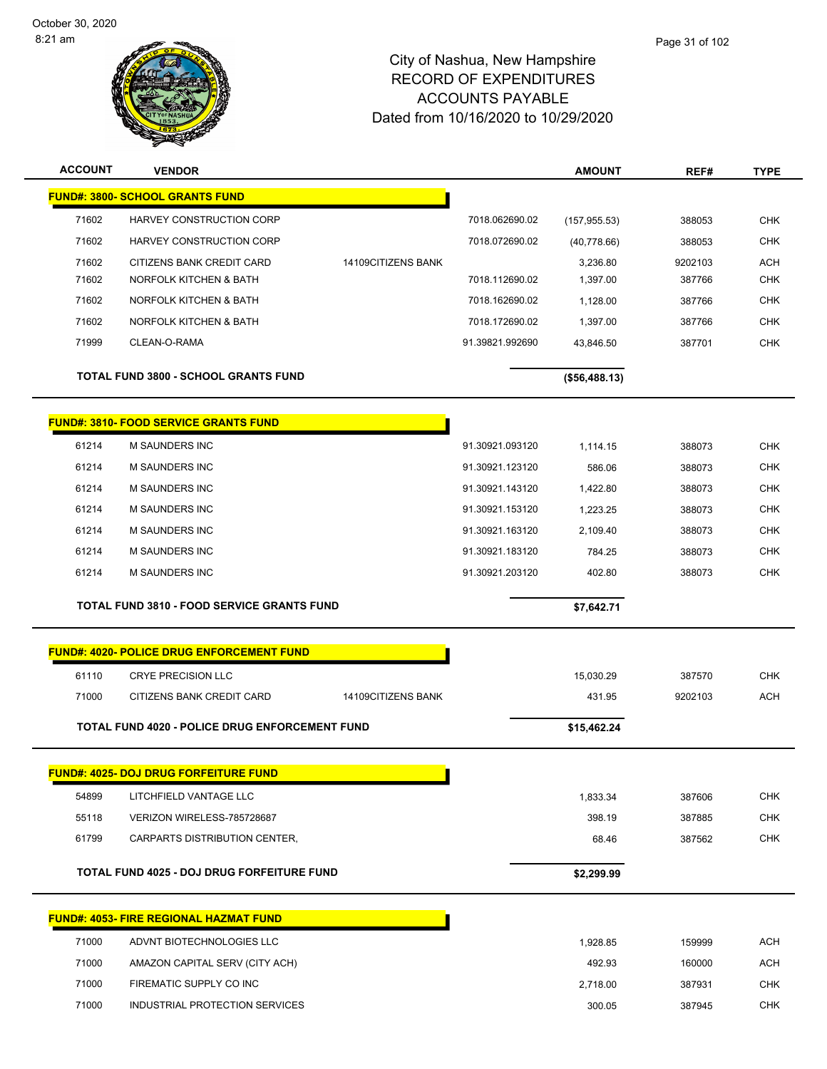

| <b>ACCOUNT</b> | <b>VENDOR</b>                                         |                    |                 | <b>AMOUNT</b> | REF#    | <b>TYPE</b> |
|----------------|-------------------------------------------------------|--------------------|-----------------|---------------|---------|-------------|
|                | <b>FUND#: 3800- SCHOOL GRANTS FUND</b>                |                    |                 |               |         |             |
| 71602          | HARVEY CONSTRUCTION CORP                              |                    | 7018.062690.02  | (157, 955.53) | 388053  | <b>CHK</b>  |
| 71602          | HARVEY CONSTRUCTION CORP                              |                    | 7018.072690.02  | (40,778.66)   | 388053  | <b>CHK</b>  |
| 71602          | CITIZENS BANK CREDIT CARD                             | 14109CITIZENS BANK |                 | 3,236.80      | 9202103 | <b>ACH</b>  |
| 71602          | NORFOLK KITCHEN & BATH                                |                    | 7018.112690.02  | 1,397.00      | 387766  | <b>CHK</b>  |
| 71602          | NORFOLK KITCHEN & BATH                                |                    | 7018.162690.02  | 1,128.00      | 387766  | <b>CHK</b>  |
| 71602          | NORFOLK KITCHEN & BATH                                |                    | 7018.172690.02  | 1,397.00      | 387766  | <b>CHK</b>  |
| 71999          | CLEAN-O-RAMA                                          |                    | 91.39821.992690 | 43,846.50     | 387701  | <b>CHK</b>  |
|                | <b>TOTAL FUND 3800 - SCHOOL GRANTS FUND</b>           |                    |                 | (\$56,488.13) |         |             |
|                | <b>FUND#: 3810- FOOD SERVICE GRANTS FUND</b>          |                    |                 |               |         |             |
| 61214          | M SAUNDERS INC                                        |                    | 91.30921.093120 | 1,114.15      | 388073  | <b>CHK</b>  |
| 61214          | M SAUNDERS INC                                        |                    | 91.30921.123120 | 586.06        | 388073  | <b>CHK</b>  |
| 61214          | M SAUNDERS INC                                        |                    | 91.30921.143120 | 1,422.80      | 388073  | <b>CHK</b>  |
| 61214          | M SAUNDERS INC                                        |                    | 91.30921.153120 | 1,223.25      | 388073  | <b>CHK</b>  |
| 61214          | <b>M SAUNDERS INC</b>                                 |                    | 91.30921.163120 | 2,109.40      | 388073  | <b>CHK</b>  |
| 61214          | M SAUNDERS INC                                        |                    | 91.30921.183120 | 784.25        | 388073  | <b>CHK</b>  |
| 61214          | M SAUNDERS INC                                        |                    | 91.30921.203120 | 402.80        | 388073  | <b>CHK</b>  |
|                | <b>TOTAL FUND 3810 - FOOD SERVICE GRANTS FUND</b>     |                    |                 | \$7,642.71    |         |             |
|                | FUND#: 4020- POLICE DRUG ENFORCEMENT FUND             |                    |                 |               |         |             |
| 61110          | <b>CRYE PRECISION LLC</b>                             |                    |                 | 15,030.29     | 387570  | <b>CHK</b>  |
| 71000          | CITIZENS BANK CREDIT CARD                             | 14109CITIZENS BANK |                 | 431.95        | 9202103 | <b>ACH</b>  |
|                | <b>TOTAL FUND 4020 - POLICE DRUG ENFORCEMENT FUND</b> |                    |                 | \$15,462.24   |         |             |
|                | <b>FUND#: 4025- DOJ DRUG FORFEITURE FUND</b>          |                    |                 |               |         |             |
| 54899          | LITCHFIELD VANTAGE LLC                                |                    |                 | 1,833.34      | 387606  | CHK         |
| 55118          | VERIZON WIRELESS-785728687                            |                    |                 | 398.19        | 387885  | <b>CHK</b>  |
| 61799          | CARPARTS DISTRIBUTION CENTER,                         |                    |                 | 68.46         | 387562  | <b>CHK</b>  |
|                | TOTAL FUND 4025 - DOJ DRUG FORFEITURE FUND            |                    |                 | \$2,299.99    |         |             |
|                | <b>FUND#: 4053- FIRE REGIONAL HAZMAT FUND</b>         |                    |                 |               |         |             |
| 71000          | ADVNT BIOTECHNOLOGIES LLC                             |                    |                 | 1,928.85      | 159999  | <b>ACH</b>  |
| 71000          | AMAZON CAPITAL SERV (CITY ACH)                        |                    |                 | 492.93        | 160000  | <b>ACH</b>  |
| 71000          | FIREMATIC SUPPLY CO INC                               |                    |                 | 2,718.00      | 387931  | <b>CHK</b>  |
| 71000          | INDUSTRIAL PROTECTION SERVICES                        |                    |                 | 300.05        | 387945  | <b>CHK</b>  |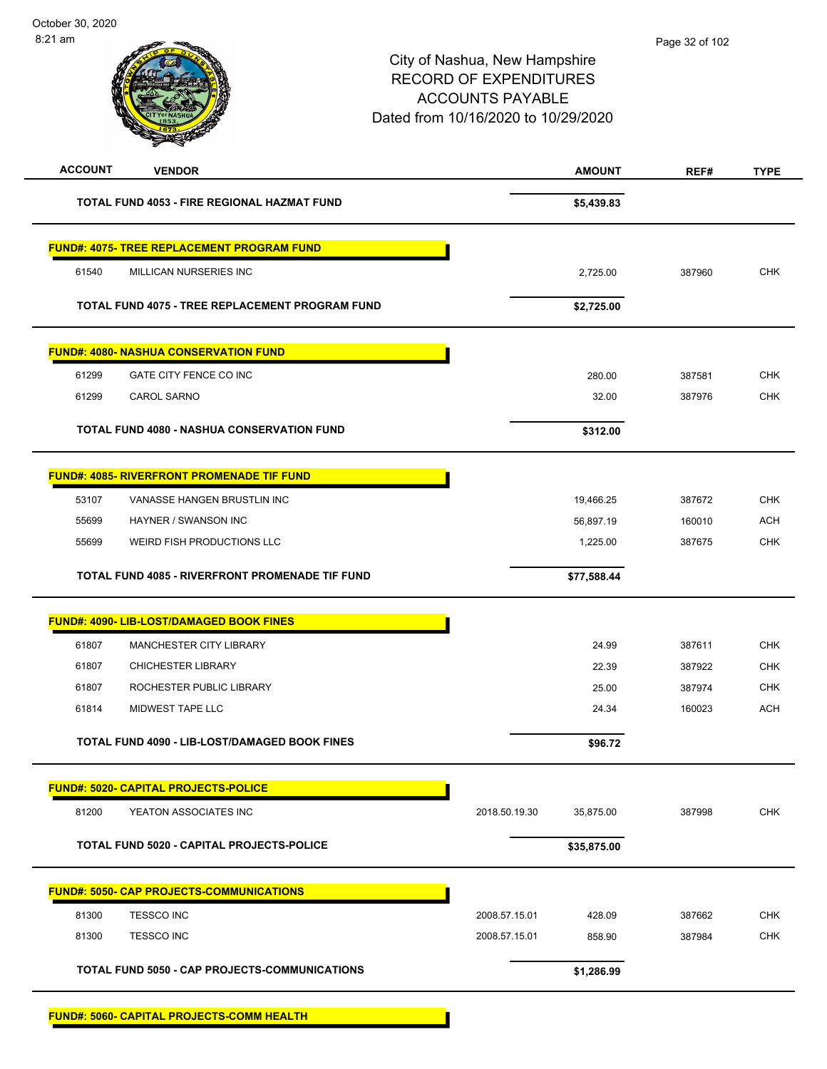| <b>ACCOUNT</b><br><b>VENDOR</b>                      | <b>AMOUNT</b>              | REF#   | <b>TYPE</b> |
|------------------------------------------------------|----------------------------|--------|-------------|
| <b>TOTAL FUND 4053 - FIRE REGIONAL HAZMAT FUND</b>   | \$5,439.83                 |        |             |
| <b>FUND#: 4075- TREE REPLACEMENT PROGRAM FUND</b>    |                            |        |             |
| 61540<br>MILLICAN NURSERIES INC                      | 2,725.00                   | 387960 | <b>CHK</b>  |
| TOTAL FUND 4075 - TREE REPLACEMENT PROGRAM FUND      | \$2,725.00                 |        |             |
| <b>FUND#: 4080- NASHUA CONSERVATION FUND</b>         |                            |        |             |
| 61299<br>GATE CITY FENCE CO INC                      | 280.00                     | 387581 | <b>CHK</b>  |
| 61299<br><b>CAROL SARNO</b>                          | 32.00                      | 387976 | <b>CHK</b>  |
| <b>TOTAL FUND 4080 - NASHUA CONSERVATION FUND</b>    | \$312.00                   |        |             |
| <u> FUND#: 4085- RIVERFRONT PROMENADE TIF FUND</u>   |                            |        |             |
| VANASSE HANGEN BRUSTLIN INC<br>53107                 | 19,466.25                  | 387672 | <b>CHK</b>  |
| 55699<br>HAYNER / SWANSON INC                        | 56,897.19                  | 160010 | <b>ACH</b>  |
| WEIRD FISH PRODUCTIONS LLC<br>55699                  | 1,225.00                   | 387675 | <b>CHK</b>  |
| TOTAL FUND 4085 - RIVERFRONT PROMENADE TIF FUND      | \$77,588.44                |        |             |
| FUND#: 4090- LIB-LOST/DAMAGED BOOK FINES             |                            |        |             |
| 61807<br>MANCHESTER CITY LIBRARY                     | 24.99                      | 387611 | <b>CHK</b>  |
| 61807<br><b>CHICHESTER LIBRARY</b>                   | 22.39                      | 387922 | <b>CHK</b>  |
| 61807<br>ROCHESTER PUBLIC LIBRARY                    | 25.00                      | 387974 | <b>CHK</b>  |
| 61814<br>MIDWEST TAPE LLC                            | 24.34                      | 160023 | <b>ACH</b>  |
| <b>TOTAL FUND 4090 - LIB-LOST/DAMAGED BOOK FINES</b> | \$96.72                    |        |             |
| <b>FUND#: 5020- CAPITAL PROJECTS-POLICE</b>          |                            |        |             |
| 81200<br>YEATON ASSOCIATES INC                       | 2018.50.19.30<br>35,875.00 | 387998 | <b>CHK</b>  |
| TOTAL FUND 5020 - CAPITAL PROJECTS-POLICE            | \$35,875.00                |        |             |
| <b>FUND#: 5050- CAP PROJECTS-COMMUNICATIONS</b>      |                            |        |             |
| 81300<br><b>TESSCO INC</b>                           | 2008.57.15.01<br>428.09    | 387662 | <b>CHK</b>  |
| 81300<br><b>TESSCO INC</b>                           | 2008.57.15.01<br>858.90    | 387984 | <b>CHK</b>  |
| TOTAL FUND 5050 - CAP PROJECTS-COMMUNICATIONS        | \$1,286.99                 |        |             |
| <b>FUND#: 5060- CAPITAL PROJECTS-COMM HEALTH</b>     |                            |        |             |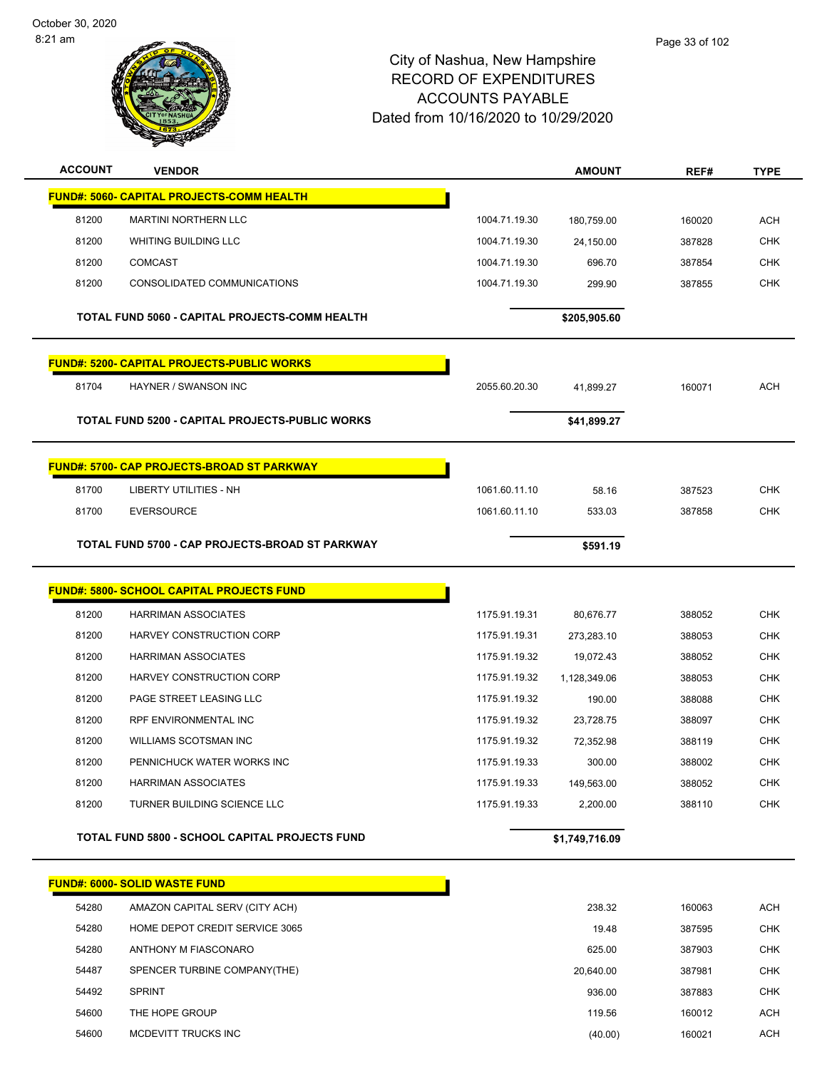

| <b>ACCOUNT</b> | <b>VENDOR</b>                                         |               | <b>AMOUNT</b>  | REF#   | <b>TYPE</b> |
|----------------|-------------------------------------------------------|---------------|----------------|--------|-------------|
|                | FUND#: 5060- CAPITAL PROJECTS-COMM HEALTH             |               |                |        |             |
| 81200          | <b>MARTINI NORTHERN LLC</b>                           | 1004.71.19.30 | 180,759.00     | 160020 | <b>ACH</b>  |
| 81200          | <b>WHITING BUILDING LLC</b>                           | 1004.71.19.30 | 24,150.00      | 387828 | <b>CHK</b>  |
| 81200          | <b>COMCAST</b>                                        | 1004.71.19.30 | 696.70         | 387854 | <b>CHK</b>  |
| 81200          | CONSOLIDATED COMMUNICATIONS                           | 1004.71.19.30 | 299.90         | 387855 | <b>CHK</b>  |
|                | TOTAL FUND 5060 - CAPITAL PROJECTS-COMM HEALTH        |               | \$205,905.60   |        |             |
|                | <b>FUND#: 5200- CAPITAL PROJECTS-PUBLIC WORKS</b>     |               |                |        |             |
| 81704          | HAYNER / SWANSON INC                                  | 2055.60.20.30 | 41,899.27      | 160071 | <b>ACH</b>  |
|                | TOTAL FUND 5200 - CAPITAL PROJECTS-PUBLIC WORKS       |               | \$41,899.27    |        |             |
|                | <b>FUND#: 5700- CAP PROJECTS-BROAD ST PARKWAY</b>     |               |                |        |             |
| 81700          | <b>LIBERTY UTILITIES - NH</b>                         | 1061.60.11.10 | 58.16          | 387523 | <b>CHK</b>  |
| 81700          | <b>EVERSOURCE</b>                                     | 1061.60.11.10 | 533.03         | 387858 | <b>CHK</b>  |
|                | TOTAL FUND 5700 - CAP PROJECTS-BROAD ST PARKWAY       |               | \$591.19       |        |             |
|                |                                                       |               |                |        |             |
|                | <b>FUND#: 5800- SCHOOL CAPITAL PROJECTS FUND</b>      |               |                |        |             |
| 81200          | <b>HARRIMAN ASSOCIATES</b>                            | 1175.91.19.31 | 80,676.77      | 388052 | <b>CHK</b>  |
| 81200          | HARVEY CONSTRUCTION CORP                              | 1175.91.19.31 | 273,283.10     | 388053 | <b>CHK</b>  |
| 81200          | <b>HARRIMAN ASSOCIATES</b>                            | 1175.91.19.32 | 19,072.43      | 388052 | <b>CHK</b>  |
| 81200          | HARVEY CONSTRUCTION CORP                              | 1175.91.19.32 | 1,128,349.06   | 388053 | <b>CHK</b>  |
| 81200          | PAGE STREET LEASING LLC                               | 1175.91.19.32 | 190.00         | 388088 | <b>CHK</b>  |
| 81200          | RPF ENVIRONMENTAL INC                                 | 1175.91.19.32 | 23,728.75      | 388097 | <b>CHK</b>  |
| 81200          | <b>WILLIAMS SCOTSMAN INC</b>                          | 1175.91.19.32 | 72,352.98      | 388119 | CHK         |
| 81200          | PENNICHUCK WATER WORKS INC                            | 1175.91.19.33 | 300.00         | 388002 | <b>CHK</b>  |
| 81200          | <b>HARRIMAN ASSOCIATES</b>                            | 1175.91.19.33 | 149,563.00     | 388052 | <b>CHK</b>  |
| 81200          | TURNER BUILDING SCIENCE LLC                           | 1175.91.19.33 | 2,200.00       | 388110 | <b>CHK</b>  |
|                | <b>TOTAL FUND 5800 - SCHOOL CAPITAL PROJECTS FUND</b> |               | \$1,749,716.09 |        |             |
|                | <b>FUND#: 6000- SOLID WASTE FUND</b>                  |               |                |        |             |
| 54280          | AMAZON CAPITAL SERV (CITY ACH)                        |               | 238.32         | 160063 | <b>ACH</b>  |
| 54280          | HOME DEPOT CREDIT SERVICE 3065                        |               | 19.48          | 387595 | <b>CHK</b>  |
| 54280          | ANTHONY M FIASCONARO                                  |               | 625.00         | 387903 | <b>CHK</b>  |
| 54487          | SPENCER TURBINE COMPANY(THE)                          |               | 20,640.00      | 387981 | <b>CHK</b>  |
| 54492          | <b>SPRINT</b>                                         |               | 936.00         | 387883 | <b>CHK</b>  |
| 54600          | THE HOPE GROUP                                        |               | 119.56         | 160012 | <b>ACH</b>  |
| 54600          | MCDEVITT TRUCKS INC                                   |               | (40.00)        | 160021 | <b>ACH</b>  |
|                |                                                       |               |                |        |             |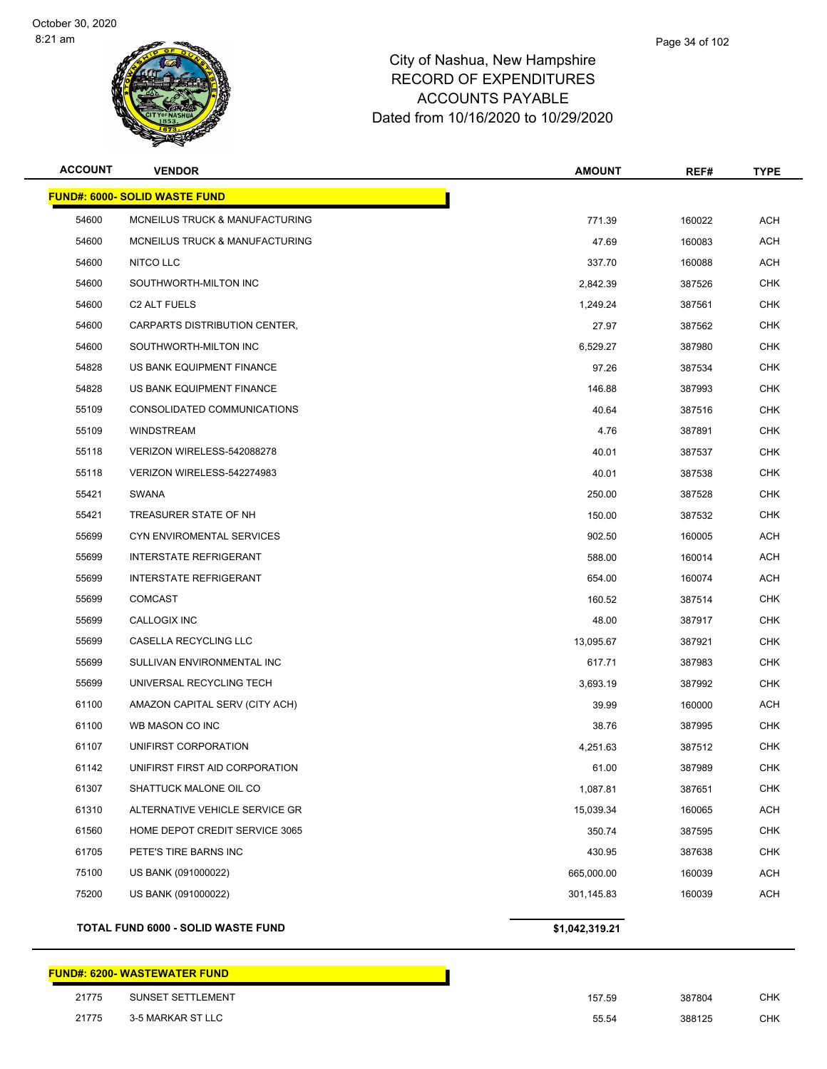

| <b>ACCOUNT</b> | <b>VENDOR</b>                        | <b>AMOUNT</b>  | REF#   | <b>TYPE</b> |
|----------------|--------------------------------------|----------------|--------|-------------|
|                | <b>FUND#: 6000- SOLID WASTE FUND</b> |                |        |             |
| 54600          | MCNEILUS TRUCK & MANUFACTURING       | 771.39         | 160022 | <b>ACH</b>  |
| 54600          | MCNEILUS TRUCK & MANUFACTURING       | 47.69          | 160083 | <b>ACH</b>  |
| 54600          | NITCO LLC                            | 337.70         | 160088 | <b>ACH</b>  |
| 54600          | SOUTHWORTH-MILTON INC                | 2,842.39       | 387526 | <b>CHK</b>  |
| 54600          | C <sub>2</sub> ALT FUELS             | 1,249.24       | 387561 | <b>CHK</b>  |
| 54600          | CARPARTS DISTRIBUTION CENTER,        | 27.97          | 387562 | <b>CHK</b>  |
| 54600          | SOUTHWORTH-MILTON INC                | 6,529.27       | 387980 | <b>CHK</b>  |
| 54828          | US BANK EQUIPMENT FINANCE            | 97.26          | 387534 | <b>CHK</b>  |
| 54828          | US BANK EQUIPMENT FINANCE            | 146.88         | 387993 | <b>CHK</b>  |
| 55109          | CONSOLIDATED COMMUNICATIONS          | 40.64          | 387516 | <b>CHK</b>  |
| 55109          | <b>WINDSTREAM</b>                    | 4.76           | 387891 | <b>CHK</b>  |
| 55118          | VERIZON WIRELESS-542088278           | 40.01          | 387537 | <b>CHK</b>  |
| 55118          | VERIZON WIRELESS-542274983           | 40.01          | 387538 | CHK         |
| 55421          | <b>SWANA</b>                         | 250.00         | 387528 | <b>CHK</b>  |
| 55421          | TREASURER STATE OF NH                | 150.00         | 387532 | <b>CHK</b>  |
| 55699          | CYN ENVIROMENTAL SERVICES            | 902.50         | 160005 | <b>ACH</b>  |
| 55699          | <b>INTERSTATE REFRIGERANT</b>        | 588.00         | 160014 | <b>ACH</b>  |
| 55699          | <b>INTERSTATE REFRIGERANT</b>        | 654.00         | 160074 | <b>ACH</b>  |
| 55699          | <b>COMCAST</b>                       | 160.52         | 387514 | <b>CHK</b>  |
| 55699          | CALLOGIX INC                         | 48.00          | 387917 | <b>CHK</b>  |
| 55699          | CASELLA RECYCLING LLC                | 13,095.67      | 387921 | <b>CHK</b>  |
| 55699          | SULLIVAN ENVIRONMENTAL INC           | 617.71         | 387983 | <b>CHK</b>  |
| 55699          | UNIVERSAL RECYCLING TECH             | 3,693.19       | 387992 | <b>CHK</b>  |
| 61100          | AMAZON CAPITAL SERV (CITY ACH)       | 39.99          | 160000 | <b>ACH</b>  |
| 61100          | WB MASON CO INC                      | 38.76          | 387995 | CHK         |
| 61107          | UNIFIRST CORPORATION                 | 4,251.63       | 387512 | <b>CHK</b>  |
| 61142          | UNIFIRST FIRST AID CORPORATION       | 61.00          | 387989 | <b>CHK</b>  |
| 61307          | SHATTUCK MALONE OIL CO               | 1,087.81       | 387651 | <b>CHK</b>  |
| 61310          | ALTERNATIVE VEHICLE SERVICE GR       | 15,039.34      | 160065 | <b>ACH</b>  |
| 61560          | HOME DEPOT CREDIT SERVICE 3065       | 350.74         | 387595 | <b>CHK</b>  |
| 61705          | PETE'S TIRE BARNS INC                | 430.95         | 387638 | <b>CHK</b>  |
| 75100          | US BANK (091000022)                  | 665,000.00     | 160039 | <b>ACH</b>  |
| 75200          | US BANK (091000022)                  | 301,145.83     | 160039 | <b>ACH</b>  |
|                | TOTAL FUND 6000 - SOLID WASTE FUND   | \$1,042,319.21 |        |             |

|       | FUND#: 6200- WASTEWATER FUND_ |        |        |     |
|-------|-------------------------------|--------|--------|-----|
| 21775 | SUNSET SETTLEMENT             | 157.59 | 387804 | СНК |
| 21775 | 3-5 MARKAR ST LLC             | 55.54  | 388125 | СНК |

| 7.59 | 387804 | CHK |
|------|--------|-----|
| 5.54 | 388125 | CHK |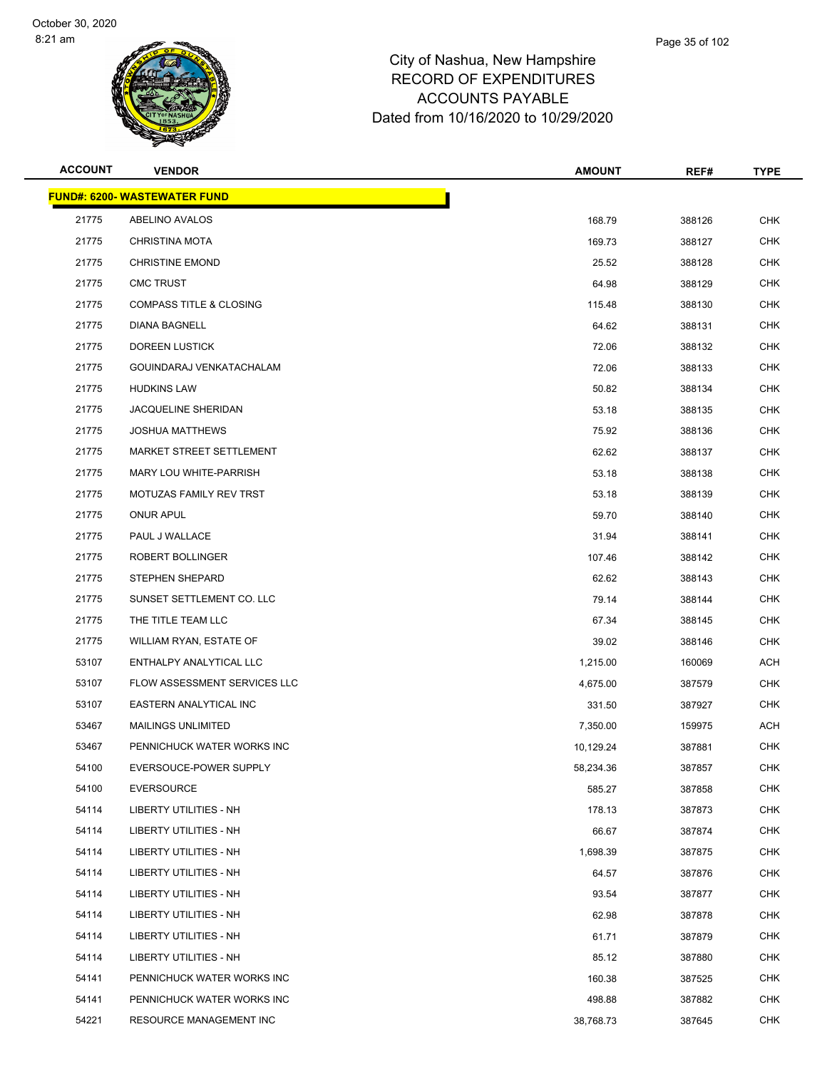

| <b>ACCOUNT</b> | <b>VENDOR</b>                       | <b>AMOUNT</b> | REF#   | <b>TYPE</b> |
|----------------|-------------------------------------|---------------|--------|-------------|
|                | <b>FUND#: 6200- WASTEWATER FUND</b> |               |        |             |
| 21775          | ABELINO AVALOS                      | 168.79        | 388126 | <b>CHK</b>  |
| 21775          | <b>CHRISTINA MOTA</b>               | 169.73        | 388127 | CHK         |
| 21775          | <b>CHRISTINE EMOND</b>              | 25.52         | 388128 | CHK         |
| 21775          | <b>CMC TRUST</b>                    | 64.98         | 388129 | <b>CHK</b>  |
| 21775          | <b>COMPASS TITLE &amp; CLOSING</b>  | 115.48        | 388130 | <b>CHK</b>  |
| 21775          | <b>DIANA BAGNELL</b>                | 64.62         | 388131 | <b>CHK</b>  |
| 21775          | DOREEN LUSTICK                      | 72.06         | 388132 | <b>CHK</b>  |
| 21775          | GOUINDARAJ VENKATACHALAM            | 72.06         | 388133 | CHK         |
| 21775          | <b>HUDKINS LAW</b>                  | 50.82         | 388134 | <b>CHK</b>  |
| 21775          | JACQUELINE SHERIDAN                 | 53.18         | 388135 | <b>CHK</b>  |
| 21775          | <b>JOSHUA MATTHEWS</b>              | 75.92         | 388136 | <b>CHK</b>  |
| 21775          | MARKET STREET SETTLEMENT            | 62.62         | 388137 | <b>CHK</b>  |
| 21775          | MARY LOU WHITE-PARRISH              | 53.18         | 388138 | CHK         |
| 21775          | MOTUZAS FAMILY REV TRST             | 53.18         | 388139 | <b>CHK</b>  |
| 21775          | <b>ONUR APUL</b>                    | 59.70         | 388140 | <b>CHK</b>  |
| 21775          | PAUL J WALLACE                      | 31.94         | 388141 | <b>CHK</b>  |
| 21775          | ROBERT BOLLINGER                    | 107.46        | 388142 | <b>CHK</b>  |
| 21775          | STEPHEN SHEPARD                     | 62.62         | 388143 | CHK         |
| 21775          | SUNSET SETTLEMENT CO. LLC           | 79.14         | 388144 | <b>CHK</b>  |
| 21775          | THE TITLE TEAM LLC                  | 67.34         | 388145 | <b>CHK</b>  |
| 21775          | WILLIAM RYAN, ESTATE OF             | 39.02         | 388146 | <b>CHK</b>  |
| 53107          | ENTHALPY ANALYTICAL LLC             | 1,215.00      | 160069 | <b>ACH</b>  |
| 53107          | FLOW ASSESSMENT SERVICES LLC        | 4,675.00      | 387579 | CHK         |
| 53107          | EASTERN ANALYTICAL INC              | 331.50        | 387927 | <b>CHK</b>  |
| 53467          | MAILINGS UNLIMITED                  | 7,350.00      | 159975 | ACH         |
| 53467          | PENNICHUCK WATER WORKS INC          | 10,129.24     | 387881 | <b>CHK</b>  |
| 54100          | EVERSOUCE-POWER SUPPLY              | 58,234.36     | 387857 | CHK         |
| 54100          | <b>EVERSOURCE</b>                   | 585.27        | 387858 | <b>CHK</b>  |
| 54114          | <b>LIBERTY UTILITIES - NH</b>       | 178.13        | 387873 | <b>CHK</b>  |
| 54114          | LIBERTY UTILITIES - NH              | 66.67         | 387874 | <b>CHK</b>  |
| 54114          | LIBERTY UTILITIES - NH              | 1,698.39      | 387875 | <b>CHK</b>  |
| 54114          | LIBERTY UTILITIES - NH              | 64.57         | 387876 | <b>CHK</b>  |
| 54114          | <b>LIBERTY UTILITIES - NH</b>       | 93.54         | 387877 | <b>CHK</b>  |
| 54114          | LIBERTY UTILITIES - NH              | 62.98         | 387878 | <b>CHK</b>  |
| 54114          | LIBERTY UTILITIES - NH              | 61.71         | 387879 | <b>CHK</b>  |
| 54114          | LIBERTY UTILITIES - NH              | 85.12         | 387880 | <b>CHK</b>  |
| 54141          | PENNICHUCK WATER WORKS INC          | 160.38        | 387525 | <b>CHK</b>  |
| 54141          | PENNICHUCK WATER WORKS INC          | 498.88        | 387882 | CHK         |
| 54221          | RESOURCE MANAGEMENT INC             | 38,768.73     | 387645 | <b>CHK</b>  |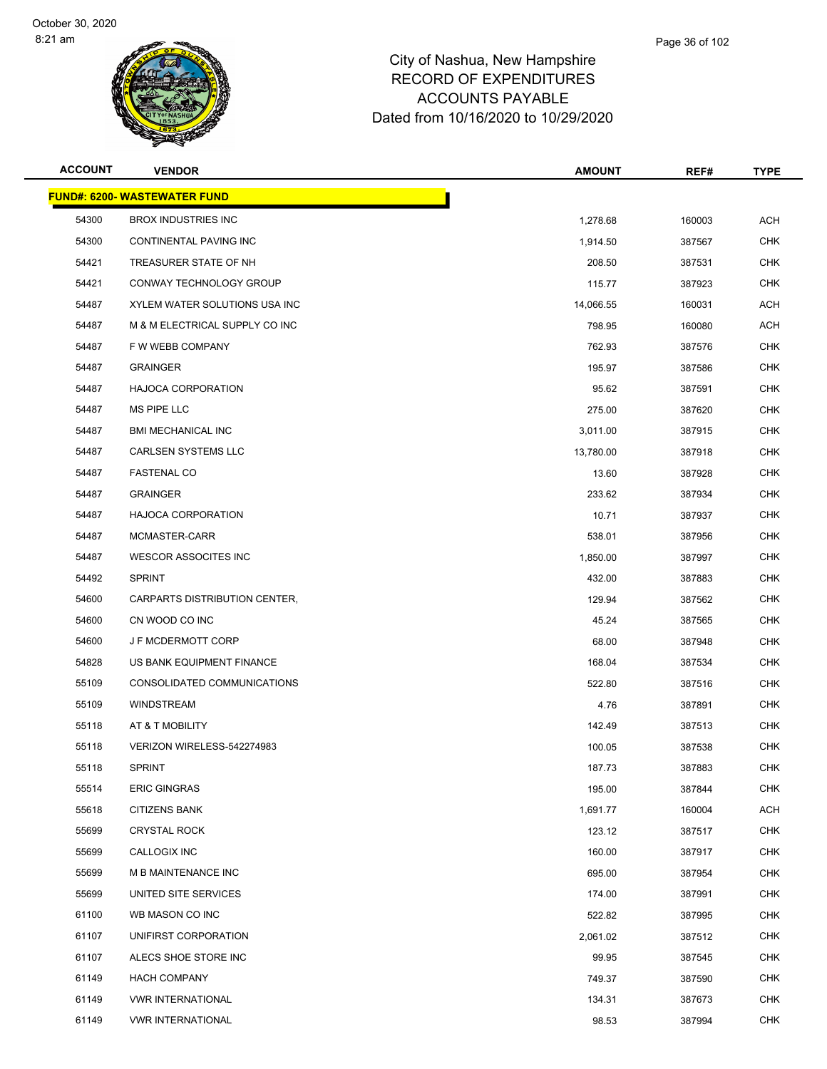

| <b>ACCOUNT</b> | <b>VENDOR</b>                       | <b>AMOUNT</b> | REF#   | <b>TYPE</b> |
|----------------|-------------------------------------|---------------|--------|-------------|
|                | <b>FUND#: 6200- WASTEWATER FUND</b> |               |        |             |
| 54300          | <b>BROX INDUSTRIES INC</b>          | 1,278.68      | 160003 | <b>ACH</b>  |
| 54300          | CONTINENTAL PAVING INC              | 1,914.50      | 387567 | <b>CHK</b>  |
| 54421          | TREASURER STATE OF NH               | 208.50        | 387531 | <b>CHK</b>  |
| 54421          | CONWAY TECHNOLOGY GROUP             | 115.77        | 387923 | <b>CHK</b>  |
| 54487          | XYLEM WATER SOLUTIONS USA INC       | 14,066.55     | 160031 | <b>ACH</b>  |
| 54487          | M & M ELECTRICAL SUPPLY CO INC      | 798.95        | 160080 | <b>ACH</b>  |
| 54487          | F W WEBB COMPANY                    | 762.93        | 387576 | <b>CHK</b>  |
| 54487          | <b>GRAINGER</b>                     | 195.97        | 387586 | <b>CHK</b>  |
| 54487          | <b>HAJOCA CORPORATION</b>           | 95.62         | 387591 | <b>CHK</b>  |
| 54487          | MS PIPE LLC                         | 275.00        | 387620 | <b>CHK</b>  |
| 54487          | <b>BMI MECHANICAL INC</b>           | 3,011.00      | 387915 | <b>CHK</b>  |
| 54487          | <b>CARLSEN SYSTEMS LLC</b>          | 13,780.00     | 387918 | <b>CHK</b>  |
| 54487          | <b>FASTENAL CO</b>                  | 13.60         | 387928 | <b>CHK</b>  |
| 54487          | <b>GRAINGER</b>                     | 233.62        | 387934 | <b>CHK</b>  |
| 54487          | <b>HAJOCA CORPORATION</b>           | 10.71         | 387937 | <b>CHK</b>  |
| 54487          | MCMASTER-CARR                       | 538.01        | 387956 | <b>CHK</b>  |
| 54487          | WESCOR ASSOCITES INC                | 1,850.00      | 387997 | <b>CHK</b>  |
| 54492          | <b>SPRINT</b>                       | 432.00        | 387883 | <b>CHK</b>  |
| 54600          | CARPARTS DISTRIBUTION CENTER,       | 129.94        | 387562 | CHK         |
| 54600          | CN WOOD CO INC                      | 45.24         | 387565 | <b>CHK</b>  |
| 54600          | <b>JF MCDERMOTT CORP</b>            | 68.00         | 387948 | <b>CHK</b>  |
| 54828          | US BANK EQUIPMENT FINANCE           | 168.04        | 387534 | <b>CHK</b>  |
| 55109          | CONSOLIDATED COMMUNICATIONS         | 522.80        | 387516 | <b>CHK</b>  |
| 55109          | <b>WINDSTREAM</b>                   | 4.76          | 387891 | CHK         |
| 55118          | AT & T MOBILITY                     | 142.49        | 387513 | <b>CHK</b>  |
| 55118          | VERIZON WIRELESS-542274983          | 100.05        | 387538 | <b>CHK</b>  |
| 55118          | <b>SPRINT</b>                       | 187.73        | 387883 | CHK         |
| 55514          | <b>ERIC GINGRAS</b>                 | 195.00        | 387844 | CHK         |
| 55618          | <b>CITIZENS BANK</b>                | 1,691.77      | 160004 | <b>ACH</b>  |
| 55699          | <b>CRYSTAL ROCK</b>                 | 123.12        | 387517 | <b>CHK</b>  |
| 55699          | CALLOGIX INC                        | 160.00        | 387917 | <b>CHK</b>  |
| 55699          | M B MAINTENANCE INC                 | 695.00        | 387954 | <b>CHK</b>  |
| 55699          | UNITED SITE SERVICES                | 174.00        | 387991 | <b>CHK</b>  |
| 61100          | WB MASON CO INC                     | 522.82        | 387995 | <b>CHK</b>  |
| 61107          | UNIFIRST CORPORATION                | 2,061.02      | 387512 | <b>CHK</b>  |
| 61107          | ALECS SHOE STORE INC                | 99.95         | 387545 | <b>CHK</b>  |
| 61149          | <b>HACH COMPANY</b>                 | 749.37        | 387590 | <b>CHK</b>  |
| 61149          | <b>VWR INTERNATIONAL</b>            | 134.31        | 387673 | <b>CHK</b>  |
| 61149          | <b>VWR INTERNATIONAL</b>            | 98.53         | 387994 | <b>CHK</b>  |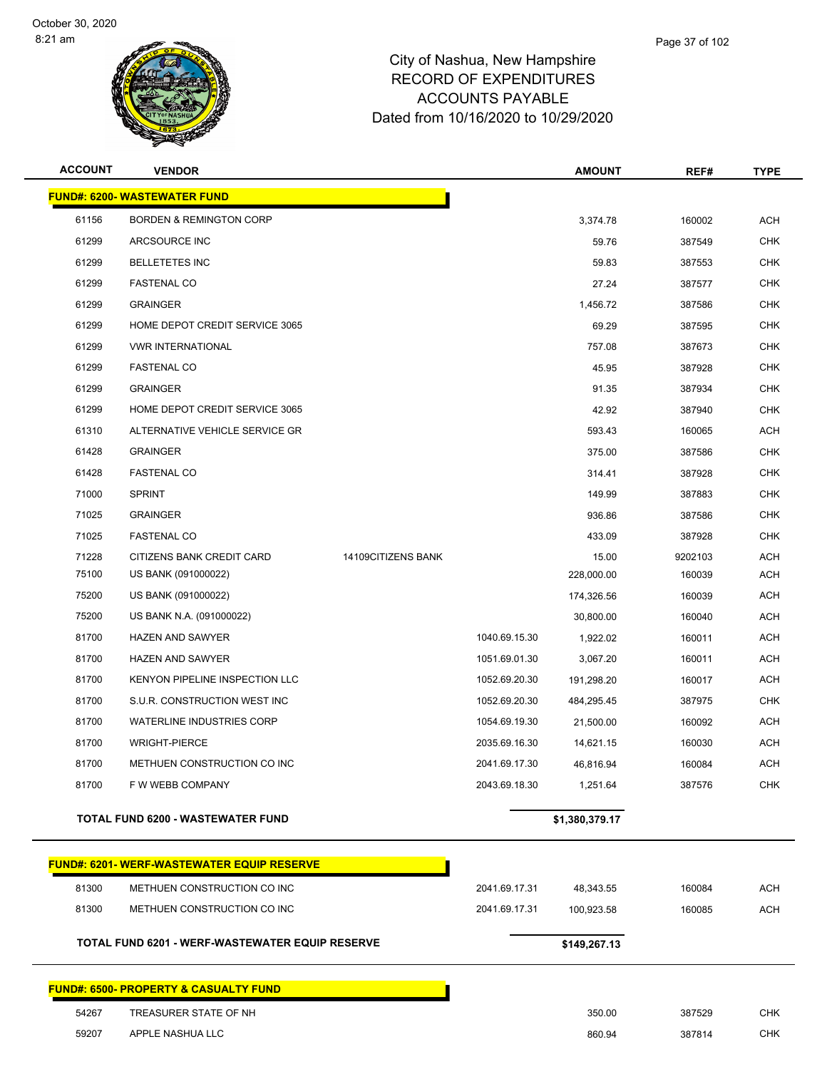

| <b>ACCOUNT</b> | <b>VENDOR</b>                                     |                    |               | <b>AMOUNT</b>  | REF#    | <b>TYPE</b> |
|----------------|---------------------------------------------------|--------------------|---------------|----------------|---------|-------------|
|                | <b>FUND#: 6200- WASTEWATER FUND</b>               |                    |               |                |         |             |
| 61156          | <b>BORDEN &amp; REMINGTON CORP</b>                |                    |               | 3,374.78       | 160002  | <b>ACH</b>  |
| 61299          | ARCSOURCE INC                                     |                    |               | 59.76          | 387549  | <b>CHK</b>  |
| 61299          | <b>BELLETETES INC</b>                             |                    |               | 59.83          | 387553  | <b>CHK</b>  |
| 61299          | <b>FASTENAL CO</b>                                |                    |               | 27.24          | 387577  | <b>CHK</b>  |
| 61299          | <b>GRAINGER</b>                                   |                    |               | 1,456.72       | 387586  | <b>CHK</b>  |
| 61299          | HOME DEPOT CREDIT SERVICE 3065                    |                    |               | 69.29          | 387595  | <b>CHK</b>  |
| 61299          | <b>VWR INTERNATIONAL</b>                          |                    |               | 757.08         | 387673  | <b>CHK</b>  |
| 61299          | <b>FASTENAL CO</b>                                |                    |               | 45.95          | 387928  | <b>CHK</b>  |
| 61299          | <b>GRAINGER</b>                                   |                    |               | 91.35          | 387934  | <b>CHK</b>  |
| 61299          | HOME DEPOT CREDIT SERVICE 3065                    |                    |               | 42.92          | 387940  | <b>CHK</b>  |
| 61310          | ALTERNATIVE VEHICLE SERVICE GR                    |                    |               | 593.43         | 160065  | ACH         |
| 61428          | <b>GRAINGER</b>                                   |                    |               | 375.00         | 387586  | <b>CHK</b>  |
| 61428          | <b>FASTENAL CO</b>                                |                    |               | 314.41         | 387928  | <b>CHK</b>  |
| 71000          | <b>SPRINT</b>                                     |                    |               | 149.99         | 387883  | <b>CHK</b>  |
| 71025          | <b>GRAINGER</b>                                   |                    |               | 936.86         | 387586  | <b>CHK</b>  |
| 71025          | <b>FASTENAL CO</b>                                |                    |               | 433.09         | 387928  | <b>CHK</b>  |
| 71228          | CITIZENS BANK CREDIT CARD                         | 14109CITIZENS BANK |               | 15.00          | 9202103 | <b>ACH</b>  |
| 75100          | US BANK (091000022)                               |                    |               | 228,000.00     | 160039  | <b>ACH</b>  |
| 75200          | US BANK (091000022)                               |                    |               | 174,326.56     | 160039  | <b>ACH</b>  |
| 75200          | US BANK N.A. (091000022)                          |                    |               | 30,800.00      | 160040  | <b>ACH</b>  |
| 81700          | <b>HAZEN AND SAWYER</b>                           |                    | 1040.69.15.30 | 1,922.02       | 160011  | <b>ACH</b>  |
| 81700          | <b>HAZEN AND SAWYER</b>                           |                    | 1051.69.01.30 | 3,067.20       | 160011  | <b>ACH</b>  |
| 81700          | KENYON PIPELINE INSPECTION LLC                    |                    | 1052.69.20.30 | 191,298.20     | 160017  | <b>ACH</b>  |
| 81700          | S.U.R. CONSTRUCTION WEST INC                      |                    | 1052.69.20.30 | 484,295.45     | 387975  | <b>CHK</b>  |
| 81700          | <b>WATERLINE INDUSTRIES CORP</b>                  |                    | 1054.69.19.30 | 21,500.00      | 160092  | <b>ACH</b>  |
| 81700          | <b>WRIGHT-PIERCE</b>                              |                    | 2035.69.16.30 | 14,621.15      | 160030  | ACH         |
| 81700          | METHUEN CONSTRUCTION CO INC                       |                    | 2041.69.17.30 | 46,816.94      | 160084  | <b>ACH</b>  |
| 81700          | F W WEBB COMPANY                                  |                    | 2043.69.18.30 | 1,251.64       | 387576  | CHK         |
|                | TOTAL FUND 6200 - WASTEWATER FUND                 |                    |               | \$1,380,379.17 |         |             |
|                | <b>FUND#: 6201- WERF-WASTEWATER EQUIP RESERVE</b> |                    |               |                |         |             |
| 81300          | METHUEN CONSTRUCTION CO INC                       |                    | 2041.69.17.31 | 48,343.55      | 160084  | <b>ACH</b>  |
| 81300          | METHUEN CONSTRUCTION CO INC                       |                    | 2041.69.17.31 | 100,923.58     | 160085  | ACH         |
|                | TOTAL FUND 6201 - WERF-WASTEWATER EQUIP RESERVE   |                    |               | \$149,267.13   |         |             |
|                | FUND#: 6500- PROPERTY & CASUALTY FUND             |                    |               |                |         |             |

TREASURER STATE OF NH 350.00 387529 CHK

| 9207ء | APPLE NASHUA LLC |
|-------|------------------|

APPLE NASHUA LLC 860.94 387814 CHK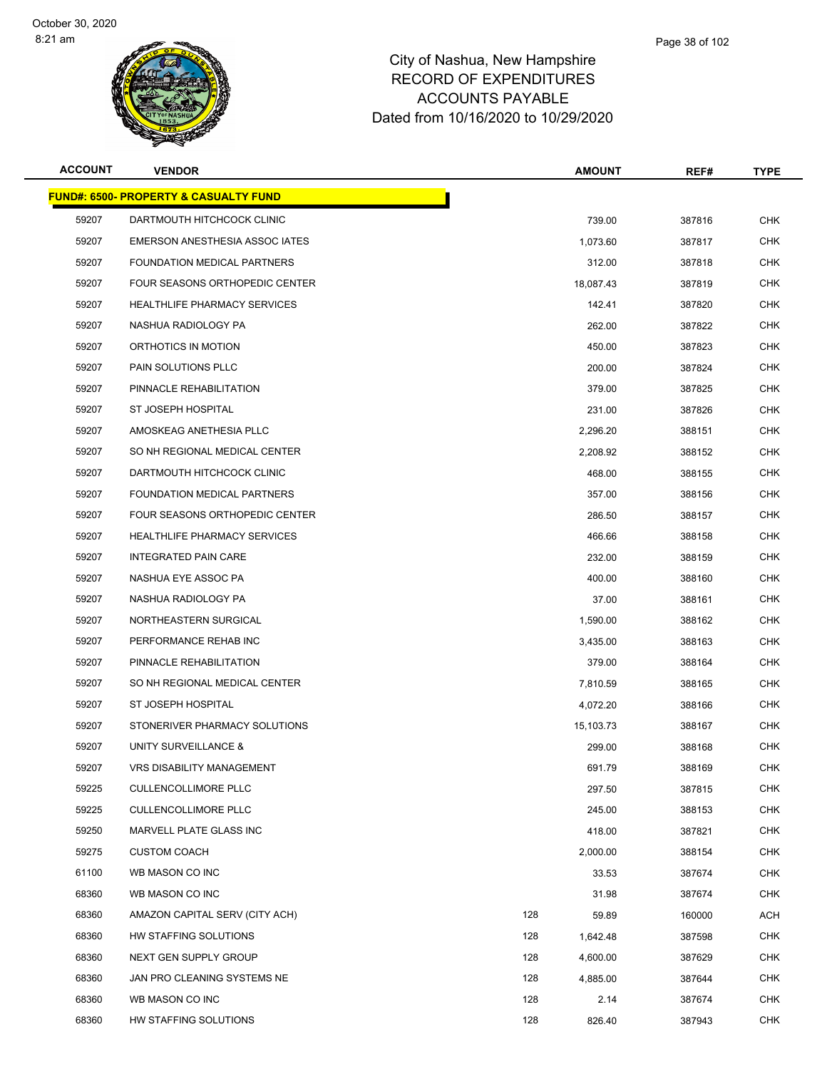

# City of Nashua, New RECORD OF EXPEI **ACCOUNTS PA** Dated from 10/16/2020 to 10/29/2020

| / Hampshire  |  |  |
|--------------|--|--|
| NDITURES     |  |  |
| <b>YABLE</b> |  |  |

Page 38 of 102

| <b>ACCOUNT</b> | <b>VENDOR</b>                                    |     | <b>AMOUNT</b> | REF#   | <b>TYPE</b> |
|----------------|--------------------------------------------------|-----|---------------|--------|-------------|
|                | <b>FUND#: 6500- PROPERTY &amp; CASUALTY FUND</b> |     |               |        |             |
| 59207          | DARTMOUTH HITCHCOCK CLINIC                       |     | 739.00        | 387816 | <b>CHK</b>  |
| 59207          | EMERSON ANESTHESIA ASSOC IATES                   |     | 1,073.60      | 387817 | <b>CHK</b>  |
| 59207          | FOUNDATION MEDICAL PARTNERS                      |     | 312.00        | 387818 | CHK         |
| 59207          | FOUR SEASONS ORTHOPEDIC CENTER                   |     | 18,087.43     | 387819 | <b>CHK</b>  |
| 59207          | <b>HEALTHLIFE PHARMACY SERVICES</b>              |     | 142.41        | 387820 | <b>CHK</b>  |
| 59207          | NASHUA RADIOLOGY PA                              |     | 262.00        | 387822 | <b>CHK</b>  |
| 59207          | ORTHOTICS IN MOTION                              |     | 450.00        | 387823 | <b>CHK</b>  |
| 59207          | <b>PAIN SOLUTIONS PLLC</b>                       |     | 200.00        | 387824 | CHK         |
| 59207          | PINNACLE REHABILITATION                          |     | 379.00        | 387825 | CHK         |
| 59207          | ST JOSEPH HOSPITAL                               |     | 231.00        | 387826 | <b>CHK</b>  |
| 59207          | AMOSKEAG ANETHESIA PLLC                          |     | 2,296.20      | 388151 | CHK         |
| 59207          | SO NH REGIONAL MEDICAL CENTER                    |     | 2,208.92      | 388152 | <b>CHK</b>  |
| 59207          | DARTMOUTH HITCHCOCK CLINIC                       |     | 468.00        | 388155 | CHK         |
| 59207          | FOUNDATION MEDICAL PARTNERS                      |     | 357.00        | 388156 | <b>CHK</b>  |
| 59207          | FOUR SEASONS ORTHOPEDIC CENTER                   |     | 286.50        | 388157 | <b>CHK</b>  |
| 59207          | <b>HEALTHLIFE PHARMACY SERVICES</b>              |     | 466.66        | 388158 | <b>CHK</b>  |
| 59207          | <b>INTEGRATED PAIN CARE</b>                      |     | 232.00        | 388159 | <b>CHK</b>  |
| 59207          | NASHUA EYE ASSOC PA                              |     | 400.00        | 388160 | <b>CHK</b>  |
| 59207          | NASHUA RADIOLOGY PA                              |     | 37.00         | 388161 | <b>CHK</b>  |
| 59207          | NORTHEASTERN SURGICAL                            |     | 1,590.00      | 388162 | <b>CHK</b>  |
| 59207          | PERFORMANCE REHAB INC                            |     | 3,435.00      | 388163 | <b>CHK</b>  |
| 59207          | PINNACLE REHABILITATION                          |     | 379.00        | 388164 | <b>CHK</b>  |
| 59207          | SO NH REGIONAL MEDICAL CENTER                    |     | 7,810.59      | 388165 | CHK         |
| 59207          | ST JOSEPH HOSPITAL                               |     | 4,072.20      | 388166 | <b>CHK</b>  |
| 59207          | STONERIVER PHARMACY SOLUTIONS                    |     | 15,103.73     | 388167 | <b>CHK</b>  |
| 59207          | UNITY SURVEILLANCE &                             |     | 299.00        | 388168 | <b>CHK</b>  |
| 59207          | VRS DISABILITY MANAGEMENT                        |     | 691.79        | 388169 | <b>CHK</b>  |
| 59225          | <b>CULLENCOLLIMORE PLLC</b>                      |     | 297.50        | 387815 | <b>CHK</b>  |
| 59225          | <b>CULLENCOLLIMORE PLLC</b>                      |     | 245.00        | 388153 | <b>CHK</b>  |
| 59250          | MARVELL PLATE GLASS INC                          |     | 418.00        | 387821 | <b>CHK</b>  |
| 59275          | <b>CUSTOM COACH</b>                              |     | 2,000.00      | 388154 | <b>CHK</b>  |
| 61100          | WB MASON CO INC                                  |     | 33.53         | 387674 | <b>CHK</b>  |
| 68360          | WB MASON CO INC                                  |     | 31.98         | 387674 | <b>CHK</b>  |
| 68360          | AMAZON CAPITAL SERV (CITY ACH)                   | 128 | 59.89         | 160000 | ACH         |
| 68360          | HW STAFFING SOLUTIONS                            | 128 | 1,642.48      | 387598 | <b>CHK</b>  |
| 68360          | NEXT GEN SUPPLY GROUP                            | 128 | 4,600.00      | 387629 | <b>CHK</b>  |
| 68360          | JAN PRO CLEANING SYSTEMS NE                      | 128 | 4,885.00      | 387644 | <b>CHK</b>  |
| 68360          | WB MASON CO INC                                  | 128 | 2.14          | 387674 | CHK         |
| 68360          | HW STAFFING SOLUTIONS                            | 128 | 826.40        | 387943 | <b>CHK</b>  |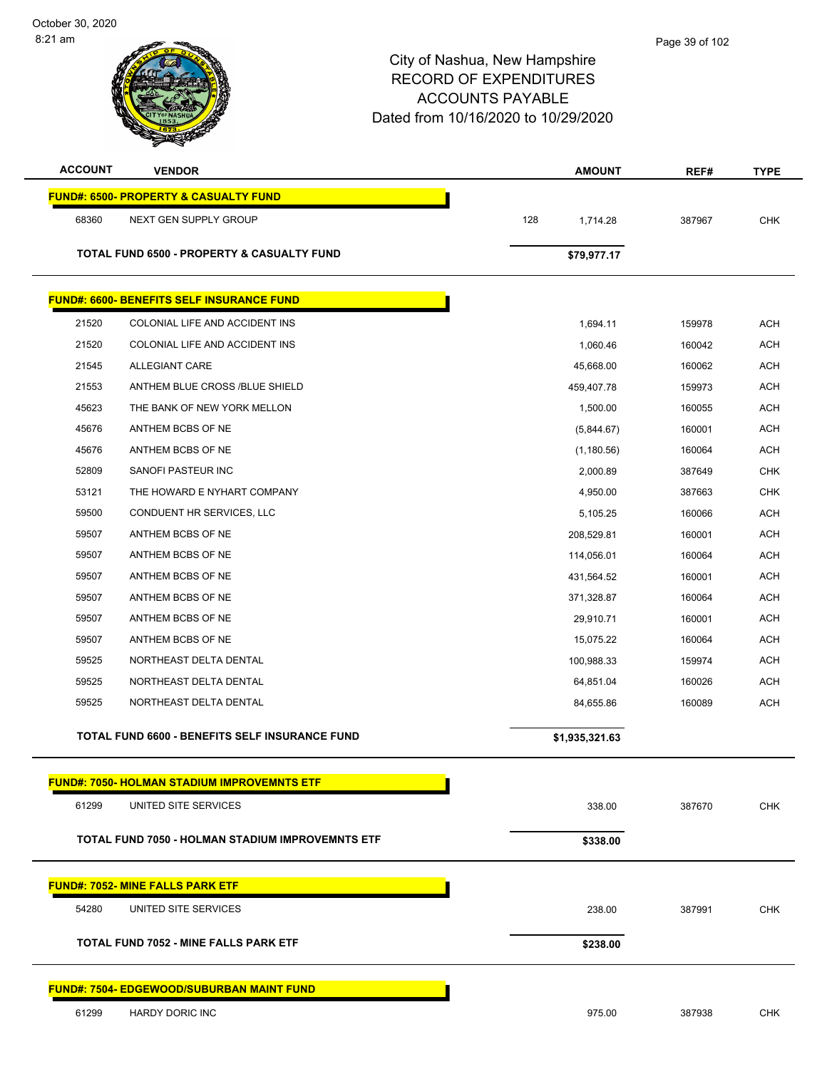| <b>ACCOUNT</b><br><b>VENDOR</b> |                                                       | <b>AMOUNT</b>   | REF#   | <b>TYPE</b> |
|---------------------------------|-------------------------------------------------------|-----------------|--------|-------------|
|                                 | <b>FUND#: 6500- PROPERTY &amp; CASUALTY FUND</b>      |                 |        |             |
| 68360                           | NEXT GEN SUPPLY GROUP                                 | 128<br>1,714.28 | 387967 | <b>CHK</b>  |
|                                 |                                                       |                 |        |             |
|                                 | <b>TOTAL FUND 6500 - PROPERTY &amp; CASUALTY FUND</b> | \$79,977.17     |        |             |
|                                 | <b>FUND#: 6600- BENEFITS SELF INSURANCE FUND</b>      |                 |        |             |
| 21520                           | COLONIAL LIFE AND ACCIDENT INS                        | 1,694.11        | 159978 | ACH         |
| 21520                           | COLONIAL LIFE AND ACCIDENT INS                        | 1,060.46        | 160042 | <b>ACH</b>  |
| 21545                           | <b>ALLEGIANT CARE</b>                                 | 45,668.00       | 160062 | ACH         |
| 21553                           | ANTHEM BLUE CROSS /BLUE SHIELD                        | 459,407.78      | 159973 | ACH         |
| 45623                           | THE BANK OF NEW YORK MELLON                           | 1,500.00        | 160055 | <b>ACH</b>  |
| 45676                           | ANTHEM BCBS OF NE                                     | (5,844.67)      | 160001 | ACH         |
| 45676                           | ANTHEM BCBS OF NE                                     | (1, 180.56)     | 160064 | <b>ACH</b>  |
| 52809                           | SANOFI PASTEUR INC                                    | 2,000.89        | 387649 | <b>CHK</b>  |
| 53121                           | THE HOWARD E NYHART COMPANY                           | 4,950.00        | 387663 | <b>CHK</b>  |
| 59500                           | CONDUENT HR SERVICES, LLC                             | 5,105.25        | 160066 | <b>ACH</b>  |
| 59507                           | ANTHEM BCBS OF NE                                     | 208,529.81      | 160001 | ACH         |
| 59507                           | ANTHEM BCBS OF NE                                     | 114,056.01      | 160064 | <b>ACH</b>  |
| 59507                           | ANTHEM BCBS OF NE                                     | 431,564.52      | 160001 | ACH         |
| 59507                           | ANTHEM BCBS OF NE                                     | 371,328.87      | 160064 | ACH         |
| 59507                           | ANTHEM BCBS OF NE                                     | 29,910.71       | 160001 | <b>ACH</b>  |
| 59507                           | ANTHEM BCBS OF NE                                     | 15,075.22       | 160064 | ACH         |
| 59525                           | NORTHEAST DELTA DENTAL                                | 100,988.33      | 159974 | <b>ACH</b>  |
| 59525                           | NORTHEAST DELTA DENTAL                                | 64,851.04       | 160026 | <b>ACH</b>  |
| 59525                           | NORTHEAST DELTA DENTAL                                | 84,655.86       | 160089 | ACH         |
|                                 | TOTAL FUND 6600 - BENEFITS SELF INSURANCE FUND        | \$1,935,321.63  |        |             |
|                                 | <b>FUND#: 7050- HOLMAN STADIUM IMPROVEMNTS ETF</b>    |                 |        |             |
| 61299                           | UNITED SITE SERVICES                                  | 338.00          | 387670 | CHK         |
|                                 |                                                       |                 |        |             |
|                                 | TOTAL FUND 7050 - HOLMAN STADIUM IMPROVEMNTS ETF      | \$338.00        |        |             |
|                                 | <b>FUND#: 7052- MINE FALLS PARK ETF</b>               |                 |        |             |
| 54280                           | UNITED SITE SERVICES                                  | 238.00          | 387991 | <b>CHK</b>  |
|                                 | <b>TOTAL FUND 7052 - MINE FALLS PARK ETF</b>          | \$238.00        |        |             |
|                                 | <b>FUND#: 7504- EDGEWOOD/SUBURBAN MAINT FUND</b>      |                 |        |             |
| 61299                           | HARDY DORIC INC                                       | 975.00          | 387938 | <b>CHK</b>  |
|                                 |                                                       |                 |        |             |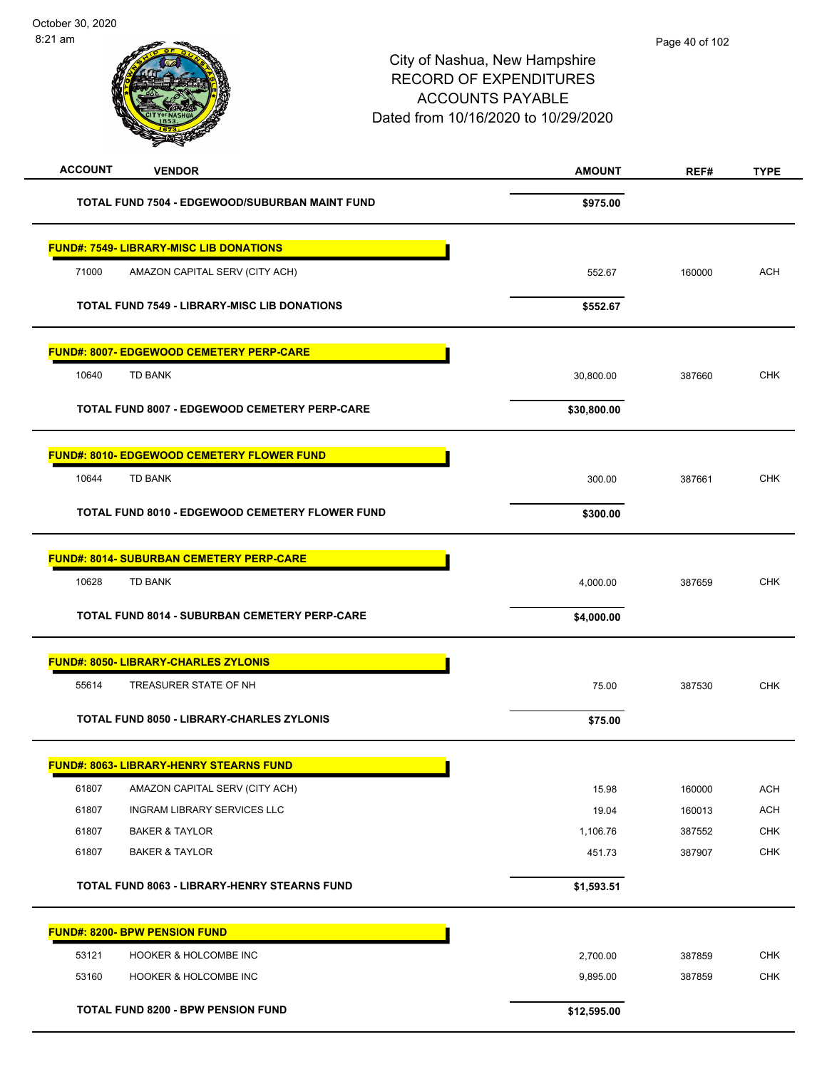| <b>ACCOUNT</b><br><b>VENDOR</b>                     | <b>AMOUNT</b> | REF#   | <b>TYPE</b> |
|-----------------------------------------------------|---------------|--------|-------------|
| TOTAL FUND 7504 - EDGEWOOD/SUBURBAN MAINT FUND      | \$975.00      |        |             |
| <b>FUND#: 7549- LIBRARY-MISC LIB DONATIONS</b>      |               |        |             |
| 71000<br>AMAZON CAPITAL SERV (CITY ACH)             | 552.67        | 160000 | <b>ACH</b>  |
| <b>TOTAL FUND 7549 - LIBRARY-MISC LIB DONATIONS</b> | \$552.67      |        |             |
| <b>FUND#: 8007- EDGEWOOD CEMETERY PERP-CARE</b>     |               |        |             |
| 10640<br><b>TD BANK</b>                             | 30,800.00     | 387660 | <b>CHK</b>  |
| TOTAL FUND 8007 - EDGEWOOD CEMETERY PERP-CARE       | \$30,800.00   |        |             |
| <b>FUND#: 8010- EDGEWOOD CEMETERY FLOWER FUND</b>   |               |        |             |
| 10644<br><b>TD BANK</b>                             | 300.00        | 387661 | <b>CHK</b>  |
| TOTAL FUND 8010 - EDGEWOOD CEMETERY FLOWER FUND     | \$300.00      |        |             |
| <b>FUND#: 8014- SUBURBAN CEMETERY PERP-CARE</b>     |               |        |             |
| 10628<br><b>TD BANK</b>                             | 4,000.00      | 387659 | <b>CHK</b>  |
| TOTAL FUND 8014 - SUBURBAN CEMETERY PERP-CARE       | \$4,000.00    |        |             |
| <b>FUND#: 8050- LIBRARY-CHARLES ZYLONIS</b>         |               |        |             |
| 55614<br>TREASURER STATE OF NH                      | 75.00         | 387530 | <b>CHK</b>  |
| TOTAL FUND 8050 - LIBRARY-CHARLES ZYLONIS           | \$75.00       |        |             |
| <b>FUND#: 8063- LIBRARY-HENRY STEARNS FUND</b>      |               |        |             |
| 61807<br>AMAZON CAPITAL SERV (CITY ACH)             | 15.98         | 160000 | <b>ACH</b>  |
| 61807<br>INGRAM LIBRARY SERVICES LLC                | 19.04         | 160013 | ACH         |
| 61807<br><b>BAKER &amp; TAYLOR</b>                  | 1,106.76      | 387552 | CHK         |
| 61807<br><b>BAKER &amp; TAYLOR</b>                  | 451.73        | 387907 | <b>CHK</b>  |
| TOTAL FUND 8063 - LIBRARY-HENRY STEARNS FUND        | \$1,593.51    |        |             |
| <b>FUND#: 8200- BPW PENSION FUND</b>                |               |        |             |
| 53121<br>HOOKER & HOLCOMBE INC                      | 2,700.00      | 387859 | <b>CHK</b>  |
| 53160<br>HOOKER & HOLCOMBE INC                      | 9,895.00      | 387859 | <b>CHK</b>  |
| TOTAL FUND 8200 - BPW PENSION FUND                  | \$12,595.00   |        |             |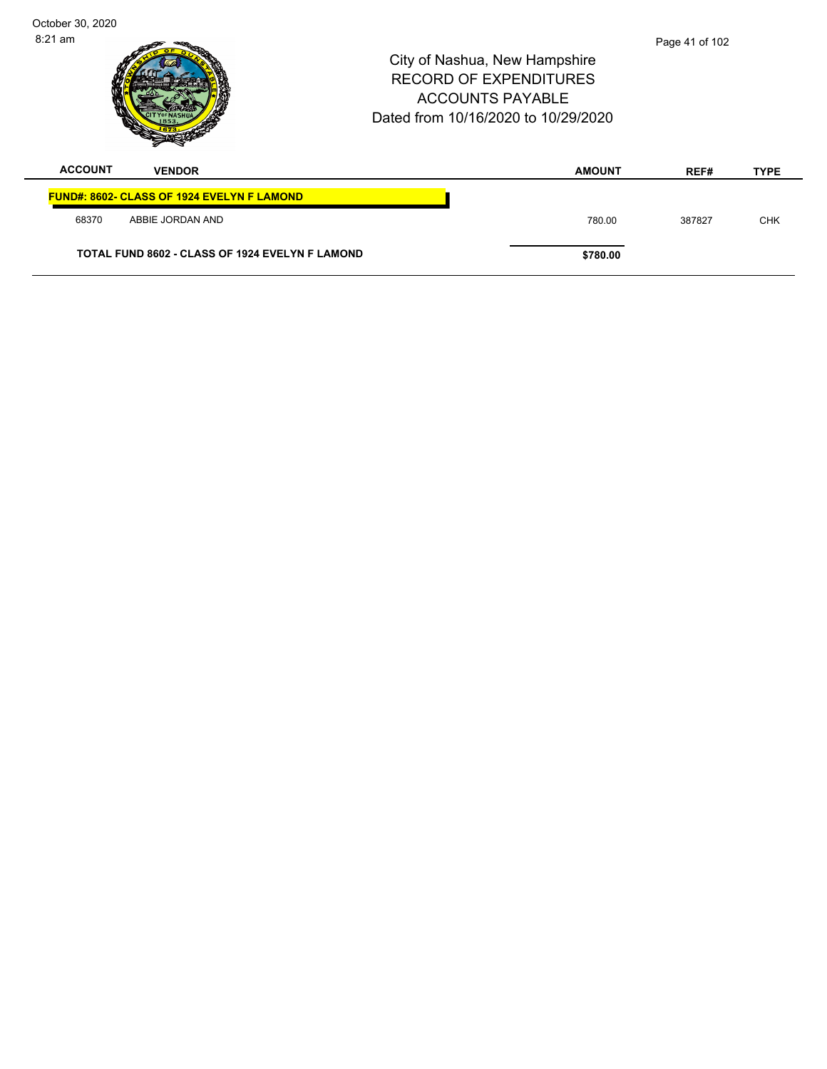| October 30, 2020 |                                                   |                                                                                                                                  |                |             |
|------------------|---------------------------------------------------|----------------------------------------------------------------------------------------------------------------------------------|----------------|-------------|
| $8:21$ am        |                                                   | City of Nashua, New Hampshire<br><b>RECORD OF EXPENDITURES</b><br><b>ACCOUNTS PAYABLE</b><br>Dated from 10/16/2020 to 10/29/2020 | Page 41 of 102 |             |
| <b>ACCOUNT</b>   | <b>VENDOR</b>                                     | <b>AMOUNT</b>                                                                                                                    | REF#           | <b>TYPE</b> |
|                  | <b>FUND#: 8602- CLASS OF 1924 EVELYN F LAMOND</b> |                                                                                                                                  |                |             |
| 68370            | ABBIE JORDAN AND                                  | 780.00                                                                                                                           | 387827         | <b>CHK</b>  |
|                  | TOTAL FUND 8602 - CLASS OF 1924 EVELYN F LAMOND   | \$780.00                                                                                                                         |                |             |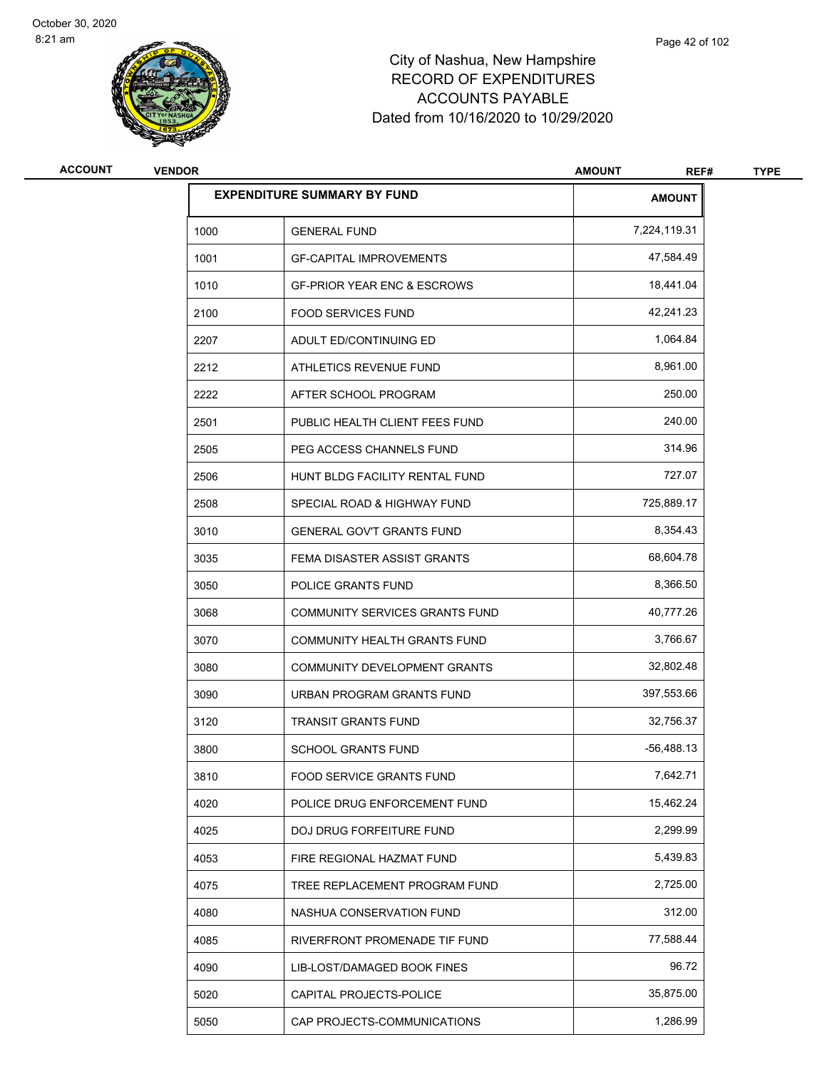

| <b>ACCOUNT</b> | <b>VENDOR</b> |                                        | <b>AMOUNT</b><br>REF# | <b>TYPE</b> |
|----------------|---------------|----------------------------------------|-----------------------|-------------|
|                |               | <b>EXPENDITURE SUMMARY BY FUND</b>     | <b>AMOUNT</b>         |             |
|                | 1000          | <b>GENERAL FUND</b>                    | 7,224,119.31          |             |
|                | 1001          | <b>GF-CAPITAL IMPROVEMENTS</b>         | 47,584.49             |             |
|                | 1010          | <b>GF-PRIOR YEAR ENC &amp; ESCROWS</b> | 18,441.04             |             |
|                | 2100          | <b>FOOD SERVICES FUND</b>              | 42,241.23             |             |
|                | 2207          | ADULT ED/CONTINUING ED                 | 1,064.84              |             |
|                | 2212          | ATHLETICS REVENUE FUND                 | 8,961.00              |             |
|                | 2222          | AFTER SCHOOL PROGRAM                   | 250.00                |             |
|                | 2501          | PUBLIC HEALTH CLIENT FEES FUND         | 240.00                |             |
|                | 2505          | PEG ACCESS CHANNELS FUND               | 314.96                |             |
|                | 2506          | HUNT BLDG FACILITY RENTAL FUND         | 727.07                |             |
|                | 2508          | SPECIAL ROAD & HIGHWAY FUND            | 725,889.17            |             |
|                | 3010          | <b>GENERAL GOV'T GRANTS FUND</b>       | 8,354.43              |             |
|                | 3035          | FEMA DISASTER ASSIST GRANTS            | 68,604.78             |             |
|                | 3050          | POLICE GRANTS FUND                     | 8,366.50              |             |
|                | 3068          | COMMUNITY SERVICES GRANTS FUND         | 40,777.26             |             |
|                | 3070          | COMMUNITY HEALTH GRANTS FUND           | 3,766.67              |             |
|                | 3080          | COMMUNITY DEVELOPMENT GRANTS           | 32,802.48             |             |
|                | 3090          | URBAN PROGRAM GRANTS FUND              | 397,553.66            |             |
|                | 3120          | <b>TRANSIT GRANTS FUND</b>             | 32,756.37             |             |
|                | 3800          | <b>SCHOOL GRANTS FUND</b>              | $-56,488.13$          |             |
|                | 3810          | FOOD SERVICE GRANTS FUND               | 7,642.71              |             |
|                | 4020          | POLICE DRUG ENFORCEMENT FUND           | 15,462.24             |             |
|                | 4025          | DOJ DRUG FORFEITURE FUND               | 2,299.99              |             |
|                | 4053          | FIRE REGIONAL HAZMAT FUND              | 5,439.83              |             |
|                | 4075          | TREE REPLACEMENT PROGRAM FUND          | 2,725.00              |             |
|                | 4080          | NASHUA CONSERVATION FUND               | 312.00                |             |
|                | 4085          | RIVERFRONT PROMENADE TIF FUND          | 77,588.44             |             |
|                | 4090          | LIB-LOST/DAMAGED BOOK FINES            | 96.72                 |             |
|                | 5020          | CAPITAL PROJECTS-POLICE                | 35,875.00             |             |
|                | 5050          | CAP PROJECTS-COMMUNICATIONS            | 1,286.99              |             |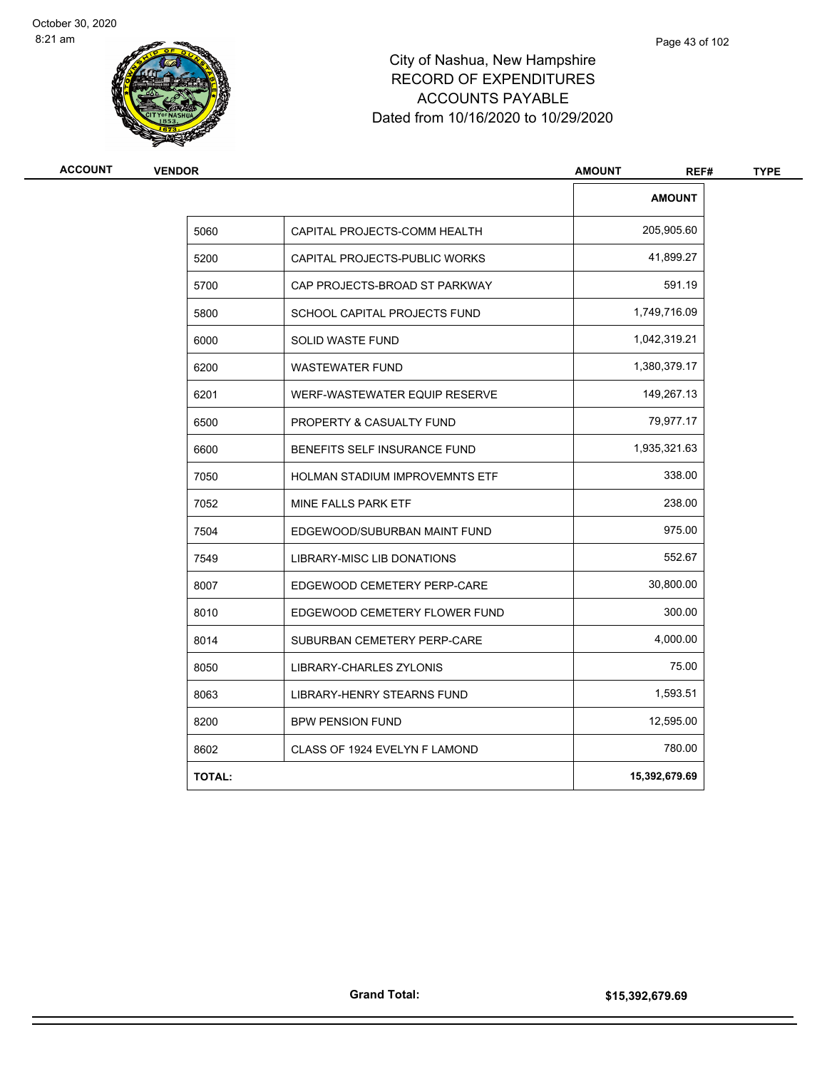

| <b>AMOUNT</b><br>205,905.60<br>5060<br>CAPITAL PROJECTS-COMM HEALTH<br>41,899.27<br>5200<br>CAPITAL PROJECTS-PUBLIC WORKS<br>591.19<br>5700<br>CAP PROJECTS-BROAD ST PARKWAY<br>1,749,716.09<br>5800<br>SCHOOL CAPITAL PROJECTS FUND<br>1,042,319.21<br>6000<br>SOLID WASTE FUND<br>1,380,379.17<br>6200<br><b>WASTEWATER FUND</b><br>149,267.13<br>6201<br>WERF-WASTEWATER EQUIP RESERVE<br>79,977.17<br>6500<br>PROPERTY & CASUALTY FUND<br>1,935,321.63<br>6600<br>BENEFITS SELF INSURANCE FUND<br>338.00<br>7050<br>HOLMAN STADIUM IMPROVEMNTS ETF<br>238.00<br>7052<br>MINE FALLS PARK ETF<br>975.00<br>7504<br>EDGEWOOD/SUBURBAN MAINT FUND<br>552.67<br>7549<br>LIBRARY-MISC LIB DONATIONS<br>30,800.00<br>8007<br>EDGEWOOD CEMETERY PERP-CARE<br>300.00<br>8010<br>EDGEWOOD CEMETERY FLOWER FUND<br>4,000.00<br>8014<br>SUBURBAN CEMETERY PERP-CARE<br>75.00<br>8050<br>LIBRARY-CHARLES ZYLONIS | <b>ACCOUNT</b><br><b>VENDOR</b> |                            | <b>AMOUNT</b><br>REF# | <b>TYPE</b> |
|---------------------------------------------------------------------------------------------------------------------------------------------------------------------------------------------------------------------------------------------------------------------------------------------------------------------------------------------------------------------------------------------------------------------------------------------------------------------------------------------------------------------------------------------------------------------------------------------------------------------------------------------------------------------------------------------------------------------------------------------------------------------------------------------------------------------------------------------------------------------------------------------------------|---------------------------------|----------------------------|-----------------------|-------------|
|                                                                                                                                                                                                                                                                                                                                                                                                                                                                                                                                                                                                                                                                                                                                                                                                                                                                                                         |                                 |                            |                       |             |
|                                                                                                                                                                                                                                                                                                                                                                                                                                                                                                                                                                                                                                                                                                                                                                                                                                                                                                         |                                 |                            |                       |             |
|                                                                                                                                                                                                                                                                                                                                                                                                                                                                                                                                                                                                                                                                                                                                                                                                                                                                                                         |                                 |                            |                       |             |
|                                                                                                                                                                                                                                                                                                                                                                                                                                                                                                                                                                                                                                                                                                                                                                                                                                                                                                         |                                 |                            |                       |             |
|                                                                                                                                                                                                                                                                                                                                                                                                                                                                                                                                                                                                                                                                                                                                                                                                                                                                                                         |                                 |                            |                       |             |
|                                                                                                                                                                                                                                                                                                                                                                                                                                                                                                                                                                                                                                                                                                                                                                                                                                                                                                         |                                 |                            |                       |             |
|                                                                                                                                                                                                                                                                                                                                                                                                                                                                                                                                                                                                                                                                                                                                                                                                                                                                                                         |                                 |                            |                       |             |
|                                                                                                                                                                                                                                                                                                                                                                                                                                                                                                                                                                                                                                                                                                                                                                                                                                                                                                         |                                 |                            |                       |             |
|                                                                                                                                                                                                                                                                                                                                                                                                                                                                                                                                                                                                                                                                                                                                                                                                                                                                                                         |                                 |                            |                       |             |
|                                                                                                                                                                                                                                                                                                                                                                                                                                                                                                                                                                                                                                                                                                                                                                                                                                                                                                         |                                 |                            |                       |             |
|                                                                                                                                                                                                                                                                                                                                                                                                                                                                                                                                                                                                                                                                                                                                                                                                                                                                                                         |                                 |                            |                       |             |
|                                                                                                                                                                                                                                                                                                                                                                                                                                                                                                                                                                                                                                                                                                                                                                                                                                                                                                         |                                 |                            |                       |             |
|                                                                                                                                                                                                                                                                                                                                                                                                                                                                                                                                                                                                                                                                                                                                                                                                                                                                                                         |                                 |                            |                       |             |
|                                                                                                                                                                                                                                                                                                                                                                                                                                                                                                                                                                                                                                                                                                                                                                                                                                                                                                         |                                 |                            |                       |             |
|                                                                                                                                                                                                                                                                                                                                                                                                                                                                                                                                                                                                                                                                                                                                                                                                                                                                                                         |                                 |                            |                       |             |
|                                                                                                                                                                                                                                                                                                                                                                                                                                                                                                                                                                                                                                                                                                                                                                                                                                                                                                         |                                 |                            |                       |             |
|                                                                                                                                                                                                                                                                                                                                                                                                                                                                                                                                                                                                                                                                                                                                                                                                                                                                                                         |                                 |                            |                       |             |
|                                                                                                                                                                                                                                                                                                                                                                                                                                                                                                                                                                                                                                                                                                                                                                                                                                                                                                         |                                 |                            |                       |             |
|                                                                                                                                                                                                                                                                                                                                                                                                                                                                                                                                                                                                                                                                                                                                                                                                                                                                                                         | 8063                            | LIBRARY-HENRY STEARNS FUND | 1,593.51              |             |
| 12,595.00<br>8200<br><b>BPW PENSION FUND</b>                                                                                                                                                                                                                                                                                                                                                                                                                                                                                                                                                                                                                                                                                                                                                                                                                                                            |                                 |                            |                       |             |
| 780.00<br>8602<br>CLASS OF 1924 EVELYN F LAMOND                                                                                                                                                                                                                                                                                                                                                                                                                                                                                                                                                                                                                                                                                                                                                                                                                                                         |                                 |                            |                       |             |
| 15,392,679.69<br><b>TOTAL:</b>                                                                                                                                                                                                                                                                                                                                                                                                                                                                                                                                                                                                                                                                                                                                                                                                                                                                          |                                 |                            |                       |             |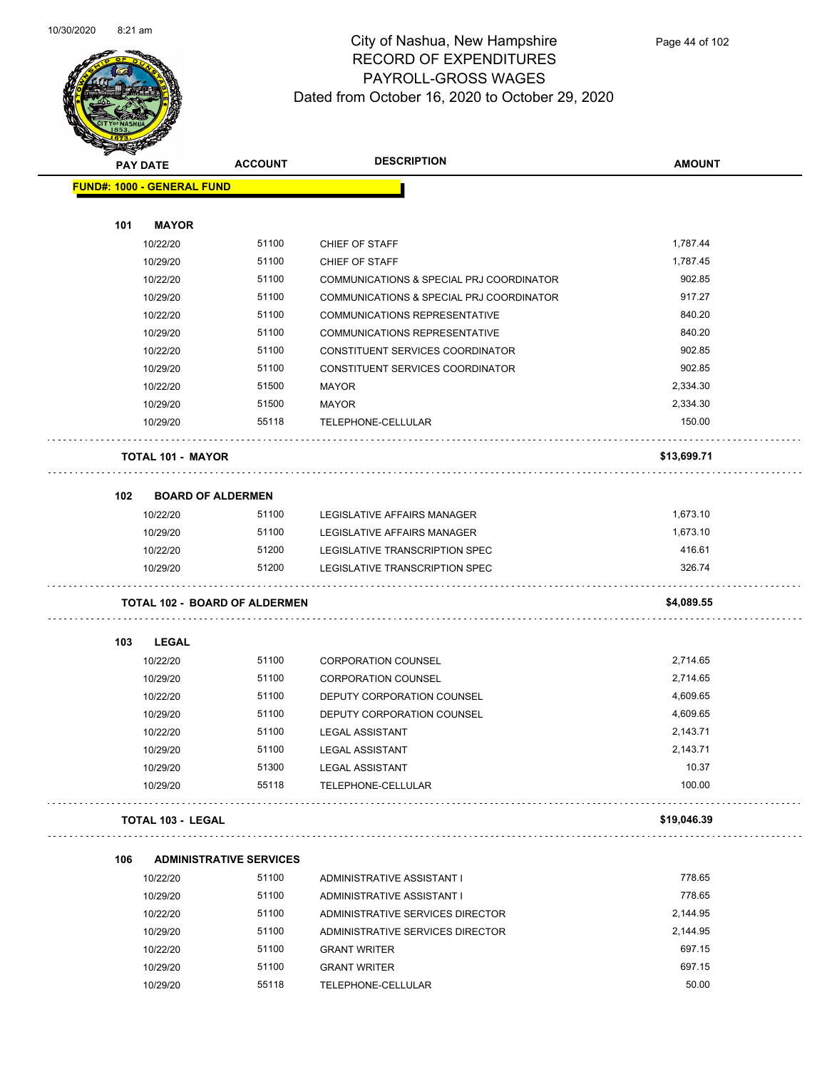

|     | <b>PAY DATE</b>                   | <b>ACCOUNT</b>                       | <b>DESCRIPTION</b>                       | <b>AMOUNT</b> |
|-----|-----------------------------------|--------------------------------------|------------------------------------------|---------------|
|     | <b>FUND#: 1000 - GENERAL FUND</b> |                                      |                                          |               |
| 101 | <b>MAYOR</b>                      |                                      |                                          |               |
|     | 10/22/20                          | 51100                                | CHIEF OF STAFF                           | 1,787.44      |
|     | 10/29/20                          | 51100                                | CHIEF OF STAFF                           | 1,787.45      |
|     | 10/22/20                          | 51100                                | COMMUNICATIONS & SPECIAL PRJ COORDINATOR | 902.85        |
|     | 10/29/20                          | 51100                                | COMMUNICATIONS & SPECIAL PRJ COORDINATOR | 917.27        |
|     | 10/22/20                          | 51100                                | <b>COMMUNICATIONS REPRESENTATIVE</b>     | 840.20        |
|     | 10/29/20                          | 51100                                | COMMUNICATIONS REPRESENTATIVE            | 840.20        |
|     | 10/22/20                          | 51100                                | CONSTITUENT SERVICES COORDINATOR         | 902.85        |
|     | 10/29/20                          | 51100                                | CONSTITUENT SERVICES COORDINATOR         | 902.85        |
|     | 10/22/20                          | 51500                                | <b>MAYOR</b>                             | 2,334.30      |
|     | 10/29/20                          | 51500                                | <b>MAYOR</b>                             | 2,334.30      |
|     | 10/29/20                          | 55118                                | TELEPHONE-CELLULAR                       | 150.00        |
|     | TOTAL 101 - MAYOR                 |                                      |                                          | \$13,699.71   |
| 102 | <b>BOARD OF ALDERMEN</b>          |                                      |                                          |               |
|     | 10/22/20                          | 51100                                | LEGISLATIVE AFFAIRS MANAGER              | 1,673.10      |
|     | 10/29/20                          | 51100                                | LEGISLATIVE AFFAIRS MANAGER              | 1,673.10      |
|     | 10/22/20                          | 51200                                | LEGISLATIVE TRANSCRIPTION SPEC           | 416.61        |
|     | 10/29/20                          | 51200                                | LEGISLATIVE TRANSCRIPTION SPEC           | 326.74        |
|     |                                   | <b>TOTAL 102 - BOARD OF ALDERMEN</b> |                                          | \$4,089.55    |
| 103 | <b>LEGAL</b>                      |                                      |                                          |               |
|     | 10/22/20                          | 51100                                | <b>CORPORATION COUNSEL</b>               | 2,714.65      |
|     | 10/29/20                          | 51100                                | <b>CORPORATION COUNSEL</b>               | 2,714.65      |
|     | 10/22/20                          | 51100                                | DEPUTY CORPORATION COUNSEL               | 4,609.65      |
|     | 10/29/20                          | 51100                                | DEPUTY CORPORATION COUNSEL               | 4,609.65      |
|     | 10/22/20                          | 51100                                | <b>LEGAL ASSISTANT</b>                   | 2,143.71      |
|     | 10/29/20                          | 51100                                | <b>LEGAL ASSISTANT</b>                   | 2,143.71      |
|     | 10/29/20                          | 51300                                | <b>LEGAL ASSISTANT</b>                   | 10.37         |
|     | 10/29/20                          | 55118                                | TELEPHONE-CELLULAR                       | 100.00        |
|     | TOTAL 103 - LEGAL                 |                                      |                                          | \$19,046.39   |
| 106 |                                   | <b>ADMINISTRATIVE SERVICES</b>       |                                          |               |
|     | 10/22/20                          | 51100                                | ADMINISTRATIVE ASSISTANT I               | 778.65        |
|     | 10/29/20                          | 51100                                | ADMINISTRATIVE ASSISTANT I               | 778.65        |
|     | 10/22/20                          | 51100                                | ADMINISTRATIVE SERVICES DIRECTOR         | 2,144.95      |
|     | 10/29/20                          | 51100                                | ADMINISTRATIVE SERVICES DIRECTOR         | 2,144.95      |
|     | 10/22/20                          | 51100                                | <b>GRANT WRITER</b>                      | 697.15        |
|     | 10/29/20                          | 51100                                | <b>GRANT WRITER</b>                      | 697.15        |
|     | 10/29/20                          | 55118                                | TELEPHONE-CELLULAR                       | 50.00         |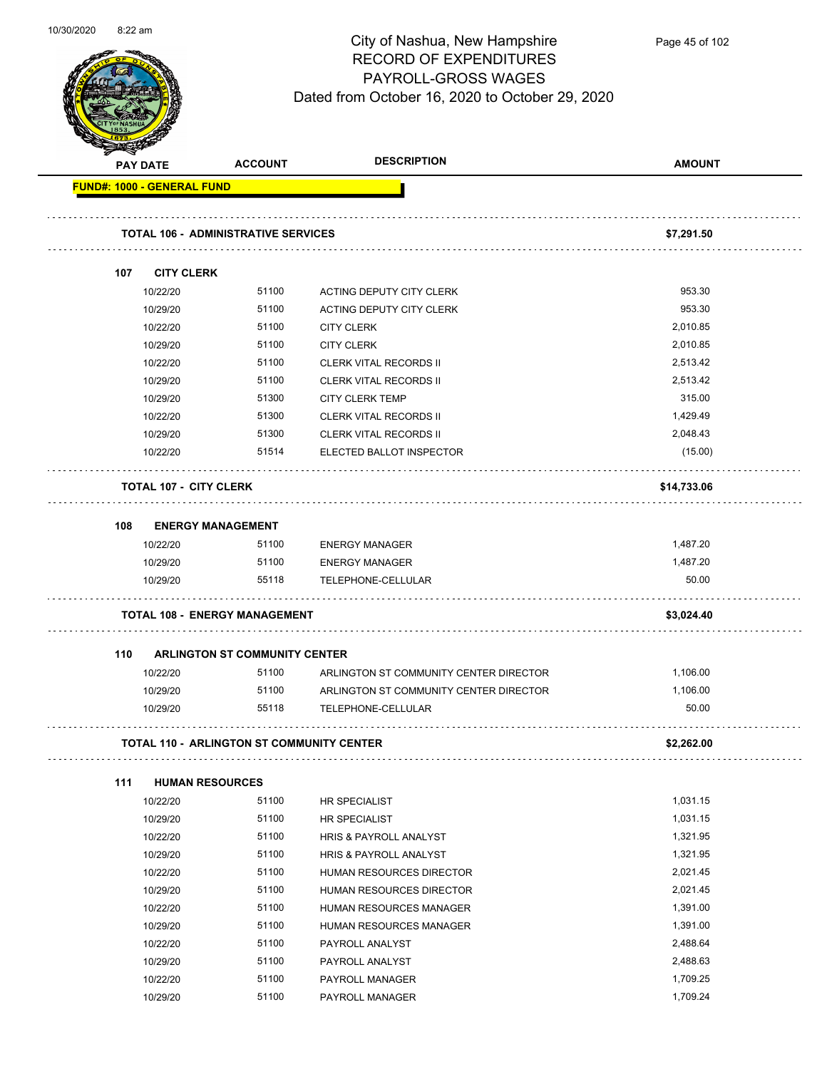

Page 45 of 102

| <b>PAY DATE</b> |                                   | <b>ACCOUNT</b>                             | <b>DESCRIPTION</b>                        | <b>AMOUNT</b> |
|-----------------|-----------------------------------|--------------------------------------------|-------------------------------------------|---------------|
|                 | <b>FUND#: 1000 - GENERAL FUND</b> |                                            |                                           |               |
|                 |                                   | <b>TOTAL 106 - ADMINISTRATIVE SERVICES</b> |                                           | \$7,291.50    |
| 107             | <b>CITY CLERK</b>                 |                                            |                                           |               |
|                 | 10/22/20                          | 51100                                      | ACTING DEPUTY CITY CLERK                  | 953.30        |
|                 | 10/29/20                          | 51100                                      | ACTING DEPUTY CITY CLERK                  | 953.30        |
|                 | 10/22/20                          | 51100                                      | <b>CITY CLERK</b>                         | 2,010.85      |
|                 | 10/29/20                          | 51100                                      | <b>CITY CLERK</b>                         | 2,010.85      |
|                 | 10/22/20                          | 51100                                      | <b>CLERK VITAL RECORDS II</b>             | 2,513.42      |
|                 | 10/29/20                          | 51100                                      | <b>CLERK VITAL RECORDS II</b>             | 2,513.42      |
|                 | 10/29/20                          | 51300                                      | <b>CITY CLERK TEMP</b>                    | 315.00        |
|                 | 10/22/20                          | 51300                                      | <b>CLERK VITAL RECORDS II</b>             | 1,429.49      |
|                 | 10/29/20                          | 51300                                      | <b>CLERK VITAL RECORDS II</b>             | 2,048.43      |
|                 | 10/22/20                          | 51514                                      | ELECTED BALLOT INSPECTOR                  | (15.00)       |
|                 | <b>TOTAL 107 - CITY CLERK</b>     |                                            |                                           | \$14,733.06   |
| 108             | <b>ENERGY MANAGEMENT</b>          |                                            |                                           |               |
|                 | 10/22/20                          | 51100                                      | <b>ENERGY MANAGER</b>                     | 1,487.20      |
|                 | 10/29/20                          | 51100                                      | <b>ENERGY MANAGER</b>                     | 1,487.20      |
|                 | 10/29/20                          | 55118                                      | TELEPHONE-CELLULAR                        | 50.00         |
|                 |                                   | <b>TOTAL 108 - ENERGY MANAGEMENT</b>       |                                           | \$3,024.40    |
| 110             |                                   | ARLINGTON ST COMMUNITY CENTER              |                                           |               |
|                 | 10/22/20                          | 51100                                      | ARLINGTON ST COMMUNITY CENTER DIRECTOR    | 1,106.00      |
|                 | 10/29/20                          | 51100                                      | ARLINGTON ST COMMUNITY CENTER DIRECTOR    | 1,106.00      |
|                 | 10/29/20                          | 55118                                      | TELEPHONE-CELLULAR                        | 50.00         |
|                 |                                   |                                            | TOTAL 110 - ARLINGTON ST COMMUNITY CENTER | \$2,262.00    |
| 111             | <b>HUMAN RESOURCES</b>            |                                            |                                           |               |
|                 | 10/22/20                          | 51100                                      | HR SPECIALIST                             | 1,031.15      |
|                 | 10/29/20                          | 51100                                      | HR SPECIALIST                             | 1,031.15      |
|                 | 10/22/20                          | 51100                                      | HRIS & PAYROLL ANALYST                    | 1,321.95      |
|                 | 10/29/20                          | 51100                                      | HRIS & PAYROLL ANALYST                    | 1,321.95      |
|                 | 10/22/20                          | 51100                                      | HUMAN RESOURCES DIRECTOR                  | 2,021.45      |
|                 | 10/29/20                          | 51100                                      | HUMAN RESOURCES DIRECTOR                  | 2,021.45      |
|                 | 10/22/20                          | 51100                                      | HUMAN RESOURCES MANAGER                   | 1,391.00      |
|                 | 10/29/20                          | 51100                                      | HUMAN RESOURCES MANAGER                   | 1,391.00      |
|                 | 10/22/20                          | 51100                                      | PAYROLL ANALYST                           | 2,488.64      |
|                 | 10/29/20                          | 51100                                      | PAYROLL ANALYST                           | 2,488.63      |
|                 | 10/22/20                          | 51100                                      | PAYROLL MANAGER                           | 1,709.25      |

10/29/20 51100 PAYROLL MANAGER 1,709.24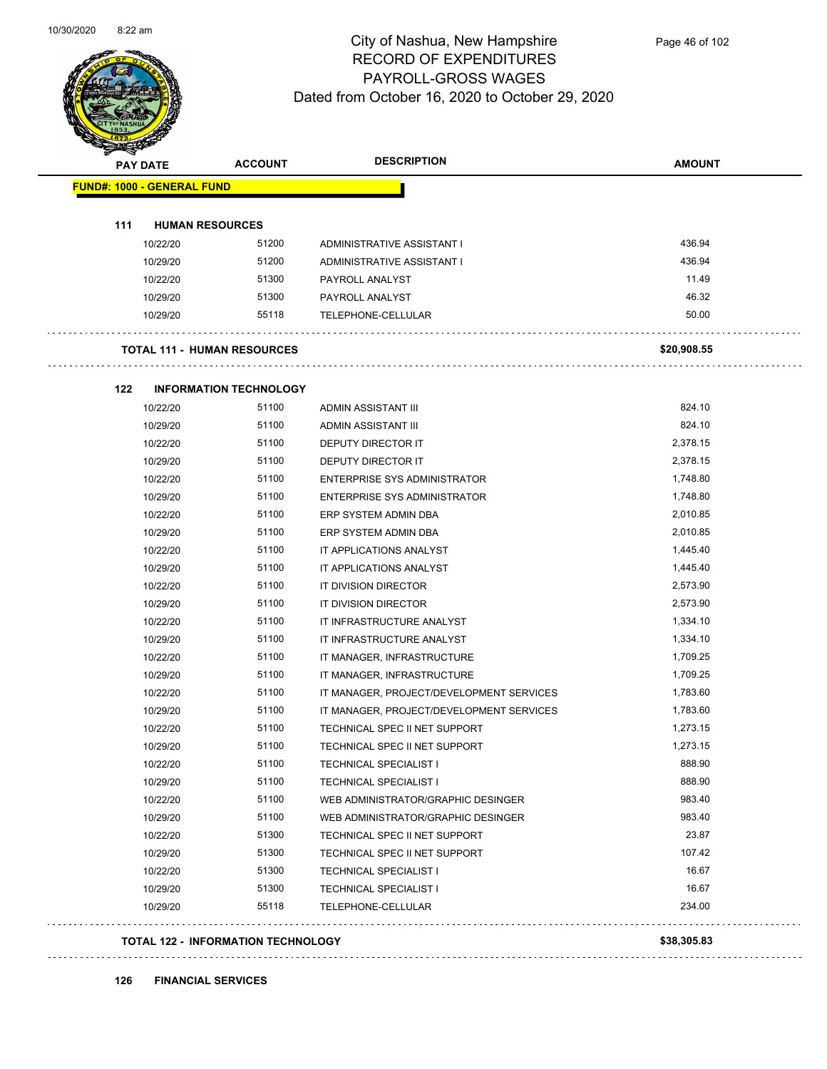

| <b>PAY DATE</b>                   | <b>ACCOUNT</b>                            | <b>DESCRIPTION</b>                       | <b>AMOUNT</b> |
|-----------------------------------|-------------------------------------------|------------------------------------------|---------------|
| <b>FUND#: 1000 - GENERAL FUND</b> |                                           |                                          |               |
|                                   |                                           |                                          |               |
| 111                               | <b>HUMAN RESOURCES</b>                    |                                          |               |
| 10/22/20                          | 51200                                     | ADMINISTRATIVE ASSISTANT I               | 436.94        |
| 10/29/20                          | 51200                                     | ADMINISTRATIVE ASSISTANT I               | 436.94        |
| 10/22/20                          | 51300                                     | PAYROLL ANALYST                          | 11.49         |
| 10/29/20                          | 51300                                     | PAYROLL ANALYST                          | 46.32         |
| 10/29/20                          | 55118                                     | TELEPHONE-CELLULAR                       | 50.00         |
|                                   | <b>TOTAL 111 - HUMAN RESOURCES</b>        |                                          | \$20,908.55   |
| 122                               | <b>INFORMATION TECHNOLOGY</b>             |                                          |               |
| 10/22/20                          | 51100                                     | ADMIN ASSISTANT III                      | 824.10        |
| 10/29/20                          | 51100                                     | ADMIN ASSISTANT III                      | 824.10        |
| 10/22/20                          | 51100                                     | DEPUTY DIRECTOR IT                       | 2,378.15      |
| 10/29/20                          | 51100                                     | <b>DEPUTY DIRECTOR IT</b>                | 2,378.15      |
| 10/22/20                          | 51100                                     | <b>ENTERPRISE SYS ADMINISTRATOR</b>      | 1,748.80      |
| 10/29/20                          | 51100                                     | <b>ENTERPRISE SYS ADMINISTRATOR</b>      | 1,748.80      |
| 10/22/20                          | 51100                                     | ERP SYSTEM ADMIN DBA                     | 2,010.85      |
| 10/29/20                          | 51100                                     | ERP SYSTEM ADMIN DBA                     | 2,010.85      |
| 10/22/20                          | 51100                                     | IT APPLICATIONS ANALYST                  | 1,445.40      |
| 10/29/20                          | 51100                                     | IT APPLICATIONS ANALYST                  | 1,445.40      |
| 10/22/20                          | 51100                                     | IT DIVISION DIRECTOR                     | 2,573.90      |
| 10/29/20                          | 51100                                     | IT DIVISION DIRECTOR                     | 2,573.90      |
| 10/22/20                          | 51100                                     | IT INFRASTRUCTURE ANALYST                | 1,334.10      |
| 10/29/20                          | 51100                                     | IT INFRASTRUCTURE ANALYST                | 1,334.10      |
| 10/22/20                          | 51100                                     | IT MANAGER, INFRASTRUCTURE               | 1,709.25      |
| 10/29/20                          | 51100                                     | IT MANAGER, INFRASTRUCTURE               | 1,709.25      |
| 10/22/20                          | 51100                                     | IT MANAGER, PROJECT/DEVELOPMENT SERVICES | 1,783.60      |
| 10/29/20                          | 51100                                     | IT MANAGER, PROJECT/DEVELOPMENT SERVICES | 1,783.60      |
| 10/22/20                          | 51100                                     | TECHNICAL SPEC II NET SUPPORT            | 1,273.15      |
| 10/29/20                          | 51100                                     | TECHNICAL SPEC II NET SUPPORT            | 1,273.15      |
| 10/22/20                          | 51100                                     | <b>TECHNICAL SPECIALIST I</b>            | 888.90        |
| 10/29/20                          | 51100                                     | <b>TECHNICAL SPECIALIST I</b>            | 888.90        |
| 10/22/20                          | 51100                                     | WEB ADMINISTRATOR/GRAPHIC DESINGER       | 983.40        |
| 10/29/20                          | 51100                                     | WEB ADMINISTRATOR/GRAPHIC DESINGER       | 983.40        |
| 10/22/20                          | 51300                                     | TECHNICAL SPEC II NET SUPPORT            | 23.87         |
| 10/29/20                          | 51300                                     | TECHNICAL SPEC II NET SUPPORT            | 107.42        |
| 10/22/20                          | 51300                                     | <b>TECHNICAL SPECIALIST I</b>            | 16.67         |
| 10/29/20                          | 51300                                     | <b>TECHNICAL SPECIALIST I</b>            | 16.67         |
| 10/29/20                          | 55118                                     | TELEPHONE-CELLULAR                       | 234.00        |
|                                   | <b>TOTAL 122 - INFORMATION TECHNOLOGY</b> |                                          | \$38,305.83   |

**126 FINANCIAL SERVICES**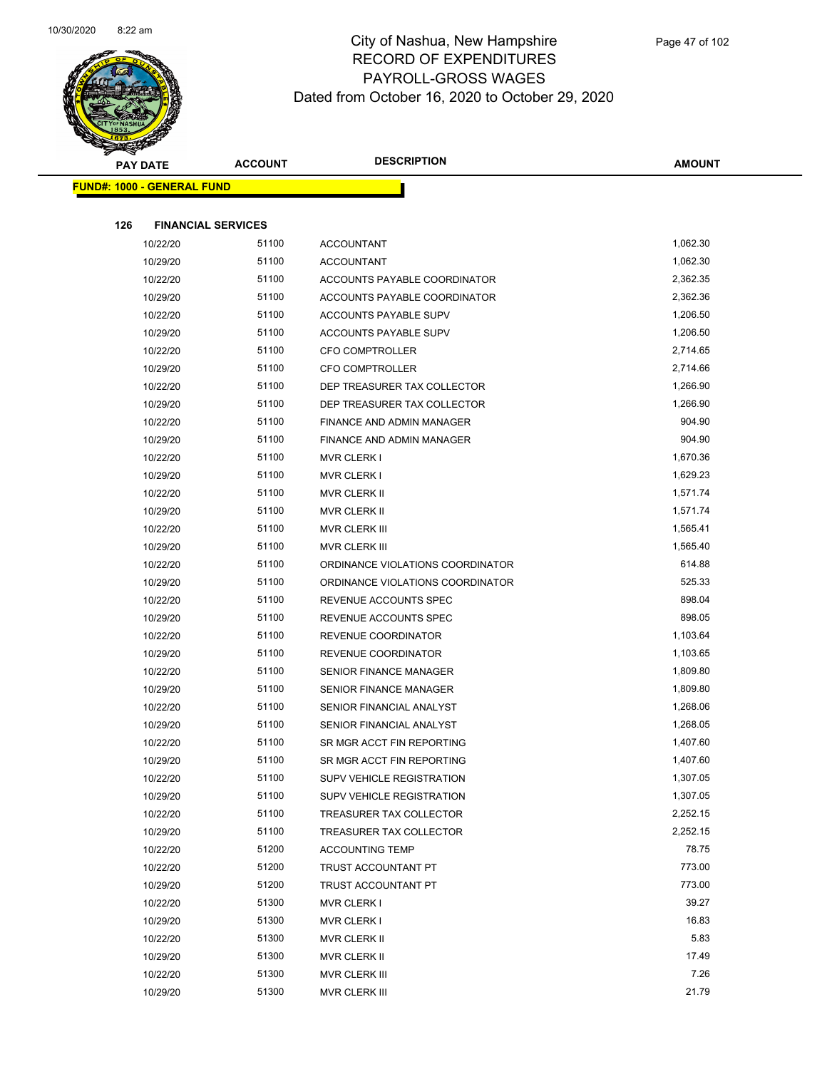

|     | <b>PAY DATE</b>                   | <b>ACCOUNT</b> | <b>DESCRIPTION</b>               | <b>AMOUNT</b> |
|-----|-----------------------------------|----------------|----------------------------------|---------------|
|     | <b>FUND#: 1000 - GENERAL FUND</b> |                |                                  |               |
|     |                                   |                |                                  |               |
| 126 | <b>FINANCIAL SERVICES</b>         |                |                                  |               |
|     | 10/22/20                          | 51100          | <b>ACCOUNTANT</b>                | 1,062.30      |
|     | 10/29/20                          | 51100          | <b>ACCOUNTANT</b>                | 1,062.30      |
|     | 10/22/20                          | 51100          | ACCOUNTS PAYABLE COORDINATOR     | 2,362.35      |
|     | 10/29/20                          | 51100          | ACCOUNTS PAYABLE COORDINATOR     | 2,362.36      |
|     | 10/22/20                          | 51100          | ACCOUNTS PAYABLE SUPV            | 1,206.50      |
|     | 10/29/20                          | 51100          | ACCOUNTS PAYABLE SUPV            | 1,206.50      |
|     | 10/22/20                          | 51100          | <b>CFO COMPTROLLER</b>           | 2,714.65      |
|     | 10/29/20                          | 51100          | CFO COMPTROLLER                  | 2,714.66      |
|     | 10/22/20                          | 51100          | DEP TREASURER TAX COLLECTOR      | 1,266.90      |
|     | 10/29/20                          | 51100          | DEP TREASURER TAX COLLECTOR      | 1,266.90      |
|     | 10/22/20                          | 51100          | FINANCE AND ADMIN MANAGER        | 904.90        |
|     | 10/29/20                          | 51100          | FINANCE AND ADMIN MANAGER        | 904.90        |
|     | 10/22/20                          | 51100          | <b>MVR CLERK I</b>               | 1,670.36      |
|     | 10/29/20                          | 51100          | <b>MVR CLERK I</b>               | 1,629.23      |
|     | 10/22/20                          | 51100          | MVR CLERK II                     | 1,571.74      |
|     | 10/29/20                          | 51100          | MVR CLERK II                     | 1,571.74      |
|     | 10/22/20                          | 51100          | MVR CLERK III                    | 1,565.41      |
|     | 10/29/20                          | 51100          | MVR CLERK III                    | 1,565.40      |
|     | 10/22/20                          | 51100          | ORDINANCE VIOLATIONS COORDINATOR | 614.88        |
|     | 10/29/20                          | 51100          | ORDINANCE VIOLATIONS COORDINATOR | 525.33        |
|     | 10/22/20                          | 51100          | REVENUE ACCOUNTS SPEC            | 898.04        |
|     | 10/29/20                          | 51100          | REVENUE ACCOUNTS SPEC            | 898.05        |
|     | 10/22/20                          | 51100          | REVENUE COORDINATOR              | 1,103.64      |
|     | 10/29/20                          | 51100          | REVENUE COORDINATOR              | 1,103.65      |
|     | 10/22/20                          | 51100          | <b>SENIOR FINANCE MANAGER</b>    | 1,809.80      |
|     | 10/29/20                          | 51100          | SENIOR FINANCE MANAGER           | 1,809.80      |
|     | 10/22/20                          | 51100          | SENIOR FINANCIAL ANALYST         | 1,268.06      |
|     | 10/29/20                          | 51100          | SENIOR FINANCIAL ANALYST         | 1,268.05      |
|     | 10/22/20                          | 51100          | SR MGR ACCT FIN REPORTING        | 1,407.60      |
|     | 10/29/20                          | 51100          | SR MGR ACCT FIN REPORTING        | 1,407.60      |
|     | 10/22/20                          | 51100          | <b>SUPV VEHICLE REGISTRATION</b> | 1,307.05      |
|     | 10/29/20                          | 51100          | SUPV VEHICLE REGISTRATION        | 1,307.05      |
|     | 10/22/20                          | 51100          | TREASURER TAX COLLECTOR          | 2,252.15      |
|     | 10/29/20                          | 51100          | TREASURER TAX COLLECTOR          | 2,252.15      |
|     | 10/22/20                          | 51200          | <b>ACCOUNTING TEMP</b>           | 78.75         |
|     | 10/22/20                          | 51200          | TRUST ACCOUNTANT PT              | 773.00        |
|     | 10/29/20                          | 51200          | TRUST ACCOUNTANT PT              | 773.00        |
|     | 10/22/20                          | 51300          | <b>MVR CLERK I</b>               | 39.27         |
|     | 10/29/20                          | 51300          | <b>MVR CLERK I</b>               | 16.83         |
|     | 10/22/20                          | 51300          | MVR CLERK II                     | 5.83          |
|     | 10/29/20                          | 51300          | MVR CLERK II                     | 17.49         |
|     | 10/22/20                          | 51300          | MVR CLERK III                    | 7.26          |
|     | 10/29/20                          | 51300          | MVR CLERK III                    | 21.79         |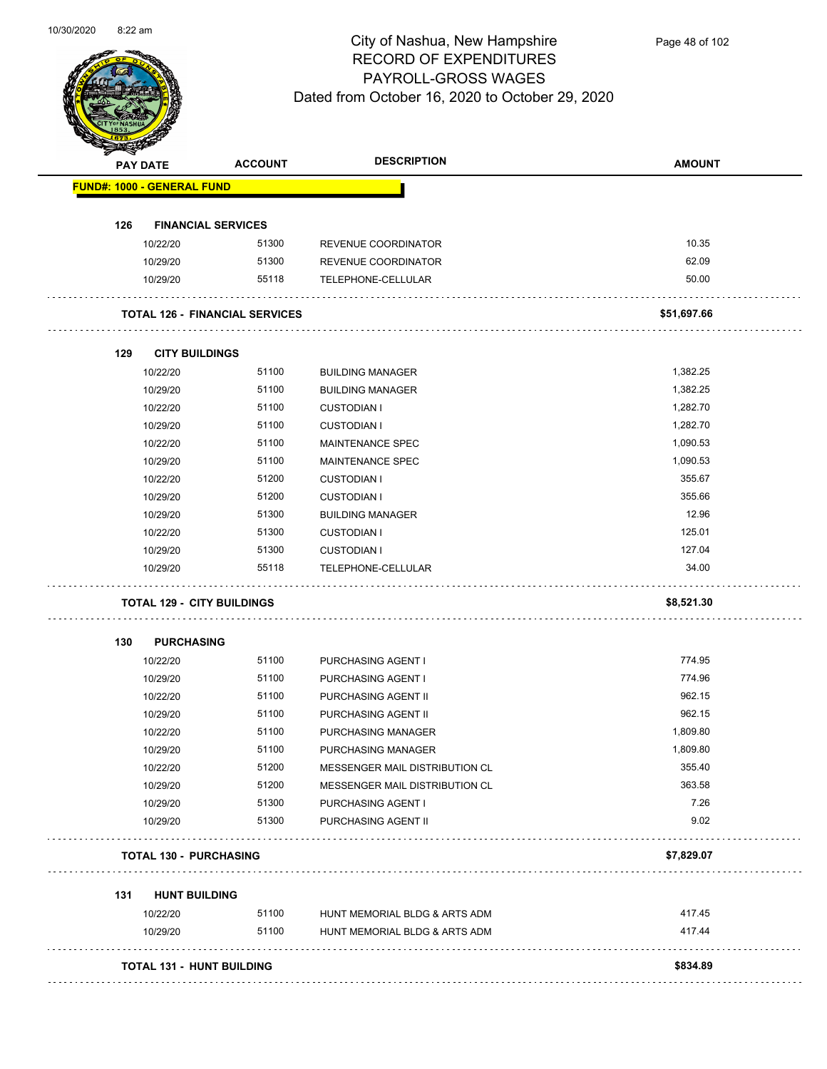

Page 48 of 102

| <b>PAY DATE</b>                   | <b>ACCOUNT</b>                        | <b>DESCRIPTION</b>             | <b>AMOUNT</b> |
|-----------------------------------|---------------------------------------|--------------------------------|---------------|
| <b>FUND#: 1000 - GENERAL FUND</b> |                                       |                                |               |
|                                   |                                       |                                |               |
| 126<br>10/22/20                   | <b>FINANCIAL SERVICES</b><br>51300    | REVENUE COORDINATOR            | 10.35         |
| 10/29/20                          | 51300                                 | REVENUE COORDINATOR            | 62.09         |
| 10/29/20                          | 55118                                 | TELEPHONE-CELLULAR             | 50.00         |
|                                   | <b>TOTAL 126 - FINANCIAL SERVICES</b> |                                | \$51,697.66   |
|                                   |                                       |                                |               |
| 129                               | <b>CITY BUILDINGS</b>                 |                                |               |
| 10/22/20                          | 51100                                 | <b>BUILDING MANAGER</b>        | 1,382.25      |
| 10/29/20                          | 51100                                 | <b>BUILDING MANAGER</b>        | 1,382.25      |
| 10/22/20                          | 51100                                 | <b>CUSTODIAN I</b>             | 1,282.70      |
| 10/29/20                          | 51100                                 | <b>CUSTODIAN I</b>             | 1,282.70      |
| 10/22/20                          | 51100                                 | <b>MAINTENANCE SPEC</b>        | 1,090.53      |
| 10/29/20                          | 51100                                 | <b>MAINTENANCE SPEC</b>        | 1,090.53      |
| 10/22/20                          | 51200                                 | <b>CUSTODIAN I</b>             | 355.67        |
| 10/29/20                          | 51200                                 | <b>CUSTODIAN I</b>             | 355.66        |
| 10/29/20                          | 51300                                 | <b>BUILDING MANAGER</b>        | 12.96         |
| 10/22/20                          | 51300                                 | <b>CUSTODIAN I</b>             | 125.01        |
| 10/29/20                          | 51300                                 | <b>CUSTODIAN I</b>             | 127.04        |
| 10/29/20                          | 55118                                 | TELEPHONE-CELLULAR             | 34.00         |
|                                   | <b>TOTAL 129 - CITY BUILDINGS</b>     |                                | \$8,521.30    |
| 130<br><b>PURCHASING</b>          |                                       |                                |               |
| 10/22/20                          | 51100                                 | PURCHASING AGENT I             | 774.95        |
| 10/29/20                          | 51100                                 | PURCHASING AGENT I             | 774.96        |
| 10/22/20                          | 51100                                 | PURCHASING AGENT II            | 962.15        |
| 10/29/20                          | 51100                                 | PURCHASING AGENT II            | 962.15        |
| 10/22/20                          | 51100                                 | <b>PURCHASING MANAGER</b>      | 1,809.80      |
| 10/29/20                          | 51100                                 | PURCHASING MANAGER             | 1,809.80      |
| 10/22/20                          | 51200                                 | MESSENGER MAIL DISTRIBUTION CL | 355.40        |
| 10/29/20                          | 51200                                 | MESSENGER MAIL DISTRIBUTION CL | 363.58        |
| 10/29/20                          | 51300                                 | PURCHASING AGENT I             | 7.26          |
| 10/29/20                          | 51300                                 | PURCHASING AGENT II            | 9.02          |
|                                   |                                       |                                |               |
| <b>TOTAL 130 - PURCHASING</b>     |                                       |                                | \$7,829.07    |
| 131                               | <b>HUNT BUILDING</b>                  |                                |               |
| 10/22/20                          | 51100                                 | HUNT MEMORIAL BLDG & ARTS ADM  | 417.45        |
| 10/29/20                          | 51100                                 | HUNT MEMORIAL BLDG & ARTS ADM  | 417.44        |
|                                   |                                       |                                |               |
|                                   | TOTAL 131 - HUNT BUILDING             |                                | \$834.89      |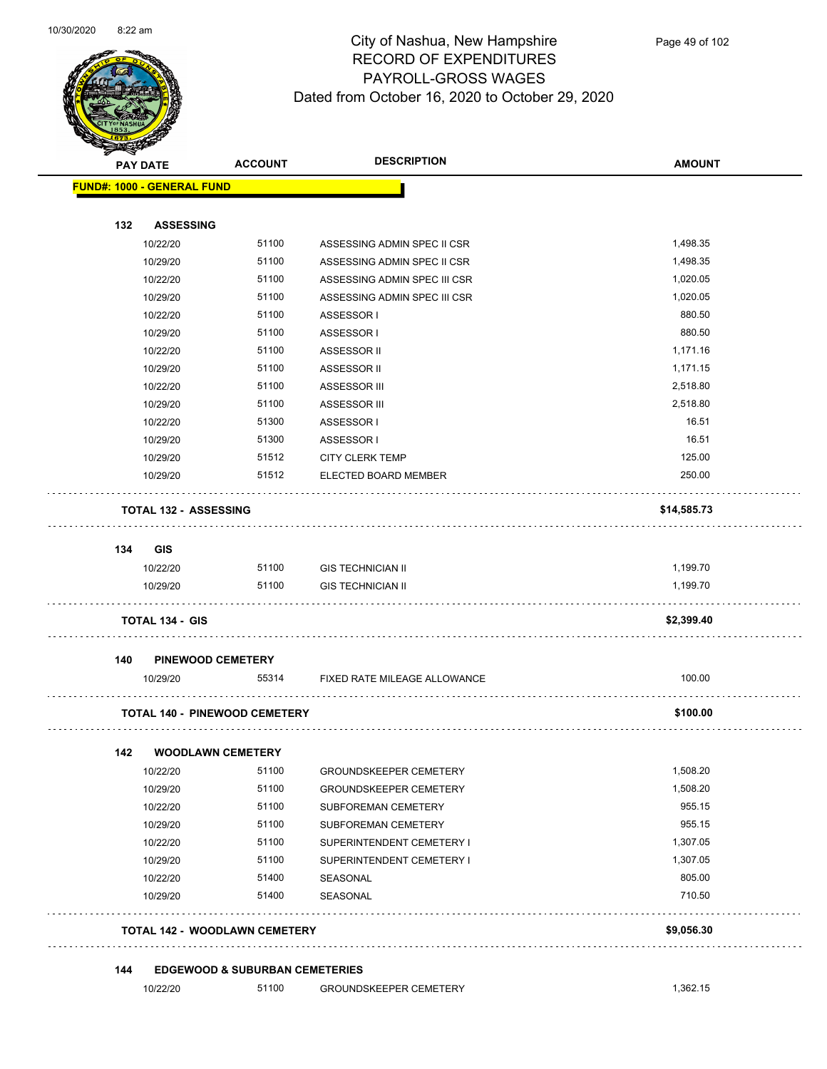

Page 49 of 102

|     | <b>PAY DATE</b>                      | <b>ACCOUNT</b> | <b>DESCRIPTION</b>            | <b>AMOUNT</b> |
|-----|--------------------------------------|----------------|-------------------------------|---------------|
|     | <b>FUND#: 1000 - GENERAL FUND</b>    |                |                               |               |
| 132 | <b>ASSESSING</b>                     |                |                               |               |
|     | 10/22/20                             | 51100          | ASSESSING ADMIN SPEC II CSR   | 1,498.35      |
|     | 10/29/20                             | 51100          | ASSESSING ADMIN SPEC II CSR   | 1,498.35      |
|     | 10/22/20                             | 51100          | ASSESSING ADMIN SPEC III CSR  | 1,020.05      |
|     | 10/29/20                             | 51100          | ASSESSING ADMIN SPEC III CSR  | 1,020.05      |
|     | 10/22/20                             | 51100          | ASSESSOR I                    | 880.50        |
|     | 10/29/20                             | 51100          | ASSESSOR I                    | 880.50        |
|     | 10/22/20                             | 51100          | ASSESSOR II                   | 1,171.16      |
|     | 10/29/20                             | 51100          | ASSESSOR II                   | 1,171.15      |
|     | 10/22/20                             | 51100          | ASSESSOR III                  | 2,518.80      |
|     | 10/29/20                             | 51100          | ASSESSOR III                  | 2,518.80      |
|     | 10/22/20                             | 51300          | ASSESSOR I                    | 16.51         |
|     | 10/29/20                             | 51300          | ASSESSOR I                    | 16.51         |
|     | 10/29/20                             | 51512          | <b>CITY CLERK TEMP</b>        | 125.00        |
|     | 10/29/20                             | 51512          | ELECTED BOARD MEMBER          | 250.00        |
|     | <b>TOTAL 132 - ASSESSING</b>         |                |                               | \$14,585.73   |
| 134 | GIS                                  |                |                               |               |
|     | 10/22/20                             | 51100          | <b>GIS TECHNICIAN II</b>      | 1,199.70      |
|     | 10/29/20                             | 51100          | <b>GIS TECHNICIAN II</b>      | 1,199.70      |
|     | <b>TOTAL 134 - GIS</b>               |                |                               | \$2,399.40    |
| 140 | <b>PINEWOOD CEMETERY</b>             |                |                               |               |
|     | 10/29/20                             | 55314          | FIXED RATE MILEAGE ALLOWANCE  | 100.00        |
|     | <b>TOTAL 140 - PINEWOOD CEMETERY</b> |                |                               | \$100.00      |
| 142 | <b>WOODLAWN CEMETERY</b>             |                |                               |               |
|     | 10/22/20                             | 51100          | <b>GROUNDSKEEPER CEMETERY</b> | 1,508.20      |
|     | 10/29/20                             | 51100          | <b>GROUNDSKEEPER CEMETERY</b> | 1,508.20      |
|     | 10/22/20                             | 51100          | SUBFOREMAN CEMETERY           | 955.15        |
|     | 10/29/20                             | 51100          | SUBFOREMAN CEMETERY           | 955.15        |
|     | 10/22/20                             | 51100          | SUPERINTENDENT CEMETERY I     | 1,307.05      |
|     | 10/29/20                             | 51100          | SUPERINTENDENT CEMETERY I     | 1,307.05      |
|     | 10/22/20                             | 51400          | SEASONAL                      | 805.00        |
|     | 10/29/20                             | 51400          | SEASONAL                      | 710.50        |
|     | TOTAL 142 - WOODLAWN CEMETERY        |                |                               | \$9,056.30    |
|     |                                      |                |                               |               |

10/22/20 51100 GROUNDSKEEPER CEMETERY 1,362.15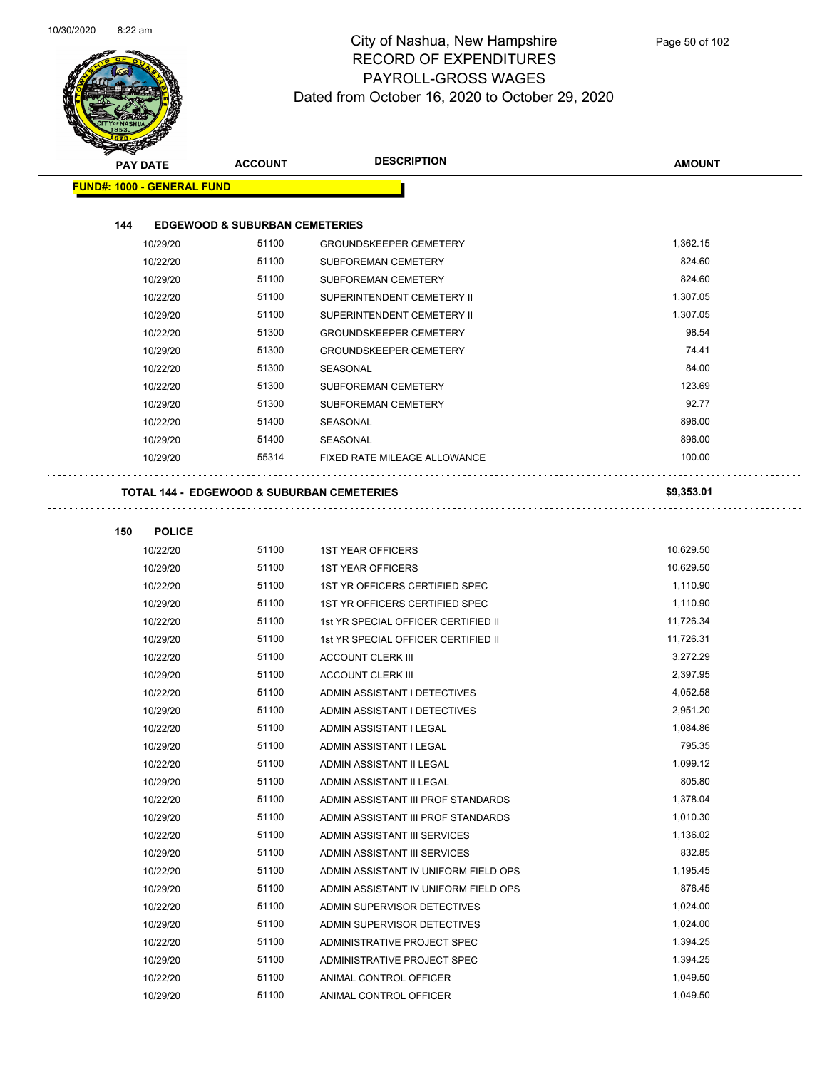

Page 50 of 102

| <b>PAY DATE</b>                   | <b>ACCOUNT</b>                            | <b>DESCRIPTION</b>                         | <b>AMOUNT</b> |
|-----------------------------------|-------------------------------------------|--------------------------------------------|---------------|
| <b>FUND#: 1000 - GENERAL FUND</b> |                                           |                                            |               |
|                                   |                                           |                                            |               |
| 144                               | <b>EDGEWOOD &amp; SUBURBAN CEMETERIES</b> |                                            |               |
| 10/29/20                          | 51100                                     | <b>GROUNDSKEEPER CEMETERY</b>              | 1,362.15      |
| 10/22/20                          | 51100                                     | SUBFOREMAN CEMETERY                        | 824.60        |
| 10/29/20                          | 51100                                     | SUBFOREMAN CEMETERY                        | 824.60        |
| 10/22/20                          | 51100                                     | SUPERINTENDENT CEMETERY II                 | 1,307.05      |
| 10/29/20                          | 51100                                     | SUPERINTENDENT CEMETERY II                 | 1,307.05      |
| 10/22/20                          | 51300                                     | <b>GROUNDSKEEPER CEMETERY</b>              | 98.54         |
| 10/29/20                          | 51300                                     | <b>GROUNDSKEEPER CEMETERY</b>              | 74.41         |
| 10/22/20                          | 51300                                     | SEASONAL                                   | 84.00         |
| 10/22/20                          | 51300                                     | SUBFOREMAN CEMETERY                        | 123.69        |
| 10/29/20                          | 51300                                     | SUBFOREMAN CEMETERY                        | 92.77         |
| 10/22/20                          | 51400                                     | <b>SEASONAL</b>                            | 896.00        |
| 10/29/20                          | 51400                                     | SEASONAL                                   | 896.00        |
| 10/29/20                          | 55314                                     | FIXED RATE MILEAGE ALLOWANCE               | 100.00        |
|                                   |                                           | TOTAL 144 - EDGEWOOD & SUBURBAN CEMETERIES | \$9,353.01    |
| 150<br><b>POLICE</b>              |                                           |                                            |               |
| 10/22/20                          | 51100                                     | <b>1ST YEAR OFFICERS</b>                   | 10,629.50     |
| 10/29/20                          | 51100                                     | <b>1ST YEAR OFFICERS</b>                   | 10,629.50     |
| 10/22/20                          | 51100                                     | 1ST YR OFFICERS CERTIFIED SPEC             | 1,110.90      |
| 10/29/20                          | 51100                                     | 1ST YR OFFICERS CERTIFIED SPEC             | 1,110.90      |
| 10/22/20                          | 51100                                     | 1st YR SPECIAL OFFICER CERTIFIED II        | 11,726.34     |
| 10/29/20                          | 51100                                     | 1st YR SPECIAL OFFICER CERTIFIED II        | 11,726.31     |
| 10/22/20                          | 51100                                     | <b>ACCOUNT CLERK III</b>                   | 3,272.29      |
| 10/29/20                          | 51100                                     | <b>ACCOUNT CLERK III</b>                   | 2,397.95      |
| 10/22/20                          | 51100                                     | ADMIN ASSISTANT I DETECTIVES               | 4,052.58      |
| 10/29/20                          | 51100                                     | ADMIN ASSISTANT I DETECTIVES               | 2,951.20      |
| 10/22/20                          | 51100                                     | ADMIN ASSISTANT I LEGAL                    | 1,084.86      |
| 10/29/20                          | 51100                                     | ADMIN ASSISTANT I LEGAL                    | 795.35        |
| 10/22/20                          | 51100                                     | ADMIN ASSISTANT II LEGAL                   | 1,099.12      |
| 10/29/20                          | 51100                                     | ADMIN ASSISTANT II LEGAL                   | 805.80        |
| 10/22/20                          | 51100                                     | ADMIN ASSISTANT III PROF STANDARDS         | 1,378.04      |
| 10/29/20                          | 51100                                     | ADMIN ASSISTANT III PROF STANDARDS         | 1,010.30      |
| 10/22/20                          | 51100                                     | ADMIN ASSISTANT III SERVICES               | 1,136.02      |
| 10/29/20                          | 51100                                     | ADMIN ASSISTANT III SERVICES               | 832.85        |
| 10/22/20                          | 51100                                     | ADMIN ASSISTANT IV UNIFORM FIELD OPS       | 1,195.45      |
| 10/29/20                          | 51100                                     | ADMIN ASSISTANT IV UNIFORM FIELD OPS       | 876.45        |
| 10/22/20                          | 51100                                     | ADMIN SUPERVISOR DETECTIVES                | 1,024.00      |
| 10/29/20                          | 51100                                     | ADMIN SUPERVISOR DETECTIVES                | 1,024.00      |
| 10/22/20                          | 51100                                     | ADMINISTRATIVE PROJECT SPEC                | 1,394.25      |
| 10/29/20                          | 51100                                     | ADMINISTRATIVE PROJECT SPEC                | 1,394.25      |
| 10/22/20                          | 51100                                     | ANIMAL CONTROL OFFICER                     | 1,049.50      |

10/29/20 51100 ANIMAL CONTROL OFFICER 1,049.50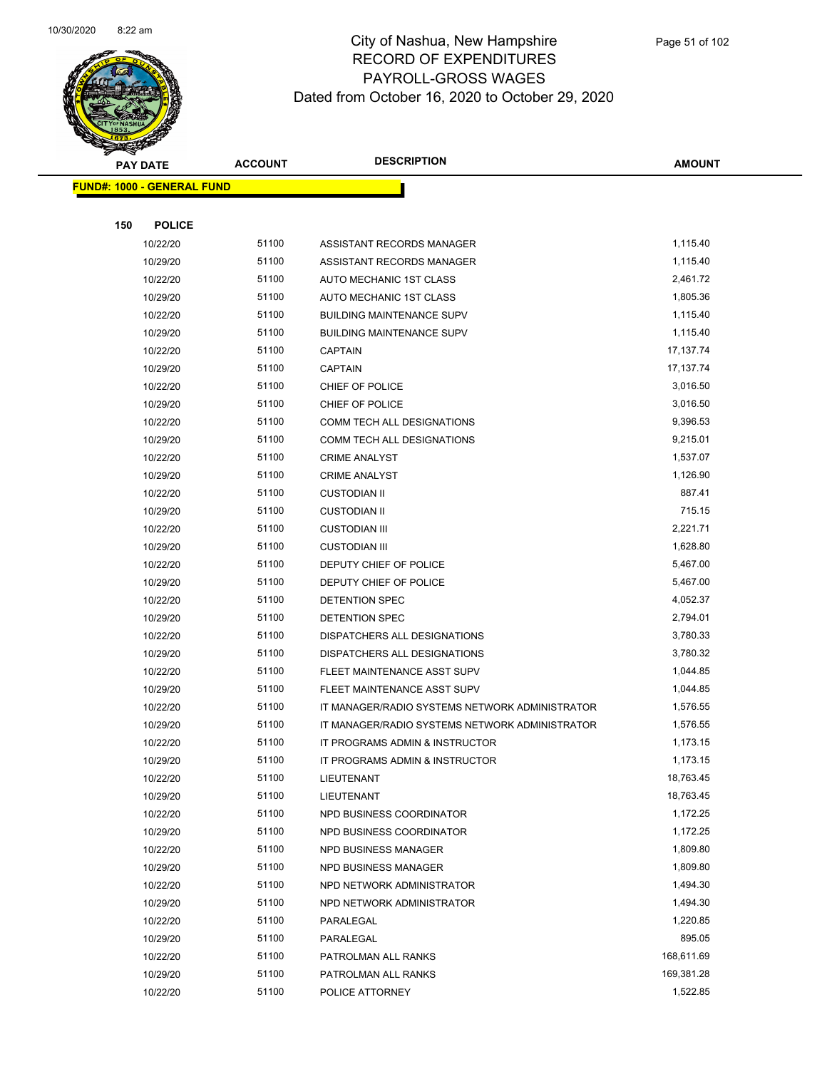

Page 51 of 102

|     | <b>PAY DATE</b>                    | <b>ACCOUNT</b> | <b>DESCRIPTION</b>                               | <b>AMOUNT</b>        |  |
|-----|------------------------------------|----------------|--------------------------------------------------|----------------------|--|
|     | <u> FUND#: 1000 - GENERAL FUND</u> |                |                                                  |                      |  |
|     |                                    |                |                                                  |                      |  |
| 150 | <b>POLICE</b>                      |                |                                                  |                      |  |
|     | 10/22/20                           | 51100          | ASSISTANT RECORDS MANAGER                        | 1,115.40             |  |
|     | 10/29/20                           | 51100          | ASSISTANT RECORDS MANAGER                        | 1,115.40             |  |
|     | 10/22/20                           | 51100          | AUTO MECHANIC 1ST CLASS                          | 2,461.72             |  |
|     | 10/29/20                           | 51100          | AUTO MECHANIC 1ST CLASS                          | 1,805.36             |  |
|     | 10/22/20                           | 51100          | <b>BUILDING MAINTENANCE SUPV</b>                 | 1,115.40             |  |
|     | 10/29/20                           | 51100          | <b>BUILDING MAINTENANCE SUPV</b>                 | 1,115.40             |  |
|     | 10/22/20                           | 51100          | <b>CAPTAIN</b>                                   | 17,137.74            |  |
|     | 10/29/20                           | 51100          | <b>CAPTAIN</b>                                   | 17,137.74            |  |
|     | 10/22/20                           | 51100          | CHIEF OF POLICE                                  | 3,016.50             |  |
|     | 10/29/20                           | 51100          | CHIEF OF POLICE                                  | 3,016.50             |  |
|     | 10/22/20                           | 51100          | COMM TECH ALL DESIGNATIONS                       | 9,396.53             |  |
|     | 10/29/20                           | 51100          | COMM TECH ALL DESIGNATIONS                       | 9,215.01             |  |
|     | 10/22/20                           | 51100          | <b>CRIME ANALYST</b>                             | 1,537.07             |  |
|     | 10/29/20                           | 51100          | <b>CRIME ANALYST</b>                             | 1,126.90             |  |
|     | 10/22/20                           | 51100          | <b>CUSTODIAN II</b>                              | 887.41               |  |
|     | 10/29/20                           | 51100          | <b>CUSTODIAN II</b>                              | 715.15               |  |
|     | 10/22/20                           | 51100          | <b>CUSTODIAN III</b>                             | 2,221.71             |  |
|     | 10/29/20                           | 51100<br>51100 | <b>CUSTODIAN III</b>                             | 1,628.80<br>5,467.00 |  |
|     | 10/22/20<br>10/29/20               | 51100          | DEPUTY CHIEF OF POLICE<br>DEPUTY CHIEF OF POLICE | 5,467.00             |  |
|     | 10/22/20                           | 51100          | DETENTION SPEC                                   | 4,052.37             |  |
|     | 10/29/20                           | 51100          | DETENTION SPEC                                   | 2,794.01             |  |
|     | 10/22/20                           | 51100          | DISPATCHERS ALL DESIGNATIONS                     | 3,780.33             |  |
|     | 10/29/20                           | 51100          | DISPATCHERS ALL DESIGNATIONS                     | 3,780.32             |  |
|     | 10/22/20                           | 51100          | FLEET MAINTENANCE ASST SUPV                      | 1,044.85             |  |
|     | 10/29/20                           | 51100          | FLEET MAINTENANCE ASST SUPV                      | 1,044.85             |  |
|     | 10/22/20                           | 51100          | IT MANAGER/RADIO SYSTEMS NETWORK ADMINISTRATOR   | 1,576.55             |  |
|     | 10/29/20                           | 51100          | IT MANAGER/RADIO SYSTEMS NETWORK ADMINISTRATOR   | 1,576.55             |  |
|     | 10/22/20                           | 51100          | IT PROGRAMS ADMIN & INSTRUCTOR                   | 1,173.15             |  |
|     | 10/29/20                           | 51100          | IT PROGRAMS ADMIN & INSTRUCTOR                   | 1,173.15             |  |
|     | 10/22/20                           | 51100          | LIEUTENANT                                       | 18,763.45            |  |
|     | 10/29/20                           | 51100          | LIEUTENANT                                       | 18,763.45            |  |
|     | 10/22/20                           | 51100          | NPD BUSINESS COORDINATOR                         | 1,172.25             |  |
|     | 10/29/20                           | 51100          | NPD BUSINESS COORDINATOR                         | 1,172.25             |  |
|     | 10/22/20                           | 51100          | NPD BUSINESS MANAGER                             | 1,809.80             |  |
|     | 10/29/20                           | 51100          | NPD BUSINESS MANAGER                             | 1,809.80             |  |
|     | 10/22/20                           | 51100          | NPD NETWORK ADMINISTRATOR                        | 1,494.30             |  |
|     | 10/29/20                           | 51100          | NPD NETWORK ADMINISTRATOR                        | 1,494.30             |  |
|     | 10/22/20                           | 51100          | PARALEGAL                                        | 1,220.85             |  |
|     | 10/29/20                           | 51100          | PARALEGAL                                        | 895.05               |  |
|     | 10/22/20                           | 51100          | PATROLMAN ALL RANKS                              | 168,611.69           |  |
|     | 10/29/20                           | 51100          | PATROLMAN ALL RANKS                              | 169,381.28           |  |
|     | 10/22/20                           | 51100          | POLICE ATTORNEY                                  | 1,522.85             |  |
|     |                                    |                |                                                  |                      |  |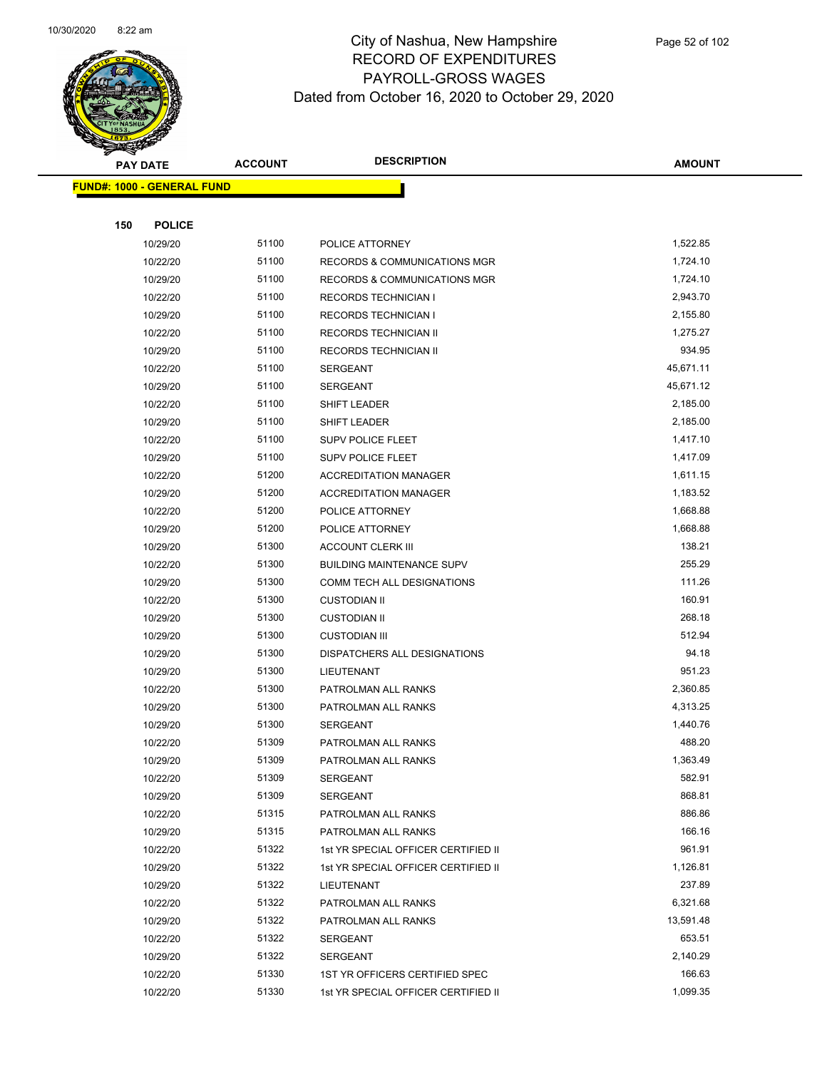

|     | <b>PAY DATE</b>                    | <b>ACCOUNT</b> | <b>DESCRIPTION</b>                      | <b>AMOUNT</b> |
|-----|------------------------------------|----------------|-----------------------------------------|---------------|
|     | <u> FUND#: 1000 - GENERAL FUND</u> |                |                                         |               |
|     |                                    |                |                                         |               |
| 150 | <b>POLICE</b>                      |                |                                         |               |
|     | 10/29/20                           | 51100          | POLICE ATTORNEY                         | 1,522.85      |
|     | 10/22/20                           | 51100          | <b>RECORDS &amp; COMMUNICATIONS MGR</b> | 1,724.10      |
|     | 10/29/20                           | 51100          | <b>RECORDS &amp; COMMUNICATIONS MGR</b> | 1,724.10      |
|     | 10/22/20                           | 51100          | <b>RECORDS TECHNICIAN I</b>             | 2,943.70      |
|     | 10/29/20                           | 51100          | <b>RECORDS TECHNICIAN I</b>             | 2,155.80      |
|     | 10/22/20                           | 51100          | <b>RECORDS TECHNICIAN II</b>            | 1,275.27      |
|     | 10/29/20                           | 51100          | <b>RECORDS TECHNICIAN II</b>            | 934.95        |
|     | 10/22/20                           | 51100          | <b>SERGEANT</b>                         | 45,671.11     |
|     | 10/29/20                           | 51100          | <b>SERGEANT</b>                         | 45,671.12     |
|     | 10/22/20                           | 51100          | SHIFT LEADER                            | 2,185.00      |
|     | 10/29/20                           | 51100          | <b>SHIFT LEADER</b>                     | 2,185.00      |
|     | 10/22/20                           | 51100          | SUPV POLICE FLEET                       | 1,417.10      |
|     | 10/29/20                           | 51100          | SUPV POLICE FLEET                       | 1,417.09      |
|     | 10/22/20                           | 51200          | <b>ACCREDITATION MANAGER</b>            | 1,611.15      |
|     | 10/29/20                           | 51200          | <b>ACCREDITATION MANAGER</b>            | 1,183.52      |
|     | 10/22/20                           | 51200          | POLICE ATTORNEY                         | 1,668.88      |
|     | 10/29/20                           | 51200          | POLICE ATTORNEY                         | 1,668.88      |
|     | 10/29/20                           | 51300          | <b>ACCOUNT CLERK III</b>                | 138.21        |
|     | 10/22/20                           | 51300          | <b>BUILDING MAINTENANCE SUPV</b>        | 255.29        |
|     | 10/29/20                           | 51300          | COMM TECH ALL DESIGNATIONS              | 111.26        |
|     | 10/22/20                           | 51300          | <b>CUSTODIAN II</b>                     | 160.91        |
|     | 10/29/20                           | 51300          | <b>CUSTODIAN II</b>                     | 268.18        |
|     | 10/29/20                           | 51300          | <b>CUSTODIAN III</b>                    | 512.94        |
|     | 10/29/20                           | 51300          | DISPATCHERS ALL DESIGNATIONS            | 94.18         |
|     | 10/29/20                           | 51300          | LIEUTENANT                              | 951.23        |
|     | 10/22/20                           | 51300          | PATROLMAN ALL RANKS                     | 2,360.85      |
|     | 10/29/20                           | 51300          | PATROLMAN ALL RANKS                     | 4,313.25      |
|     | 10/29/20                           | 51300          | <b>SERGEANT</b>                         | 1,440.76      |
|     | 10/22/20                           | 51309          | PATROLMAN ALL RANKS                     | 488.20        |
|     | 10/29/20                           | 51309          | PATROLMAN ALL RANKS                     | 1,363.49      |
|     | 10/22/20                           | 51309          | SERGEANT                                | 582.91        |
|     | 10/29/20                           | 51309          | <b>SERGEANT</b>                         | 868.81        |
|     | 10/22/20                           | 51315          | PATROLMAN ALL RANKS                     | 886.86        |
|     | 10/29/20                           | 51315          | PATROLMAN ALL RANKS                     | 166.16        |
|     | 10/22/20                           | 51322          | 1st YR SPECIAL OFFICER CERTIFIED II     | 961.91        |
|     | 10/29/20                           | 51322          | 1st YR SPECIAL OFFICER CERTIFIED II     | 1,126.81      |
|     | 10/29/20                           | 51322          | LIEUTENANT                              | 237.89        |
|     | 10/22/20                           | 51322          | PATROLMAN ALL RANKS                     | 6,321.68      |
|     | 10/29/20                           | 51322          | PATROLMAN ALL RANKS                     | 13,591.48     |
|     | 10/22/20                           | 51322          | <b>SERGEANT</b>                         | 653.51        |
|     | 10/29/20                           | 51322          | <b>SERGEANT</b>                         | 2,140.29      |
|     | 10/22/20                           | 51330          | 1ST YR OFFICERS CERTIFIED SPEC          | 166.63        |
|     | 10/22/20                           | 51330          | 1st YR SPECIAL OFFICER CERTIFIED II     | 1,099.35      |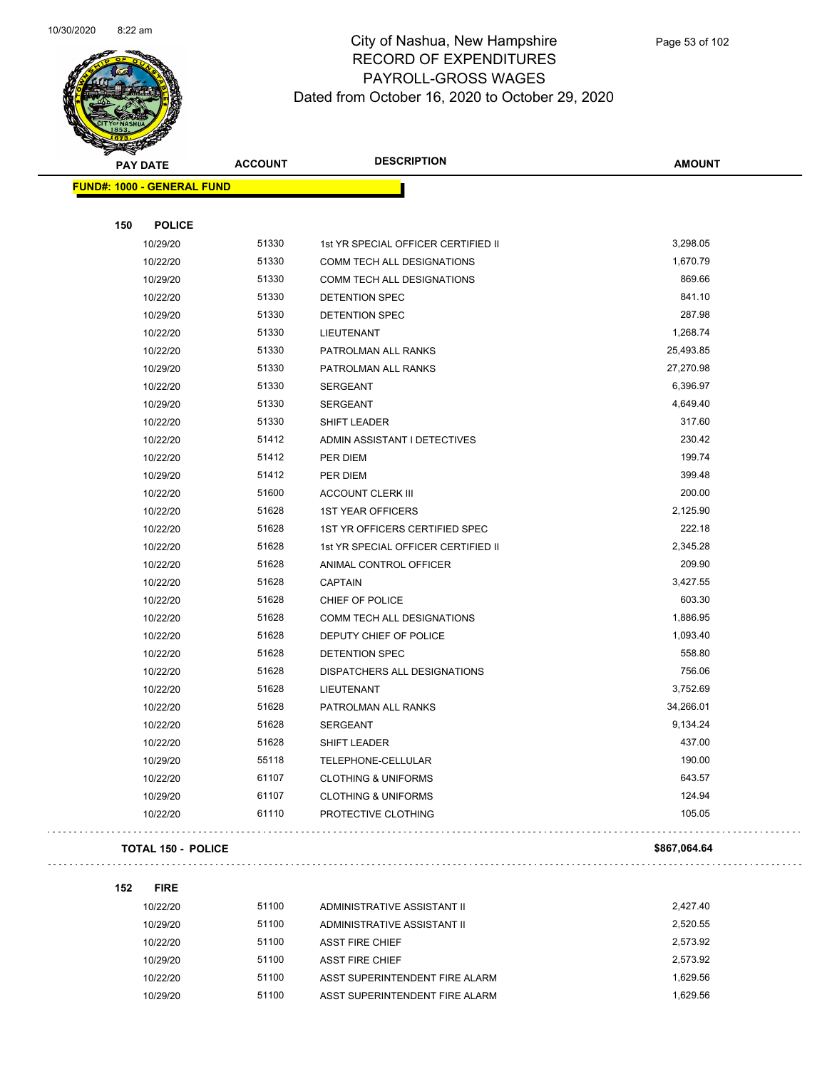

|     | <b>PAY DATE</b>                    | <b>ACCOUNT</b> | <b>DESCRIPTION</b>                  | <b>AMOUNT</b> |
|-----|------------------------------------|----------------|-------------------------------------|---------------|
|     | <u> FUND#: 1000 - GENERAL FUND</u> |                |                                     |               |
|     |                                    |                |                                     |               |
| 150 | <b>POLICE</b>                      |                |                                     |               |
|     | 10/29/20                           | 51330          | 1st YR SPECIAL OFFICER CERTIFIED II | 3,298.05      |
|     | 10/22/20                           | 51330          | COMM TECH ALL DESIGNATIONS          | 1,670.79      |
|     | 10/29/20                           | 51330          | <b>COMM TECH ALL DESIGNATIONS</b>   | 869.66        |
|     | 10/22/20                           | 51330          | DETENTION SPEC                      | 841.10        |
|     | 10/29/20                           | 51330          | DETENTION SPEC                      | 287.98        |
|     | 10/22/20                           | 51330          | <b>LIEUTENANT</b>                   | 1,268.74      |
|     | 10/22/20                           | 51330          | PATROLMAN ALL RANKS                 | 25,493.85     |
|     | 10/29/20                           | 51330          | PATROLMAN ALL RANKS                 | 27,270.98     |
|     | 10/22/20                           | 51330          | <b>SERGEANT</b>                     | 6,396.97      |
|     | 10/29/20                           | 51330          | <b>SERGEANT</b>                     | 4,649.40      |
|     | 10/22/20                           | 51330          | SHIFT LEADER                        | 317.60        |
|     | 10/22/20                           | 51412          | ADMIN ASSISTANT I DETECTIVES        | 230.42        |
|     | 10/22/20                           | 51412          | PER DIEM                            | 199.74        |
|     | 10/29/20                           | 51412          | PER DIEM                            | 399.48        |
|     | 10/22/20                           | 51600          | <b>ACCOUNT CLERK III</b>            | 200.00        |
|     | 10/22/20                           | 51628          | <b>1ST YEAR OFFICERS</b>            | 2,125.90      |
|     | 10/22/20                           | 51628          | 1ST YR OFFICERS CERTIFIED SPEC      | 222.18        |
|     | 10/22/20                           | 51628          | 1st YR SPECIAL OFFICER CERTIFIED II | 2,345.28      |
|     | 10/22/20                           | 51628          | ANIMAL CONTROL OFFICER              | 209.90        |
|     | 10/22/20                           | 51628          | <b>CAPTAIN</b>                      | 3,427.55      |
|     | 10/22/20                           | 51628          | CHIEF OF POLICE                     | 603.30        |
|     | 10/22/20                           | 51628          | COMM TECH ALL DESIGNATIONS          | 1,886.95      |
|     | 10/22/20                           | 51628          | DEPUTY CHIEF OF POLICE              | 1,093.40      |
|     | 10/22/20                           | 51628          | DETENTION SPEC                      | 558.80        |
|     | 10/22/20                           | 51628          | DISPATCHERS ALL DESIGNATIONS        | 756.06        |
|     | 10/22/20                           | 51628          | LIEUTENANT                          | 3,752.69      |
|     | 10/22/20                           | 51628          | PATROLMAN ALL RANKS                 | 34,266.01     |
|     | 10/22/20                           | 51628          | <b>SERGEANT</b>                     | 9,134.24      |
|     | 10/22/20                           | 51628          | SHIFT LEADER                        | 437.00        |
|     | 10/29/20                           | 55118          | TELEPHONE-CELLULAR                  | 190.00        |
|     | 10/22/20                           | 61107          | <b>CLOTHING &amp; UNIFORMS</b>      | 643.57        |
|     | 10/29/20                           | 61107          | <b>CLOTHING &amp; UNIFORMS</b>      | 124.94        |
|     | 10/22/20                           | 61110          | PROTECTIVE CLOTHING                 | 105.05        |

#### **TOTAL 150 - POLICE \$867,064.64**

**152 FIRE**

 $\mathbb{Z}^2$  .  $\mathbb{Z}^2$  ,  $\mathbb{Z}^2$ 

| 10/22/20 | 51100 | ADMINISTRATIVE ASSISTANT II    | 2.427.40 |
|----------|-------|--------------------------------|----------|
| 10/29/20 | 51100 | ADMINISTRATIVE ASSISTANT II    | 2.520.55 |
| 10/22/20 | 51100 | <b>ASST FIRE CHIEF</b>         | 2.573.92 |
| 10/29/20 | 51100 | <b>ASST FIRE CHIEF</b>         | 2.573.92 |
| 10/22/20 | 51100 | ASST SUPERINTENDENT FIRE ALARM | 1.629.56 |
| 10/29/20 | 51100 | ASST SUPERINTENDENT FIRE ALARM | 1.629.56 |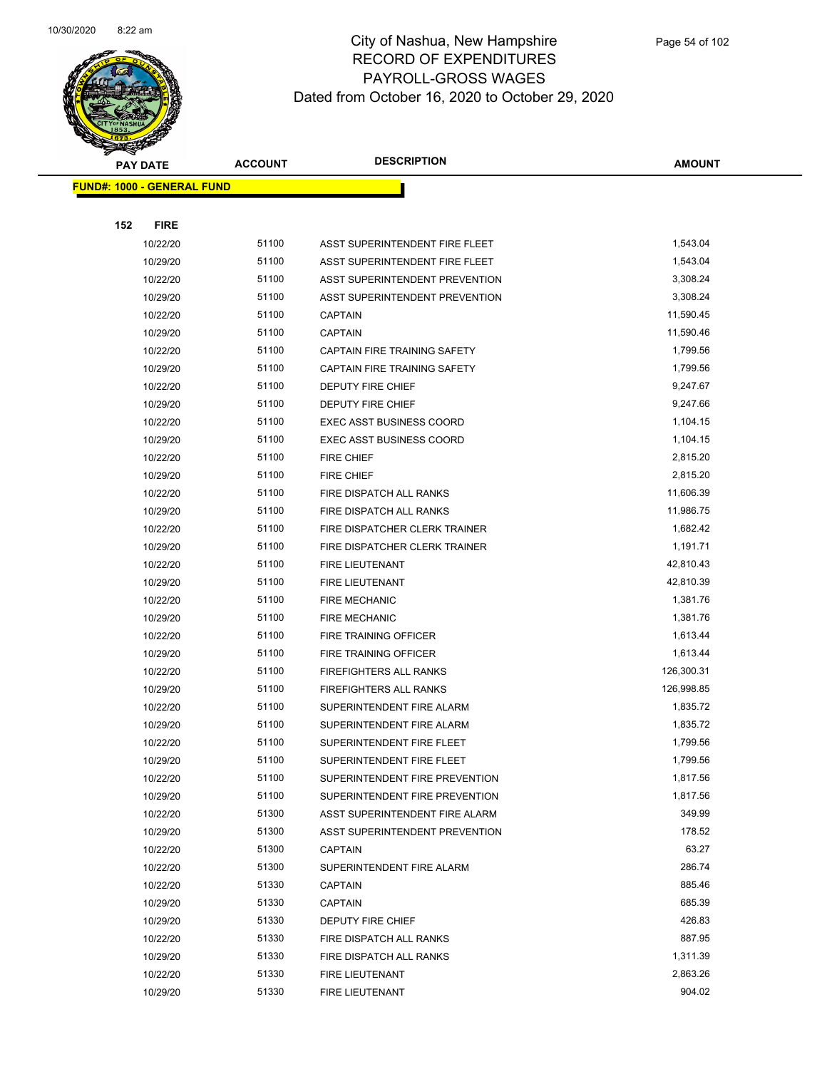

|     | <b>PAY DATE</b>                    | <b>ACCOUNT</b> | <b>DESCRIPTION</b>                  | <b>AMOUNT</b> |
|-----|------------------------------------|----------------|-------------------------------------|---------------|
|     | <u> FUND#: 1000 - GENERAL FUND</u> |                |                                     |               |
|     |                                    |                |                                     |               |
| 152 | <b>FIRE</b>                        |                |                                     |               |
|     | 10/22/20                           | 51100          | ASST SUPERINTENDENT FIRE FLEET      | 1,543.04      |
|     | 10/29/20                           | 51100          | ASST SUPERINTENDENT FIRE FLEET      | 1,543.04      |
|     | 10/22/20                           | 51100          | ASST SUPERINTENDENT PREVENTION      | 3,308.24      |
|     | 10/29/20                           | 51100          | ASST SUPERINTENDENT PREVENTION      | 3,308.24      |
|     | 10/22/20                           | 51100          | <b>CAPTAIN</b>                      | 11,590.45     |
|     | 10/29/20                           | 51100          | <b>CAPTAIN</b>                      | 11,590.46     |
|     | 10/22/20                           | 51100          | <b>CAPTAIN FIRE TRAINING SAFETY</b> | 1,799.56      |
|     | 10/29/20                           | 51100          | CAPTAIN FIRE TRAINING SAFETY        | 1,799.56      |
|     | 10/22/20                           | 51100          | <b>DEPUTY FIRE CHIEF</b>            | 9,247.67      |
|     | 10/29/20                           | 51100          | <b>DEPUTY FIRE CHIEF</b>            | 9,247.66      |
|     | 10/22/20                           | 51100          | <b>EXEC ASST BUSINESS COORD</b>     | 1,104.15      |
|     | 10/29/20                           | 51100          | <b>EXEC ASST BUSINESS COORD</b>     | 1,104.15      |
|     | 10/22/20                           | 51100          | <b>FIRE CHIEF</b>                   | 2,815.20      |
|     | 10/29/20                           | 51100          | <b>FIRE CHIEF</b>                   | 2,815.20      |
|     | 10/22/20                           | 51100          | FIRE DISPATCH ALL RANKS             | 11,606.39     |
|     | 10/29/20                           | 51100          | FIRE DISPATCH ALL RANKS             | 11,986.75     |
|     | 10/22/20                           | 51100          | FIRE DISPATCHER CLERK TRAINER       | 1,682.42      |
|     | 10/29/20                           | 51100          | FIRE DISPATCHER CLERK TRAINER       | 1,191.71      |
|     | 10/22/20                           | 51100          | FIRE LIEUTENANT                     | 42,810.43     |
|     | 10/29/20                           | 51100          | <b>FIRE LIEUTENANT</b>              | 42,810.39     |
|     | 10/22/20                           | 51100          | <b>FIRE MECHANIC</b>                | 1,381.76      |
|     | 10/29/20                           | 51100          | <b>FIRE MECHANIC</b>                | 1,381.76      |
|     | 10/22/20                           | 51100          | FIRE TRAINING OFFICER               | 1,613.44      |
|     | 10/29/20                           | 51100          | FIRE TRAINING OFFICER               | 1,613.44      |
|     | 10/22/20                           | 51100          | <b>FIREFIGHTERS ALL RANKS</b>       | 126,300.31    |
|     | 10/29/20                           | 51100          | FIREFIGHTERS ALL RANKS              | 126,998.85    |
|     | 10/22/20                           | 51100          | SUPERINTENDENT FIRE ALARM           | 1,835.72      |
|     | 10/29/20                           | 51100          | SUPERINTENDENT FIRE ALARM           | 1,835.72      |
|     | 10/22/20                           | 51100          | SUPERINTENDENT FIRE FLEET           | 1,799.56      |
|     | 10/29/20                           | 51100          | SUPERINTENDENT FIRE FLEET           | 1,799.56      |
|     | 10/22/20                           | 51100          | SUPERINTENDENT FIRE PREVENTION      | 1,817.56      |
|     | 10/29/20                           | 51100          | SUPERINTENDENT FIRE PREVENTION      | 1,817.56      |
|     | 10/22/20                           | 51300          | ASST SUPERINTENDENT FIRE ALARM      | 349.99        |
|     | 10/29/20                           | 51300          | ASST SUPERINTENDENT PREVENTION      | 178.52        |
|     | 10/22/20                           | 51300          | <b>CAPTAIN</b>                      | 63.27         |
|     | 10/22/20                           | 51300          | SUPERINTENDENT FIRE ALARM           | 286.74        |
|     | 10/22/20                           | 51330          | <b>CAPTAIN</b>                      | 885.46        |
|     | 10/29/20                           | 51330          | <b>CAPTAIN</b>                      | 685.39        |
|     | 10/29/20                           | 51330          | <b>DEPUTY FIRE CHIEF</b>            | 426.83        |
|     | 10/22/20                           | 51330          | FIRE DISPATCH ALL RANKS             | 887.95        |
|     | 10/29/20                           | 51330          | FIRE DISPATCH ALL RANKS             | 1,311.39      |
|     | 10/22/20                           | 51330          | FIRE LIEUTENANT                     | 2,863.26      |
|     | 10/29/20                           | 51330          | FIRE LIEUTENANT                     | 904.02        |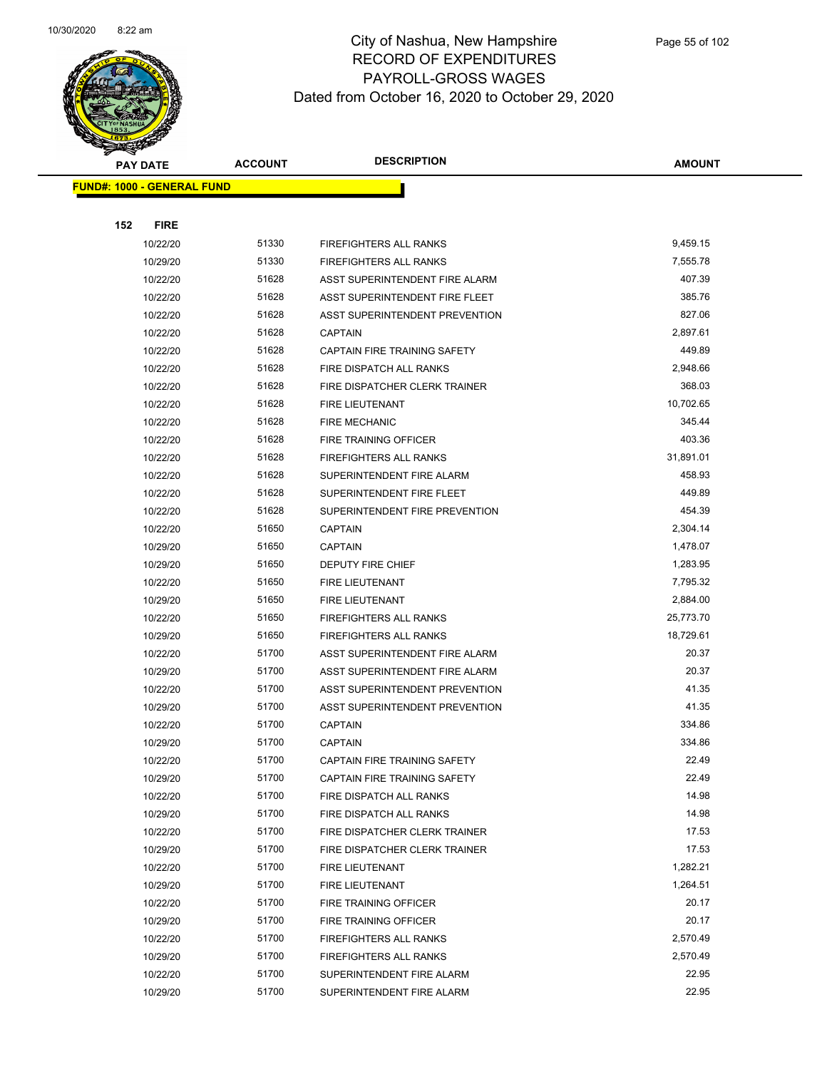

Page 55 of 102

|     | <b>PAY DATE</b>                   | <b>ACCOUNT</b> | <b>DESCRIPTION</b>                  | <b>AMOUNT</b> |
|-----|-----------------------------------|----------------|-------------------------------------|---------------|
|     | <b>FUND#: 1000 - GENERAL FUND</b> |                |                                     |               |
|     |                                   |                |                                     |               |
| 152 | <b>FIRE</b>                       |                |                                     |               |
|     | 10/22/20                          | 51330          | <b>FIREFIGHTERS ALL RANKS</b>       | 9,459.15      |
|     | 10/29/20                          | 51330          | <b>FIREFIGHTERS ALL RANKS</b>       | 7,555.78      |
|     | 10/22/20                          | 51628          | ASST SUPERINTENDENT FIRE ALARM      | 407.39        |
|     | 10/22/20                          | 51628          | ASST SUPERINTENDENT FIRE FLEET      | 385.76        |
|     | 10/22/20                          | 51628          | ASST SUPERINTENDENT PREVENTION      | 827.06        |
|     | 10/22/20                          | 51628          | <b>CAPTAIN</b>                      | 2,897.61      |
|     | 10/22/20                          | 51628          | <b>CAPTAIN FIRE TRAINING SAFETY</b> | 449.89        |
|     | 10/22/20                          | 51628          | FIRE DISPATCH ALL RANKS             | 2,948.66      |
|     | 10/22/20                          | 51628          | FIRE DISPATCHER CLERK TRAINER       | 368.03        |
|     | 10/22/20                          | 51628          | <b>FIRE LIEUTENANT</b>              | 10,702.65     |
|     | 10/22/20                          | 51628          | <b>FIRE MECHANIC</b>                | 345.44        |
|     | 10/22/20                          | 51628          | FIRE TRAINING OFFICER               | 403.36        |
|     | 10/22/20                          | 51628          | <b>FIREFIGHTERS ALL RANKS</b>       | 31,891.01     |
|     | 10/22/20                          | 51628          | SUPERINTENDENT FIRE ALARM           | 458.93        |
|     | 10/22/20                          | 51628          | SUPERINTENDENT FIRE FLEET           | 449.89        |
|     | 10/22/20                          | 51628          | SUPERINTENDENT FIRE PREVENTION      | 454.39        |
|     | 10/22/20                          | 51650          | <b>CAPTAIN</b>                      | 2,304.14      |
|     | 10/29/20                          | 51650          | <b>CAPTAIN</b>                      | 1,478.07      |
|     | 10/29/20                          | 51650          | DEPUTY FIRE CHIEF                   | 1,283.95      |
|     | 10/22/20                          | 51650          | <b>FIRE LIEUTENANT</b>              | 7,795.32      |
|     | 10/29/20                          | 51650          | <b>FIRE LIEUTENANT</b>              | 2,884.00      |
|     | 10/22/20                          | 51650          | <b>FIREFIGHTERS ALL RANKS</b>       | 25,773.70     |
|     | 10/29/20                          | 51650          | <b>FIREFIGHTERS ALL RANKS</b>       | 18,729.61     |
|     | 10/22/20                          | 51700          | ASST SUPERINTENDENT FIRE ALARM      | 20.37         |
|     | 10/29/20                          | 51700          | ASST SUPERINTENDENT FIRE ALARM      | 20.37         |
|     | 10/22/20                          | 51700          | ASST SUPERINTENDENT PREVENTION      | 41.35         |
|     | 10/29/20                          | 51700          | ASST SUPERINTENDENT PREVENTION      | 41.35         |
|     | 10/22/20                          | 51700          | <b>CAPTAIN</b>                      | 334.86        |
|     | 10/29/20                          | 51700          | <b>CAPTAIN</b>                      | 334.86        |
|     | 10/22/20                          | 51700          | CAPTAIN FIRE TRAINING SAFETY        | 22.49         |
|     | 10/29/20                          | 51700          | CAPTAIN FIRE TRAINING SAFETY        | 22.49         |
|     | 10/22/20                          | 51700          | FIRE DISPATCH ALL RANKS             | 14.98         |
|     | 10/29/20                          | 51700          | FIRE DISPATCH ALL RANKS             | 14.98         |
|     | 10/22/20                          | 51700          | FIRE DISPATCHER CLERK TRAINER       | 17.53         |
|     | 10/29/20                          | 51700          | FIRE DISPATCHER CLERK TRAINER       | 17.53         |
|     | 10/22/20                          | 51700          | FIRE LIEUTENANT                     | 1,282.21      |
|     | 10/29/20                          | 51700          | FIRE LIEUTENANT                     | 1,264.51      |
|     | 10/22/20                          | 51700          | FIRE TRAINING OFFICER               | 20.17         |
|     | 10/29/20                          | 51700          | FIRE TRAINING OFFICER               | 20.17         |
|     | 10/22/20                          | 51700          | <b>FIREFIGHTERS ALL RANKS</b>       | 2,570.49      |
|     | 10/29/20                          | 51700          | <b>FIREFIGHTERS ALL RANKS</b>       | 2,570.49      |
|     | 10/22/20                          | 51700          | SUPERINTENDENT FIRE ALARM           | 22.95         |
|     | 10/29/20                          | 51700          | SUPERINTENDENT FIRE ALARM           | 22.95         |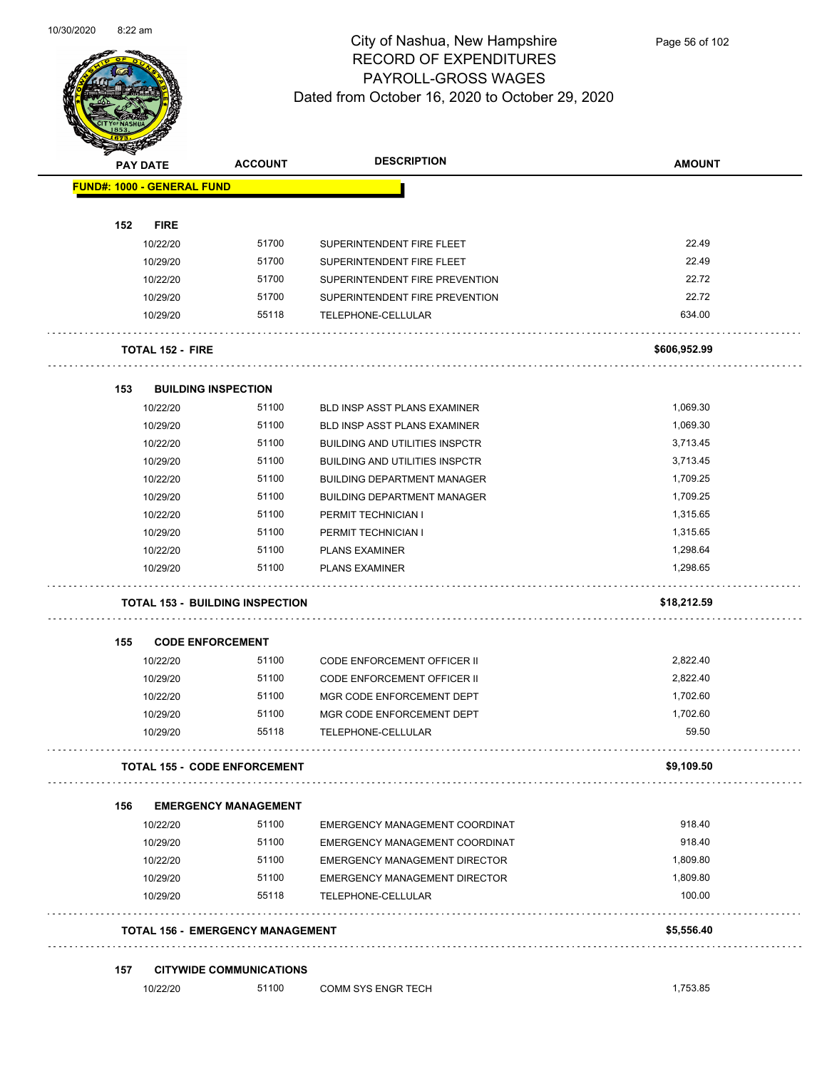

Page 56 of 102

|     | <b>PAY DATE</b>                   | <b>ACCOUNT</b>                          | <b>DESCRIPTION</b>                    | <b>AMOUNT</b> |
|-----|-----------------------------------|-----------------------------------------|---------------------------------------|---------------|
|     | <b>FUND#: 1000 - GENERAL FUND</b> |                                         |                                       |               |
| 152 | <b>FIRE</b>                       |                                         |                                       |               |
|     | 10/22/20                          | 51700                                   | SUPERINTENDENT FIRE FLEET             | 22.49         |
|     | 10/29/20                          | 51700                                   | SUPERINTENDENT FIRE FLEET             | 22.49         |
|     | 10/22/20                          | 51700                                   | SUPERINTENDENT FIRE PREVENTION        | 22.72         |
|     | 10/29/20                          | 51700                                   | SUPERINTENDENT FIRE PREVENTION        | 22.72         |
|     | 10/29/20                          | 55118                                   | TELEPHONE-CELLULAR                    | 634.00        |
|     |                                   |                                         |                                       |               |
|     | <b>TOTAL 152 - FIRE</b>           |                                         |                                       | \$606,952.99  |
| 153 |                                   | <b>BUILDING INSPECTION</b>              |                                       |               |
|     | 10/22/20                          | 51100                                   | BLD INSP ASST PLANS EXAMINER          | 1,069.30      |
|     | 10/29/20                          | 51100                                   | BLD INSP ASST PLANS EXAMINER          | 1,069.30      |
|     | 10/22/20                          | 51100                                   | <b>BUILDING AND UTILITIES INSPCTR</b> | 3,713.45      |
|     | 10/29/20                          | 51100                                   | <b>BUILDING AND UTILITIES INSPCTR</b> | 3,713.45      |
|     | 10/22/20                          | 51100                                   | <b>BUILDING DEPARTMENT MANAGER</b>    | 1,709.25      |
|     | 10/29/20                          | 51100                                   | <b>BUILDING DEPARTMENT MANAGER</b>    | 1,709.25      |
|     | 10/22/20                          | 51100                                   | PERMIT TECHNICIAN I                   | 1,315.65      |
|     | 10/29/20                          | 51100                                   | PERMIT TECHNICIAN I                   | 1,315.65      |
|     | 10/22/20                          | 51100                                   | <b>PLANS EXAMINER</b>                 | 1,298.64      |
|     | 10/29/20                          | 51100                                   | <b>PLANS EXAMINER</b>                 | 1,298.65      |
|     |                                   | <b>TOTAL 153 - BUILDING INSPECTION</b>  |                                       | \$18,212.59   |
| 155 |                                   | <b>CODE ENFORCEMENT</b>                 |                                       |               |
|     | 10/22/20                          | 51100                                   | <b>CODE ENFORCEMENT OFFICER II</b>    | 2,822.40      |
|     | 10/29/20                          | 51100                                   | CODE ENFORCEMENT OFFICER II           | 2,822.40      |
|     | 10/22/20                          | 51100                                   | MGR CODE ENFORCEMENT DEPT             | 1,702.60      |
|     | 10/29/20                          | 51100                                   | MGR CODE ENFORCEMENT DEPT             | 1,702.60      |
|     | 10/29/20                          | 55118                                   | TELEPHONE-CELLULAR                    | 59.50         |
|     |                                   |                                         |                                       |               |
|     |                                   | <b>TOTAL 155 - CODE ENFORCEMENT</b>     |                                       | \$9,109.50    |
| 156 |                                   | <b>EMERGENCY MANAGEMENT</b>             |                                       |               |
|     | 10/22/20                          | 51100                                   | EMERGENCY MANAGEMENT COORDINAT        | 918.40        |
|     | 10/29/20                          | 51100                                   | EMERGENCY MANAGEMENT COORDINAT        | 918.40        |
|     | 10/22/20                          | 51100                                   | EMERGENCY MANAGEMENT DIRECTOR         | 1,809.80      |
|     | 10/29/20                          | 51100                                   | EMERGENCY MANAGEMENT DIRECTOR         | 1,809.80      |
|     | 10/29/20                          | 55118                                   | TELEPHONE-CELLULAR                    | 100.00        |
|     |                                   | <b>TOTAL 156 - EMERGENCY MANAGEMENT</b> |                                       | \$5,556.40    |
|     |                                   |                                         |                                       |               |
| 157 | 10/22/20                          | <b>CITYWIDE COMMUNICATIONS</b><br>51100 | COMM SYS ENGR TECH                    | 1,753.85      |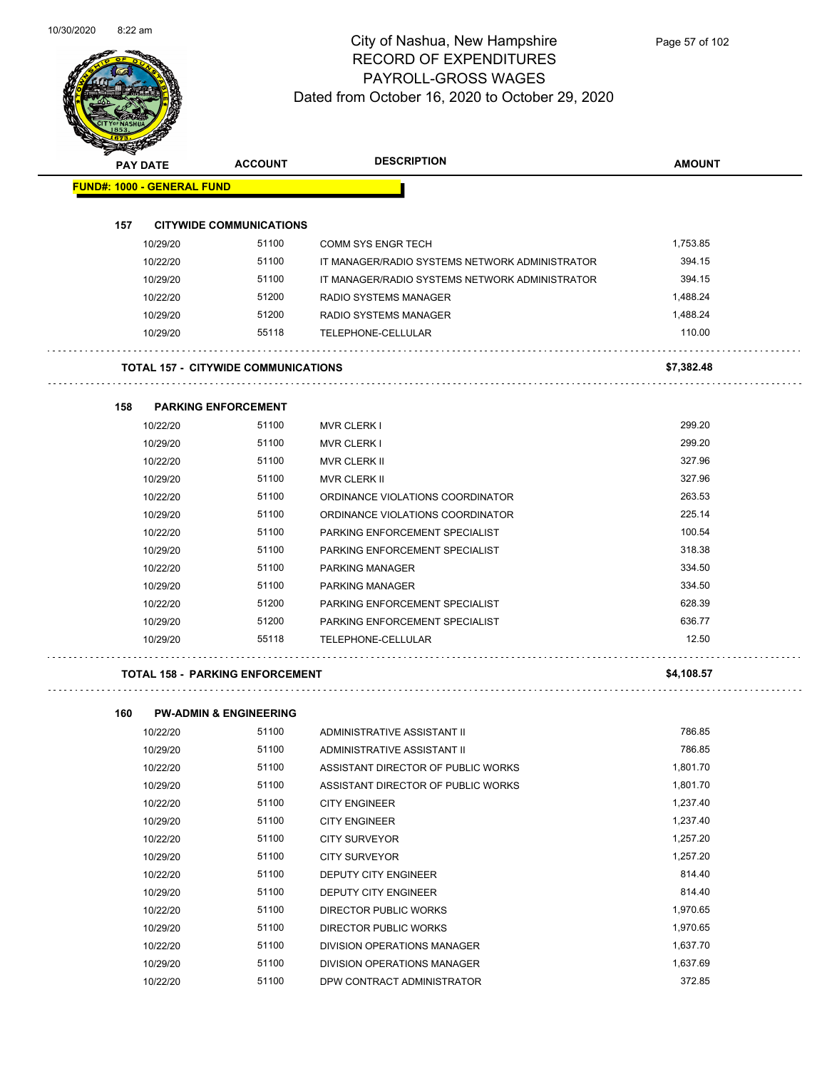

| <b>STARSHED</b>                   |                                            |                                                |               |
|-----------------------------------|--------------------------------------------|------------------------------------------------|---------------|
| <b>PAY DATE</b>                   | <b>ACCOUNT</b>                             | <b>DESCRIPTION</b>                             | <b>AMOUNT</b> |
| <b>FUND#: 1000 - GENERAL FUND</b> |                                            |                                                |               |
|                                   |                                            |                                                |               |
| 157                               | <b>CITYWIDE COMMUNICATIONS</b>             |                                                |               |
| 10/29/20                          | 51100                                      | <b>COMM SYS ENGR TECH</b>                      | 1,753.85      |
| 10/22/20                          | 51100                                      | IT MANAGER/RADIO SYSTEMS NETWORK ADMINISTRATOR | 394.15        |
| 10/29/20                          | 51100                                      | IT MANAGER/RADIO SYSTEMS NETWORK ADMINISTRATOR | 394.15        |
| 10/22/20                          | 51200                                      | RADIO SYSTEMS MANAGER                          | 1,488.24      |
| 10/29/20                          | 51200                                      | RADIO SYSTEMS MANAGER                          | 1,488.24      |
| 10/29/20                          | 55118                                      | TELEPHONE-CELLULAR                             | 110.00        |
|                                   |                                            |                                                |               |
|                                   | <b>TOTAL 157 - CITYWIDE COMMUNICATIONS</b> |                                                | \$7,382.48    |
| 158                               | <b>PARKING ENFORCEMENT</b>                 |                                                |               |
| 10/22/20                          | 51100                                      | <b>MVR CLERK I</b>                             | 299.20        |
| 10/29/20                          | 51100                                      | <b>MVR CLERK I</b>                             | 299.20        |
| 10/22/20                          | 51100                                      | MVR CLERK II                                   | 327.96        |
| 10/29/20                          | 51100                                      | <b>MVR CLERK II</b>                            | 327.96        |
| 10/22/20                          | 51100                                      | ORDINANCE VIOLATIONS COORDINATOR               | 263.53        |
| 10/29/20                          | 51100                                      | ORDINANCE VIOLATIONS COORDINATOR               | 225.14        |
| 10/22/20                          | 51100                                      | PARKING ENFORCEMENT SPECIALIST                 | 100.54        |
| 10/29/20                          | 51100                                      | PARKING ENFORCEMENT SPECIALIST                 | 318.38        |
| 10/22/20                          | 51100                                      | PARKING MANAGER                                | 334.50        |
| 10/29/20                          | 51100                                      | PARKING MANAGER                                | 334.50        |
| 10/22/20                          | 51200                                      | PARKING ENFORCEMENT SPECIALIST                 | 628.39        |
| 10/29/20                          | 51200                                      | PARKING ENFORCEMENT SPECIALIST                 | 636.77        |
| 10/29/20                          | 55118                                      | TELEPHONE-CELLULAR                             | 12.50         |
|                                   | TOTAL 158 - PARKING ENFORCEMENT            |                                                | \$4,108.57    |
|                                   |                                            |                                                |               |
| 160                               | <b>PW-ADMIN &amp; ENGINEERING</b>          |                                                |               |
| 10/22/20                          | 51100                                      | ADMINISTRATIVE ASSISTANT II                    | 786.85        |
| 10/29/20                          | 51100                                      | ADMINISTRATIVE ASSISTANT II                    | 786.85        |
| 10/22/20                          | 51100                                      | ASSISTANT DIRECTOR OF PUBLIC WORKS             | 1,801.70      |
| 10/29/20                          | 51100                                      | ASSISTANT DIRECTOR OF PUBLIC WORKS             | 1,801.70      |
| 10/22/20                          | 51100                                      | <b>CITY ENGINEER</b>                           | 1,237.40      |
| 10/29/20                          | 51100                                      | <b>CITY ENGINEER</b>                           | 1,237.40      |
| 10/22/20                          | 51100                                      | <b>CITY SURVEYOR</b>                           | 1,257.20      |
| 10/29/20                          | 51100                                      | <b>CITY SURVEYOR</b>                           | 1,257.20      |
| 10/22/20                          | 51100                                      | <b>DEPUTY CITY ENGINEER</b>                    | 814.40        |

10/29/20 51100 DEPUTY CITY ENGINEER 814.40 10/22/20 51100 DIRECTOR PUBLIC WORKS 1,970.65 10/29/20 51100 DIRECTOR PUBLIC WORKS 1,970.65 10/22/20 51100 DIVISION OPERATIONS MANAGER 10/29/20 51100 DIVISION OPERATIONS MANAGER 1,637.69 10/22/20 51100 DPW CONTRACT ADMINISTRATOR 372.85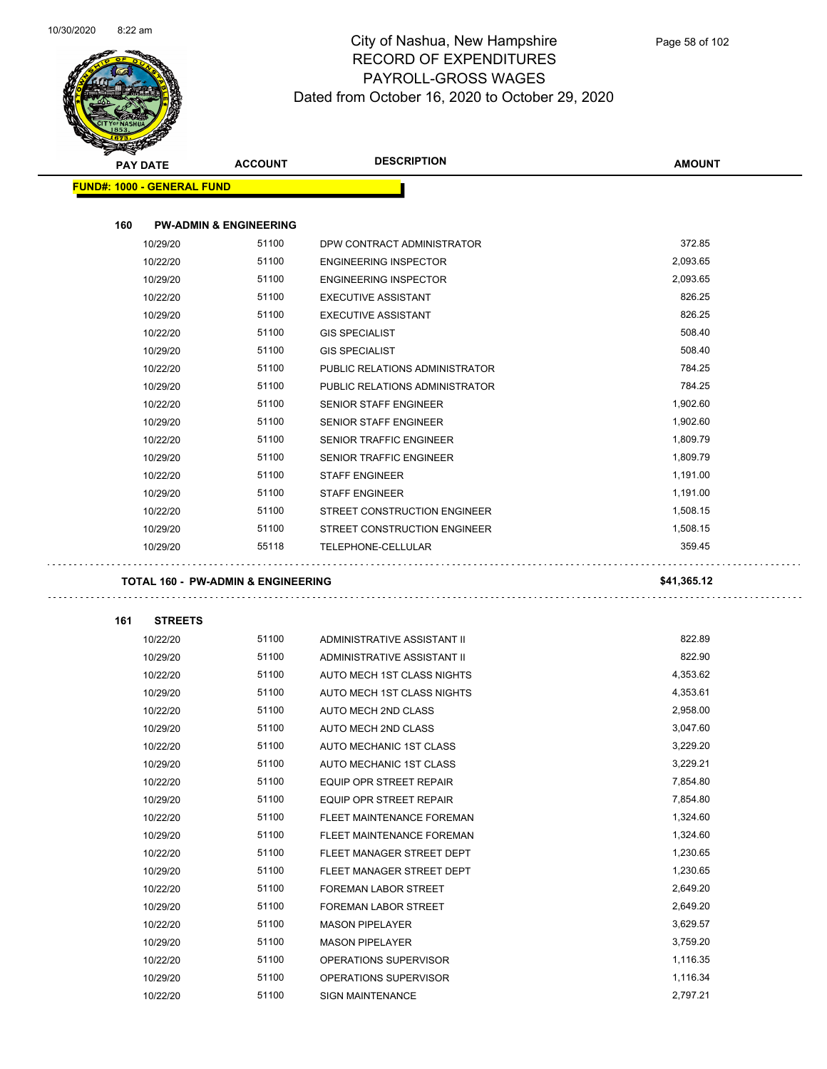$\overline{\phantom{0}}$ 



| <b>STATERS</b> |                                   |                                               |                                |               |
|----------------|-----------------------------------|-----------------------------------------------|--------------------------------|---------------|
|                | <b>PAY DATE</b>                   | <b>ACCOUNT</b>                                | <b>DESCRIPTION</b>             | <b>AMOUNT</b> |
|                | <b>FUND#: 1000 - GENERAL FUND</b> |                                               |                                |               |
|                |                                   |                                               |                                |               |
| 160            |                                   | <b>PW-ADMIN &amp; ENGINEERING</b>             |                                |               |
|                | 10/29/20                          | 51100                                         | DPW CONTRACT ADMINISTRATOR     | 372.85        |
|                | 10/22/20                          | 51100                                         | <b>ENGINEERING INSPECTOR</b>   | 2,093.65      |
|                | 10/29/20                          | 51100                                         | <b>ENGINEERING INSPECTOR</b>   | 2,093.65      |
|                | 10/22/20                          | 51100                                         | <b>EXECUTIVE ASSISTANT</b>     | 826.25        |
|                | 10/29/20                          | 51100                                         | <b>EXECUTIVE ASSISTANT</b>     | 826.25        |
|                | 10/22/20                          | 51100                                         | <b>GIS SPECIALIST</b>          | 508.40        |
|                | 10/29/20                          | 51100                                         | <b>GIS SPECIALIST</b>          | 508.40        |
|                | 10/22/20                          | 51100                                         | PUBLIC RELATIONS ADMINISTRATOR | 784.25        |
|                | 10/29/20                          | 51100                                         | PUBLIC RELATIONS ADMINISTRATOR | 784.25        |
|                | 10/22/20                          | 51100                                         | SENIOR STAFF ENGINEER          | 1,902.60      |
|                | 10/29/20                          | 51100                                         | <b>SENIOR STAFF ENGINEER</b>   | 1,902.60      |
|                | 10/22/20                          | 51100                                         | <b>SENIOR TRAFFIC ENGINEER</b> | 1,809.79      |
|                | 10/29/20                          | 51100                                         | SENIOR TRAFFIC ENGINEER        | 1,809.79      |
|                | 10/22/20                          | 51100                                         | <b>STAFF ENGINEER</b>          | 1,191.00      |
|                | 10/29/20                          | 51100                                         | <b>STAFF ENGINEER</b>          | 1,191.00      |
|                | 10/22/20                          | 51100                                         | STREET CONSTRUCTION ENGINEER   | 1,508.15      |
|                | 10/29/20                          | 51100                                         | STREET CONSTRUCTION ENGINEER   | 1,508.15      |
|                | 10/29/20                          | 55118                                         | TELEPHONE-CELLULAR             | 359.45        |
|                |                                   | <b>TOTAL 160 - PW-ADMIN &amp; ENGINEERING</b> |                                | \$41,365.12   |
| 161            | <b>STREETS</b>                    |                                               |                                |               |
|                | 10/22/20                          | 51100                                         | ADMINISTRATIVE ASSISTANT II    | 822.89        |
|                | 10/29/20                          | 51100                                         | ADMINISTRATIVE ASSISTANT II    | 822.90        |
|                | 10/22/20                          | 51100                                         | AUTO MECH 1ST CLASS NIGHTS     | 4,353.62      |
|                | 10/29/20                          | 51100                                         | AUTO MECH 1ST CLASS NIGHTS     | 4,353.61      |
|                | 10/22/20                          | 51100                                         | AUTO MECH 2ND CLASS            | 2,958.00      |
|                | 10/29/20                          | 51100                                         | AUTO MECH 2ND CLASS            | 3,047.60      |
|                | 10/22/20                          | 51100                                         | <b>AUTO MECHANIC 1ST CLASS</b> | 3,229.20      |
|                | 10/29/20                          | 51100                                         | AUTO MECHANIC 1ST CLASS        | 3,229.21      |
|                | 10/22/20                          | 51100                                         | EQUIP OPR STREET REPAIR        | 7,854.80      |
|                | 10/29/20                          | 51100                                         | EQUIP OPR STREET REPAIR        | 7,854.80      |
|                | 10/22/20                          | 51100                                         | FLEET MAINTENANCE FOREMAN      | 1,324.60      |
|                | 10/29/20                          | 51100                                         | FLEET MAINTENANCE FOREMAN      | 1,324.60      |
|                | 10/22/20                          | 51100                                         | FLEET MANAGER STREET DEPT      | 1,230.65      |
|                | 10/29/20                          | 51100                                         | FLEET MANAGER STREET DEPT      | 1,230.65      |
|                | 10/22/20                          | 51100                                         | FOREMAN LABOR STREET           | 2,649.20      |
|                | 10/29/20                          | 51100                                         | FOREMAN LABOR STREET           | 2,649.20      |
|                | 10/22/20                          | 51100                                         | <b>MASON PIPELAYER</b>         | 3,629.57      |
|                | 10/29/20                          | 51100                                         | <b>MASON PIPELAYER</b>         | 3,759.20      |
|                | 10/22/20                          | 51100                                         | OPERATIONS SUPERVISOR          | 1,116.35      |
|                | 10/29/20                          | 51100                                         | OPERATIONS SUPERVISOR          | 1,116.34      |
|                | 10/22/20                          | 51100                                         | <b>SIGN MAINTENANCE</b>        | 2,797.21      |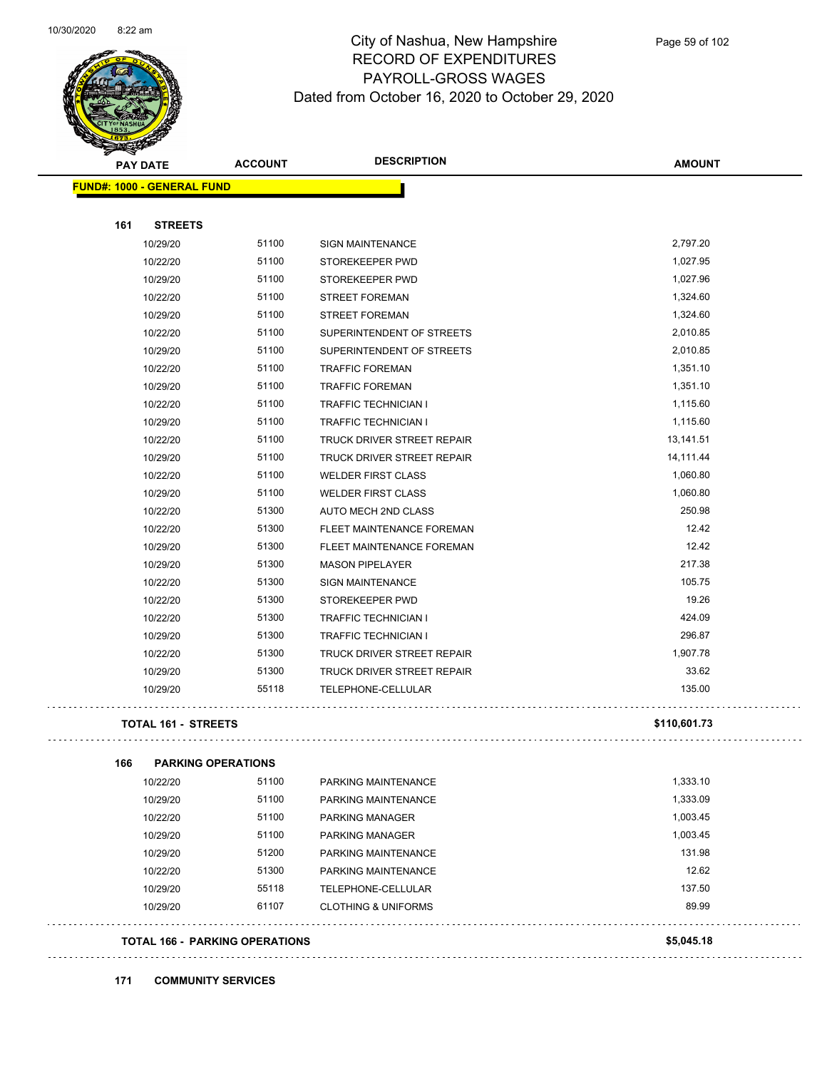

Page 59 of 102

| <b>PAY DATE</b> |                                   | <b>ACCOUNT</b>                        | <b>DESCRIPTION</b>             | <b>AMOUNT</b> |
|-----------------|-----------------------------------|---------------------------------------|--------------------------------|---------------|
|                 | <b>FUND#: 1000 - GENERAL FUND</b> |                                       |                                |               |
| 161             | <b>STREETS</b>                    |                                       |                                |               |
|                 | 10/29/20                          | 51100                                 | SIGN MAINTENANCE               | 2,797.20      |
|                 | 10/22/20                          | 51100                                 | STOREKEEPER PWD                | 1,027.95      |
|                 | 10/29/20                          | 51100                                 | STOREKEEPER PWD                | 1,027.96      |
|                 | 10/22/20                          | 51100                                 | <b>STREET FOREMAN</b>          | 1,324.60      |
|                 | 10/29/20                          | 51100                                 | <b>STREET FOREMAN</b>          | 1,324.60      |
|                 | 10/22/20                          | 51100                                 | SUPERINTENDENT OF STREETS      | 2,010.85      |
|                 | 10/29/20                          | 51100                                 | SUPERINTENDENT OF STREETS      | 2,010.85      |
|                 | 10/22/20                          | 51100                                 | <b>TRAFFIC FOREMAN</b>         | 1,351.10      |
|                 | 10/29/20                          | 51100                                 | <b>TRAFFIC FOREMAN</b>         | 1,351.10      |
|                 | 10/22/20                          | 51100                                 | TRAFFIC TECHNICIAN I           | 1,115.60      |
|                 | 10/29/20                          | 51100                                 | TRAFFIC TECHNICIAN I           | 1,115.60      |
|                 | 10/22/20                          | 51100                                 | TRUCK DRIVER STREET REPAIR     | 13,141.51     |
|                 | 10/29/20                          | 51100                                 | TRUCK DRIVER STREET REPAIR     | 14,111.44     |
|                 | 10/22/20                          | 51100                                 | <b>WELDER FIRST CLASS</b>      | 1,060.80      |
|                 | 10/29/20                          | 51100                                 | <b>WELDER FIRST CLASS</b>      | 1,060.80      |
|                 | 10/22/20                          | 51300                                 | AUTO MECH 2ND CLASS            | 250.98        |
|                 | 10/22/20                          | 51300                                 | FLEET MAINTENANCE FOREMAN      | 12.42         |
|                 | 10/29/20                          | 51300                                 | FLEET MAINTENANCE FOREMAN      | 12.42         |
|                 | 10/29/20                          | 51300                                 | <b>MASON PIPELAYER</b>         | 217.38        |
|                 | 10/22/20                          | 51300                                 | SIGN MAINTENANCE               | 105.75        |
|                 | 10/22/20                          | 51300                                 | STOREKEEPER PWD                | 19.26         |
|                 | 10/22/20                          | 51300                                 | <b>TRAFFIC TECHNICIAN I</b>    | 424.09        |
|                 | 10/29/20                          | 51300                                 | <b>TRAFFIC TECHNICIAN I</b>    | 296.87        |
|                 | 10/22/20                          | 51300                                 | TRUCK DRIVER STREET REPAIR     | 1,907.78      |
|                 | 10/29/20                          | 51300                                 | TRUCK DRIVER STREET REPAIR     | 33.62         |
|                 | 10/29/20                          | 55118                                 | <b>TELEPHONE-CELLULAR</b>      | 135.00        |
|                 | <b>TOTAL 161 - STREETS</b>        |                                       |                                | \$110,601.73  |
| 166             | <b>PARKING OPERATIONS</b>         |                                       |                                |               |
|                 | 10/22/20                          | 51100                                 | PARKING MAINTENANCE            | 1,333.10      |
|                 | 10/29/20                          | 51100                                 | PARKING MAINTENANCE            | 1,333.09      |
|                 | 10/22/20                          | 51100                                 | PARKING MANAGER                | 1,003.45      |
|                 | 10/29/20                          | 51100                                 | PARKING MANAGER                | 1,003.45      |
|                 | 10/29/20                          | 51200                                 | PARKING MAINTENANCE            | 131.98        |
|                 | 10/22/20                          | 51300                                 | PARKING MAINTENANCE            | 12.62         |
|                 | 10/29/20                          | 55118                                 | TELEPHONE-CELLULAR             | 137.50        |
|                 | 10/29/20                          | 61107                                 | <b>CLOTHING &amp; UNIFORMS</b> | 89.99         |
|                 |                                   | <b>TOTAL 166 - PARKING OPERATIONS</b> |                                | \$5,045.18    |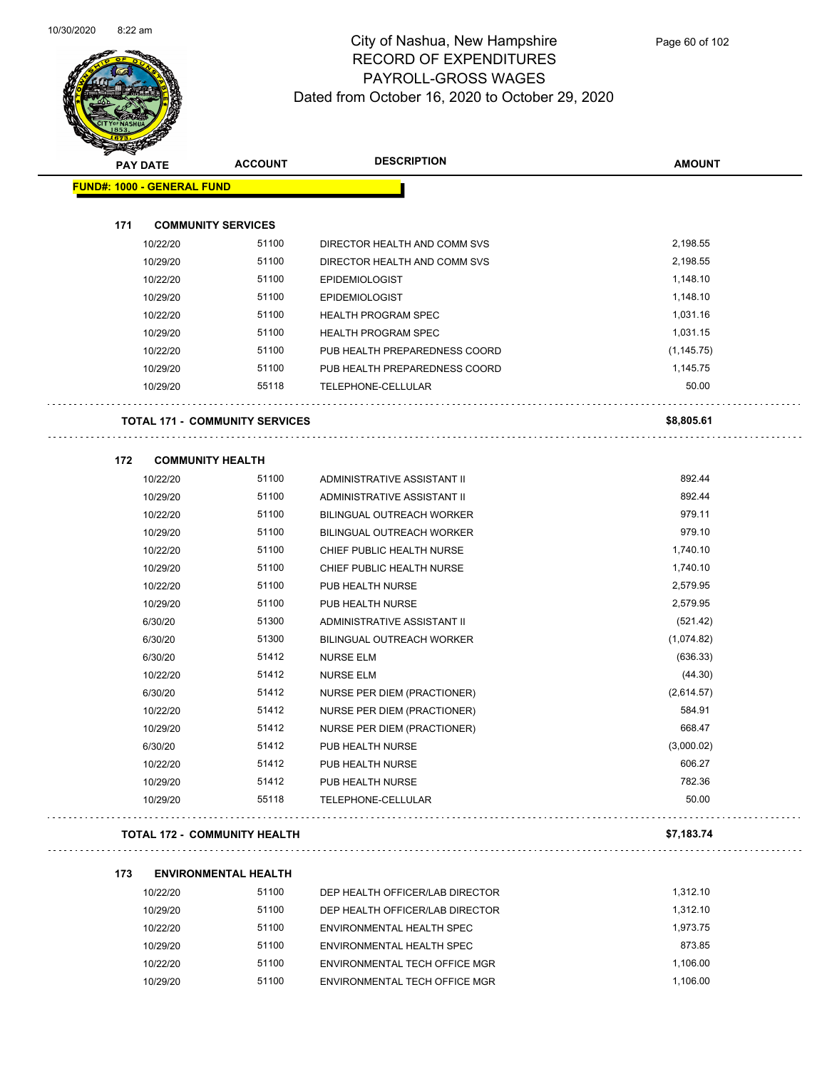

Page 60 of 102

| <b>SARAGE</b>              |                                       |                                  |               |
|----------------------------|---------------------------------------|----------------------------------|---------------|
| <b>PAY DATE</b>            | <b>ACCOUNT</b>                        | <b>DESCRIPTION</b>               | <b>AMOUNT</b> |
| FUND#: 1000 - GENERAL FUND |                                       |                                  |               |
|                            |                                       |                                  |               |
| 171                        | <b>COMMUNITY SERVICES</b>             |                                  |               |
| 10/22/20                   | 51100                                 | DIRECTOR HEALTH AND COMM SVS     | 2,198.55      |
| 10/29/20                   | 51100                                 | DIRECTOR HEALTH AND COMM SVS     | 2,198.55      |
| 10/22/20                   | 51100                                 | <b>EPIDEMIOLOGIST</b>            | 1,148.10      |
| 10/29/20                   | 51100                                 | <b>EPIDEMIOLOGIST</b>            | 1,148.10      |
| 10/22/20                   | 51100                                 | <b>HEALTH PROGRAM SPEC</b>       | 1,031.16      |
| 10/29/20                   | 51100                                 | <b>HEALTH PROGRAM SPEC</b>       | 1,031.15      |
| 10/22/20                   | 51100                                 | PUB HEALTH PREPAREDNESS COORD    | (1, 145.75)   |
| 10/29/20                   | 51100                                 | PUB HEALTH PREPAREDNESS COORD    | 1,145.75      |
| 10/29/20                   | 55118                                 | TELEPHONE-CELLULAR               | 50.00         |
|                            | <b>TOTAL 171 - COMMUNITY SERVICES</b> |                                  | \$8,805.61    |
| 172                        | <b>COMMUNITY HEALTH</b>               |                                  |               |
| 10/22/20                   | 51100                                 | ADMINISTRATIVE ASSISTANT II      | 892.44        |
| 10/29/20                   | 51100                                 | ADMINISTRATIVE ASSISTANT II      | 892.44        |
| 10/22/20                   | 51100                                 | <b>BILINGUAL OUTREACH WORKER</b> | 979.11        |
| 10/29/20                   | 51100                                 | <b>BILINGUAL OUTREACH WORKER</b> | 979.10        |
| 10/22/20                   | 51100                                 | CHIEF PUBLIC HEALTH NURSE        | 1,740.10      |
| 10/29/20                   | 51100                                 | CHIEF PUBLIC HEALTH NURSE        | 1,740.10      |
| 10/22/20                   | 51100                                 | PUB HEALTH NURSE                 | 2,579.95      |
| 10/29/20                   | 51100                                 | PUB HEALTH NURSE                 | 2,579.95      |
| 6/30/20                    | 51300                                 | ADMINISTRATIVE ASSISTANT II      | (521.42)      |
| 6/30/20                    | 51300                                 | <b>BILINGUAL OUTREACH WORKER</b> | (1,074.82)    |
| 6/30/20                    | 51412                                 | <b>NURSE ELM</b>                 | (636.33)      |
| 10/22/20                   | 51412                                 | <b>NURSE ELM</b>                 | (44.30)       |
| 6/30/20                    | 51412                                 | NURSE PER DIEM (PRACTIONER)      | (2,614.57)    |
| 10/22/20                   | 51412                                 | NURSE PER DIEM (PRACTIONER)      | 584.91        |
| 10/29/20                   | 51412                                 | NURSE PER DIEM (PRACTIONER)      | 668.47        |
| 6/30/20                    | 51412                                 | PUB HEALTH NURSE                 | (3,000.02)    |
| 10/22/20                   | 51412                                 | PUB HEALTH NURSE                 | 606.27        |
| 10/29/20                   | 51412                                 | PUB HEALTH NURSE                 | 782.36        |
| 10/29/20                   | 55118                                 | TELEPHONE-CELLULAR               | 50.00         |
|                            | <b>TOTAL 172 - COMMUNITY HEALTH</b>   |                                  | \$7,183.74    |
| 173                        | <b>ENVIRONMENTAL HEALTH</b>           |                                  |               |
| 10/22/20                   | 51100                                 | DEP HEALTH OFFICER/LAB DIRECTOR  | 1,312.10      |
| 1010000                    | E4400                                 | TH OFFICED 4D DIRECTOR           | 1.212.12      |

| 10/22/20 | 51100 | DEP HEALTH OFFICER/LAB DIRECTOR | 1.312.10 |
|----------|-------|---------------------------------|----------|
| 10/29/20 | 51100 | DEP HEALTH OFFICER/LAB DIRECTOR | 1.312.10 |
| 10/22/20 | 51100 | ENVIRONMENTAL HEALTH SPEC       | 1.973.75 |
| 10/29/20 | 51100 | ENVIRONMENTAL HEALTH SPEC       | 873.85   |
| 10/22/20 | 51100 | ENVIRONMENTAL TECH OFFICE MGR   | 1.106.00 |
| 10/29/20 | 51100 | ENVIRONMENTAL TECH OFFICE MGR   | 1.106.00 |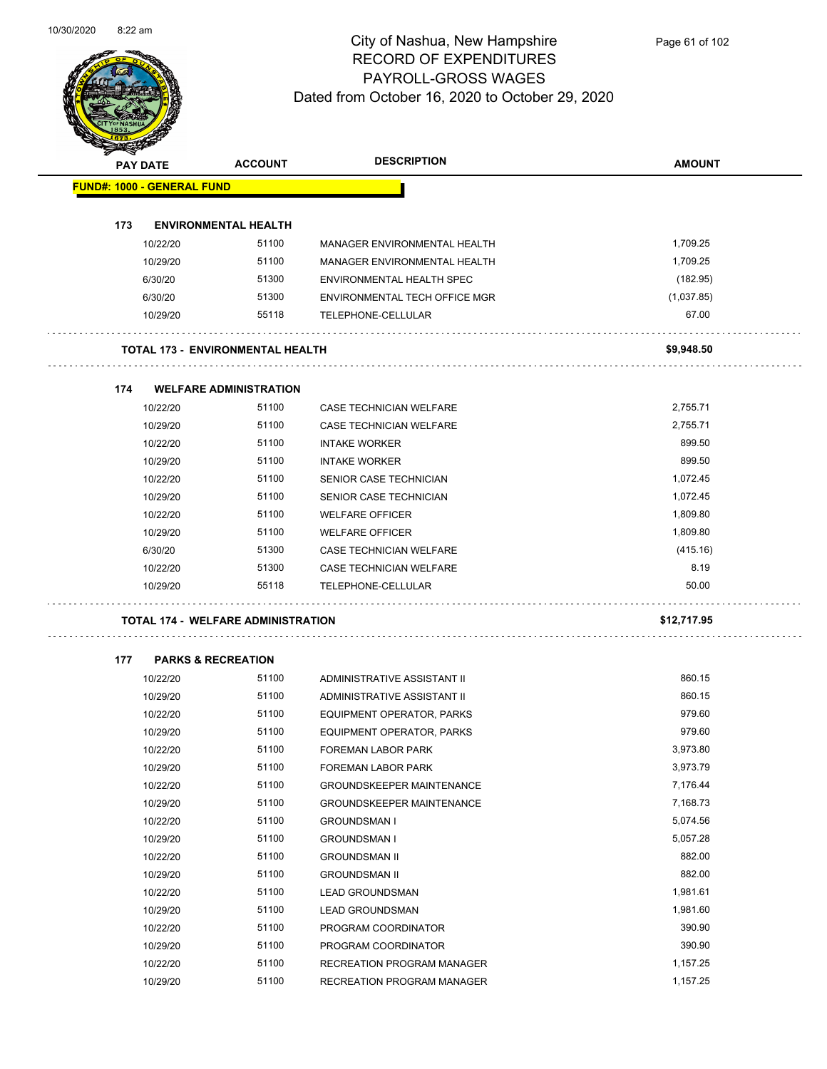$\overline{\phantom{0}}$ 



#### City of Nashua, New Hampshire RECORD OF EXPENDITURES PAYROLL-GROSS WAGES Dated from October 16, 2020 to October 29, 2020

Page 61 of 102

| <b>SANGRA</b>                     |                                           |                |                                  |               |  |
|-----------------------------------|-------------------------------------------|----------------|----------------------------------|---------------|--|
| <b>PAY DATE</b>                   |                                           | <b>ACCOUNT</b> | <b>DESCRIPTION</b>               | <b>AMOUNT</b> |  |
| <b>FUND#: 1000 - GENERAL FUND</b> |                                           |                |                                  |               |  |
|                                   |                                           |                |                                  |               |  |
| 173                               | <b>ENVIRONMENTAL HEALTH</b>               |                |                                  |               |  |
| 10/22/20                          |                                           | 51100          | MANAGER ENVIRONMENTAL HEALTH     | 1,709.25      |  |
| 10/29/20                          |                                           | 51100          | MANAGER ENVIRONMENTAL HEALTH     | 1,709.25      |  |
| 6/30/20                           |                                           | 51300          | ENVIRONMENTAL HEALTH SPEC        | (182.95)      |  |
| 6/30/20                           |                                           | 51300          | ENVIRONMENTAL TECH OFFICE MGR    | (1,037.85)    |  |
| 10/29/20                          |                                           | 55118          | TELEPHONE-CELLULAR               | 67.00         |  |
|                                   | <b>TOTAL 173 - ENVIRONMENTAL HEALTH</b>   |                |                                  | \$9,948.50    |  |
| 174                               | <b>WELFARE ADMINISTRATION</b>             |                |                                  |               |  |
| 10/22/20                          |                                           | 51100          | CASE TECHNICIAN WELFARE          | 2,755.71      |  |
| 10/29/20                          |                                           | 51100          | CASE TECHNICIAN WELFARE          | 2,755.71      |  |
| 10/22/20                          |                                           | 51100          | <b>INTAKE WORKER</b>             | 899.50        |  |
| 10/29/20                          |                                           | 51100          | <b>INTAKE WORKER</b>             | 899.50        |  |
| 10/22/20                          |                                           | 51100          | SENIOR CASE TECHNICIAN           | 1,072.45      |  |
| 10/29/20                          |                                           | 51100          | SENIOR CASE TECHNICIAN           | 1,072.45      |  |
| 10/22/20                          |                                           | 51100          | <b>WELFARE OFFICER</b>           | 1,809.80      |  |
| 10/29/20                          |                                           | 51100          | <b>WELFARE OFFICER</b>           | 1,809.80      |  |
| 6/30/20                           |                                           | 51300          | CASE TECHNICIAN WELFARE          | (415.16)      |  |
| 10/22/20                          |                                           | 51300          | CASE TECHNICIAN WELFARE          | 8.19          |  |
| 10/29/20                          |                                           | 55118          | TELEPHONE-CELLULAR               | 50.00         |  |
|                                   | <b>TOTAL 174 - WELFARE ADMINISTRATION</b> |                |                                  | \$12,717.95   |  |
| 177                               | <b>PARKS &amp; RECREATION</b>             |                |                                  |               |  |
| 10/22/20                          |                                           | 51100          | ADMINISTRATIVE ASSISTANT II      | 860.15        |  |
| 10/29/20                          |                                           | 51100          | ADMINISTRATIVE ASSISTANT II      | 860.15        |  |
| 10/22/20                          |                                           | 51100          | EQUIPMENT OPERATOR, PARKS        | 979.60        |  |
| 10/29/20                          |                                           | 51100          | EQUIPMENT OPERATOR, PARKS        | 979.60        |  |
| 10/22/20                          |                                           | 51100          | FOREMAN LABOR PARK               | 3,973.80      |  |
| 10/29/20                          |                                           | 51100          | FOREMAN LABOR PARK               | 3,973.79      |  |
| 10/22/20                          |                                           | 51100          | <b>GROUNDSKEEPER MAINTENANCE</b> | 7,176.44      |  |
| 10/29/20                          |                                           | 51100          | <b>GROUNDSKEEPER MAINTENANCE</b> | 7,168.73      |  |
| 10/22/20                          |                                           | 51100          | <b>GROUNDSMAN I</b>              | 5,074.56      |  |
| 10/29/20                          |                                           | 51100          | <b>GROUNDSMAN I</b>              | 5,057.28      |  |
| 10/22/20                          |                                           | 51100          | <b>GROUNDSMAN II</b>             | 882.00        |  |
| 10/29/20                          |                                           | 51100          | <b>GROUNDSMAN II</b>             | 882.00        |  |
| 10/22/20                          |                                           | 51100          | <b>LEAD GROUNDSMAN</b>           | 1,981.61      |  |
| 10/29/20                          |                                           | 51100          | <b>LEAD GROUNDSMAN</b>           | 1,981.60      |  |
| 10/22/20                          |                                           | 51100          | PROGRAM COORDINATOR              | 390.90        |  |
| 10/29/20                          |                                           | 51100          | PROGRAM COORDINATOR              | 390.90        |  |
| 10/22/20                          |                                           | 51100          | RECREATION PROGRAM MANAGER       | 1,157.25      |  |

10/29/20 51100 RECREATION PROGRAM MANAGER 1,157.25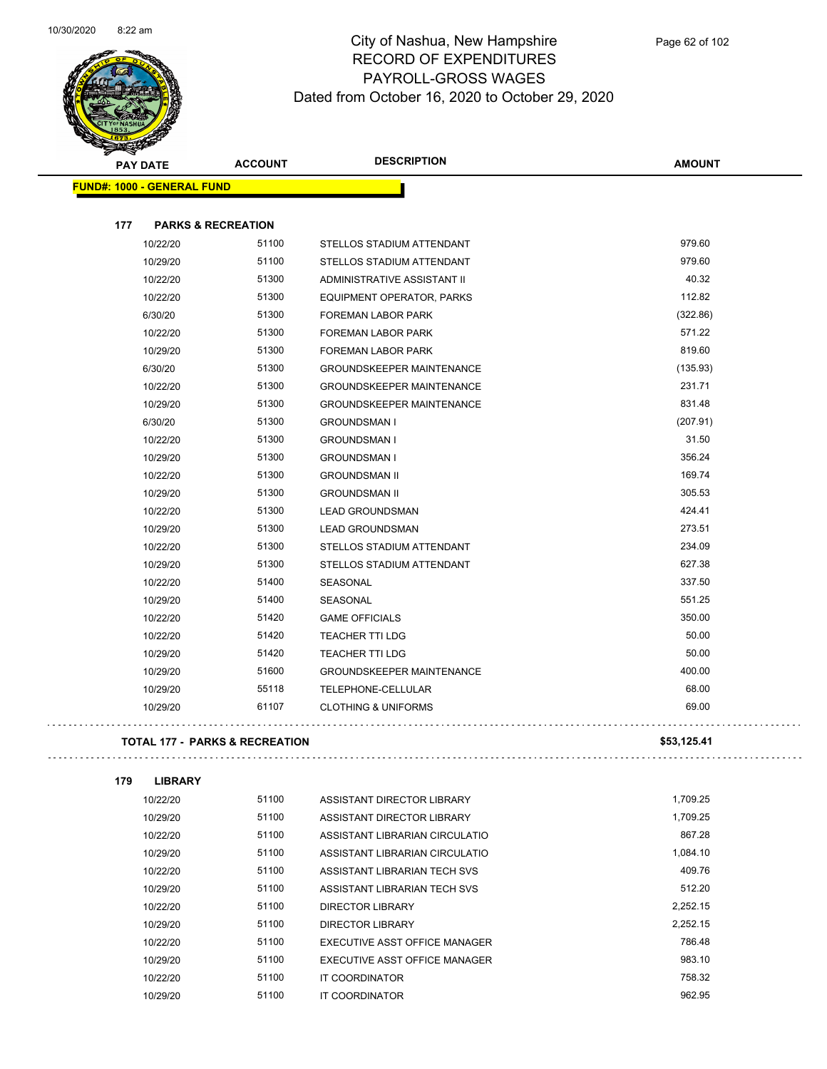

|                                   | <b>PAY DATE</b> | <b>ACCOUNT</b>                            | <b>DESCRIPTION</b>               | <b>AMOUNT</b> |
|-----------------------------------|-----------------|-------------------------------------------|----------------------------------|---------------|
| <b>FUND#: 1000 - GENERAL FUND</b> |                 |                                           |                                  |               |
|                                   |                 |                                           |                                  |               |
| 177                               |                 | <b>PARKS &amp; RECREATION</b>             |                                  |               |
|                                   | 10/22/20        | 51100                                     | STELLOS STADIUM ATTENDANT        | 979.60        |
|                                   | 10/29/20        | 51100                                     | STELLOS STADIUM ATTENDANT        | 979.60        |
|                                   | 10/22/20        | 51300                                     | ADMINISTRATIVE ASSISTANT II      | 40.32         |
|                                   | 10/22/20        | 51300                                     | EQUIPMENT OPERATOR, PARKS        | 112.82        |
|                                   | 6/30/20         | 51300                                     | FOREMAN LABOR PARK               | (322.86)      |
|                                   | 10/22/20        | 51300                                     | <b>FOREMAN LABOR PARK</b>        | 571.22        |
|                                   | 10/29/20        | 51300                                     | FOREMAN LABOR PARK               | 819.60        |
|                                   | 6/30/20         | 51300                                     | <b>GROUNDSKEEPER MAINTENANCE</b> | (135.93)      |
|                                   | 10/22/20        | 51300                                     | <b>GROUNDSKEEPER MAINTENANCE</b> | 231.71        |
|                                   | 10/29/20        | 51300                                     | <b>GROUNDSKEEPER MAINTENANCE</b> | 831.48        |
|                                   | 6/30/20         | 51300                                     | <b>GROUNDSMAN I</b>              | (207.91)      |
|                                   | 10/22/20        | 51300                                     | <b>GROUNDSMAN I</b>              | 31.50         |
|                                   | 10/29/20        | 51300                                     | <b>GROUNDSMAN I</b>              | 356.24        |
|                                   | 10/22/20        | 51300                                     | <b>GROUNDSMAN II</b>             | 169.74        |
|                                   | 10/29/20        | 51300                                     | <b>GROUNDSMAN II</b>             | 305.53        |
|                                   | 10/22/20        | 51300                                     | <b>LEAD GROUNDSMAN</b>           | 424.41        |
|                                   | 10/29/20        | 51300                                     | <b>LEAD GROUNDSMAN</b>           | 273.51        |
|                                   | 10/22/20        | 51300                                     | STELLOS STADIUM ATTENDANT        | 234.09        |
|                                   | 10/29/20        | 51300                                     | STELLOS STADIUM ATTENDANT        | 627.38        |
|                                   | 10/22/20        | 51400                                     | <b>SEASONAL</b>                  | 337.50        |
|                                   | 10/29/20        | 51400                                     | SEASONAL                         | 551.25        |
|                                   | 10/22/20        | 51420                                     | <b>GAME OFFICIALS</b>            | 350.00        |
|                                   | 10/22/20        | 51420                                     | <b>TEACHER TTI LDG</b>           | 50.00         |
|                                   | 10/29/20        | 51420                                     | <b>TEACHER TTI LDG</b>           | 50.00         |
|                                   | 10/29/20        | 51600                                     | <b>GROUNDSKEEPER MAINTENANCE</b> | 400.00        |
|                                   | 10/29/20        | 55118                                     | TELEPHONE-CELLULAR               | 68.00         |
|                                   | 10/29/20        | 61107                                     | <b>CLOTHING &amp; UNIFORMS</b>   | 69.00         |
|                                   |                 | <b>TOTAL 177 - PARKS &amp; RECREATION</b> |                                  | \$53,125.41   |
|                                   |                 |                                           |                                  |               |

 $\bar{1}$  ,  $\bar{1}$ 

| 179 | <b>LIBRARY</b> |       |                                |          |
|-----|----------------|-------|--------------------------------|----------|
|     | 10/22/20       | 51100 | ASSISTANT DIRECTOR LIBRARY     | 1.709.25 |
|     | 10/29/20       | 51100 | ASSISTANT DIRECTOR LIBRARY     | 1.709.25 |
|     | 10/22/20       | 51100 | ASSISTANT LIBRARIAN CIRCULATIO | 867.28   |
|     | 10/29/20       | 51100 | ASSISTANT LIBRARIAN CIRCULATIO | 1,084.10 |
|     | 10/22/20       | 51100 | ASSISTANT LIBRARIAN TECH SVS   | 409.76   |
|     | 10/29/20       | 51100 | ASSISTANT LIBRARIAN TECH SVS   | 512.20   |
|     | 10/22/20       | 51100 | DIRECTOR LIBRARY               | 2.252.15 |
|     | 10/29/20       | 51100 | DIRECTOR LIBRARY               | 2.252.15 |
|     | 10/22/20       | 51100 | EXECUTIVE ASST OFFICE MANAGER  | 786.48   |
|     | 10/29/20       | 51100 | EXECUTIVE ASST OFFICE MANAGER  | 983.10   |
|     | 10/22/20       | 51100 | IT COORDINATOR                 | 758.32   |
|     | 10/29/20       | 51100 | IT COORDINATOR                 | 962.95   |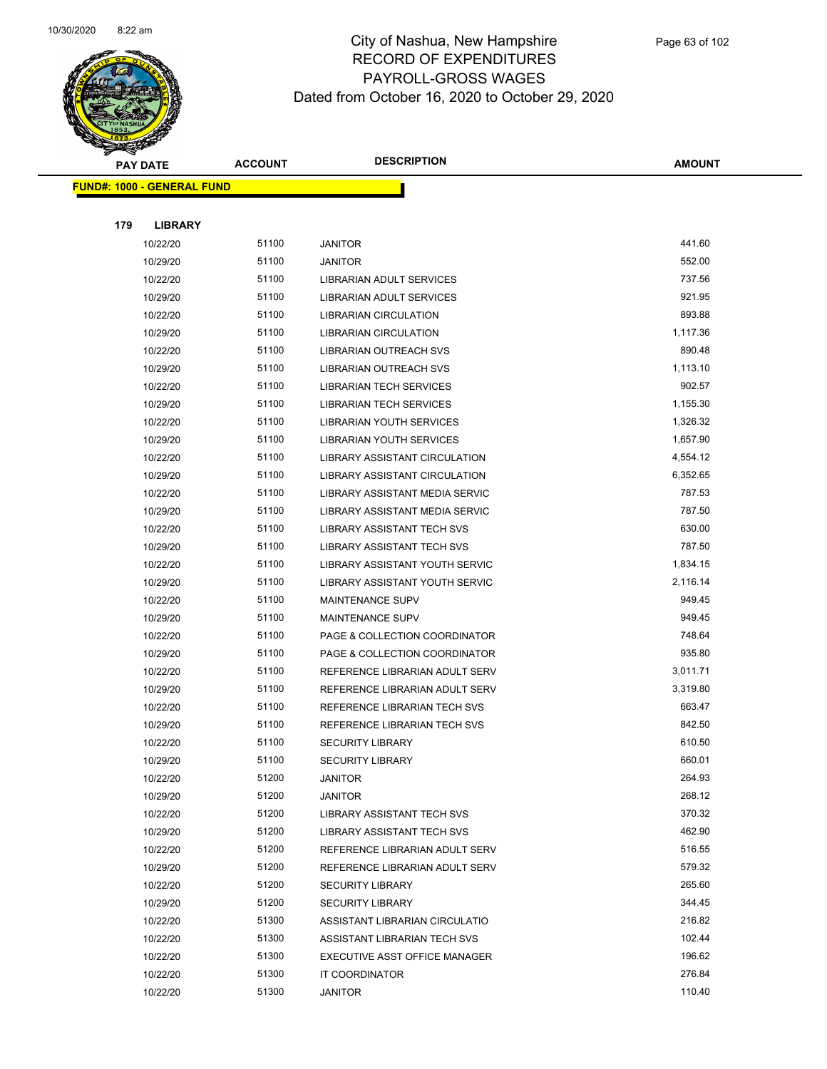

|     | <b>PAY DATE</b>                    | <b>ACCOUNT</b> | <b>DESCRIPTION</b>                  | <b>AMOUNT</b> |
|-----|------------------------------------|----------------|-------------------------------------|---------------|
|     | <u> FUND#: 1000 - GENERAL FUND</u> |                |                                     |               |
|     |                                    |                |                                     |               |
| 179 | <b>LIBRARY</b>                     |                |                                     |               |
|     | 10/22/20                           | 51100          | <b>JANITOR</b>                      | 441.60        |
|     | 10/29/20                           | 51100          | <b>JANITOR</b>                      | 552.00        |
|     | 10/22/20                           | 51100          | LIBRARIAN ADULT SERVICES            | 737.56        |
|     | 10/29/20                           | 51100          | LIBRARIAN ADULT SERVICES            | 921.95        |
|     | 10/22/20                           | 51100          | <b>LIBRARIAN CIRCULATION</b>        | 893.88        |
|     | 10/29/20                           | 51100          | <b>LIBRARIAN CIRCULATION</b>        | 1,117.36      |
|     | 10/22/20                           | 51100          | LIBRARIAN OUTREACH SVS              | 890.48        |
|     | 10/29/20                           | 51100          | LIBRARIAN OUTREACH SVS              | 1,113.10      |
|     | 10/22/20                           | 51100          | <b>LIBRARIAN TECH SERVICES</b>      | 902.57        |
|     | 10/29/20                           | 51100          | <b>LIBRARIAN TECH SERVICES</b>      | 1,155.30      |
|     | 10/22/20                           | 51100          | LIBRARIAN YOUTH SERVICES            | 1,326.32      |
|     | 10/29/20                           | 51100          | LIBRARIAN YOUTH SERVICES            | 1,657.90      |
|     | 10/22/20                           | 51100          | LIBRARY ASSISTANT CIRCULATION       | 4,554.12      |
|     | 10/29/20                           | 51100          | LIBRARY ASSISTANT CIRCULATION       | 6,352.65      |
|     | 10/22/20                           | 51100          | LIBRARY ASSISTANT MEDIA SERVIC      | 787.53        |
|     | 10/29/20                           | 51100          | LIBRARY ASSISTANT MEDIA SERVIC      | 787.50        |
|     | 10/22/20                           | 51100          | <b>LIBRARY ASSISTANT TECH SVS</b>   | 630.00        |
|     | 10/29/20                           | 51100          | <b>LIBRARY ASSISTANT TECH SVS</b>   | 787.50        |
|     | 10/22/20                           | 51100          | LIBRARY ASSISTANT YOUTH SERVIC      | 1,834.15      |
|     | 10/29/20                           | 51100          | LIBRARY ASSISTANT YOUTH SERVIC      | 2,116.14      |
|     | 10/22/20                           | 51100          | <b>MAINTENANCE SUPV</b>             | 949.45        |
|     | 10/29/20                           | 51100          | <b>MAINTENANCE SUPV</b>             | 949.45        |
|     | 10/22/20                           | 51100          | PAGE & COLLECTION COORDINATOR       | 748.64        |
|     | 10/29/20                           | 51100          | PAGE & COLLECTION COORDINATOR       | 935.80        |
|     | 10/22/20                           | 51100          | REFERENCE LIBRARIAN ADULT SERV      | 3,011.71      |
|     | 10/29/20                           | 51100          | REFERENCE LIBRARIAN ADULT SERV      | 3,319.80      |
|     | 10/22/20                           | 51100          | <b>REFERENCE LIBRARIAN TECH SVS</b> | 663.47        |
|     | 10/29/20                           | 51100          | REFERENCE LIBRARIAN TECH SVS        | 842.50        |
|     | 10/22/20                           | 51100          | <b>SECURITY LIBRARY</b>             | 610.50        |
|     | 10/29/20                           | 51100          | SECURITY LIBRARY                    | 660.01        |
|     | 10/22/20                           | 51200          | <b>JANITOR</b>                      | 264.93        |
|     | 10/29/20                           | 51200          | <b>JANITOR</b>                      | 268.12        |
|     | 10/22/20                           | 51200          | LIBRARY ASSISTANT TECH SVS          | 370.32        |
|     | 10/29/20                           | 51200          | LIBRARY ASSISTANT TECH SVS          | 462.90        |
|     | 10/22/20                           | 51200          | REFERENCE LIBRARIAN ADULT SERV      | 516.55        |
|     | 10/29/20                           | 51200          | REFERENCE LIBRARIAN ADULT SERV      | 579.32        |
|     | 10/22/20                           | 51200          | <b>SECURITY LIBRARY</b>             | 265.60        |
|     | 10/29/20                           | 51200          | <b>SECURITY LIBRARY</b>             | 344.45        |
|     | 10/22/20                           | 51300          | ASSISTANT LIBRARIAN CIRCULATIO      | 216.82        |
|     | 10/22/20                           | 51300          | ASSISTANT LIBRARIAN TECH SVS        | 102.44        |
|     | 10/22/20                           | 51300          | EXECUTIVE ASST OFFICE MANAGER       | 196.62        |
|     | 10/22/20                           | 51300          | IT COORDINATOR                      | 276.84        |
|     | 10/22/20                           | 51300          | <b>JANITOR</b>                      | 110.40        |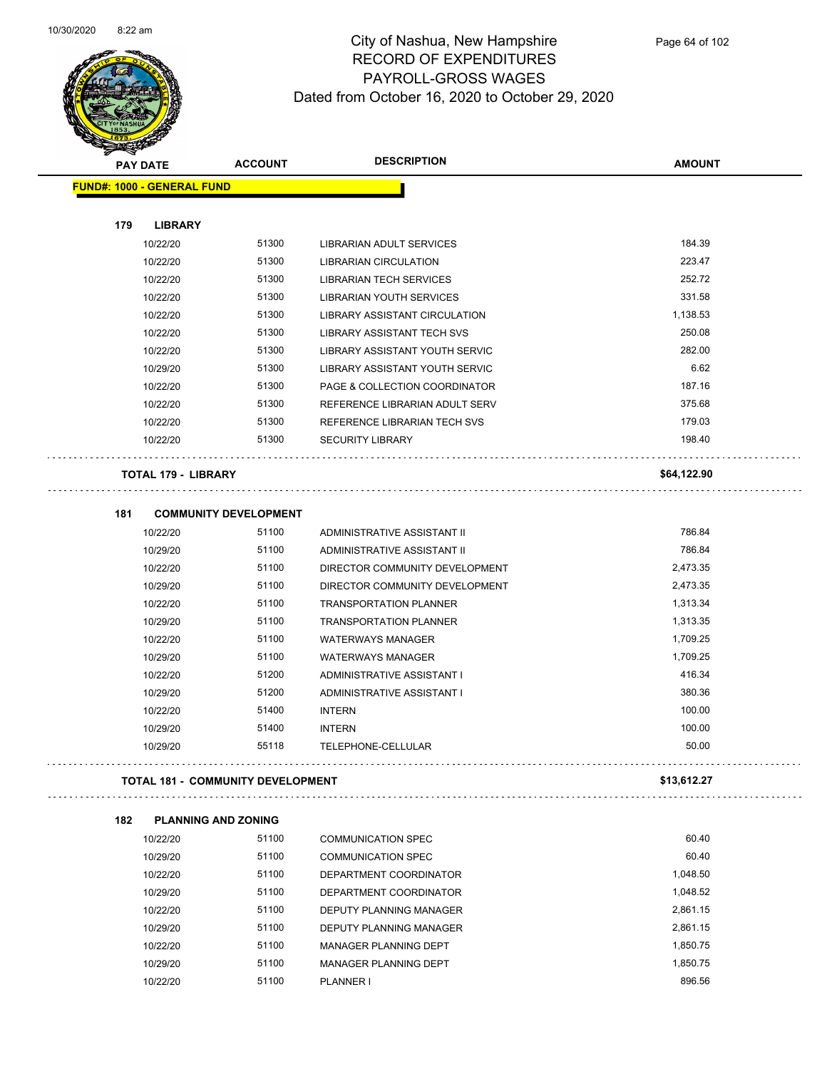

Page 64 of 102

| <b>Support Contract Contract Contract Contract Contract Contract Contract Contract Contract Contract Contract Contract Contract Contract Contract Contract Contract Contract Contract Contract Contract Contract Contract Contra</b> |                                   |                                          |                                |               |
|--------------------------------------------------------------------------------------------------------------------------------------------------------------------------------------------------------------------------------------|-----------------------------------|------------------------------------------|--------------------------------|---------------|
|                                                                                                                                                                                                                                      | <b>PAY DATE</b>                   | <b>ACCOUNT</b>                           | <b>DESCRIPTION</b>             | <b>AMOUNT</b> |
|                                                                                                                                                                                                                                      | <b>FUND#: 1000 - GENERAL FUND</b> |                                          |                                |               |
|                                                                                                                                                                                                                                      |                                   |                                          |                                |               |
| 179                                                                                                                                                                                                                                  | <b>LIBRARY</b>                    |                                          |                                |               |
|                                                                                                                                                                                                                                      | 10/22/20                          | 51300                                    | LIBRARIAN ADULT SERVICES       | 184.39        |
|                                                                                                                                                                                                                                      | 10/22/20                          | 51300                                    | LIBRARIAN CIRCULATION          | 223.47        |
|                                                                                                                                                                                                                                      | 10/22/20                          | 51300                                    | <b>LIBRARIAN TECH SERVICES</b> | 252.72        |
|                                                                                                                                                                                                                                      | 10/22/20                          | 51300                                    | LIBRARIAN YOUTH SERVICES       | 331.58        |
|                                                                                                                                                                                                                                      | 10/22/20                          | 51300                                    | LIBRARY ASSISTANT CIRCULATION  | 1,138.53      |
|                                                                                                                                                                                                                                      | 10/22/20                          | 51300                                    | LIBRARY ASSISTANT TECH SVS     | 250.08        |
|                                                                                                                                                                                                                                      | 10/22/20                          | 51300                                    | LIBRARY ASSISTANT YOUTH SERVIC | 282.00        |
|                                                                                                                                                                                                                                      | 10/29/20                          | 51300                                    | LIBRARY ASSISTANT YOUTH SERVIC | 6.62          |
|                                                                                                                                                                                                                                      | 10/22/20                          | 51300                                    | PAGE & COLLECTION COORDINATOR  | 187.16        |
|                                                                                                                                                                                                                                      | 10/22/20                          | 51300                                    | REFERENCE LIBRARIAN ADULT SERV | 375.68        |
|                                                                                                                                                                                                                                      | 10/22/20                          | 51300                                    | REFERENCE LIBRARIAN TECH SVS   | 179.03        |
|                                                                                                                                                                                                                                      | 10/22/20                          | 51300                                    | <b>SECURITY LIBRARY</b>        | 198.40        |
|                                                                                                                                                                                                                                      | <b>TOTAL 179 - LIBRARY</b>        |                                          |                                | \$64,122.90   |
|                                                                                                                                                                                                                                      |                                   |                                          |                                |               |
| 181                                                                                                                                                                                                                                  |                                   | <b>COMMUNITY DEVELOPMENT</b>             |                                |               |
|                                                                                                                                                                                                                                      | 10/22/20                          | 51100                                    | ADMINISTRATIVE ASSISTANT II    | 786.84        |
|                                                                                                                                                                                                                                      | 10/29/20                          | 51100                                    | ADMINISTRATIVE ASSISTANT II    | 786.84        |
|                                                                                                                                                                                                                                      | 10/22/20                          | 51100                                    | DIRECTOR COMMUNITY DEVELOPMENT | 2,473.35      |
|                                                                                                                                                                                                                                      | 10/29/20                          | 51100                                    | DIRECTOR COMMUNITY DEVELOPMENT | 2,473.35      |
|                                                                                                                                                                                                                                      | 10/22/20                          | 51100                                    | <b>TRANSPORTATION PLANNER</b>  | 1,313.34      |
|                                                                                                                                                                                                                                      | 10/29/20                          | 51100                                    | <b>TRANSPORTATION PLANNER</b>  | 1,313.35      |
|                                                                                                                                                                                                                                      | 10/22/20                          | 51100                                    | <b>WATERWAYS MANAGER</b>       | 1,709.25      |
|                                                                                                                                                                                                                                      | 10/29/20                          | 51100                                    | <b>WATERWAYS MANAGER</b>       | 1,709.25      |
|                                                                                                                                                                                                                                      | 10/22/20                          | 51200                                    | ADMINISTRATIVE ASSISTANT I     | 416.34        |
|                                                                                                                                                                                                                                      | 10/29/20                          | 51200                                    | ADMINISTRATIVE ASSISTANT I     | 380.36        |
|                                                                                                                                                                                                                                      | 10/22/20                          | 51400                                    | <b>INTERN</b>                  | 100.00        |
|                                                                                                                                                                                                                                      | 10/29/20                          | 51400                                    | <b>INTERN</b>                  | 100.00        |
|                                                                                                                                                                                                                                      | 10/29/20                          | 55118                                    | TELEPHONE-CELLULAR             | 50.00         |
|                                                                                                                                                                                                                                      |                                   | <b>TOTAL 181 - COMMUNITY DEVELOPMENT</b> |                                | \$13,612.27   |
|                                                                                                                                                                                                                                      |                                   |                                          |                                |               |
| 182                                                                                                                                                                                                                                  | <b>PLANNING AND ZONING</b>        |                                          |                                |               |
|                                                                                                                                                                                                                                      | 10/22/20                          | 51100                                    | <b>COMMUNICATION SPEC</b>      | 60.40         |
|                                                                                                                                                                                                                                      | 10/29/20                          | 51100                                    | <b>COMMUNICATION SPEC</b>      | 60.40         |
|                                                                                                                                                                                                                                      | 10/22/20                          | 51100                                    | DEPARTMENT COORDINATOR         | 1,048.50      |
|                                                                                                                                                                                                                                      | 10/29/20                          | 51100                                    | DEPARTMENT COORDINATOR         | 1,048.52      |
|                                                                                                                                                                                                                                      | 10/22/20                          | 51100                                    | DEPUTY PLANNING MANAGER        | 2,861.15      |
|                                                                                                                                                                                                                                      | 10/29/20                          | 51100                                    | DEPUTY PLANNING MANAGER        | 2,861.15      |
|                                                                                                                                                                                                                                      | 10/22/20                          | 51100                                    | MANAGER PLANNING DEPT          | 1,850.75      |
|                                                                                                                                                                                                                                      | 10/29/20                          | 51100                                    | MANAGER PLANNING DEPT          | 1,850.75      |
|                                                                                                                                                                                                                                      | 10/22/20                          | 51100                                    | PLANNER I                      | 896.56        |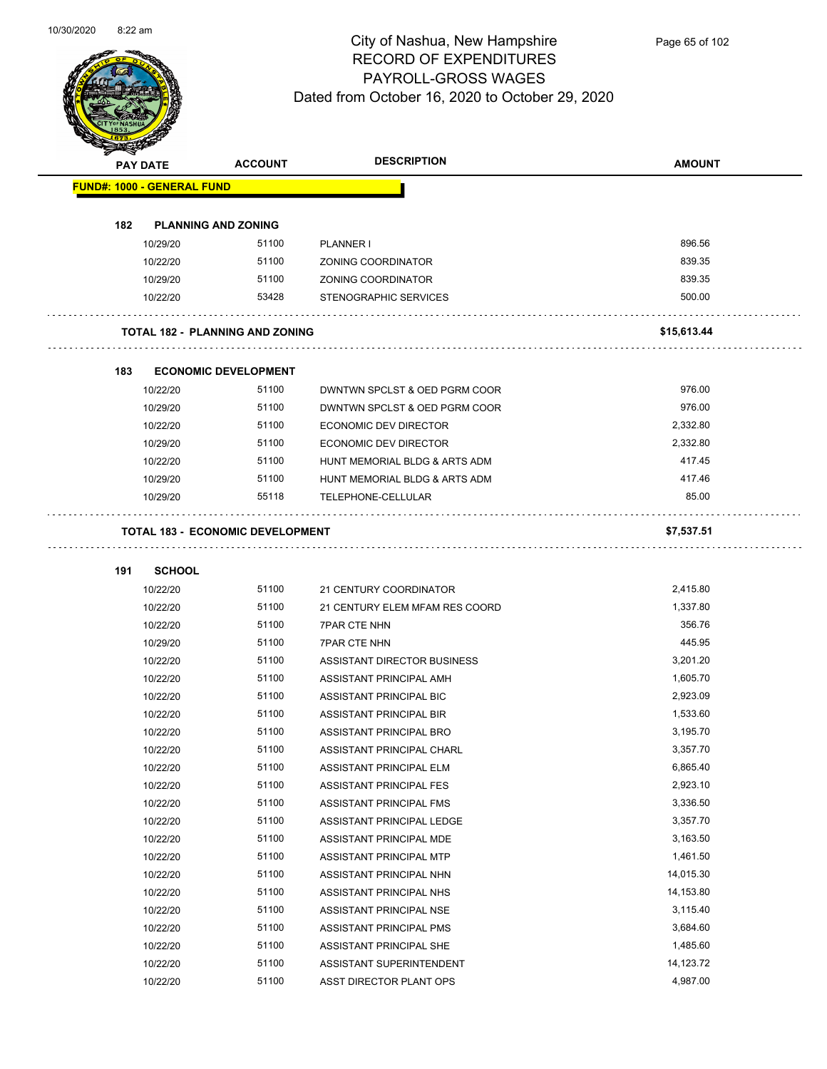

| <b>STARTING CARD</b> |               |                                        |                                |               |
|----------------------|---------------|----------------------------------------|--------------------------------|---------------|
| <b>PAY DATE</b>      |               | <b>ACCOUNT</b>                         | <b>DESCRIPTION</b>             | <b>AMOUNT</b> |
|                      |               | <b>FUND#: 1000 - GENERAL FUND</b>      |                                |               |
|                      |               |                                        |                                |               |
| 182                  |               | <b>PLANNING AND ZONING</b>             |                                |               |
|                      | 10/29/20      | 51100                                  | PLANNER I                      | 896.56        |
|                      | 10/22/20      | 51100                                  | ZONING COORDINATOR             | 839.35        |
|                      | 10/29/20      | 51100                                  | ZONING COORDINATOR             | 839.35        |
|                      | 10/22/20      | 53428                                  | <b>STENOGRAPHIC SERVICES</b>   | 500.00        |
|                      |               | <b>TOTAL 182 - PLANNING AND ZONING</b> |                                | \$15,613.44   |
| 183                  |               | <b>ECONOMIC DEVELOPMENT</b>            |                                |               |
|                      | 10/22/20      | 51100                                  | DWNTWN SPCLST & OED PGRM COOR  | 976.00        |
|                      | 10/29/20      | 51100                                  | DWNTWN SPCLST & OED PGRM COOR  | 976.00        |
|                      | 10/22/20      | 51100                                  | ECONOMIC DEV DIRECTOR          | 2,332.80      |
|                      | 10/29/20      | 51100                                  | ECONOMIC DEV DIRECTOR          | 2,332.80      |
|                      | 10/22/20      | 51100                                  | HUNT MEMORIAL BLDG & ARTS ADM  | 417.45        |
|                      | 10/29/20      | 51100                                  | HUNT MEMORIAL BLDG & ARTS ADM  | 417.46        |
|                      | 10/29/20      | 55118                                  | TELEPHONE-CELLULAR             | 85.00         |
|                      |               |                                        |                                |               |
|                      |               | TOTAL 183 - ECONOMIC DEVELOPMENT       |                                | \$7,537.51    |
| 191                  | <b>SCHOOL</b> |                                        |                                |               |
|                      | 10/22/20      | 51100                                  | 21 CENTURY COORDINATOR         | 2,415.80      |
|                      | 10/22/20      | 51100                                  | 21 CENTURY ELEM MFAM RES COORD | 1,337.80      |
|                      | 10/22/20      | 51100                                  | <b>7PAR CTE NHN</b>            | 356.76        |
|                      | 10/29/20      | 51100                                  | <b>7PAR CTE NHN</b>            | 445.95        |
|                      | 10/22/20      | 51100                                  | ASSISTANT DIRECTOR BUSINESS    | 3,201.20      |
|                      | 10/22/20      | 51100                                  | ASSISTANT PRINCIPAL AMH        | 1,605.70      |
|                      | 10/22/20      | 51100                                  | ASSISTANT PRINCIPAL BIC        | 2,923.09      |
|                      | 10/22/20      | 51100                                  | ASSISTANT PRINCIPAL BIR        | 1,533.60      |
|                      | 10/22/20      | 51100                                  | ASSISTANT PRINCIPAL BRO        | 3,195.70      |
|                      | 10/22/20      | 51100                                  | ASSISTANT PRINCIPAL CHARL      | 3,357.70      |
|                      | 10/22/20      | 51100                                  | ASSISTANT PRINCIPAL ELM        | 6,865.40      |
|                      | 10/22/20      | 51100                                  | ASSISTANT PRINCIPAL FES        | 2,923.10      |
|                      | 10/22/20      | 51100                                  | ASSISTANT PRINCIPAL FMS        | 3,336.50      |
|                      | 10/22/20      | 51100                                  | ASSISTANT PRINCIPAL LEDGE      | 3,357.70      |
|                      | 10/22/20      | 51100                                  | ASSISTANT PRINCIPAL MDE        | 3,163.50      |
|                      | 10/22/20      | 51100                                  | ASSISTANT PRINCIPAL MTP        | 1,461.50      |
|                      | 10/22/20      | 51100                                  | ASSISTANT PRINCIPAL NHN        | 14,015.30     |
|                      | 10/22/20      | 51100                                  | ASSISTANT PRINCIPAL NHS        | 14,153.80     |
|                      | 10/22/20      | 51100                                  | ASSISTANT PRINCIPAL NSE        | 3,115.40      |
|                      | 10/22/20      | 51100                                  | ASSISTANT PRINCIPAL PMS        | 3,684.60      |
|                      | 10/22/20      | 51100                                  | ASSISTANT PRINCIPAL SHE        | 1,485.60      |
|                      | 10/22/20      | 51100                                  | ASSISTANT SUPERINTENDENT       | 14,123.72     |
|                      | 10/22/20      | 51100                                  | ASST DIRECTOR PLANT OPS        | 4,987.00      |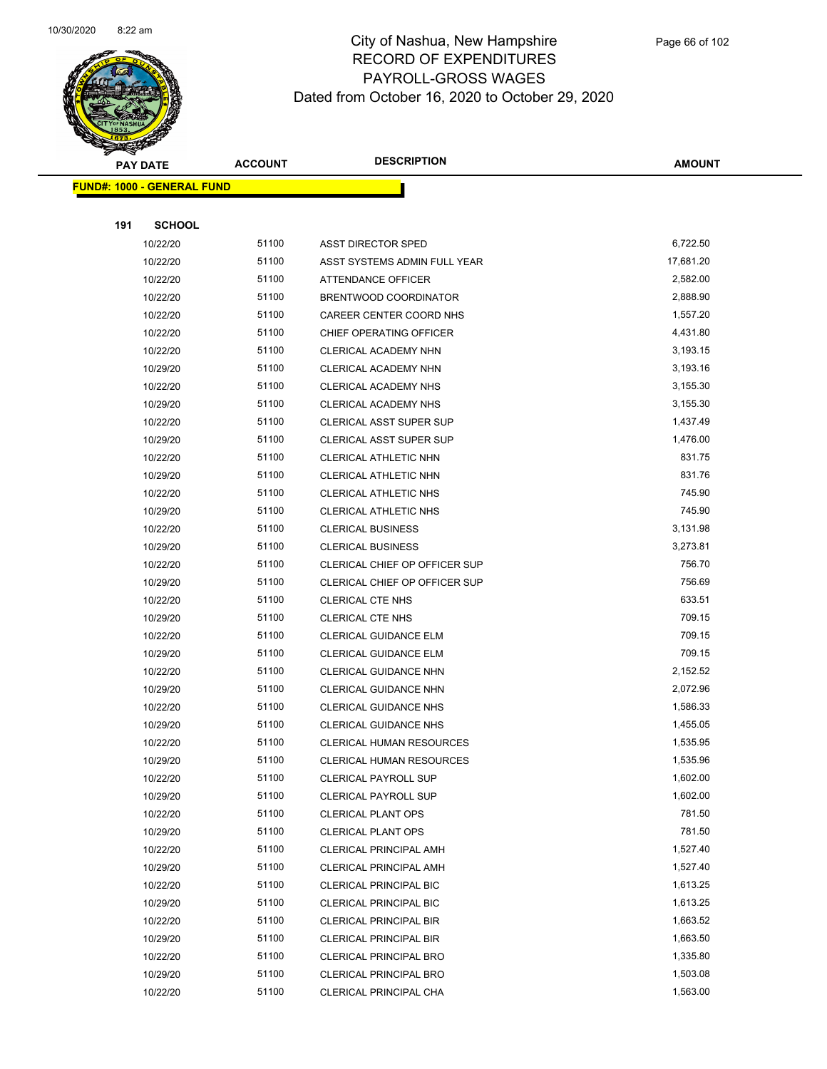

Page 66 of 102

|     | <b>PAY DATE</b>                   | <b>ACCOUNT</b> | <b>DESCRIPTION</b>              | <b>AMOUNT</b> |
|-----|-----------------------------------|----------------|---------------------------------|---------------|
|     | <b>FUND#: 1000 - GENERAL FUND</b> |                |                                 |               |
|     |                                   |                |                                 |               |
| 191 | <b>SCHOOL</b>                     |                |                                 |               |
|     | 10/22/20                          | 51100          | <b>ASST DIRECTOR SPED</b>       | 6,722.50      |
|     | 10/22/20                          | 51100          | ASST SYSTEMS ADMIN FULL YEAR    | 17,681.20     |
|     | 10/22/20                          | 51100          | ATTENDANCE OFFICER              | 2,582.00      |
|     | 10/22/20                          | 51100          | BRENTWOOD COORDINATOR           | 2,888.90      |
|     | 10/22/20                          | 51100          | CAREER CENTER COORD NHS         | 1,557.20      |
|     | 10/22/20                          | 51100          | CHIEF OPERATING OFFICER         | 4,431.80      |
|     | 10/22/20                          | 51100          | CLERICAL ACADEMY NHN            | 3,193.15      |
|     | 10/29/20                          | 51100          | CLERICAL ACADEMY NHN            | 3,193.16      |
|     | 10/22/20                          | 51100          | CLERICAL ACADEMY NHS            | 3,155.30      |
|     | 10/29/20                          | 51100          | CLERICAL ACADEMY NHS            | 3,155.30      |
|     | 10/22/20                          | 51100          | <b>CLERICAL ASST SUPER SUP</b>  | 1,437.49      |
|     | 10/29/20                          | 51100          | CLERICAL ASST SUPER SUP         | 1,476.00      |
|     | 10/22/20                          | 51100          | CLERICAL ATHLETIC NHN           | 831.75        |
|     | 10/29/20                          | 51100          | CLERICAL ATHLETIC NHN           | 831.76        |
|     | 10/22/20                          | 51100          | CLERICAL ATHLETIC NHS           | 745.90        |
|     | 10/29/20                          | 51100          | <b>CLERICAL ATHLETIC NHS</b>    | 745.90        |
|     | 10/22/20                          | 51100          | <b>CLERICAL BUSINESS</b>        | 3,131.98      |
|     | 10/29/20                          | 51100          | <b>CLERICAL BUSINESS</b>        | 3,273.81      |
|     | 10/22/20                          | 51100          | CLERICAL CHIEF OP OFFICER SUP   | 756.70        |
|     | 10/29/20                          | 51100          | CLERICAL CHIEF OP OFFICER SUP   | 756.69        |
|     | 10/22/20                          | 51100          | <b>CLERICAL CTE NHS</b>         | 633.51        |
|     | 10/29/20                          | 51100          | CLERICAL CTE NHS                | 709.15        |
|     | 10/22/20                          | 51100          | CLERICAL GUIDANCE ELM           | 709.15        |
|     | 10/29/20                          | 51100          | CLERICAL GUIDANCE ELM           | 709.15        |
|     | 10/22/20                          | 51100          | <b>CLERICAL GUIDANCE NHN</b>    | 2,152.52      |
|     | 10/29/20                          | 51100          | <b>CLERICAL GUIDANCE NHN</b>    | 2,072.96      |
|     | 10/22/20                          | 51100          | <b>CLERICAL GUIDANCE NHS</b>    | 1,586.33      |
|     | 10/29/20                          | 51100          | <b>CLERICAL GUIDANCE NHS</b>    | 1,455.05      |
|     | 10/22/20                          | 51100          | <b>CLERICAL HUMAN RESOURCES</b> | 1,535.95      |
|     | 10/29/20                          | 51100          | <b>CLERICAL HUMAN RESOURCES</b> | 1,535.96      |
|     | 10/22/20                          | 51100          | <b>CLERICAL PAYROLL SUP</b>     | 1,602.00      |
|     | 10/29/20                          | 51100          | <b>CLERICAL PAYROLL SUP</b>     | 1,602.00      |
|     | 10/22/20                          | 51100          | <b>CLERICAL PLANT OPS</b>       | 781.50        |
|     | 10/29/20                          | 51100          | <b>CLERICAL PLANT OPS</b>       | 781.50        |
|     | 10/22/20                          | 51100          | <b>CLERICAL PRINCIPAL AMH</b>   | 1,527.40      |
|     | 10/29/20                          | 51100          | CLERICAL PRINCIPAL AMH          | 1,527.40      |
|     | 10/22/20                          | 51100          | <b>CLERICAL PRINCIPAL BIC</b>   | 1,613.25      |
|     | 10/29/20                          | 51100          | <b>CLERICAL PRINCIPAL BIC</b>   | 1,613.25      |
|     | 10/22/20                          | 51100          | <b>CLERICAL PRINCIPAL BIR</b>   | 1,663.52      |
|     | 10/29/20                          | 51100          | <b>CLERICAL PRINCIPAL BIR</b>   | 1,663.50      |
|     | 10/22/20                          | 51100          | CLERICAL PRINCIPAL BRO          | 1,335.80      |
|     | 10/29/20                          | 51100          | <b>CLERICAL PRINCIPAL BRO</b>   | 1,503.08      |
|     | 10/22/20                          | 51100          | CLERICAL PRINCIPAL CHA          | 1,563.00      |
|     |                                   |                |                                 |               |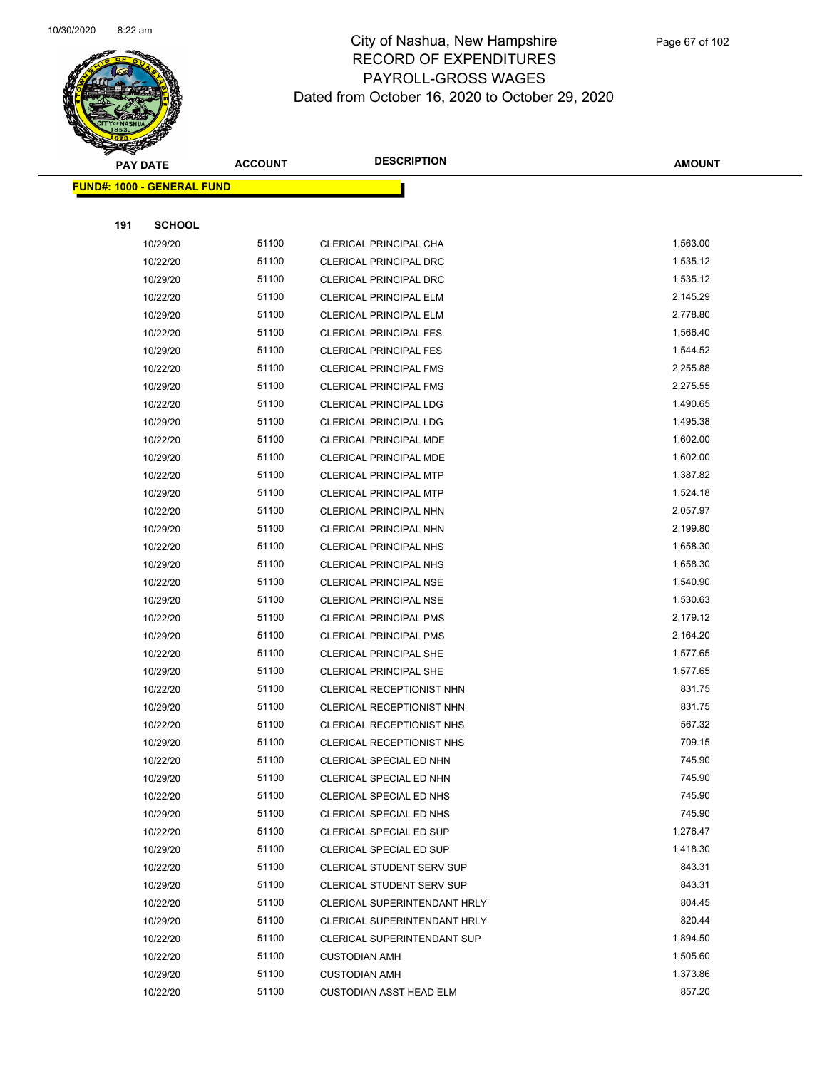

|     | <b>PAY DATE</b>                    | <b>ACCOUNT</b> | <b>DESCRIPTION</b>                                        | <b>AMOUNT</b>      |
|-----|------------------------------------|----------------|-----------------------------------------------------------|--------------------|
|     | <u> FUND#: 1000 - GENERAL FUND</u> |                |                                                           |                    |
|     |                                    |                |                                                           |                    |
| 191 | <b>SCHOOL</b>                      |                |                                                           |                    |
|     | 10/29/20                           | 51100          | CLERICAL PRINCIPAL CHA                                    | 1,563.00           |
|     | 10/22/20                           | 51100          | <b>CLERICAL PRINCIPAL DRC</b>                             | 1,535.12           |
|     | 10/29/20                           | 51100          | <b>CLERICAL PRINCIPAL DRC</b>                             | 1,535.12           |
|     | 10/22/20                           | 51100          | <b>CLERICAL PRINCIPAL ELM</b>                             | 2,145.29           |
|     | 10/29/20                           | 51100          | <b>CLERICAL PRINCIPAL ELM</b>                             | 2,778.80           |
|     | 10/22/20                           | 51100          | <b>CLERICAL PRINCIPAL FES</b>                             | 1,566.40           |
|     | 10/29/20                           | 51100          | <b>CLERICAL PRINCIPAL FES</b>                             | 1,544.52           |
|     | 10/22/20                           | 51100          | CLERICAL PRINCIPAL FMS                                    | 2,255.88           |
|     | 10/29/20                           | 51100          | <b>CLERICAL PRINCIPAL FMS</b>                             | 2,275.55           |
|     | 10/22/20                           | 51100          | <b>CLERICAL PRINCIPAL LDG</b>                             | 1,490.65           |
|     | 10/29/20                           | 51100          | CLERICAL PRINCIPAL LDG                                    | 1,495.38           |
|     | 10/22/20                           | 51100          | <b>CLERICAL PRINCIPAL MDE</b>                             | 1,602.00           |
|     | 10/29/20                           | 51100          | CLERICAL PRINCIPAL MDE                                    | 1,602.00           |
|     | 10/22/20                           | 51100          | <b>CLERICAL PRINCIPAL MTP</b>                             | 1,387.82           |
|     | 10/29/20                           | 51100          | <b>CLERICAL PRINCIPAL MTP</b>                             | 1,524.18           |
|     | 10/22/20                           | 51100          | CLERICAL PRINCIPAL NHN                                    | 2,057.97           |
|     | 10/29/20                           | 51100          | CLERICAL PRINCIPAL NHN                                    | 2,199.80           |
|     | 10/22/20                           | 51100          | CLERICAL PRINCIPAL NHS                                    | 1,658.30           |
|     | 10/29/20                           | 51100          | CLERICAL PRINCIPAL NHS                                    | 1,658.30           |
|     | 10/22/20                           | 51100          | CLERICAL PRINCIPAL NSE                                    | 1,540.90           |
|     | 10/29/20                           | 51100          | CLERICAL PRINCIPAL NSE                                    | 1,530.63           |
|     | 10/22/20                           | 51100          | <b>CLERICAL PRINCIPAL PMS</b>                             | 2,179.12           |
|     | 10/29/20                           | 51100          | CLERICAL PRINCIPAL PMS                                    | 2,164.20           |
|     | 10/22/20                           | 51100          | CLERICAL PRINCIPAL SHE                                    | 1,577.65           |
|     | 10/29/20                           | 51100          | CLERICAL PRINCIPAL SHE                                    | 1,577.65           |
|     | 10/22/20                           | 51100          | CLERICAL RECEPTIONIST NHN                                 | 831.75             |
|     | 10/29/20                           | 51100          | CLERICAL RECEPTIONIST NHN                                 | 831.75             |
|     | 10/22/20                           | 51100          | <b>CLERICAL RECEPTIONIST NHS</b>                          | 567.32             |
|     | 10/29/20                           | 51100          | CLERICAL RECEPTIONIST NHS                                 | 709.15             |
|     | 10/22/20                           | 51100          | CLERICAL SPECIAL ED NHN                                   | 745.90             |
|     | 10/29/20                           | 51100          | CLERICAL SPECIAL ED NHN                                   | 745.90             |
|     | 10/22/20                           | 51100          | CLERICAL SPECIAL ED NHS                                   | 745.90             |
|     | 10/29/20                           | 51100          | CLERICAL SPECIAL ED NHS                                   | 745.90             |
|     | 10/22/20                           | 51100          | CLERICAL SPECIAL ED SUP                                   | 1,276.47           |
|     | 10/29/20                           | 51100<br>51100 | CLERICAL SPECIAL ED SUP                                   | 1,418.30<br>843.31 |
|     | 10/22/20                           | 51100          | CLERICAL STUDENT SERV SUP                                 | 843.31             |
|     | 10/29/20<br>10/22/20               | 51100          | CLERICAL STUDENT SERV SUP<br>CLERICAL SUPERINTENDANT HRLY | 804.45             |
|     | 10/29/20                           | 51100          | CLERICAL SUPERINTENDANT HRLY                              | 820.44             |
|     |                                    | 51100          |                                                           | 1,894.50           |
|     | 10/22/20<br>10/22/20               | 51100          | CLERICAL SUPERINTENDANT SUP<br><b>CUSTODIAN AMH</b>       | 1,505.60           |
|     | 10/29/20                           | 51100          | <b>CUSTODIAN AMH</b>                                      | 1,373.86           |
|     | 10/22/20                           | 51100          | <b>CUSTODIAN ASST HEAD ELM</b>                            | 857.20             |
|     |                                    |                |                                                           |                    |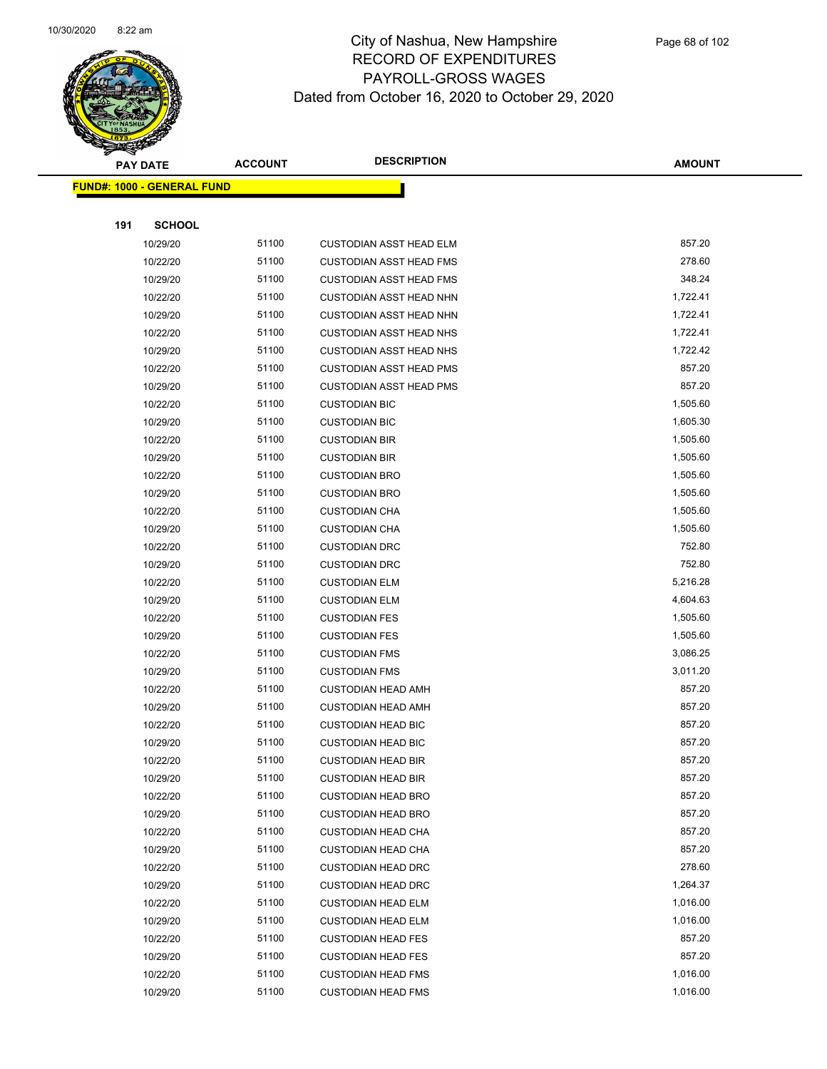

|     | <b>PAY DATE</b>                    | <b>ACCOUNT</b> | <b>DESCRIPTION</b>             | <b>AMOUNT</b> |  |
|-----|------------------------------------|----------------|--------------------------------|---------------|--|
|     | <u> FUND#: 1000 - GENERAL FUND</u> |                |                                |               |  |
|     |                                    |                |                                |               |  |
| 191 | <b>SCHOOL</b>                      |                |                                |               |  |
|     | 10/29/20                           | 51100          | <b>CUSTODIAN ASST HEAD ELM</b> | 857.20        |  |
|     | 10/22/20                           | 51100          | <b>CUSTODIAN ASST HEAD FMS</b> | 278.60        |  |
|     | 10/29/20                           | 51100          | <b>CUSTODIAN ASST HEAD FMS</b> | 348.24        |  |
|     | 10/22/20                           | 51100          | <b>CUSTODIAN ASST HEAD NHN</b> | 1,722.41      |  |
|     | 10/29/20                           | 51100          | <b>CUSTODIAN ASST HEAD NHN</b> | 1,722.41      |  |
|     | 10/22/20                           | 51100          | <b>CUSTODIAN ASST HEAD NHS</b> | 1,722.41      |  |
|     | 10/29/20                           | 51100          | <b>CUSTODIAN ASST HEAD NHS</b> | 1,722.42      |  |
|     | 10/22/20                           | 51100          | <b>CUSTODIAN ASST HEAD PMS</b> | 857.20        |  |
|     | 10/29/20                           | 51100          | <b>CUSTODIAN ASST HEAD PMS</b> | 857.20        |  |
|     | 10/22/20                           | 51100          | <b>CUSTODIAN BIC</b>           | 1,505.60      |  |
|     | 10/29/20                           | 51100          | <b>CUSTODIAN BIC</b>           | 1,605.30      |  |
|     | 10/22/20                           | 51100          | <b>CUSTODIAN BIR</b>           | 1,505.60      |  |
|     | 10/29/20                           | 51100          | <b>CUSTODIAN BIR</b>           | 1,505.60      |  |
|     | 10/22/20                           | 51100          | <b>CUSTODIAN BRO</b>           | 1,505.60      |  |
|     | 10/29/20                           | 51100          | <b>CUSTODIAN BRO</b>           | 1,505.60      |  |
|     | 10/22/20                           | 51100          | <b>CUSTODIAN CHA</b>           | 1,505.60      |  |
|     | 10/29/20                           | 51100          | <b>CUSTODIAN CHA</b>           | 1,505.60      |  |
|     | 10/22/20                           | 51100          | <b>CUSTODIAN DRC</b>           | 752.80        |  |
|     | 10/29/20                           | 51100          | <b>CUSTODIAN DRC</b>           | 752.80        |  |
|     | 10/22/20                           | 51100          | <b>CUSTODIAN ELM</b>           | 5,216.28      |  |
|     | 10/29/20                           | 51100          | <b>CUSTODIAN ELM</b>           | 4,604.63      |  |
|     | 10/22/20                           | 51100          | <b>CUSTODIAN FES</b>           | 1,505.60      |  |
|     | 10/29/20                           | 51100          | <b>CUSTODIAN FES</b>           | 1,505.60      |  |
|     | 10/22/20                           | 51100          | <b>CUSTODIAN FMS</b>           | 3,086.25      |  |
|     | 10/29/20                           | 51100          | <b>CUSTODIAN FMS</b>           | 3,011.20      |  |
|     | 10/22/20                           | 51100          | <b>CUSTODIAN HEAD AMH</b>      | 857.20        |  |
|     | 10/29/20                           | 51100          | <b>CUSTODIAN HEAD AMH</b>      | 857.20        |  |
|     | 10/22/20                           | 51100          | <b>CUSTODIAN HEAD BIC</b>      | 857.20        |  |
|     | 10/29/20                           | 51100          | <b>CUSTODIAN HEAD BIC</b>      | 857.20        |  |
|     | 10/22/20                           | 51100          | <b>CUSTODIAN HEAD BIR</b>      | 857.20        |  |
|     | 10/29/20                           | 51100          | <b>CUSTODIAN HEAD BIR</b>      | 857.20        |  |
|     | 10/22/20                           | 51100          | <b>CUSTODIAN HEAD BRO</b>      | 857.20        |  |
|     | 10/29/20                           | 51100          | <b>CUSTODIAN HEAD BRO</b>      | 857.20        |  |
|     | 10/22/20                           | 51100          | <b>CUSTODIAN HEAD CHA</b>      | 857.20        |  |
|     | 10/29/20                           | 51100          | <b>CUSTODIAN HEAD CHA</b>      | 857.20        |  |
|     | 10/22/20                           | 51100          | <b>CUSTODIAN HEAD DRC</b>      | 278.60        |  |
|     | 10/29/20                           | 51100          | <b>CUSTODIAN HEAD DRC</b>      | 1,264.37      |  |
|     | 10/22/20                           | 51100          | <b>CUSTODIAN HEAD ELM</b>      | 1,016.00      |  |
|     | 10/29/20                           | 51100          | <b>CUSTODIAN HEAD ELM</b>      | 1,016.00      |  |
|     | 10/22/20                           | 51100          | <b>CUSTODIAN HEAD FES</b>      | 857.20        |  |
|     | 10/29/20                           | 51100          | <b>CUSTODIAN HEAD FES</b>      | 857.20        |  |
|     | 10/22/20                           | 51100          | <b>CUSTODIAN HEAD FMS</b>      | 1,016.00      |  |
|     | 10/29/20                           | 51100          | <b>CUSTODIAN HEAD FMS</b>      | 1,016.00      |  |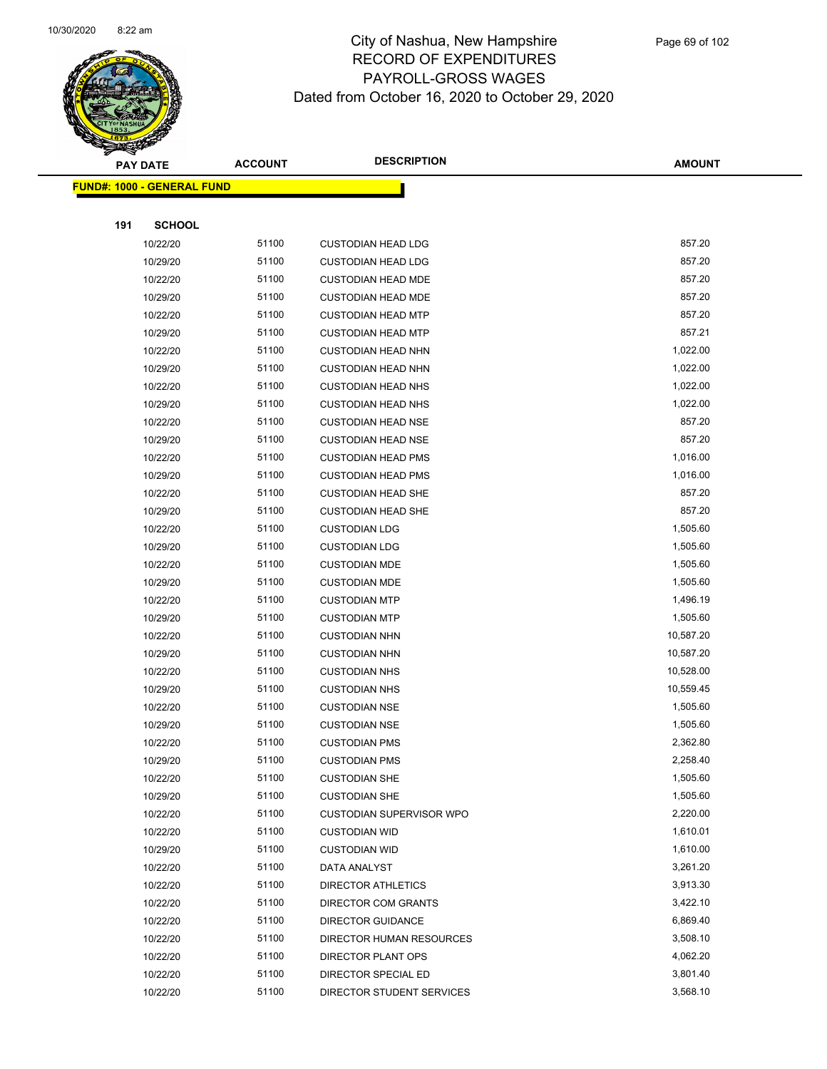

Page 69 of 102

|     | <b>PAY DATE</b>                    | <b>ACCOUNT</b> | <b>DESCRIPTION</b>              | <b>AMOUNT</b> |
|-----|------------------------------------|----------------|---------------------------------|---------------|
|     | <u> FUND#: 1000 - GENERAL FUND</u> |                |                                 |               |
|     |                                    |                |                                 |               |
| 191 | <b>SCHOOL</b>                      |                |                                 |               |
|     | 10/22/20                           | 51100          | <b>CUSTODIAN HEAD LDG</b>       | 857.20        |
|     | 10/29/20                           | 51100          | <b>CUSTODIAN HEAD LDG</b>       | 857.20        |
|     | 10/22/20                           | 51100          | <b>CUSTODIAN HEAD MDE</b>       | 857.20        |
|     | 10/29/20                           | 51100          | <b>CUSTODIAN HEAD MDE</b>       | 857.20        |
|     | 10/22/20                           | 51100          | <b>CUSTODIAN HEAD MTP</b>       | 857.20        |
|     | 10/29/20                           | 51100          | <b>CUSTODIAN HEAD MTP</b>       | 857.21        |
|     | 10/22/20                           | 51100          | <b>CUSTODIAN HEAD NHN</b>       | 1,022.00      |
|     | 10/29/20                           | 51100          | <b>CUSTODIAN HEAD NHN</b>       | 1,022.00      |
|     | 10/22/20                           | 51100          | <b>CUSTODIAN HEAD NHS</b>       | 1,022.00      |
|     | 10/29/20                           | 51100          | <b>CUSTODIAN HEAD NHS</b>       | 1,022.00      |
|     | 10/22/20                           | 51100          | <b>CUSTODIAN HEAD NSE</b>       | 857.20        |
|     | 10/29/20                           | 51100          | <b>CUSTODIAN HEAD NSE</b>       | 857.20        |
|     | 10/22/20                           | 51100          | <b>CUSTODIAN HEAD PMS</b>       | 1,016.00      |
|     | 10/29/20                           | 51100          | <b>CUSTODIAN HEAD PMS</b>       | 1,016.00      |
|     | 10/22/20                           | 51100          | <b>CUSTODIAN HEAD SHE</b>       | 857.20        |
|     | 10/29/20                           | 51100          | <b>CUSTODIAN HEAD SHE</b>       | 857.20        |
|     | 10/22/20                           | 51100          | <b>CUSTODIAN LDG</b>            | 1,505.60      |
|     | 10/29/20                           | 51100          | <b>CUSTODIAN LDG</b>            | 1,505.60      |
|     | 10/22/20                           | 51100          | <b>CUSTODIAN MDE</b>            | 1,505.60      |
|     | 10/29/20                           | 51100          | <b>CUSTODIAN MDE</b>            | 1,505.60      |
|     | 10/22/20                           | 51100          | <b>CUSTODIAN MTP</b>            | 1,496.19      |
|     | 10/29/20                           | 51100          | <b>CUSTODIAN MTP</b>            | 1,505.60      |
|     | 10/22/20                           | 51100          | <b>CUSTODIAN NHN</b>            | 10,587.20     |
|     | 10/29/20                           | 51100          | <b>CUSTODIAN NHN</b>            | 10,587.20     |
|     | 10/22/20                           | 51100          | <b>CUSTODIAN NHS</b>            | 10,528.00     |
|     | 10/29/20                           | 51100          | <b>CUSTODIAN NHS</b>            | 10,559.45     |
|     | 10/22/20                           | 51100          | <b>CUSTODIAN NSE</b>            | 1,505.60      |
|     | 10/29/20                           | 51100          | <b>CUSTODIAN NSE</b>            | 1,505.60      |
|     | 10/22/20                           | 51100          | <b>CUSTODIAN PMS</b>            | 2,362.80      |
|     | 10/29/20                           | 51100          | <b>CUSTODIAN PMS</b>            | 2,258.40      |
|     | 10/22/20                           | 51100          | <b>CUSTODIAN SHE</b>            | 1,505.60      |
|     | 10/29/20                           | 51100          | <b>CUSTODIAN SHE</b>            | 1,505.60      |
|     | 10/22/20                           | 51100          | <b>CUSTODIAN SUPERVISOR WPO</b> | 2,220.00      |
|     | 10/22/20                           | 51100          | <b>CUSTODIAN WID</b>            | 1,610.01      |
|     | 10/29/20                           | 51100          | <b>CUSTODIAN WID</b>            | 1,610.00      |
|     | 10/22/20                           | 51100          | DATA ANALYST                    | 3,261.20      |
|     | 10/22/20                           | 51100          | DIRECTOR ATHLETICS              | 3,913.30      |
|     | 10/22/20                           | 51100          | DIRECTOR COM GRANTS             | 3,422.10      |
|     | 10/22/20                           | 51100          | <b>DIRECTOR GUIDANCE</b>        | 6,869.40      |
|     | 10/22/20                           | 51100          | DIRECTOR HUMAN RESOURCES        | 3,508.10      |
|     | 10/22/20                           | 51100          | DIRECTOR PLANT OPS              | 4,062.20      |
|     | 10/22/20                           | 51100          | DIRECTOR SPECIAL ED             | 3,801.40      |
|     | 10/22/20                           | 51100          | DIRECTOR STUDENT SERVICES       | 3,568.10      |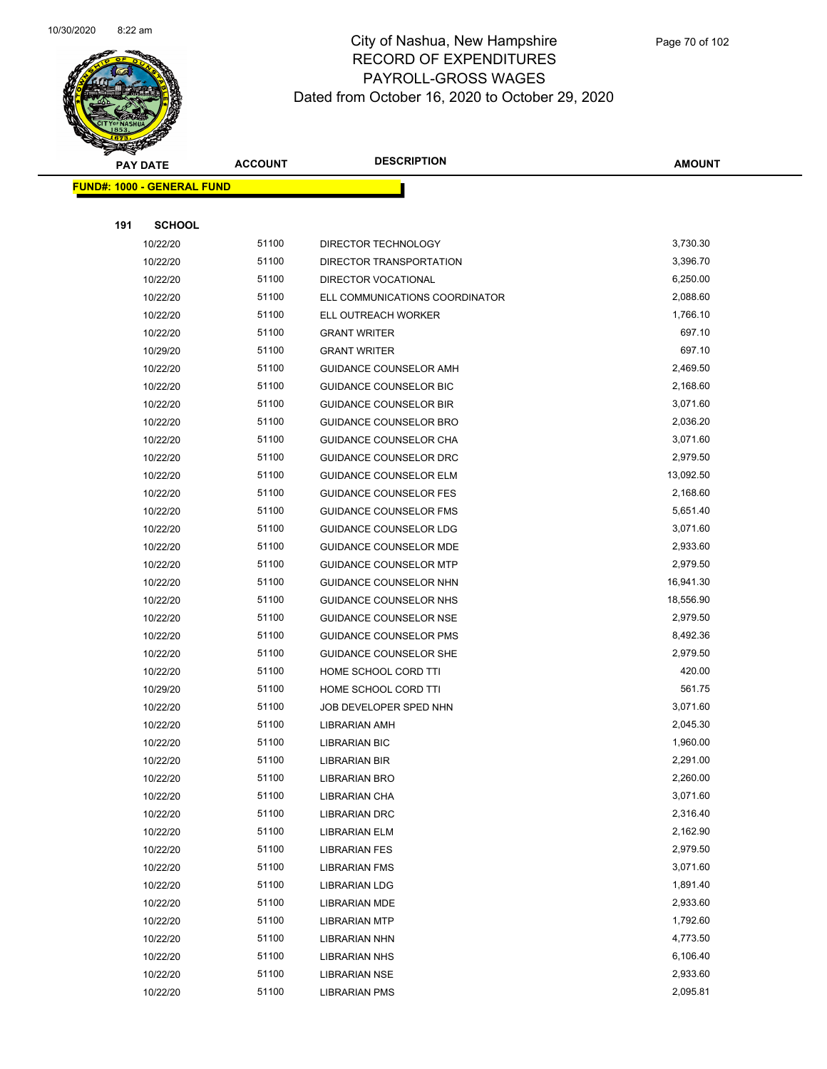

|     | <b>PAY DATE</b>                   | <b>ACCOUNT</b> | <b>DESCRIPTION</b>             | <b>AMOUNT</b> |
|-----|-----------------------------------|----------------|--------------------------------|---------------|
|     | <b>FUND#: 1000 - GENERAL FUND</b> |                |                                |               |
|     |                                   |                |                                |               |
| 191 | <b>SCHOOL</b>                     |                |                                |               |
|     | 10/22/20                          | 51100          | DIRECTOR TECHNOLOGY            | 3,730.30      |
|     | 10/22/20                          | 51100          | DIRECTOR TRANSPORTATION        | 3,396.70      |
|     | 10/22/20                          | 51100          | DIRECTOR VOCATIONAL            | 6,250.00      |
|     | 10/22/20                          | 51100          | ELL COMMUNICATIONS COORDINATOR | 2,088.60      |
|     | 10/22/20                          | 51100          | ELL OUTREACH WORKER            | 1,766.10      |
|     | 10/22/20                          | 51100          | <b>GRANT WRITER</b>            | 697.10        |
|     | 10/29/20                          | 51100          | <b>GRANT WRITER</b>            | 697.10        |
|     | 10/22/20                          | 51100          | GUIDANCE COUNSELOR AMH         | 2,469.50      |
|     | 10/22/20                          | 51100          | GUIDANCE COUNSELOR BIC         | 2,168.60      |
|     | 10/22/20                          | 51100          | <b>GUIDANCE COUNSELOR BIR</b>  | 3,071.60      |
|     | 10/22/20                          | 51100          | <b>GUIDANCE COUNSELOR BRO</b>  | 2,036.20      |
|     | 10/22/20                          | 51100          | GUIDANCE COUNSELOR CHA         | 3,071.60      |
|     | 10/22/20                          | 51100          | <b>GUIDANCE COUNSELOR DRC</b>  | 2,979.50      |
|     | 10/22/20                          | 51100          | <b>GUIDANCE COUNSELOR ELM</b>  | 13,092.50     |
|     | 10/22/20                          | 51100          | <b>GUIDANCE COUNSELOR FES</b>  | 2,168.60      |
|     | 10/22/20                          | 51100          | <b>GUIDANCE COUNSELOR FMS</b>  | 5,651.40      |
|     | 10/22/20                          | 51100          | GUIDANCE COUNSELOR LDG         | 3,071.60      |
|     | 10/22/20                          | 51100          | GUIDANCE COUNSELOR MDE         | 2,933.60      |
|     | 10/22/20                          | 51100          | <b>GUIDANCE COUNSELOR MTP</b>  | 2,979.50      |
|     | 10/22/20                          | 51100          | GUIDANCE COUNSELOR NHN         | 16,941.30     |
|     | 10/22/20                          | 51100          | GUIDANCE COUNSELOR NHS         | 18,556.90     |
|     | 10/22/20                          | 51100          | <b>GUIDANCE COUNSELOR NSE</b>  | 2,979.50      |
|     | 10/22/20                          | 51100          | <b>GUIDANCE COUNSELOR PMS</b>  | 8,492.36      |
|     | 10/22/20                          | 51100          | <b>GUIDANCE COUNSELOR SHE</b>  | 2,979.50      |
|     | 10/22/20                          | 51100          | HOME SCHOOL CORD TTI           | 420.00        |
|     | 10/29/20                          | 51100          | HOME SCHOOL CORD TTI           | 561.75        |
|     | 10/22/20                          | 51100          | JOB DEVELOPER SPED NHN         | 3,071.60      |
|     | 10/22/20                          | 51100          | <b>LIBRARIAN AMH</b>           | 2,045.30      |
|     | 10/22/20                          | 51100          | <b>LIBRARIAN BIC</b>           | 1,960.00      |
|     | 10/22/20                          | 51100          | <b>LIBRARIAN BIR</b>           | 2,291.00      |
|     | 10/22/20                          | 51100          | LIBRARIAN BRO                  | 2,260.00      |
|     | 10/22/20                          | 51100          | LIBRARIAN CHA                  | 3,071.60      |
|     | 10/22/20                          | 51100          | <b>LIBRARIAN DRC</b>           | 2,316.40      |
|     | 10/22/20                          | 51100          | <b>LIBRARIAN ELM</b>           | 2,162.90      |
|     | 10/22/20                          | 51100          | <b>LIBRARIAN FES</b>           | 2,979.50      |
|     | 10/22/20                          | 51100          | <b>LIBRARIAN FMS</b>           | 3,071.60      |
|     | 10/22/20                          | 51100          | <b>LIBRARIAN LDG</b>           | 1,891.40      |
|     | 10/22/20                          | 51100          | <b>LIBRARIAN MDE</b>           | 2,933.60      |
|     | 10/22/20                          | 51100          | <b>LIBRARIAN MTP</b>           | 1,792.60      |
|     | 10/22/20                          | 51100          | <b>LIBRARIAN NHN</b>           | 4,773.50      |
|     | 10/22/20                          | 51100          | <b>LIBRARIAN NHS</b>           | 6,106.40      |
|     | 10/22/20                          | 51100          | <b>LIBRARIAN NSE</b>           | 2,933.60      |
|     | 10/22/20                          | 51100          | <b>LIBRARIAN PMS</b>           | 2,095.81      |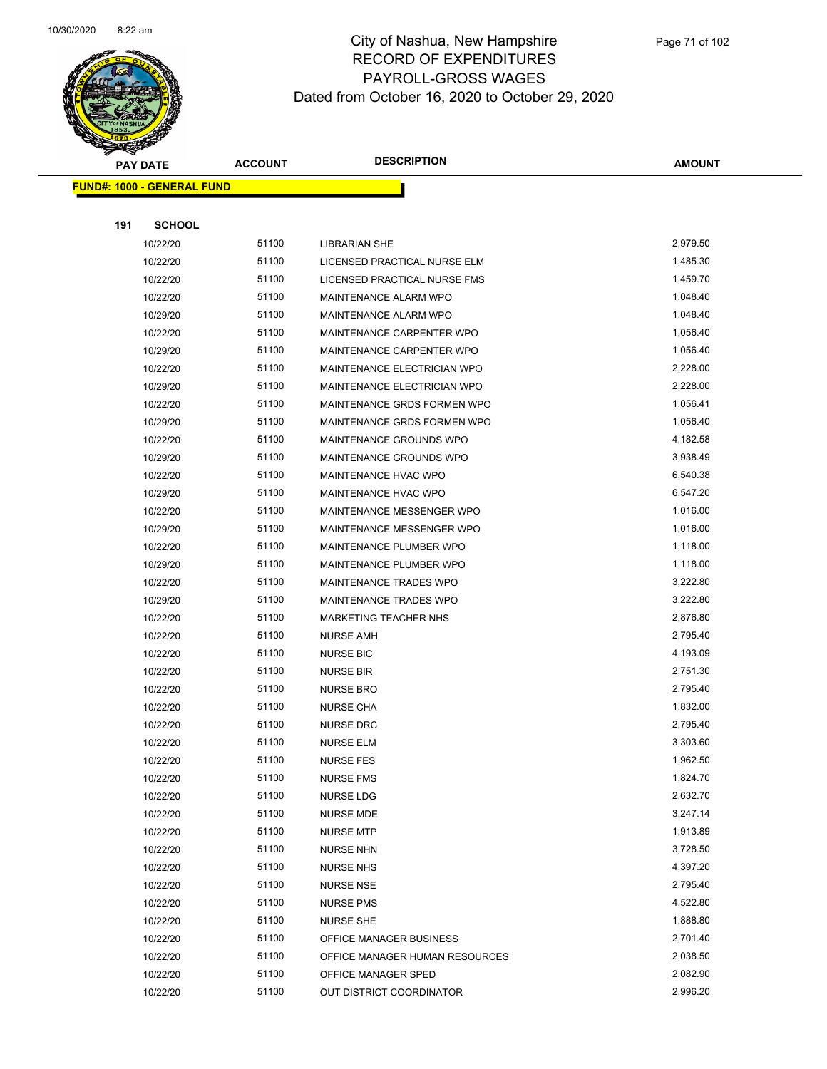

|     | <b>PAY DATE</b>                   | <b>ACCOUNT</b> | <b>DESCRIPTION</b>             | <b>AMOUNT</b> |
|-----|-----------------------------------|----------------|--------------------------------|---------------|
|     | <b>FUND#: 1000 - GENERAL FUND</b> |                |                                |               |
|     |                                   |                |                                |               |
| 191 | <b>SCHOOL</b>                     |                |                                |               |
|     | 10/22/20                          | 51100          | <b>LIBRARIAN SHE</b>           | 2,979.50      |
|     | 10/22/20                          | 51100          | LICENSED PRACTICAL NURSE ELM   | 1,485.30      |
|     | 10/22/20                          | 51100          | LICENSED PRACTICAL NURSE FMS   | 1,459.70      |
|     | 10/22/20                          | 51100          | MAINTENANCE ALARM WPO          | 1,048.40      |
|     | 10/29/20                          | 51100          | MAINTENANCE ALARM WPO          | 1,048.40      |
|     | 10/22/20                          | 51100          | MAINTENANCE CARPENTER WPO      | 1,056.40      |
|     | 10/29/20                          | 51100          | MAINTENANCE CARPENTER WPO      | 1,056.40      |
|     | 10/22/20                          | 51100          | MAINTENANCE ELECTRICIAN WPO    | 2,228.00      |
|     | 10/29/20                          | 51100          | MAINTENANCE ELECTRICIAN WPO    | 2,228.00      |
|     | 10/22/20                          | 51100          | MAINTENANCE GRDS FORMEN WPO    | 1,056.41      |
|     | 10/29/20                          | 51100          | MAINTENANCE GRDS FORMEN WPO    | 1,056.40      |
|     | 10/22/20                          | 51100          | MAINTENANCE GROUNDS WPO        | 4,182.58      |
|     | 10/29/20                          | 51100          | MAINTENANCE GROUNDS WPO        | 3,938.49      |
|     | 10/22/20                          | 51100          | MAINTENANCE HVAC WPO           | 6,540.38      |
|     | 10/29/20                          | 51100          | MAINTENANCE HVAC WPO           | 6,547.20      |
|     | 10/22/20                          | 51100          | MAINTENANCE MESSENGER WPO      | 1,016.00      |
|     | 10/29/20                          | 51100          | MAINTENANCE MESSENGER WPO      | 1,016.00      |
|     | 10/22/20                          | 51100          | MAINTENANCE PLUMBER WPO        | 1,118.00      |
|     | 10/29/20                          | 51100          | MAINTENANCE PLUMBER WPO        | 1,118.00      |
|     | 10/22/20                          | 51100          | MAINTENANCE TRADES WPO         | 3,222.80      |
|     | 10/29/20                          | 51100          | MAINTENANCE TRADES WPO         | 3,222.80      |
|     | 10/22/20                          | 51100          | <b>MARKETING TEACHER NHS</b>   | 2,876.80      |
|     | 10/22/20                          | 51100          | <b>NURSE AMH</b>               | 2,795.40      |
|     | 10/22/20                          | 51100          | <b>NURSE BIC</b>               | 4,193.09      |
|     | 10/22/20                          | 51100          | <b>NURSE BIR</b>               | 2,751.30      |
|     | 10/22/20                          | 51100          | <b>NURSE BRO</b>               | 2,795.40      |
|     | 10/22/20                          | 51100          | <b>NURSE CHA</b>               | 1,832.00      |
|     | 10/22/20                          | 51100          | <b>NURSE DRC</b>               | 2,795.40      |
|     | 10/22/20                          | 51100          | <b>NURSE ELM</b>               | 3,303.60      |
|     | 10/22/20                          | 51100          | NURSE FES                      | 1,962.50      |
|     | 10/22/20                          | 51100          | <b>NURSE FMS</b>               | 1,824.70      |
|     | 10/22/20                          | 51100          | <b>NURSE LDG</b>               | 2,632.70      |
|     | 10/22/20                          | 51100          | <b>NURSE MDE</b>               | 3,247.14      |
|     | 10/22/20                          | 51100          | <b>NURSE MTP</b>               | 1,913.89      |
|     | 10/22/20                          | 51100          | <b>NURSE NHN</b>               | 3,728.50      |
|     | 10/22/20                          | 51100          | <b>NURSE NHS</b>               | 4,397.20      |
|     | 10/22/20                          | 51100          | <b>NURSE NSE</b>               | 2,795.40      |
|     | 10/22/20                          | 51100          | <b>NURSE PMS</b>               | 4,522.80      |
|     | 10/22/20                          | 51100          | <b>NURSE SHE</b>               | 1,888.80      |
|     | 10/22/20                          | 51100          | OFFICE MANAGER BUSINESS        | 2,701.40      |
|     | 10/22/20                          | 51100          | OFFICE MANAGER HUMAN RESOURCES | 2,038.50      |
|     | 10/22/20                          | 51100          | OFFICE MANAGER SPED            | 2,082.90      |
|     | 10/22/20                          | 51100          | OUT DISTRICT COORDINATOR       | 2,996.20      |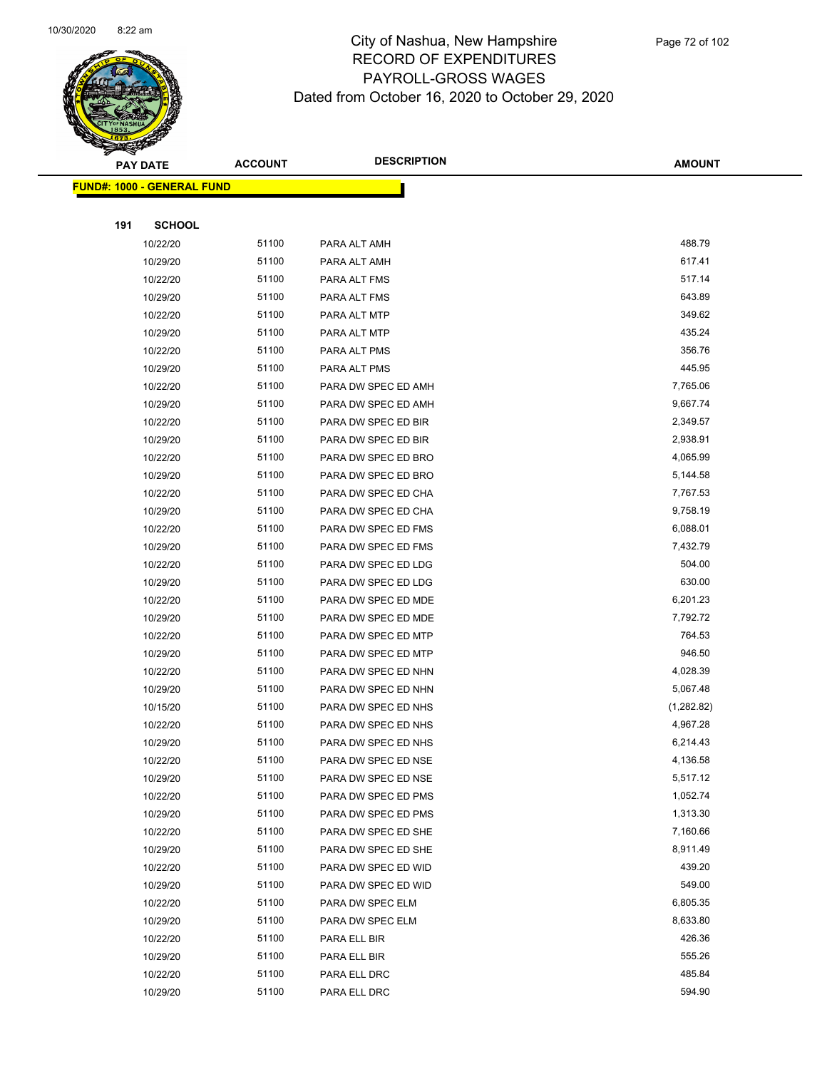

|     | <b>PAY DATE</b>                    | <b>ACCOUNT</b> | <b>DESCRIPTION</b>  | <b>AMOUNT</b> |
|-----|------------------------------------|----------------|---------------------|---------------|
|     | <u> FUND#: 1000 - GENERAL FUND</u> |                |                     |               |
|     |                                    |                |                     |               |
| 191 | <b>SCHOOL</b>                      |                |                     |               |
|     | 10/22/20                           | 51100          | PARA ALT AMH        | 488.79        |
|     | 10/29/20                           | 51100          | PARA ALT AMH        | 617.41        |
|     | 10/22/20                           | 51100          | PARA ALT FMS        | 517.14        |
|     | 10/29/20                           | 51100          | PARA ALT FMS        | 643.89        |
|     | 10/22/20                           | 51100          | PARA ALT MTP        | 349.62        |
|     | 10/29/20                           | 51100          | PARA ALT MTP        | 435.24        |
|     | 10/22/20                           | 51100          | PARA ALT PMS        | 356.76        |
|     | 10/29/20                           | 51100          | PARA ALT PMS        | 445.95        |
|     | 10/22/20                           | 51100          | PARA DW SPEC ED AMH | 7,765.06      |
|     | 10/29/20                           | 51100          | PARA DW SPEC ED AMH | 9,667.74      |
|     | 10/22/20                           | 51100          | PARA DW SPEC ED BIR | 2,349.57      |
|     | 10/29/20                           | 51100          | PARA DW SPEC ED BIR | 2,938.91      |
|     | 10/22/20                           | 51100          | PARA DW SPEC ED BRO | 4,065.99      |
|     | 10/29/20                           | 51100          | PARA DW SPEC ED BRO | 5,144.58      |
|     | 10/22/20                           | 51100          | PARA DW SPEC ED CHA | 7,767.53      |
|     | 10/29/20                           | 51100          | PARA DW SPEC ED CHA | 9,758.19      |
|     | 10/22/20                           | 51100          | PARA DW SPEC ED FMS | 6,088.01      |
|     | 10/29/20                           | 51100          | PARA DW SPEC ED FMS | 7,432.79      |
|     | 10/22/20                           | 51100          | PARA DW SPEC ED LDG | 504.00        |
|     | 10/29/20                           | 51100          | PARA DW SPEC ED LDG | 630.00        |
|     | 10/22/20                           | 51100          | PARA DW SPEC ED MDE | 6,201.23      |
|     | 10/29/20                           | 51100          | PARA DW SPEC ED MDE | 7,792.72      |
|     | 10/22/20                           | 51100          | PARA DW SPEC ED MTP | 764.53        |
|     | 10/29/20                           | 51100          | PARA DW SPEC ED MTP | 946.50        |
|     | 10/22/20                           | 51100          | PARA DW SPEC ED NHN | 4,028.39      |
|     | 10/29/20                           | 51100          | PARA DW SPEC ED NHN | 5,067.48      |
|     | 10/15/20                           | 51100          | PARA DW SPEC ED NHS | (1, 282.82)   |
|     | 10/22/20                           | 51100          | PARA DW SPEC ED NHS | 4,967.28      |
|     | 10/29/20                           | 51100          | PARA DW SPEC ED NHS | 6,214.43      |
|     | 10/22/20                           | 51100          | PARA DW SPEC ED NSE | 4,136.58      |
|     | 10/29/20                           | 51100          | PARA DW SPEC ED NSE | 5,517.12      |
|     | 10/22/20                           | 51100          | PARA DW SPEC ED PMS | 1,052.74      |
|     | 10/29/20                           | 51100          | PARA DW SPEC ED PMS | 1,313.30      |
|     | 10/22/20                           | 51100          | PARA DW SPEC ED SHE | 7,160.66      |
|     | 10/29/20                           | 51100          | PARA DW SPEC ED SHE | 8,911.49      |
|     | 10/22/20                           | 51100          | PARA DW SPEC ED WID | 439.20        |
|     | 10/29/20                           | 51100          | PARA DW SPEC ED WID | 549.00        |
|     | 10/22/20                           | 51100          | PARA DW SPEC ELM    | 6,805.35      |
|     | 10/29/20                           | 51100          | PARA DW SPEC ELM    | 8,633.80      |
|     | 10/22/20                           | 51100          | PARA ELL BIR        | 426.36        |
|     | 10/29/20                           | 51100          | PARA ELL BIR        | 555.26        |
|     | 10/22/20                           | 51100          | PARA ELL DRC        | 485.84        |
|     | 10/29/20                           | 51100          | PARA ELL DRC        | 594.90        |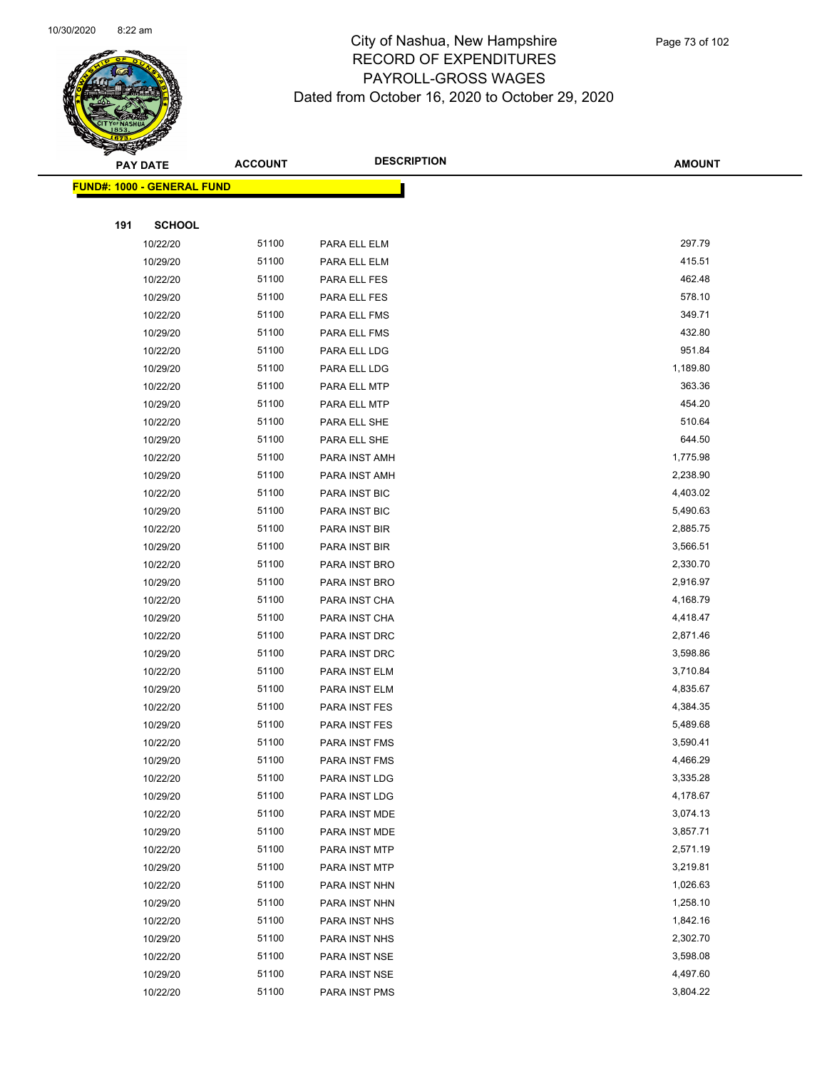

|     | <b>PAY DATE</b>                    | <b>ACCOUNT</b> | <b>DESCRIPTION</b>   | <b>AMOUNT</b> |
|-----|------------------------------------|----------------|----------------------|---------------|
|     | <u> FUND#: 1000 - GENERAL FUND</u> |                |                      |               |
|     |                                    |                |                      |               |
| 191 | <b>SCHOOL</b>                      |                |                      |               |
|     | 10/22/20                           | 51100          | PARA ELL ELM         | 297.79        |
|     | 10/29/20                           | 51100          | PARA ELL ELM         | 415.51        |
|     | 10/22/20                           | 51100          | PARA ELL FES         | 462.48        |
|     | 10/29/20                           | 51100          | PARA ELL FES         | 578.10        |
|     | 10/22/20                           | 51100          | PARA ELL FMS         | 349.71        |
|     | 10/29/20                           | 51100          | PARA ELL FMS         | 432.80        |
|     | 10/22/20                           | 51100          | PARA ELL LDG         | 951.84        |
|     | 10/29/20                           | 51100          | PARA ELL LDG         | 1,189.80      |
|     | 10/22/20                           | 51100          | PARA ELL MTP         | 363.36        |
|     | 10/29/20                           | 51100          | PARA ELL MTP         | 454.20        |
|     | 10/22/20                           | 51100          | PARA ELL SHE         | 510.64        |
|     | 10/29/20                           | 51100          | PARA ELL SHE         | 644.50        |
|     | 10/22/20                           | 51100          | PARA INST AMH        | 1,775.98      |
|     | 10/29/20                           | 51100          | PARA INST AMH        | 2,238.90      |
|     | 10/22/20                           | 51100          | PARA INST BIC        | 4,403.02      |
|     | 10/29/20                           | 51100          | PARA INST BIC        | 5,490.63      |
|     | 10/22/20                           | 51100          | PARA INST BIR        | 2,885.75      |
|     | 10/29/20                           | 51100          | PARA INST BIR        | 3,566.51      |
|     | 10/22/20                           | 51100          | PARA INST BRO        | 2,330.70      |
|     | 10/29/20                           | 51100          | PARA INST BRO        | 2,916.97      |
|     | 10/22/20                           | 51100          | PARA INST CHA        | 4,168.79      |
|     | 10/29/20                           | 51100          | PARA INST CHA        | 4,418.47      |
|     | 10/22/20                           | 51100          | PARA INST DRC        | 2,871.46      |
|     | 10/29/20                           | 51100          | PARA INST DRC        | 3,598.86      |
|     | 10/22/20                           | 51100          | PARA INST ELM        | 3,710.84      |
|     | 10/29/20                           | 51100          | PARA INST ELM        | 4,835.67      |
|     | 10/22/20                           | 51100          | PARA INST FES        | 4,384.35      |
|     | 10/29/20                           | 51100          | PARA INST FES        | 5,489.68      |
|     | 10/22/20                           | 51100          | PARA INST FMS        | 3,590.41      |
|     | 10/29/20                           | 51100          | <b>PARA INST FMS</b> | 4,466.29      |
|     | 10/22/20                           | 51100          | PARA INST LDG        | 3,335.28      |
|     | 10/29/20                           | 51100          | PARA INST LDG        | 4,178.67      |
|     | 10/22/20                           | 51100          | PARA INST MDE        | 3,074.13      |
|     | 10/29/20                           | 51100          | PARA INST MDE        | 3,857.71      |
|     | 10/22/20                           | 51100          | PARA INST MTP        | 2,571.19      |
|     | 10/29/20                           | 51100          | PARA INST MTP        | 3,219.81      |
|     | 10/22/20                           | 51100          | PARA INST NHN        | 1,026.63      |
|     | 10/29/20                           | 51100          | PARA INST NHN        | 1,258.10      |
|     | 10/22/20                           | 51100          | PARA INST NHS        | 1,842.16      |
|     | 10/29/20                           | 51100          | PARA INST NHS        | 2,302.70      |
|     | 10/22/20                           | 51100          | PARA INST NSE        | 3,598.08      |
|     | 10/29/20                           | 51100          | PARA INST NSE        | 4,497.60      |
|     | 10/22/20                           | 51100          | PARA INST PMS        | 3,804.22      |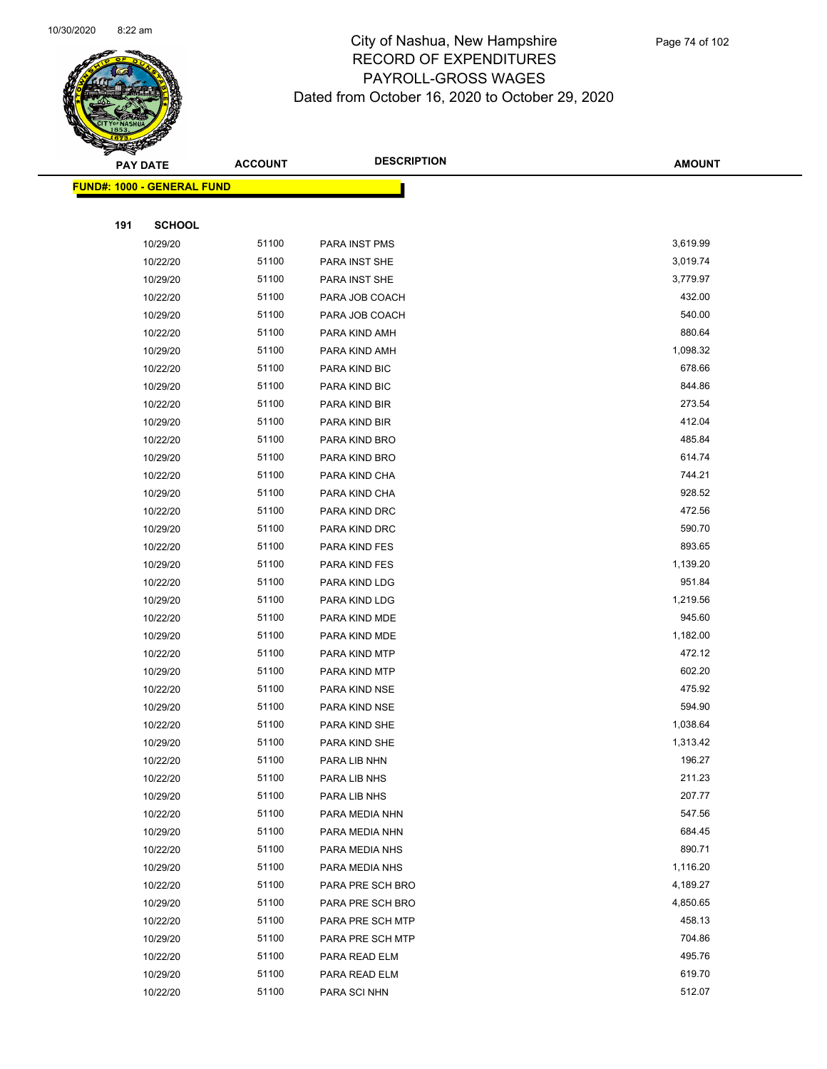

|     | <b>PAY DATE</b>                    | <b>ACCOUNT</b> | <b>DESCRIPTION</b> | <b>AMOUNT</b> |
|-----|------------------------------------|----------------|--------------------|---------------|
|     | <u> FUND#: 1000 - GENERAL FUND</u> |                |                    |               |
|     |                                    |                |                    |               |
| 191 | <b>SCHOOL</b>                      |                |                    |               |
|     | 10/29/20                           | 51100          | PARA INST PMS      | 3,619.99      |
|     | 10/22/20                           | 51100          | PARA INST SHE      | 3,019.74      |
|     | 10/29/20                           | 51100          | PARA INST SHE      | 3,779.97      |
|     | 10/22/20                           | 51100          | PARA JOB COACH     | 432.00        |
|     | 10/29/20                           | 51100          | PARA JOB COACH     | 540.00        |
|     | 10/22/20                           | 51100          | PARA KIND AMH      | 880.64        |
|     | 10/29/20                           | 51100          | PARA KIND AMH      | 1,098.32      |
|     | 10/22/20                           | 51100          | PARA KIND BIC      | 678.66        |
|     | 10/29/20                           | 51100          | PARA KIND BIC      | 844.86        |
|     | 10/22/20                           | 51100          | PARA KIND BIR      | 273.54        |
|     | 10/29/20                           | 51100          | PARA KIND BIR      | 412.04        |
|     | 10/22/20                           | 51100          | PARA KIND BRO      | 485.84        |
|     | 10/29/20                           | 51100          | PARA KIND BRO      | 614.74        |
|     | 10/22/20                           | 51100          | PARA KIND CHA      | 744.21        |
|     | 10/29/20                           | 51100          | PARA KIND CHA      | 928.52        |
|     | 10/22/20                           | 51100          | PARA KIND DRC      | 472.56        |
|     | 10/29/20                           | 51100          | PARA KIND DRC      | 590.70        |
|     | 10/22/20                           | 51100          | PARA KIND FES      | 893.65        |
|     | 10/29/20                           | 51100          | PARA KIND FES      | 1,139.20      |
|     | 10/22/20                           | 51100          | PARA KIND LDG      | 951.84        |
|     | 10/29/20                           | 51100          | PARA KIND LDG      | 1,219.56      |
|     | 10/22/20                           | 51100          | PARA KIND MDE      | 945.60        |
|     | 10/29/20                           | 51100          | PARA KIND MDE      | 1,182.00      |
|     | 10/22/20                           | 51100          | PARA KIND MTP      | 472.12        |
|     | 10/29/20                           | 51100          | PARA KIND MTP      | 602.20        |
|     | 10/22/20                           | 51100          | PARA KIND NSE      | 475.92        |
|     | 10/29/20                           | 51100          | PARA KIND NSE      | 594.90        |
|     | 10/22/20                           | 51100          | PARA KIND SHE      | 1,038.64      |
|     | 10/29/20                           | 51100          | PARA KIND SHE      | 1,313.42      |
|     | 10/22/20                           | 51100          | PARA LIB NHN       | 196.27        |
|     | 10/22/20                           | 51100          | PARA LIB NHS       | 211.23        |
|     | 10/29/20                           | 51100          | PARA LIB NHS       | 207.77        |
|     | 10/22/20                           | 51100          | PARA MEDIA NHN     | 547.56        |
|     | 10/29/20                           | 51100          | PARA MEDIA NHN     | 684.45        |
|     | 10/22/20                           | 51100          | PARA MEDIA NHS     | 890.71        |
|     | 10/29/20                           | 51100          | PARA MEDIA NHS     | 1,116.20      |
|     | 10/22/20                           | 51100          | PARA PRE SCH BRO   | 4,189.27      |
|     | 10/29/20                           | 51100          | PARA PRE SCH BRO   | 4,850.65      |
|     | 10/22/20                           | 51100          | PARA PRE SCH MTP   | 458.13        |
|     | 10/29/20                           | 51100          | PARA PRE SCH MTP   | 704.86        |
|     | 10/22/20                           | 51100          | PARA READ ELM      | 495.76        |
|     | 10/29/20                           | 51100          | PARA READ ELM      | 619.70        |
|     | 10/22/20                           | 51100          | PARA SCI NHN       | 512.07        |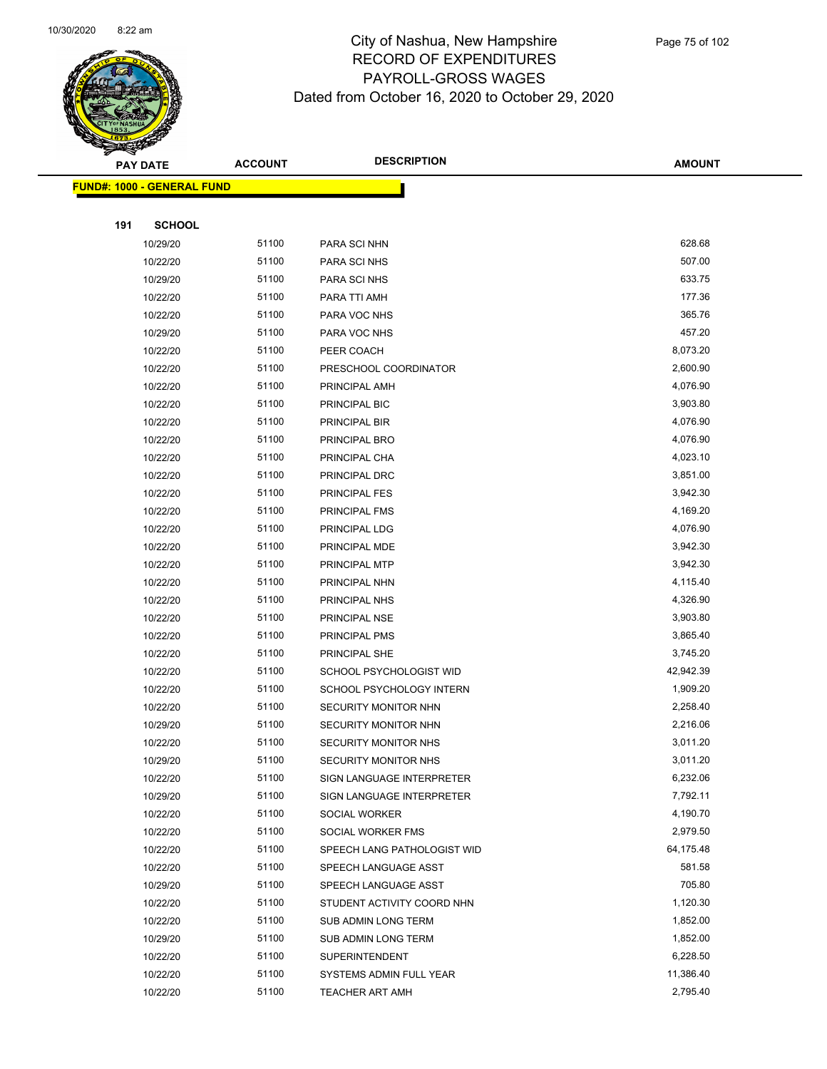

|     | <b>PAY DATE</b>                    | <b>ACCOUNT</b> | <b>DESCRIPTION</b>          | <b>AMOUNT</b> |
|-----|------------------------------------|----------------|-----------------------------|---------------|
|     | <u> FUND#: 1000 - GENERAL FUND</u> |                |                             |               |
|     |                                    |                |                             |               |
| 191 | <b>SCHOOL</b>                      |                |                             |               |
|     | 10/29/20                           | 51100          | PARA SCI NHN                | 628.68        |
|     | 10/22/20                           | 51100          | PARA SCI NHS                | 507.00        |
|     | 10/29/20                           | 51100          | PARA SCI NHS                | 633.75        |
|     | 10/22/20                           | 51100          | PARA TTI AMH                | 177.36        |
|     | 10/22/20                           | 51100          | PARA VOC NHS                | 365.76        |
|     | 10/29/20                           | 51100          | PARA VOC NHS                | 457.20        |
|     | 10/22/20                           | 51100          | PEER COACH                  | 8,073.20      |
|     | 10/22/20                           | 51100          | PRESCHOOL COORDINATOR       | 2,600.90      |
|     | 10/22/20                           | 51100          | PRINCIPAL AMH               | 4,076.90      |
|     | 10/22/20                           | 51100          | PRINCIPAL BIC               | 3,903.80      |
|     | 10/22/20                           | 51100          | PRINCIPAL BIR               | 4,076.90      |
|     | 10/22/20                           | 51100          | PRINCIPAL BRO               | 4,076.90      |
|     | 10/22/20                           | 51100          | PRINCIPAL CHA               | 4,023.10      |
|     | 10/22/20                           | 51100          | PRINCIPAL DRC               | 3,851.00      |
|     | 10/22/20                           | 51100          | PRINCIPAL FES               | 3,942.30      |
|     | 10/22/20                           | 51100          | PRINCIPAL FMS               | 4,169.20      |
|     | 10/22/20                           | 51100          | PRINCIPAL LDG               | 4,076.90      |
|     | 10/22/20                           | 51100          | PRINCIPAL MDE               | 3,942.30      |
|     | 10/22/20                           | 51100          | PRINCIPAL MTP               | 3,942.30      |
|     | 10/22/20                           | 51100          | PRINCIPAL NHN               | 4,115.40      |
|     | 10/22/20                           | 51100          | PRINCIPAL NHS               | 4,326.90      |
|     | 10/22/20                           | 51100          | PRINCIPAL NSE               | 3,903.80      |
|     | 10/22/20                           | 51100          | PRINCIPAL PMS               | 3,865.40      |
|     | 10/22/20                           | 51100          | PRINCIPAL SHE               | 3,745.20      |
|     | 10/22/20                           | 51100          | SCHOOL PSYCHOLOGIST WID     | 42,942.39     |
|     | 10/22/20                           | 51100          | SCHOOL PSYCHOLOGY INTERN    | 1,909.20      |
|     | 10/22/20                           | 51100          | SECURITY MONITOR NHN        | 2,258.40      |
|     | 10/29/20                           | 51100          | SECURITY MONITOR NHN        | 2,216.06      |
|     | 10/22/20                           | 51100          | <b>SECURITY MONITOR NHS</b> | 3,011.20      |
|     | 10/29/20                           | 51100          | SECURITY MONITOR NHS        | 3,011.20      |
|     | 10/22/20                           | 51100          | SIGN LANGUAGE INTERPRETER   | 6,232.06      |
|     | 10/29/20                           | 51100          | SIGN LANGUAGE INTERPRETER   | 7,792.11      |
|     | 10/22/20                           | 51100          | SOCIAL WORKER               | 4,190.70      |
|     | 10/22/20                           | 51100          | SOCIAL WORKER FMS           | 2,979.50      |
|     | 10/22/20                           | 51100          | SPEECH LANG PATHOLOGIST WID | 64,175.48     |
|     | 10/22/20                           | 51100          | SPEECH LANGUAGE ASST        | 581.58        |
|     | 10/29/20                           | 51100          | SPEECH LANGUAGE ASST        | 705.80        |
|     | 10/22/20                           | 51100          | STUDENT ACTIVITY COORD NHN  | 1,120.30      |
|     | 10/22/20                           | 51100          | SUB ADMIN LONG TERM         | 1,852.00      |
|     | 10/29/20                           | 51100          | SUB ADMIN LONG TERM         | 1,852.00      |
|     | 10/22/20                           | 51100          | <b>SUPERINTENDENT</b>       | 6,228.50      |
|     | 10/22/20                           | 51100          | SYSTEMS ADMIN FULL YEAR     | 11,386.40     |
|     | 10/22/20                           | 51100          | TEACHER ART AMH             | 2,795.40      |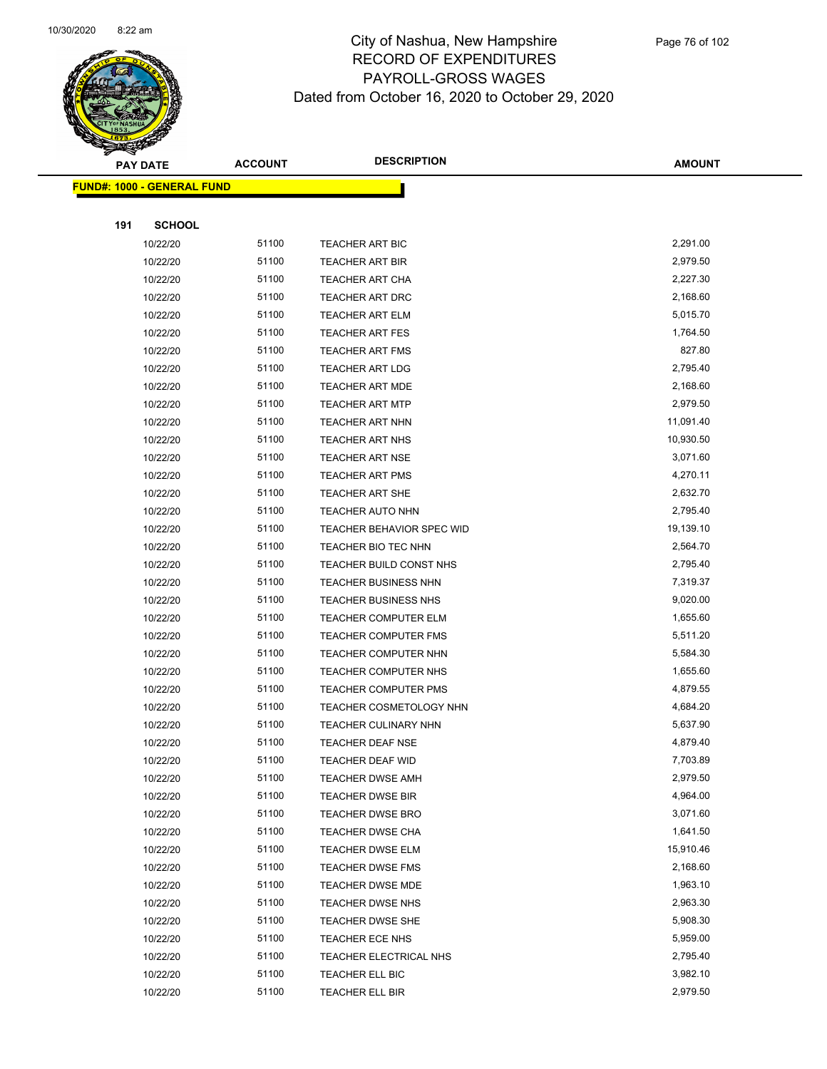

|     | <b>PAY DATE</b>                    | <b>ACCOUNT</b> | <b>DESCRIPTION</b>               | <b>AMOUNT</b> |  |
|-----|------------------------------------|----------------|----------------------------------|---------------|--|
|     | <u> FUND#: 1000 - GENERAL FUND</u> |                |                                  |               |  |
|     |                                    |                |                                  |               |  |
| 191 | <b>SCHOOL</b>                      |                |                                  |               |  |
|     | 10/22/20                           | 51100          | TEACHER ART BIC                  | 2,291.00      |  |
|     | 10/22/20                           | 51100          | <b>TEACHER ART BIR</b>           | 2,979.50      |  |
|     | 10/22/20                           | 51100          | <b>TEACHER ART CHA</b>           | 2,227.30      |  |
|     | 10/22/20                           | 51100          | TEACHER ART DRC                  | 2,168.60      |  |
|     | 10/22/20                           | 51100          | <b>TEACHER ART ELM</b>           | 5,015.70      |  |
|     | 10/22/20                           | 51100          | <b>TEACHER ART FES</b>           | 1,764.50      |  |
|     | 10/22/20                           | 51100          | TEACHER ART FMS                  | 827.80        |  |
|     | 10/22/20                           | 51100          | <b>TEACHER ART LDG</b>           | 2,795.40      |  |
|     | 10/22/20                           | 51100          | <b>TEACHER ART MDE</b>           | 2,168.60      |  |
|     | 10/22/20                           | 51100          | <b>TEACHER ART MTP</b>           | 2,979.50      |  |
|     | 10/22/20                           | 51100          | TEACHER ART NHN                  | 11,091.40     |  |
|     | 10/22/20                           | 51100          | <b>TEACHER ART NHS</b>           | 10,930.50     |  |
|     | 10/22/20                           | 51100          | <b>TEACHER ART NSE</b>           | 3,071.60      |  |
|     | 10/22/20                           | 51100          | <b>TEACHER ART PMS</b>           | 4,270.11      |  |
|     | 10/22/20                           | 51100          | <b>TEACHER ART SHE</b>           | 2,632.70      |  |
|     | 10/22/20                           | 51100          | <b>TEACHER AUTO NHN</b>          | 2,795.40      |  |
|     | 10/22/20                           | 51100          | <b>TEACHER BEHAVIOR SPEC WID</b> | 19,139.10     |  |
|     | 10/22/20                           | 51100          | TEACHER BIO TEC NHN              | 2,564.70      |  |
|     | 10/22/20                           | 51100          | TEACHER BUILD CONST NHS          | 2,795.40      |  |
|     | 10/22/20                           | 51100          | <b>TEACHER BUSINESS NHN</b>      | 7,319.37      |  |
|     | 10/22/20                           | 51100          | <b>TEACHER BUSINESS NHS</b>      | 9,020.00      |  |
|     | 10/22/20                           | 51100          | <b>TEACHER COMPUTER ELM</b>      | 1,655.60      |  |
|     | 10/22/20                           | 51100          | <b>TEACHER COMPUTER FMS</b>      | 5,511.20      |  |
|     | 10/22/20                           | 51100          | TEACHER COMPUTER NHN             | 5,584.30      |  |
|     | 10/22/20                           | 51100          | TEACHER COMPUTER NHS             | 1,655.60      |  |
|     | 10/22/20                           | 51100          | <b>TEACHER COMPUTER PMS</b>      | 4,879.55      |  |
|     | 10/22/20                           | 51100          | <b>TEACHER COSMETOLOGY NHN</b>   | 4,684.20      |  |
|     | 10/22/20                           | 51100          | TEACHER CULINARY NHN             | 5,637.90      |  |
|     | 10/22/20                           | 51100          | <b>TEACHER DEAF NSE</b>          | 4,879.40      |  |
|     | 10/22/20                           | 51100          | <b>TEACHER DEAF WID</b>          | 7,703.89      |  |
|     | 10/22/20                           | 51100          | <b>TEACHER DWSE AMH</b>          | 2,979.50      |  |
|     | 10/22/20                           | 51100          | <b>TEACHER DWSE BIR</b>          | 4,964.00      |  |
|     | 10/22/20                           | 51100          | <b>TEACHER DWSE BRO</b>          | 3,071.60      |  |
|     | 10/22/20                           | 51100          | TEACHER DWSE CHA                 | 1,641.50      |  |
|     | 10/22/20                           | 51100          | TEACHER DWSE ELM                 | 15,910.46     |  |
|     | 10/22/20                           | 51100          | TEACHER DWSE FMS                 | 2,168.60      |  |
|     | 10/22/20                           | 51100          | <b>TEACHER DWSE MDE</b>          | 1,963.10      |  |
|     | 10/22/20                           | 51100          | TEACHER DWSE NHS                 | 2,963.30      |  |
|     | 10/22/20                           | 51100          | TEACHER DWSE SHE                 | 5,908.30      |  |
|     | 10/22/20                           | 51100          | TEACHER ECE NHS                  | 5,959.00      |  |
|     | 10/22/20                           | 51100          | TEACHER ELECTRICAL NHS           | 2,795.40      |  |
|     | 10/22/20                           | 51100          | TEACHER ELL BIC                  | 3,982.10      |  |
|     | 10/22/20                           | 51100          | TEACHER ELL BIR                  | 2,979.50      |  |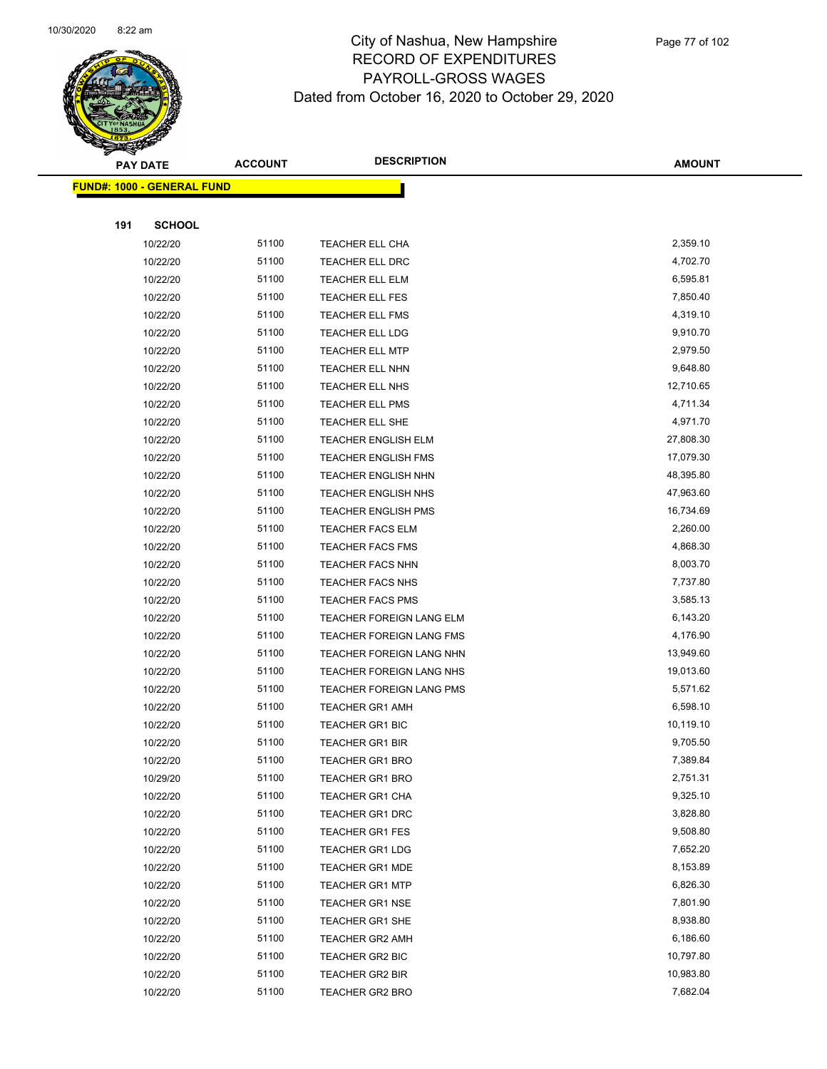

|     | <b>PAY DATE</b>                    | <b>ACCOUNT</b> | <b>DESCRIPTION</b>              | <b>AMOUNT</b> |
|-----|------------------------------------|----------------|---------------------------------|---------------|
|     | <u> FUND#: 1000 - GENERAL FUND</u> |                |                                 |               |
|     |                                    |                |                                 |               |
| 191 | <b>SCHOOL</b>                      |                |                                 |               |
|     | 10/22/20                           | 51100          | <b>TEACHER ELL CHA</b>          | 2,359.10      |
|     | 10/22/20                           | 51100          | TEACHER ELL DRC                 | 4,702.70      |
|     | 10/22/20                           | 51100          | TEACHER ELL ELM                 | 6,595.81      |
|     | 10/22/20                           | 51100          | TEACHER ELL FES                 | 7,850.40      |
|     | 10/22/20                           | 51100          | <b>TEACHER ELL FMS</b>          | 4,319.10      |
|     | 10/22/20                           | 51100          | <b>TEACHER ELL LDG</b>          | 9,910.70      |
|     | 10/22/20                           | 51100          | <b>TEACHER ELL MTP</b>          | 2,979.50      |
|     | 10/22/20                           | 51100          | TEACHER ELL NHN                 | 9,648.80      |
|     | 10/22/20                           | 51100          | TEACHER ELL NHS                 | 12,710.65     |
|     | 10/22/20                           | 51100          | TEACHER ELL PMS                 | 4,711.34      |
|     | 10/22/20                           | 51100          | TEACHER ELL SHE                 | 4,971.70      |
|     | 10/22/20                           | 51100          | <b>TEACHER ENGLISH ELM</b>      | 27,808.30     |
|     | 10/22/20                           | 51100          | <b>TEACHER ENGLISH FMS</b>      | 17,079.30     |
|     | 10/22/20                           | 51100          | <b>TEACHER ENGLISH NHN</b>      | 48,395.80     |
|     | 10/22/20                           | 51100          | <b>TEACHER ENGLISH NHS</b>      | 47,963.60     |
|     | 10/22/20                           | 51100          | <b>TEACHER ENGLISH PMS</b>      | 16,734.69     |
|     | 10/22/20                           | 51100          | <b>TEACHER FACS ELM</b>         | 2,260.00      |
|     | 10/22/20                           | 51100          | <b>TEACHER FACS FMS</b>         | 4,868.30      |
|     | 10/22/20                           | 51100          | <b>TEACHER FACS NHN</b>         | 8,003.70      |
|     | 10/22/20                           | 51100          | <b>TEACHER FACS NHS</b>         | 7,737.80      |
|     | 10/22/20                           | 51100          | <b>TEACHER FACS PMS</b>         | 3,585.13      |
|     | 10/22/20                           | 51100          | TEACHER FOREIGN LANG ELM        | 6,143.20      |
|     | 10/22/20                           | 51100          | <b>TEACHER FOREIGN LANG FMS</b> | 4,176.90      |
|     | 10/22/20                           | 51100          | TEACHER FOREIGN LANG NHN        | 13,949.60     |
|     | 10/22/20                           | 51100          | TEACHER FOREIGN LANG NHS        | 19,013.60     |
|     | 10/22/20                           | 51100          | TEACHER FOREIGN LANG PMS        | 5,571.62      |
|     | 10/22/20                           | 51100          | <b>TEACHER GR1 AMH</b>          | 6,598.10      |
|     | 10/22/20                           | 51100          | <b>TEACHER GR1 BIC</b>          | 10,119.10     |
|     | 10/22/20                           | 51100          | <b>TEACHER GR1 BIR</b>          | 9,705.50      |
|     | 10/22/20                           | 51100          | TEACHER GR1 BRO                 | 7,389.84      |
|     | 10/29/20                           | 51100          | <b>TEACHER GR1 BRO</b>          | 2,751.31      |
|     | 10/22/20                           | 51100          | TEACHER GR1 CHA                 | 9,325.10      |
|     | 10/22/20                           | 51100          | <b>TEACHER GR1 DRC</b>          | 3,828.80      |
|     | 10/22/20                           | 51100          | <b>TEACHER GR1 FES</b>          | 9,508.80      |
|     | 10/22/20                           | 51100          | <b>TEACHER GR1 LDG</b>          | 7,652.20      |
|     | 10/22/20                           | 51100          | <b>TEACHER GR1 MDE</b>          | 8,153.89      |
|     | 10/22/20                           | 51100          | <b>TEACHER GR1 MTP</b>          | 6,826.30      |
|     | 10/22/20                           | 51100          | <b>TEACHER GR1 NSE</b>          | 7,801.90      |
|     | 10/22/20                           | 51100          | TEACHER GR1 SHE                 | 8,938.80      |
|     | 10/22/20                           | 51100          | <b>TEACHER GR2 AMH</b>          | 6,186.60      |
|     | 10/22/20                           | 51100          | TEACHER GR2 BIC                 | 10,797.80     |
|     | 10/22/20                           | 51100          | TEACHER GR2 BIR                 | 10,983.80     |
|     | 10/22/20                           | 51100          | <b>TEACHER GR2 BRO</b>          | 7,682.04      |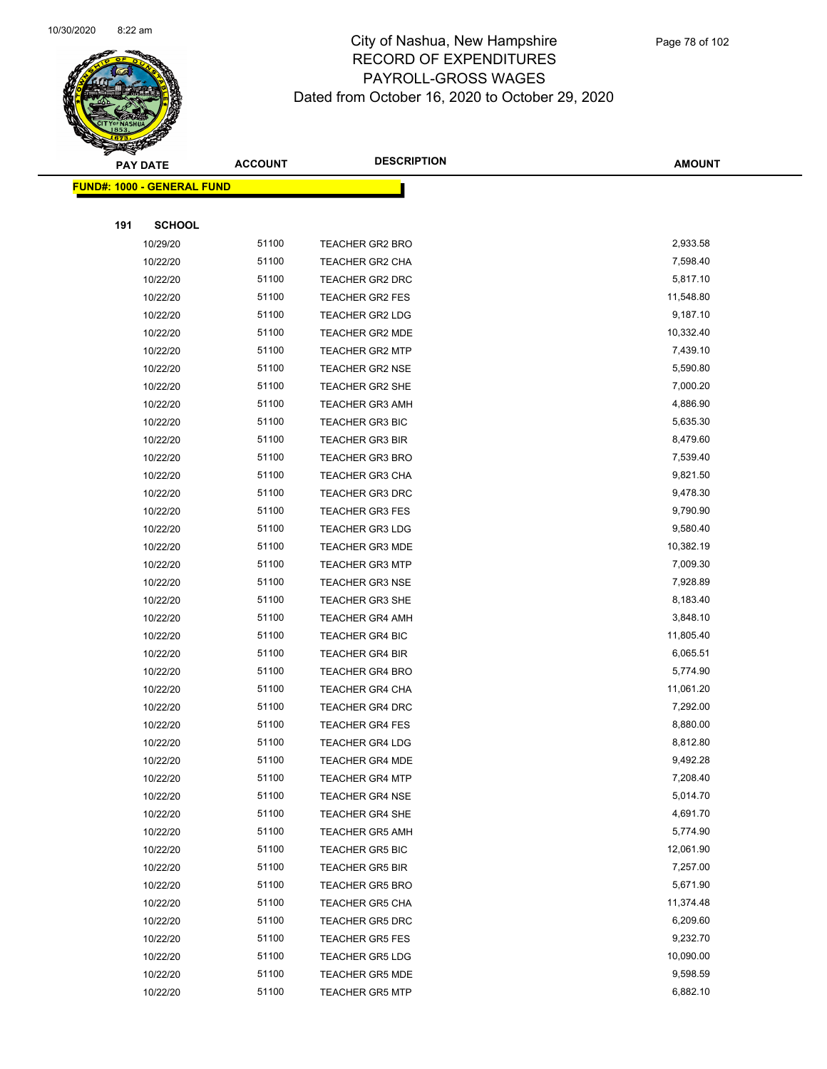

|     | <b>PAY DATE</b>                    | <b>ACCOUNT</b> | <b>DESCRIPTION</b>     | <b>AMOUNT</b> |
|-----|------------------------------------|----------------|------------------------|---------------|
|     | <u> FUND#: 1000 - GENERAL FUND</u> |                |                        |               |
|     |                                    |                |                        |               |
| 191 | <b>SCHOOL</b>                      |                |                        |               |
|     | 10/29/20                           | 51100          | <b>TEACHER GR2 BRO</b> | 2,933.58      |
|     | 10/22/20                           | 51100          | TEACHER GR2 CHA        | 7,598.40      |
|     | 10/22/20                           | 51100          | TEACHER GR2 DRC        | 5,817.10      |
|     | 10/22/20                           | 51100          | TEACHER GR2 FES        | 11,548.80     |
|     | 10/22/20                           | 51100          | <b>TEACHER GR2 LDG</b> | 9,187.10      |
|     | 10/22/20                           | 51100          | <b>TEACHER GR2 MDE</b> | 10,332.40     |
|     | 10/22/20                           | 51100          | <b>TEACHER GR2 MTP</b> | 7,439.10      |
|     | 10/22/20                           | 51100          | <b>TEACHER GR2 NSE</b> | 5,590.80      |
|     | 10/22/20                           | 51100          | <b>TEACHER GR2 SHE</b> | 7,000.20      |
|     | 10/22/20                           | 51100          | <b>TEACHER GR3 AMH</b> | 4,886.90      |
|     | 10/22/20                           | 51100          | <b>TEACHER GR3 BIC</b> | 5,635.30      |
|     | 10/22/20                           | 51100          | <b>TEACHER GR3 BIR</b> | 8,479.60      |
|     | 10/22/20                           | 51100          | <b>TEACHER GR3 BRO</b> | 7,539.40      |
|     | 10/22/20                           | 51100          | <b>TEACHER GR3 CHA</b> | 9,821.50      |
|     | 10/22/20                           | 51100          | <b>TEACHER GR3 DRC</b> | 9,478.30      |
|     | 10/22/20                           | 51100          | <b>TEACHER GR3 FES</b> | 9,790.90      |
|     | 10/22/20                           | 51100          | <b>TEACHER GR3 LDG</b> | 9,580.40      |
|     | 10/22/20                           | 51100          | <b>TEACHER GR3 MDE</b> | 10,382.19     |
|     | 10/22/20                           | 51100          | <b>TEACHER GR3 MTP</b> | 7,009.30      |
|     | 10/22/20                           | 51100          | <b>TEACHER GR3 NSE</b> | 7,928.89      |
|     | 10/22/20                           | 51100          | <b>TEACHER GR3 SHE</b> | 8,183.40      |
|     | 10/22/20                           | 51100          | <b>TEACHER GR4 AMH</b> | 3,848.10      |
|     | 10/22/20                           | 51100          | <b>TEACHER GR4 BIC</b> | 11,805.40     |
|     | 10/22/20                           | 51100          | <b>TEACHER GR4 BIR</b> | 6,065.51      |
|     | 10/22/20                           | 51100          | <b>TEACHER GR4 BRO</b> | 5,774.90      |
|     | 10/22/20                           | 51100          | <b>TEACHER GR4 CHA</b> | 11,061.20     |
|     | 10/22/20                           | 51100          | <b>TEACHER GR4 DRC</b> | 7,292.00      |
|     | 10/22/20                           | 51100          | <b>TEACHER GR4 FES</b> | 8,880.00      |
|     | 10/22/20                           | 51100          | <b>TEACHER GR4 LDG</b> | 8,812.80      |
|     | 10/22/20                           | 51100          | <b>TEACHER GR4 MDE</b> | 9,492.28      |
|     | 10/22/20                           | 51100          | <b>TEACHER GR4 MTP</b> | 7,208.40      |
|     | 10/22/20                           | 51100          | <b>TEACHER GR4 NSE</b> | 5,014.70      |
|     | 10/22/20                           | 51100          | <b>TEACHER GR4 SHE</b> | 4,691.70      |
|     | 10/22/20                           | 51100          | <b>TEACHER GR5 AMH</b> | 5,774.90      |
|     | 10/22/20                           | 51100          | <b>TEACHER GR5 BIC</b> | 12,061.90     |
|     | 10/22/20                           | 51100          | <b>TEACHER GR5 BIR</b> | 7,257.00      |
|     | 10/22/20                           | 51100          | <b>TEACHER GR5 BRO</b> | 5,671.90      |
|     | 10/22/20                           | 51100          | <b>TEACHER GR5 CHA</b> | 11,374.48     |
|     | 10/22/20                           | 51100          | <b>TEACHER GR5 DRC</b> | 6,209.60      |
|     | 10/22/20                           | 51100          | <b>TEACHER GR5 FES</b> | 9,232.70      |
|     | 10/22/20                           | 51100          | <b>TEACHER GR5 LDG</b> | 10,090.00     |
|     | 10/22/20                           | 51100          | <b>TEACHER GR5 MDE</b> | 9,598.59      |
|     | 10/22/20                           | 51100          | <b>TEACHER GR5 MTP</b> | 6,882.10      |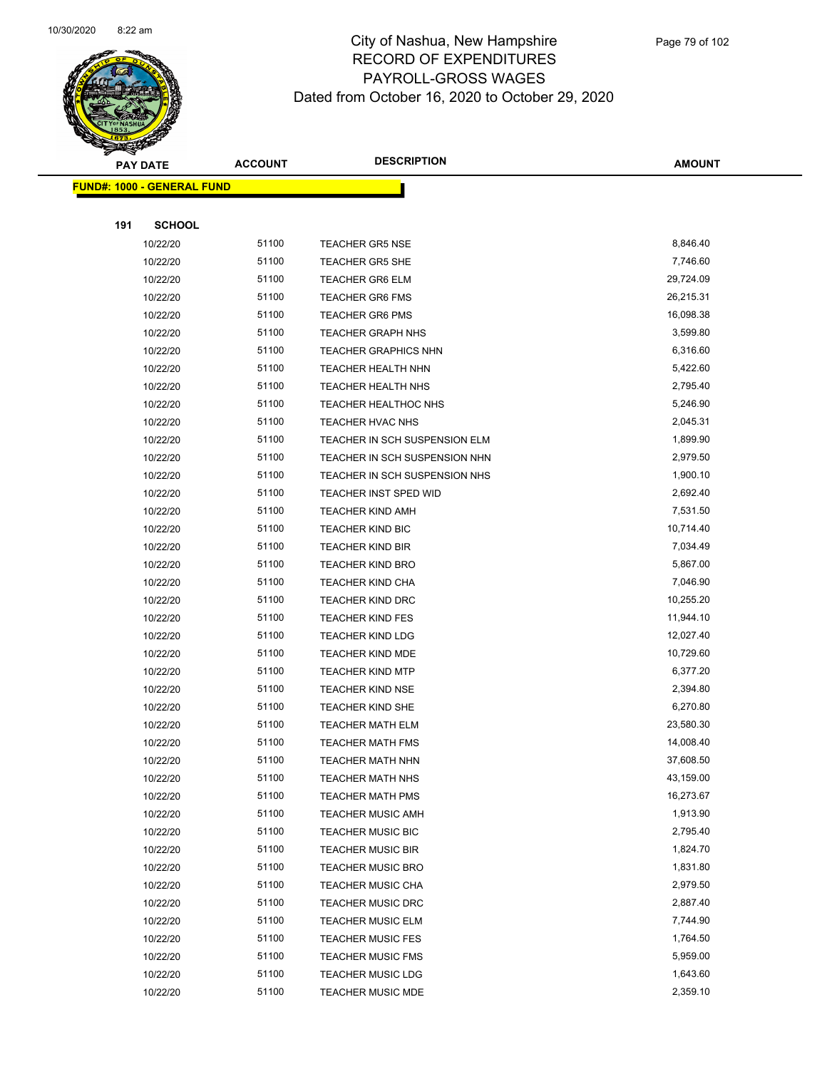

|     | <b>PAY DATE</b>                    | <b>ACCOUNT</b> | <b>DESCRIPTION</b>            | AMOUNT    |
|-----|------------------------------------|----------------|-------------------------------|-----------|
|     | <u> FUND#: 1000 - GENERAL FUND</u> |                |                               |           |
|     |                                    |                |                               |           |
| 191 | <b>SCHOOL</b>                      |                |                               |           |
|     | 10/22/20                           | 51100          | <b>TEACHER GR5 NSE</b>        | 8,846.40  |
|     | 10/22/20                           | 51100          | <b>TEACHER GR5 SHE</b>        | 7,746.60  |
|     | 10/22/20                           | 51100          | <b>TEACHER GR6 ELM</b>        | 29,724.09 |
|     | 10/22/20                           | 51100          | <b>TEACHER GR6 FMS</b>        | 26,215.31 |
|     | 10/22/20                           | 51100          | <b>TEACHER GR6 PMS</b>        | 16,098.38 |
|     | 10/22/20                           | 51100          | <b>TEACHER GRAPH NHS</b>      | 3,599.80  |
|     | 10/22/20                           | 51100          | <b>TEACHER GRAPHICS NHN</b>   | 6,316.60  |
|     | 10/22/20                           | 51100          | TEACHER HEALTH NHN            | 5,422.60  |
|     | 10/22/20                           | 51100          | <b>TEACHER HEALTH NHS</b>     | 2,795.40  |
|     | 10/22/20                           | 51100          | TEACHER HEALTHOC NHS          | 5,246.90  |
|     | 10/22/20                           | 51100          | TEACHER HVAC NHS              | 2,045.31  |
|     | 10/22/20                           | 51100          | TEACHER IN SCH SUSPENSION ELM | 1,899.90  |
|     | 10/22/20                           | 51100          | TEACHER IN SCH SUSPENSION NHN | 2,979.50  |
|     | 10/22/20                           | 51100          | TEACHER IN SCH SUSPENSION NHS | 1,900.10  |
|     | 10/22/20                           | 51100          | <b>TEACHER INST SPED WID</b>  | 2,692.40  |
|     | 10/22/20                           | 51100          | <b>TEACHER KIND AMH</b>       | 7,531.50  |
|     | 10/22/20                           | 51100          | <b>TEACHER KIND BIC</b>       | 10,714.40 |
|     | 10/22/20                           | 51100          | <b>TEACHER KIND BIR</b>       | 7,034.49  |
|     | 10/22/20                           | 51100          | <b>TEACHER KIND BRO</b>       | 5,867.00  |
|     | 10/22/20                           | 51100          | <b>TEACHER KIND CHA</b>       | 7,046.90  |
|     | 10/22/20                           | 51100          | <b>TEACHER KIND DRC</b>       | 10,255.20 |
|     | 10/22/20                           | 51100          | <b>TEACHER KIND FES</b>       | 11,944.10 |
|     | 10/22/20                           | 51100          | <b>TEACHER KIND LDG</b>       | 12,027.40 |
|     | 10/22/20                           | 51100          | TEACHER KIND MDE              | 10,729.60 |
|     | 10/22/20                           | 51100          | <b>TEACHER KIND MTP</b>       | 6,377.20  |
|     | 10/22/20                           | 51100          | <b>TEACHER KIND NSE</b>       | 2,394.80  |
|     | 10/22/20                           | 51100          | <b>TEACHER KIND SHE</b>       | 6,270.80  |
|     | 10/22/20                           | 51100          | <b>TEACHER MATH ELM</b>       | 23,580.30 |
|     | 10/22/20                           | 51100          | <b>TEACHER MATH FMS</b>       | 14,008.40 |
|     | 10/22/20                           | 51100          | TEACHER MATH NHN              | 37,608.50 |
|     | 10/22/20                           | 51100          | <b>TEACHER MATH NHS</b>       | 43,159.00 |
|     | 10/22/20                           | 51100          | <b>TEACHER MATH PMS</b>       | 16,273.67 |
|     | 10/22/20                           | 51100          | <b>TEACHER MUSIC AMH</b>      | 1,913.90  |
|     | 10/22/20                           | 51100          | <b>TEACHER MUSIC BIC</b>      | 2,795.40  |
|     | 10/22/20                           | 51100          | <b>TEACHER MUSIC BIR</b>      | 1,824.70  |
|     | 10/22/20                           | 51100          | <b>TEACHER MUSIC BRO</b>      | 1,831.80  |
|     | 10/22/20                           | 51100          | <b>TEACHER MUSIC CHA</b>      | 2,979.50  |
|     | 10/22/20                           | 51100          | <b>TEACHER MUSIC DRC</b>      | 2,887.40  |
|     | 10/22/20                           | 51100          | <b>TEACHER MUSIC ELM</b>      | 7,744.90  |
|     | 10/22/20                           | 51100          | <b>TEACHER MUSIC FES</b>      | 1,764.50  |
|     | 10/22/20                           | 51100          | <b>TEACHER MUSIC FMS</b>      | 5,959.00  |
|     | 10/22/20                           | 51100          | <b>TEACHER MUSIC LDG</b>      | 1,643.60  |
|     | 10/22/20                           | 51100          | TEACHER MUSIC MDE             | 2,359.10  |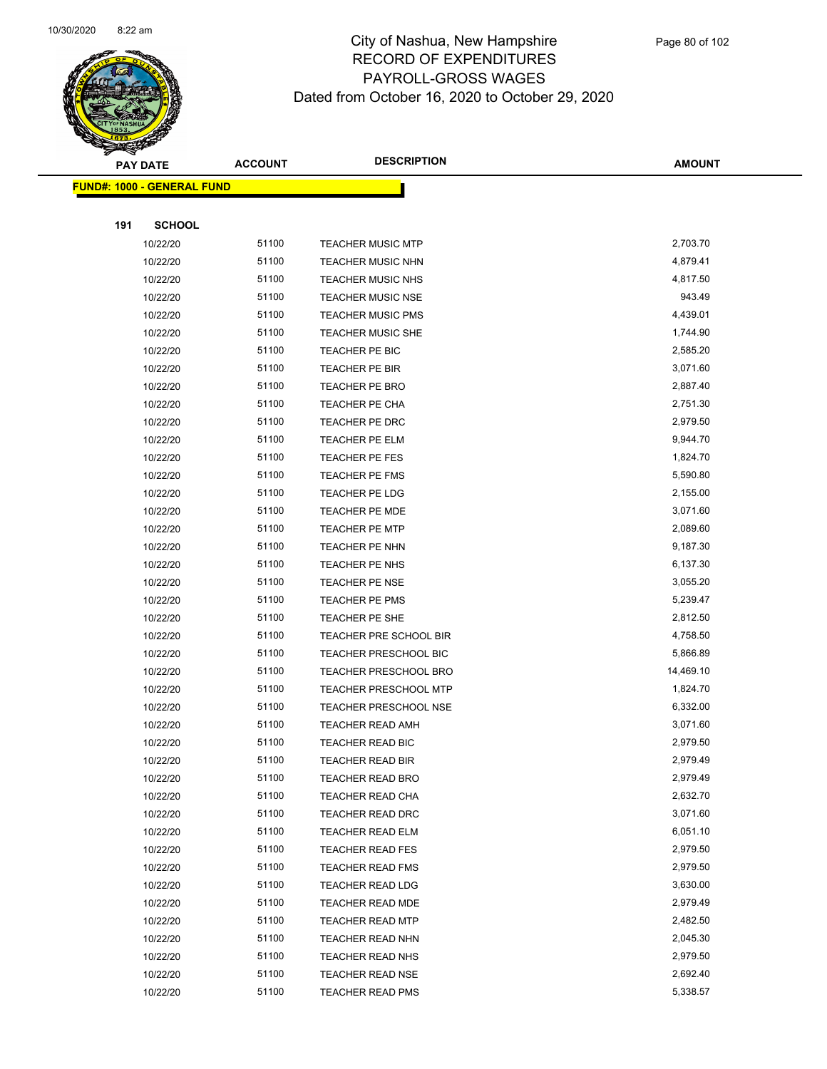

|     | <b>PAY DATE</b>                    | <b>ACCOUNT</b> | <b>DESCRIPTION</b>           | <b>AMOUNT</b> |
|-----|------------------------------------|----------------|------------------------------|---------------|
|     | <u> FUND#: 1000 - GENERAL FUND</u> |                |                              |               |
|     |                                    |                |                              |               |
| 191 | <b>SCHOOL</b>                      |                |                              |               |
|     | 10/22/20                           | 51100          | <b>TEACHER MUSIC MTP</b>     | 2,703.70      |
|     | 10/22/20                           | 51100          | <b>TEACHER MUSIC NHN</b>     | 4,879.41      |
|     | 10/22/20                           | 51100          | <b>TEACHER MUSIC NHS</b>     | 4,817.50      |
|     | 10/22/20                           | 51100          | <b>TEACHER MUSIC NSE</b>     | 943.49        |
|     | 10/22/20                           | 51100          | <b>TEACHER MUSIC PMS</b>     | 4,439.01      |
|     | 10/22/20                           | 51100          | <b>TEACHER MUSIC SHE</b>     | 1,744.90      |
|     | 10/22/20                           | 51100          | TEACHER PE BIC               | 2,585.20      |
|     | 10/22/20                           | 51100          | TEACHER PE BIR               | 3,071.60      |
|     | 10/22/20                           | 51100          | <b>TEACHER PE BRO</b>        | 2,887.40      |
|     | 10/22/20                           | 51100          | TEACHER PE CHA               | 2,751.30      |
|     | 10/22/20                           | 51100          | TEACHER PE DRC               | 2,979.50      |
|     | 10/22/20                           | 51100          | TEACHER PE ELM               | 9,944.70      |
|     | 10/22/20                           | 51100          | TEACHER PE FES               | 1,824.70      |
|     | 10/22/20                           | 51100          | TEACHER PE FMS               | 5,590.80      |
|     | 10/22/20                           | 51100          | TEACHER PE LDG               | 2,155.00      |
|     | 10/22/20                           | 51100          | TEACHER PE MDE               | 3,071.60      |
|     | 10/22/20                           | 51100          | <b>TEACHER PE MTP</b>        | 2,089.60      |
|     | 10/22/20                           | 51100          | TEACHER PE NHN               | 9,187.30      |
|     | 10/22/20                           | 51100          | TEACHER PE NHS               | 6,137.30      |
|     | 10/22/20                           | 51100          | TEACHER PE NSE               | 3,055.20      |
|     | 10/22/20                           | 51100          | <b>TEACHER PE PMS</b>        | 5,239.47      |
|     | 10/22/20                           | 51100          | TEACHER PE SHE               | 2,812.50      |
|     | 10/22/20                           | 51100          | TEACHER PRE SCHOOL BIR       | 4,758.50      |
|     | 10/22/20                           | 51100          | <b>TEACHER PRESCHOOL BIC</b> | 5,866.89      |
|     | 10/22/20                           | 51100          | <b>TEACHER PRESCHOOL BRO</b> | 14,469.10     |
|     | 10/22/20                           | 51100          | <b>TEACHER PRESCHOOL MTP</b> | 1,824.70      |
|     | 10/22/20                           | 51100          | <b>TEACHER PRESCHOOL NSE</b> | 6,332.00      |
|     | 10/22/20                           | 51100          | <b>TEACHER READ AMH</b>      | 3,071.60      |
|     | 10/22/20                           | 51100          | <b>TEACHER READ BIC</b>      | 2,979.50      |
|     | 10/22/20                           | 51100          | <b>TEACHER READ BIR</b>      | 2,979.49      |
|     | 10/22/20                           | 51100          | <b>TEACHER READ BRO</b>      | 2,979.49      |
|     | 10/22/20                           | 51100          | TEACHER READ CHA             | 2,632.70      |
|     | 10/22/20                           | 51100          | <b>TEACHER READ DRC</b>      | 3,071.60      |
|     | 10/22/20                           | 51100          | TEACHER READ ELM             | 6,051.10      |
|     | 10/22/20                           | 51100          | <b>TEACHER READ FES</b>      | 2,979.50      |
|     | 10/22/20                           | 51100          | <b>TEACHER READ FMS</b>      | 2,979.50      |
|     | 10/22/20                           | 51100          | <b>TEACHER READ LDG</b>      | 3,630.00      |
|     | 10/22/20                           | 51100          | <b>TEACHER READ MDE</b>      | 2,979.49      |
|     | 10/22/20                           | 51100          | <b>TEACHER READ MTP</b>      | 2,482.50      |
|     | 10/22/20                           | 51100          | <b>TEACHER READ NHN</b>      | 2,045.30      |
|     | 10/22/20                           | 51100          | <b>TEACHER READ NHS</b>      | 2,979.50      |
|     | 10/22/20                           | 51100          | <b>TEACHER READ NSE</b>      | 2,692.40      |
|     | 10/22/20                           | 51100          | <b>TEACHER READ PMS</b>      | 5,338.57      |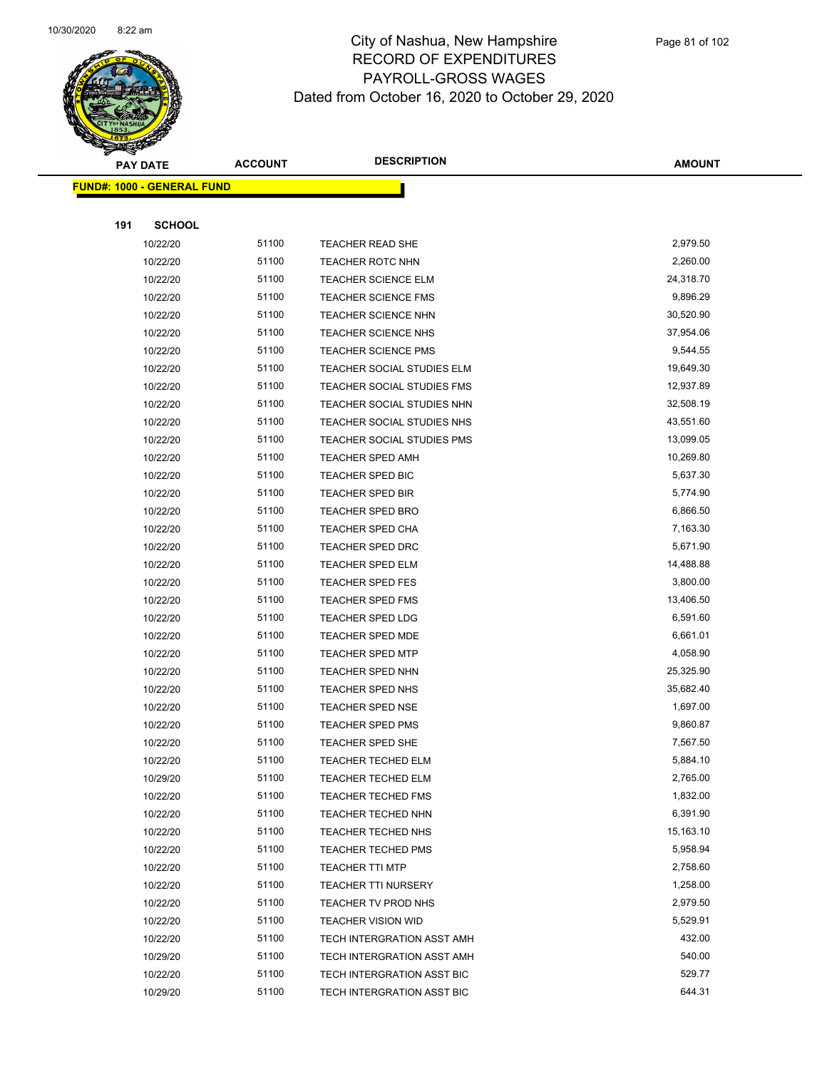

|     | <b>PAY DATE</b>                   | <b>ACCOUNT</b> | <b>DESCRIPTION</b>                | <b>AMOUNT</b> |
|-----|-----------------------------------|----------------|-----------------------------------|---------------|
|     | <b>FUND#: 1000 - GENERAL FUND</b> |                |                                   |               |
|     |                                   |                |                                   |               |
| 191 | <b>SCHOOL</b>                     |                |                                   |               |
|     | 10/22/20                          | 51100          | <b>TEACHER READ SHE</b>           | 2,979.50      |
|     | 10/22/20                          | 51100          | <b>TEACHER ROTC NHN</b>           | 2,260.00      |
|     | 10/22/20                          | 51100          | <b>TEACHER SCIENCE ELM</b>        | 24,318.70     |
|     | 10/22/20                          | 51100          | <b>TEACHER SCIENCE FMS</b>        | 9,896.29      |
|     | 10/22/20                          | 51100          | <b>TEACHER SCIENCE NHN</b>        | 30,520.90     |
|     | 10/22/20                          | 51100          | <b>TEACHER SCIENCE NHS</b>        | 37,954.06     |
|     | 10/22/20                          | 51100          | <b>TEACHER SCIENCE PMS</b>        | 9,544.55      |
|     | 10/22/20                          | 51100          | TEACHER SOCIAL STUDIES ELM        | 19,649.30     |
|     | 10/22/20                          | 51100          | TEACHER SOCIAL STUDIES FMS        | 12,937.89     |
|     | 10/22/20                          | 51100          | TEACHER SOCIAL STUDIES NHN        | 32,508.19     |
|     | 10/22/20                          | 51100          | TEACHER SOCIAL STUDIES NHS        | 43,551.60     |
|     | 10/22/20                          | 51100          | <b>TEACHER SOCIAL STUDIES PMS</b> | 13,099.05     |
|     | 10/22/20                          | 51100          | <b>TEACHER SPED AMH</b>           | 10,269.80     |
|     | 10/22/20                          | 51100          | <b>TEACHER SPED BIC</b>           | 5,637.30      |
|     | 10/22/20                          | 51100          | <b>TEACHER SPED BIR</b>           | 5,774.90      |
|     | 10/22/20                          | 51100          | <b>TEACHER SPED BRO</b>           | 6,866.50      |
|     | 10/22/20                          | 51100          | TEACHER SPED CHA                  | 7,163.30      |
|     | 10/22/20                          | 51100          | TEACHER SPED DRC                  | 5,671.90      |
|     | 10/22/20                          | 51100          | <b>TEACHER SPED ELM</b>           | 14,488.88     |
|     | 10/22/20                          | 51100          | <b>TEACHER SPED FES</b>           | 3,800.00      |
|     | 10/22/20                          | 51100          | <b>TEACHER SPED FMS</b>           | 13,406.50     |
|     | 10/22/20                          | 51100          | TEACHER SPED LDG                  | 6,591.60      |
|     | 10/22/20                          | 51100          | <b>TEACHER SPED MDE</b>           | 6,661.01      |
|     | 10/22/20                          | 51100          | <b>TEACHER SPED MTP</b>           | 4,058.90      |
|     | 10/22/20                          | 51100          | <b>TEACHER SPED NHN</b>           | 25,325.90     |
|     | 10/22/20                          | 51100          | TEACHER SPED NHS                  | 35,682.40     |
|     | 10/22/20                          | 51100          | TEACHER SPED NSE                  | 1,697.00      |
|     | 10/22/20                          | 51100          | <b>TEACHER SPED PMS</b>           | 9,860.87      |
|     | 10/22/20                          | 51100          | <b>TEACHER SPED SHE</b>           | 7,567.50      |
|     | 10/22/20                          | 51100          | TEACHER TECHED ELM                | 5,884.10      |
|     | 10/29/20                          | 51100          | <b>TEACHER TECHED ELM</b>         | 2,765.00      |
|     | 10/22/20                          | 51100          | <b>TEACHER TECHED FMS</b>         | 1,832.00      |
|     | 10/22/20                          | 51100          | TEACHER TECHED NHN                | 6,391.90      |
|     | 10/22/20                          | 51100          | TEACHER TECHED NHS                | 15,163.10     |
|     | 10/22/20                          | 51100          | <b>TEACHER TECHED PMS</b>         | 5,958.94      |
|     | 10/22/20                          | 51100          | <b>TEACHER TTI MTP</b>            | 2,758.60      |
|     | 10/22/20                          | 51100          | <b>TEACHER TTI NURSERY</b>        | 1,258.00      |
|     | 10/22/20                          | 51100          | TEACHER TV PROD NHS               | 2,979.50      |
|     | 10/22/20                          | 51100          | <b>TEACHER VISION WID</b>         | 5,529.91      |
|     | 10/22/20                          | 51100          | TECH INTERGRATION ASST AMH        | 432.00        |
|     | 10/29/20                          | 51100          | TECH INTERGRATION ASST AMH        | 540.00        |
|     | 10/22/20                          | 51100          | TECH INTERGRATION ASST BIC        | 529.77        |
|     | 10/29/20                          | 51100          | TECH INTERGRATION ASST BIC        | 644.31        |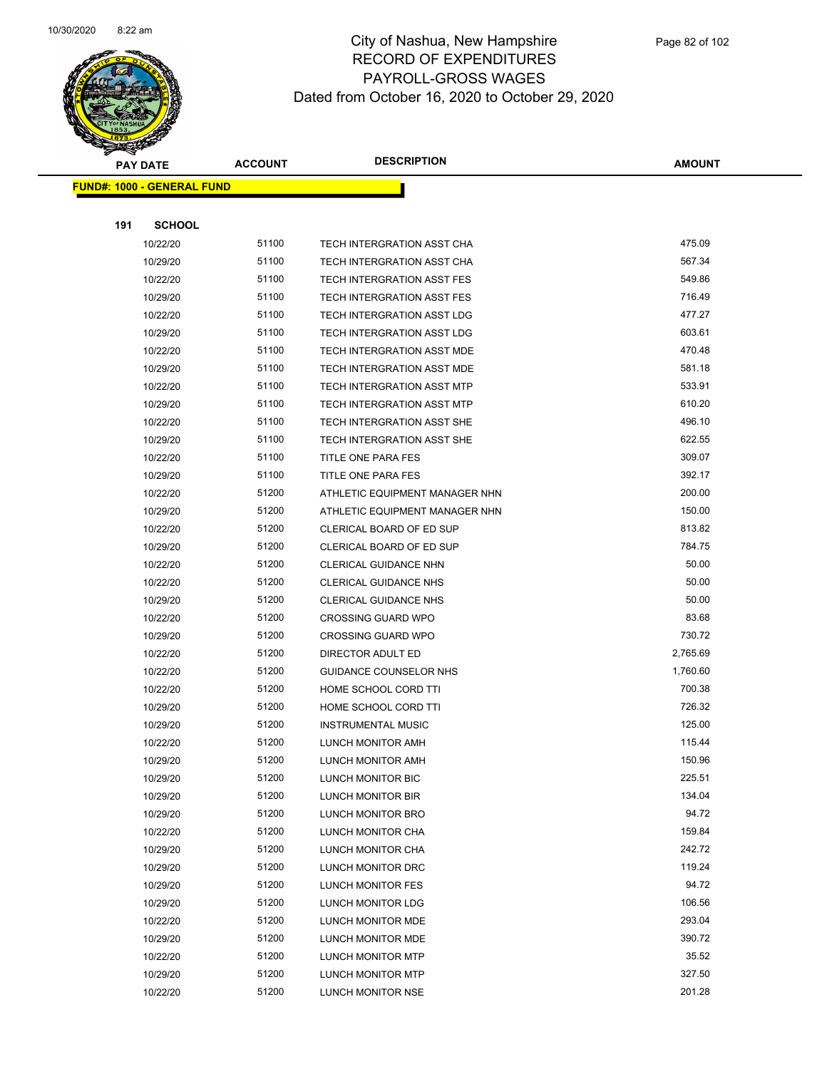

|     | <b>PAY DATE</b>                    | <b>ACCOUNT</b> | <b>DESCRIPTION</b>              | <b>AMOUNT</b> |
|-----|------------------------------------|----------------|---------------------------------|---------------|
|     | <u> FUND#: 1000 - GENERAL FUND</u> |                |                                 |               |
|     |                                    |                |                                 |               |
| 191 | <b>SCHOOL</b>                      |                |                                 |               |
|     | 10/22/20                           | 51100          | TECH INTERGRATION ASST CHA      | 475.09        |
|     | 10/29/20                           | 51100          | TECH INTERGRATION ASST CHA      | 567.34        |
|     | 10/22/20                           | 51100          | TECH INTERGRATION ASST FES      | 549.86        |
|     | 10/29/20                           | 51100          | TECH INTERGRATION ASST FES      | 716.49        |
|     | 10/22/20                           | 51100          | TECH INTERGRATION ASST LDG      | 477.27        |
|     | 10/29/20                           | 51100          | TECH INTERGRATION ASST LDG      | 603.61        |
|     | 10/22/20                           | 51100          | TECH INTERGRATION ASST MDE      | 470.48        |
|     | 10/29/20                           | 51100          | TECH INTERGRATION ASST MDE      | 581.18        |
|     | 10/22/20                           | 51100          | TECH INTERGRATION ASST MTP      | 533.91        |
|     | 10/29/20                           | 51100          | TECH INTERGRATION ASST MTP      | 610.20        |
|     | 10/22/20                           | 51100          | TECH INTERGRATION ASST SHE      | 496.10        |
|     | 10/29/20                           | 51100          | TECH INTERGRATION ASST SHE      | 622.55        |
|     | 10/22/20                           | 51100          | <b>TITLE ONE PARA FES</b>       | 309.07        |
|     | 10/29/20                           | 51100          | TITLE ONE PARA FES              | 392.17        |
|     | 10/22/20                           | 51200          | ATHLETIC EQUIPMENT MANAGER NHN  | 200.00        |
|     | 10/29/20                           | 51200          | ATHLETIC EQUIPMENT MANAGER NHN  | 150.00        |
|     | 10/22/20                           | 51200          | <b>CLERICAL BOARD OF ED SUP</b> | 813.82        |
|     | 10/29/20                           | 51200          | CLERICAL BOARD OF ED SUP        | 784.75        |
|     | 10/22/20                           | 51200          | CLERICAL GUIDANCE NHN           | 50.00         |
|     | 10/22/20                           | 51200          | <b>CLERICAL GUIDANCE NHS</b>    | 50.00         |
|     | 10/29/20                           | 51200          | <b>CLERICAL GUIDANCE NHS</b>    | 50.00         |
|     | 10/22/20                           | 51200          | <b>CROSSING GUARD WPO</b>       | 83.68         |
|     | 10/29/20                           | 51200          | <b>CROSSING GUARD WPO</b>       | 730.72        |
|     | 10/22/20                           | 51200          | DIRECTOR ADULT ED               | 2,765.69      |
|     | 10/22/20                           | 51200          | GUIDANCE COUNSELOR NHS          | 1,760.60      |
|     | 10/22/20                           | 51200          | HOME SCHOOL CORD TTI            | 700.38        |
|     | 10/29/20                           | 51200          | HOME SCHOOL CORD TTI            | 726.32        |
|     | 10/29/20                           | 51200          | <b>INSTRUMENTAL MUSIC</b>       | 125.00        |
|     | 10/22/20                           | 51200          | LUNCH MONITOR AMH               | 115.44        |
|     | 10/29/20                           | 51200          | LUNCH MONITOR AMH               | 150.96        |
|     | 10/29/20                           | 51200          | LUNCH MONITOR BIC               | 225.51        |
|     | 10/29/20                           | 51200          | LUNCH MONITOR BIR               | 134.04        |
|     | 10/29/20                           | 51200          | LUNCH MONITOR BRO               | 94.72         |
|     | 10/22/20                           | 51200          | LUNCH MONITOR CHA               | 159.84        |
|     | 10/29/20                           | 51200          | LUNCH MONITOR CHA               | 242.72        |
|     | 10/29/20                           | 51200          | LUNCH MONITOR DRC               | 119.24        |
|     | 10/29/20                           | 51200          | LUNCH MONITOR FES               | 94.72         |
|     | 10/29/20                           | 51200          | LUNCH MONITOR LDG               | 106.56        |
|     | 10/22/20                           | 51200          | LUNCH MONITOR MDE               | 293.04        |
|     | 10/29/20                           | 51200          | LUNCH MONITOR MDE               | 390.72        |
|     | 10/22/20                           | 51200          | LUNCH MONITOR MTP               | 35.52         |
|     | 10/29/20                           | 51200          | LUNCH MONITOR MTP               | 327.50        |
|     | 10/22/20                           | 51200          | LUNCH MONITOR NSE               | 201.28        |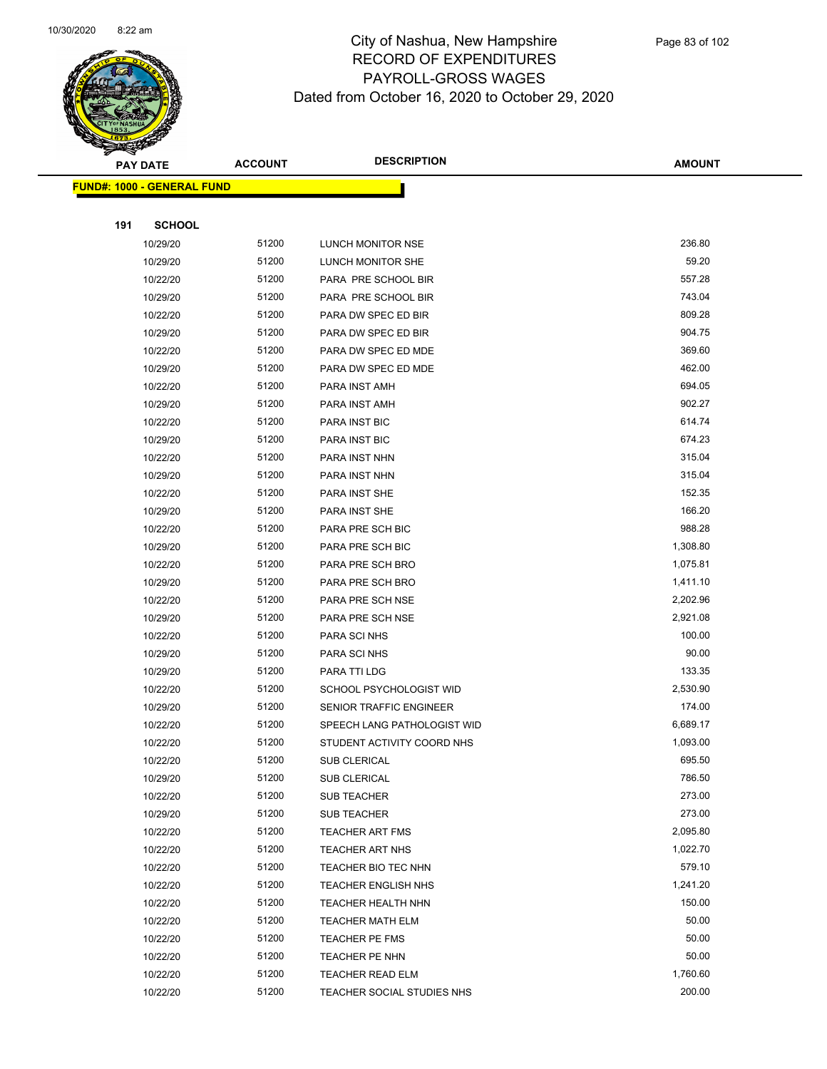

|     | <b>PAY DATE</b>                   | <b>ACCOUNT</b> | <b>DESCRIPTION</b>                               | <b>AMOUNT</b>      |
|-----|-----------------------------------|----------------|--------------------------------------------------|--------------------|
|     | <b>FUND#: 1000 - GENERAL FUND</b> |                |                                                  |                    |
|     |                                   |                |                                                  |                    |
| 191 | <b>SCHOOL</b>                     |                |                                                  |                    |
|     | 10/29/20                          | 51200          | LUNCH MONITOR NSE                                | 236.80             |
|     | 10/29/20                          | 51200          | LUNCH MONITOR SHE                                | 59.20              |
|     | 10/22/20                          | 51200          | PARA PRE SCHOOL BIR                              | 557.28             |
|     | 10/29/20                          | 51200          | PARA PRE SCHOOL BIR                              | 743.04             |
|     | 10/22/20                          | 51200          | PARA DW SPEC ED BIR                              | 809.28             |
|     | 10/29/20                          | 51200          | PARA DW SPEC ED BIR                              | 904.75             |
|     | 10/22/20                          | 51200          | PARA DW SPEC ED MDE                              | 369.60             |
|     | 10/29/20                          | 51200          | PARA DW SPEC ED MDE                              | 462.00             |
|     | 10/22/20                          | 51200          | PARA INST AMH                                    | 694.05             |
|     | 10/29/20                          | 51200          | PARA INST AMH                                    | 902.27             |
|     | 10/22/20                          | 51200          | PARA INST BIC                                    | 614.74             |
|     | 10/29/20                          | 51200          | <b>PARA INST BIC</b>                             | 674.23             |
|     | 10/22/20                          | 51200          | PARA INST NHN                                    | 315.04             |
|     | 10/29/20                          | 51200          | PARA INST NHN                                    | 315.04             |
|     | 10/22/20                          | 51200          | PARA INST SHE                                    | 152.35             |
|     | 10/29/20                          | 51200          | PARA INST SHE                                    | 166.20             |
|     | 10/22/20                          | 51200          | PARA PRE SCH BIC                                 | 988.28             |
|     | 10/29/20                          | 51200          | PARA PRE SCH BIC                                 | 1,308.80           |
|     | 10/22/20                          | 51200          | PARA PRE SCH BRO                                 | 1,075.81           |
|     | 10/29/20                          | 51200          | PARA PRE SCH BRO                                 | 1,411.10           |
|     | 10/22/20                          | 51200          | PARA PRE SCH NSE                                 | 2,202.96           |
|     | 10/29/20                          | 51200          | PARA PRE SCH NSE                                 | 2,921.08           |
|     | 10/22/20                          | 51200          | PARA SCI NHS                                     | 100.00             |
|     | 10/29/20                          | 51200          | PARA SCI NHS                                     | 90.00              |
|     | 10/29/20                          | 51200          | PARA TTI LDG                                     | 133.35             |
|     | 10/22/20                          | 51200          | SCHOOL PSYCHOLOGIST WID                          | 2,530.90           |
|     | 10/29/20                          | 51200          | SENIOR TRAFFIC ENGINEER                          | 174.00             |
|     | 10/22/20                          | 51200          | SPEECH LANG PATHOLOGIST WID                      | 6,689.17           |
|     | 10/22/20                          | 51200          | STUDENT ACTIVITY COORD NHS                       | 1,093.00           |
|     | 10/22/20                          | 51200          | <b>SUB CLERICAL</b>                              | 695.50             |
|     | 10/29/20                          | 51200          | SUB CLERICAL                                     | 786.50             |
|     | 10/22/20                          | 51200          | <b>SUB TEACHER</b>                               | 273.00             |
|     | 10/29/20                          | 51200          | <b>SUB TEACHER</b>                               | 273.00<br>2,095.80 |
|     | 10/22/20                          | 51200<br>51200 | <b>TEACHER ART FMS</b>                           |                    |
|     | 10/22/20                          | 51200          | <b>TEACHER ART NHS</b>                           | 1,022.70<br>579.10 |
|     | 10/22/20                          | 51200          | TEACHER BIO TEC NHN                              | 1,241.20           |
|     | 10/22/20<br>10/22/20              | 51200          | TEACHER ENGLISH NHS                              | 150.00             |
|     |                                   | 51200          | TEACHER HEALTH NHN                               | 50.00              |
|     | 10/22/20<br>10/22/20              | 51200          | <b>TEACHER MATH ELM</b><br><b>TEACHER PE FMS</b> | 50.00              |
|     | 10/22/20                          | 51200          | TEACHER PE NHN                                   | 50.00              |
|     | 10/22/20                          | 51200          | <b>TEACHER READ ELM</b>                          | 1,760.60           |
|     | 10/22/20                          | 51200          | TEACHER SOCIAL STUDIES NHS                       | 200.00             |
|     |                                   |                |                                                  |                    |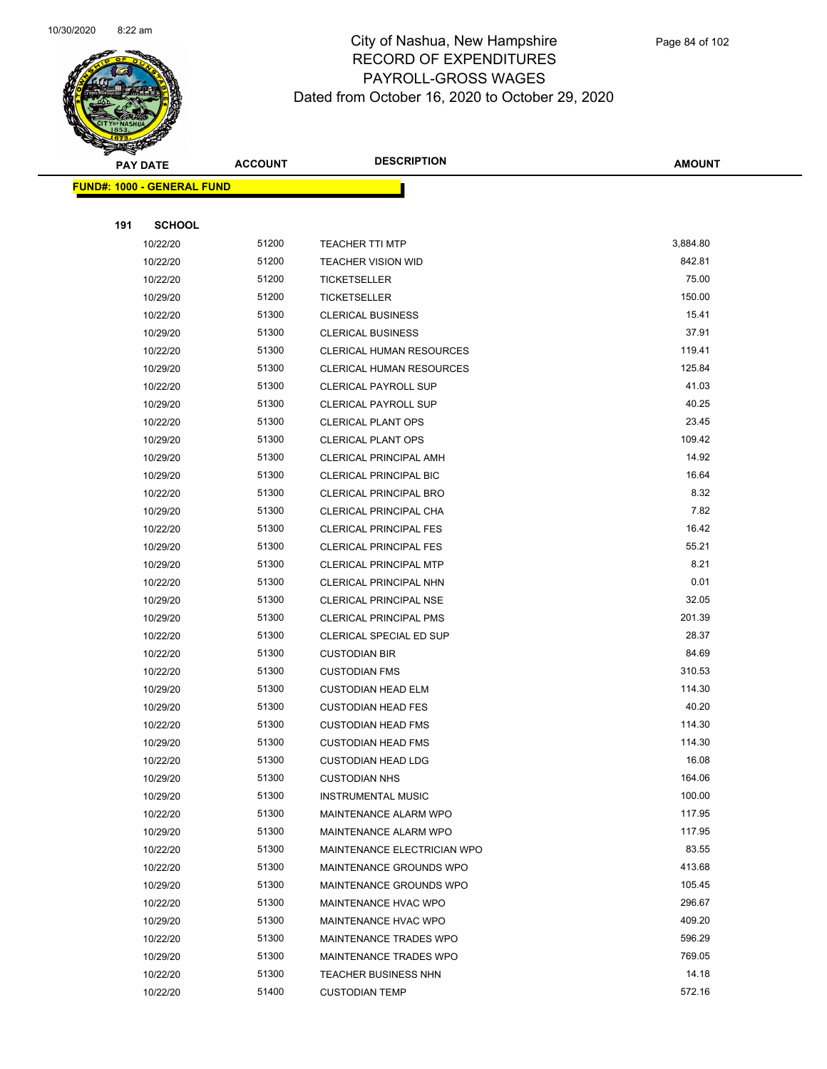

|     | <b>PAY DATE</b>                    | <b>ACCOUNT</b> | <b>DESCRIPTION</b>              | <b>AMOUNT</b> |
|-----|------------------------------------|----------------|---------------------------------|---------------|
|     | <u> FUND#: 1000 - GENERAL FUND</u> |                |                                 |               |
|     |                                    |                |                                 |               |
| 191 | <b>SCHOOL</b>                      |                |                                 |               |
|     | 10/22/20                           | 51200          | <b>TEACHER TTI MTP</b>          | 3,884.80      |
|     | 10/22/20                           | 51200          | <b>TEACHER VISION WID</b>       | 842.81        |
|     | 10/22/20                           | 51200          | <b>TICKETSELLER</b>             | 75.00         |
|     | 10/29/20                           | 51200          | <b>TICKETSELLER</b>             | 150.00        |
|     | 10/22/20                           | 51300          | <b>CLERICAL BUSINESS</b>        | 15.41         |
|     | 10/29/20                           | 51300          | <b>CLERICAL BUSINESS</b>        | 37.91         |
|     | 10/22/20                           | 51300          | <b>CLERICAL HUMAN RESOURCES</b> | 119.41        |
|     | 10/29/20                           | 51300          | CLERICAL HUMAN RESOURCES        | 125.84        |
|     | 10/22/20                           | 51300          | <b>CLERICAL PAYROLL SUP</b>     | 41.03         |
|     | 10/29/20                           | 51300          | <b>CLERICAL PAYROLL SUP</b>     | 40.25         |
|     | 10/22/20                           | 51300          | <b>CLERICAL PLANT OPS</b>       | 23.45         |
|     | 10/29/20                           | 51300          | <b>CLERICAL PLANT OPS</b>       | 109.42        |
|     | 10/29/20                           | 51300          | <b>CLERICAL PRINCIPAL AMH</b>   | 14.92         |
|     | 10/29/20                           | 51300          | <b>CLERICAL PRINCIPAL BIC</b>   | 16.64         |
|     | 10/22/20                           | 51300          | <b>CLERICAL PRINCIPAL BRO</b>   | 8.32          |
|     | 10/29/20                           | 51300          | CLERICAL PRINCIPAL CHA          | 7.82          |
|     | 10/22/20                           | 51300          | <b>CLERICAL PRINCIPAL FES</b>   | 16.42         |
|     | 10/29/20                           | 51300          | <b>CLERICAL PRINCIPAL FES</b>   | 55.21         |
|     | 10/29/20                           | 51300          | <b>CLERICAL PRINCIPAL MTP</b>   | 8.21          |
|     | 10/22/20                           | 51300          | CLERICAL PRINCIPAL NHN          | 0.01          |
|     | 10/29/20                           | 51300          | CLERICAL PRINCIPAL NSE          | 32.05         |
|     | 10/29/20                           | 51300          | <b>CLERICAL PRINCIPAL PMS</b>   | 201.39        |
|     | 10/22/20                           | 51300          | <b>CLERICAL SPECIAL ED SUP</b>  | 28.37         |
|     | 10/22/20                           | 51300          | <b>CUSTODIAN BIR</b>            | 84.69         |
|     | 10/22/20                           | 51300          | <b>CUSTODIAN FMS</b>            | 310.53        |
|     | 10/29/20                           | 51300          | <b>CUSTODIAN HEAD ELM</b>       | 114.30        |
|     | 10/29/20                           | 51300          | <b>CUSTODIAN HEAD FES</b>       | 40.20         |
|     | 10/22/20                           | 51300          | <b>CUSTODIAN HEAD FMS</b>       | 114.30        |
|     | 10/29/20                           | 51300          | <b>CUSTODIAN HEAD FMS</b>       | 114.30        |
|     | 10/22/20                           | 51300          | <b>CUSTODIAN HEAD LDG</b>       | 16.08         |
|     | 10/29/20                           | 51300          | <b>CUSTODIAN NHS</b>            | 164.06        |
|     | 10/29/20                           | 51300          | <b>INSTRUMENTAL MUSIC</b>       | 100.00        |
|     | 10/22/20                           | 51300          | MAINTENANCE ALARM WPO           | 117.95        |
|     | 10/29/20                           | 51300          | MAINTENANCE ALARM WPO           | 117.95        |
|     | 10/22/20                           | 51300          | MAINTENANCE ELECTRICIAN WPO     | 83.55         |
|     | 10/22/20                           | 51300          | MAINTENANCE GROUNDS WPO         | 413.68        |
|     | 10/29/20                           | 51300          | MAINTENANCE GROUNDS WPO         | 105.45        |
|     | 10/22/20                           | 51300          | <b>MAINTENANCE HVAC WPO</b>     | 296.67        |
|     | 10/29/20                           | 51300          | MAINTENANCE HVAC WPO            | 409.20        |
|     | 10/22/20                           | 51300          | <b>MAINTENANCE TRADES WPO</b>   | 596.29        |
|     | 10/29/20                           | 51300          | MAINTENANCE TRADES WPO          | 769.05        |
|     | 10/22/20                           | 51300          | <b>TEACHER BUSINESS NHN</b>     | 14.18         |
|     | 10/22/20                           | 51400          | <b>CUSTODIAN TEMP</b>           | 572.16        |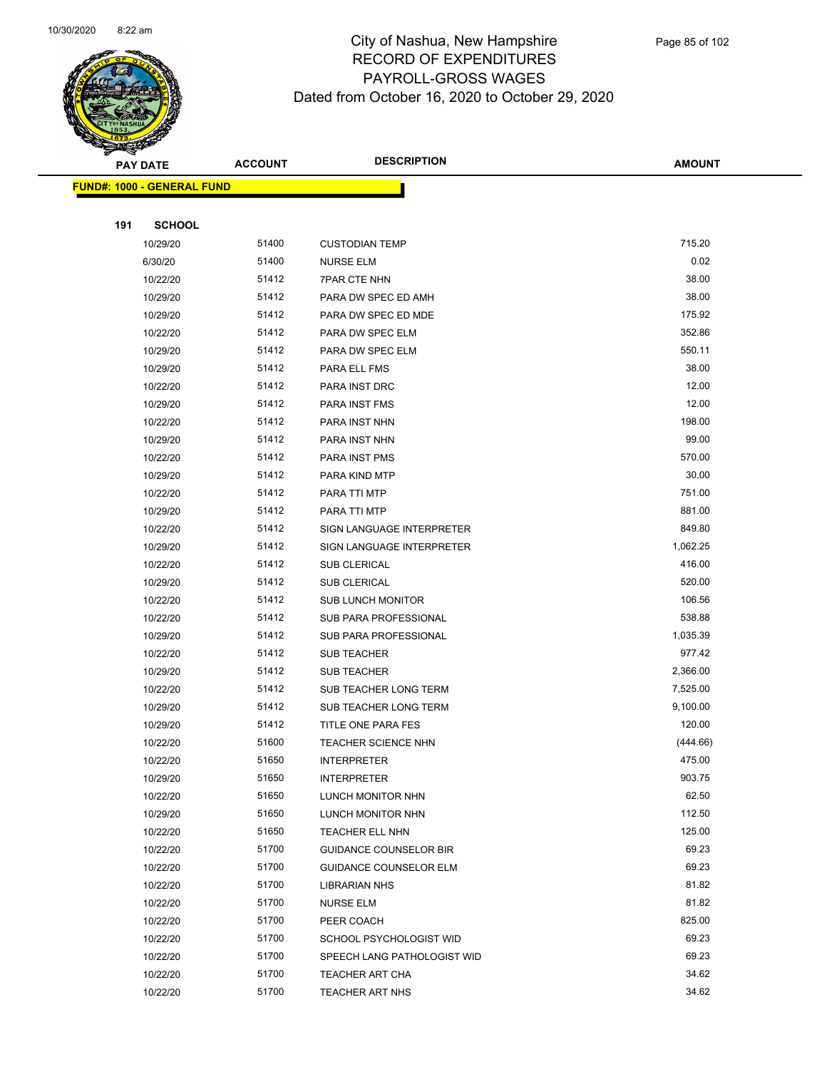

|     | <b>PAY DATE</b>                   | <b>ACCOUNT</b> | <b>DESCRIPTION</b>            | AMOUNT   |
|-----|-----------------------------------|----------------|-------------------------------|----------|
|     | <b>FUND#: 1000 - GENERAL FUND</b> |                |                               |          |
|     |                                   |                |                               |          |
| 191 | <b>SCHOOL</b>                     |                |                               |          |
|     | 10/29/20                          | 51400          | <b>CUSTODIAN TEMP</b>         | 715.20   |
|     | 6/30/20                           | 51400          | <b>NURSE ELM</b>              | 0.02     |
|     | 10/22/20                          | 51412          | 7PAR CTE NHN                  | 38.00    |
|     | 10/29/20                          | 51412          | PARA DW SPEC ED AMH           | 38.00    |
|     | 10/29/20                          | 51412          | PARA DW SPEC ED MDE           | 175.92   |
|     | 10/22/20                          | 51412          | PARA DW SPEC ELM              | 352.86   |
|     | 10/29/20                          | 51412          | PARA DW SPEC ELM              | 550.11   |
|     | 10/29/20                          | 51412          | PARA ELL FMS                  | 38.00    |
|     | 10/22/20                          | 51412          | PARA INST DRC                 | 12.00    |
|     | 10/29/20                          | 51412          | PARA INST FMS                 | 12.00    |
|     | 10/22/20                          | 51412          | PARA INST NHN                 | 198.00   |
|     | 10/29/20                          | 51412          | PARA INST NHN                 | 99.00    |
|     | 10/22/20                          | 51412          | PARA INST PMS                 | 570.00   |
|     | 10/29/20                          | 51412          | PARA KIND MTP                 | 30.00    |
|     | 10/22/20                          | 51412          | PARA TTI MTP                  | 751.00   |
|     | 10/29/20                          | 51412          | PARA TTI MTP                  | 881.00   |
|     | 10/22/20                          | 51412          | SIGN LANGUAGE INTERPRETER     | 849.80   |
|     | 10/29/20                          | 51412          | SIGN LANGUAGE INTERPRETER     | 1,062.25 |
|     | 10/22/20                          | 51412          | SUB CLERICAL                  | 416.00   |
|     | 10/29/20                          | 51412          | SUB CLERICAL                  | 520.00   |
|     | 10/22/20                          | 51412          | <b>SUB LUNCH MONITOR</b>      | 106.56   |
|     | 10/22/20                          | 51412          | SUB PARA PROFESSIONAL         | 538.88   |
|     | 10/29/20                          | 51412          | SUB PARA PROFESSIONAL         | 1,035.39 |
|     | 10/22/20                          | 51412          | <b>SUB TEACHER</b>            | 977.42   |
|     | 10/29/20                          | 51412          | <b>SUB TEACHER</b>            | 2,366.00 |
|     | 10/22/20                          | 51412          | SUB TEACHER LONG TERM         | 7,525.00 |
|     | 10/29/20                          | 51412          | SUB TEACHER LONG TERM         | 9,100.00 |
|     | 10/29/20                          | 51412          | TITLE ONE PARA FES            | 120.00   |
|     | 10/22/20                          | 51600          | TEACHER SCIENCE NHN           | (444.66) |
|     | 10/22/20                          | 51650          | <b>INTERPRETER</b>            | 475.00   |
|     | 10/29/20                          | 51650          | <b>INTERPRETER</b>            | 903.75   |
|     | 10/22/20                          | 51650          | LUNCH MONITOR NHN             | 62.50    |
|     | 10/29/20                          | 51650          | LUNCH MONITOR NHN             | 112.50   |
|     | 10/22/20                          | 51650          | <b>TEACHER ELL NHN</b>        | 125.00   |
|     | 10/22/20                          | 51700          | <b>GUIDANCE COUNSELOR BIR</b> | 69.23    |
|     | 10/22/20                          | 51700          | <b>GUIDANCE COUNSELOR ELM</b> | 69.23    |
|     | 10/22/20                          | 51700          | <b>LIBRARIAN NHS</b>          | 81.82    |
|     | 10/22/20                          | 51700          | <b>NURSE ELM</b>              | 81.82    |
|     | 10/22/20                          | 51700          | PEER COACH                    | 825.00   |
|     | 10/22/20                          | 51700          | SCHOOL PSYCHOLOGIST WID       | 69.23    |
|     | 10/22/20                          | 51700          | SPEECH LANG PATHOLOGIST WID   | 69.23    |
|     | 10/22/20                          | 51700          | TEACHER ART CHA               | 34.62    |
|     | 10/22/20                          | 51700          | <b>TEACHER ART NHS</b>        | 34.62    |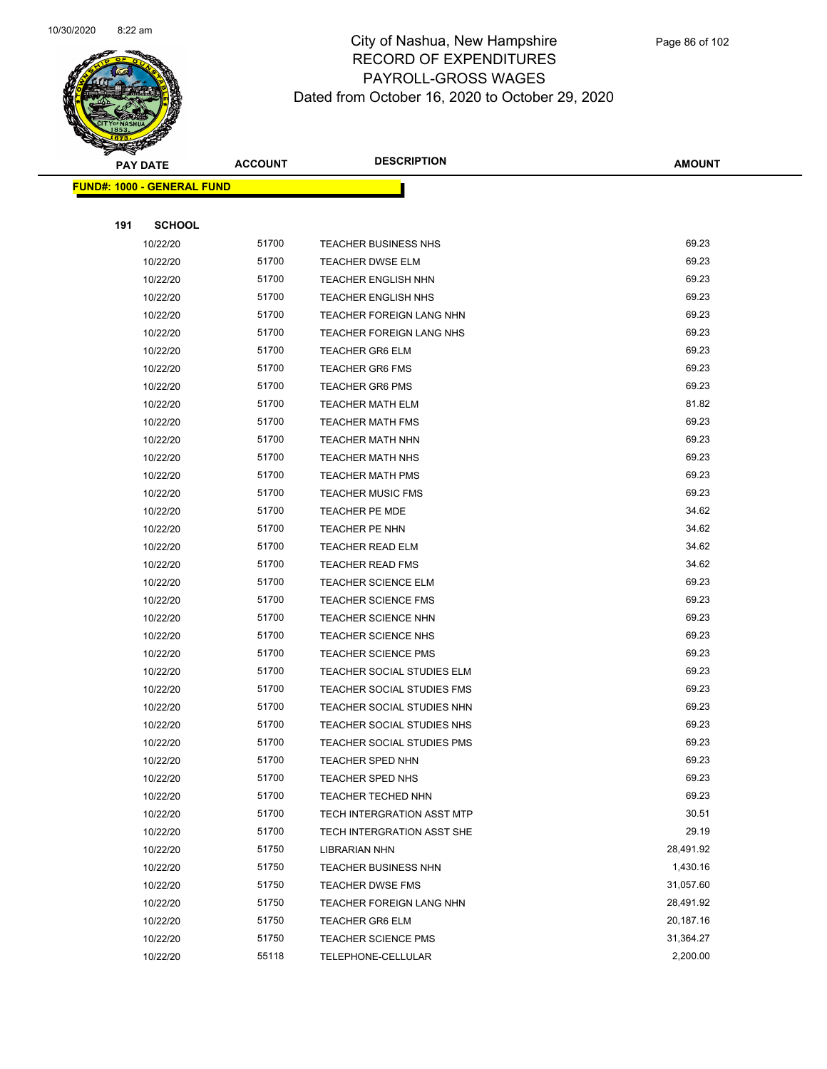

|     | <b>PAY DATE</b>                   | <b>ACCOUNT</b> | <b>DESCRIPTION</b>              | <b>AMOUNT</b> |
|-----|-----------------------------------|----------------|---------------------------------|---------------|
|     | <b>FUND#: 1000 - GENERAL FUND</b> |                |                                 |               |
|     |                                   |                |                                 |               |
| 191 | <b>SCHOOL</b>                     |                |                                 |               |
|     | 10/22/20                          | 51700          | <b>TEACHER BUSINESS NHS</b>     | 69.23         |
|     | 10/22/20                          | 51700          | <b>TEACHER DWSE ELM</b>         | 69.23         |
|     | 10/22/20                          | 51700          | <b>TEACHER ENGLISH NHN</b>      | 69.23         |
|     | 10/22/20                          | 51700          | <b>TEACHER ENGLISH NHS</b>      | 69.23         |
|     | 10/22/20                          | 51700          | <b>TEACHER FOREIGN LANG NHN</b> | 69.23         |
|     | 10/22/20                          | 51700          | <b>TEACHER FOREIGN LANG NHS</b> | 69.23         |
|     | 10/22/20                          | 51700          | <b>TEACHER GR6 ELM</b>          | 69.23         |
|     | 10/22/20                          | 51700          | <b>TEACHER GR6 FMS</b>          | 69.23         |
|     | 10/22/20                          | 51700          | <b>TEACHER GR6 PMS</b>          | 69.23         |
|     | 10/22/20                          | 51700          | <b>TEACHER MATH ELM</b>         | 81.82         |
|     | 10/22/20                          | 51700          | <b>TEACHER MATH FMS</b>         | 69.23         |
|     | 10/22/20                          | 51700          | <b>TEACHER MATH NHN</b>         | 69.23         |
|     | 10/22/20                          | 51700          | <b>TEACHER MATH NHS</b>         | 69.23         |
|     | 10/22/20                          | 51700          | <b>TEACHER MATH PMS</b>         | 69.23         |
|     | 10/22/20                          | 51700          | <b>TEACHER MUSIC FMS</b>        | 69.23         |
|     | 10/22/20                          | 51700          | <b>TEACHER PE MDE</b>           | 34.62         |
|     | 10/22/20                          | 51700          | <b>TEACHER PE NHN</b>           | 34.62         |
|     | 10/22/20                          | 51700          | <b>TEACHER READ ELM</b>         | 34.62         |
|     | 10/22/20                          | 51700          | <b>TEACHER READ FMS</b>         | 34.62         |
|     | 10/22/20                          | 51700          | <b>TEACHER SCIENCE ELM</b>      | 69.23         |
|     | 10/22/20                          | 51700          | <b>TEACHER SCIENCE FMS</b>      | 69.23         |
|     | 10/22/20                          | 51700          | <b>TEACHER SCIENCE NHN</b>      | 69.23         |
|     | 10/22/20                          | 51700          | <b>TEACHER SCIENCE NHS</b>      | 69.23         |
|     | 10/22/20                          | 51700          | <b>TEACHER SCIENCE PMS</b>      | 69.23         |
|     | 10/22/20                          | 51700          | TEACHER SOCIAL STUDIES ELM      | 69.23         |
|     | 10/22/20                          | 51700          | TEACHER SOCIAL STUDIES FMS      | 69.23         |
|     | 10/22/20                          | 51700          | TEACHER SOCIAL STUDIES NHN      | 69.23         |
|     | 10/22/20                          | 51700          | TEACHER SOCIAL STUDIES NHS      | 69.23         |
|     | 10/22/20                          | 51700          | TEACHER SOCIAL STUDIES PMS      | 69.23         |
|     | 10/22/20                          | 51700          | TEACHER SPED NHN                | 69.23         |
|     | 10/22/20                          | 51700          | <b>TEACHER SPED NHS</b>         | 69.23         |
|     | 10/22/20                          | 51700          | <b>TEACHER TECHED NHN</b>       | 69.23         |
|     | 10/22/20                          | 51700          | TECH INTERGRATION ASST MTP      | 30.51         |
|     | 10/22/20                          | 51700          | TECH INTERGRATION ASST SHE      | 29.19         |
|     | 10/22/20                          | 51750          | <b>LIBRARIAN NHN</b>            | 28,491.92     |
|     | 10/22/20                          | 51750          | TEACHER BUSINESS NHN            | 1,430.16      |
|     | 10/22/20                          | 51750          | <b>TEACHER DWSE FMS</b>         | 31,057.60     |
|     | 10/22/20                          | 51750          | TEACHER FOREIGN LANG NHN        | 28,491.92     |
|     | 10/22/20                          | 51750          | <b>TEACHER GR6 ELM</b>          | 20,187.16     |
|     | 10/22/20                          | 51750          | <b>TEACHER SCIENCE PMS</b>      | 31,364.27     |
|     | 10/22/20                          | 55118          | TELEPHONE-CELLULAR              | 2,200.00      |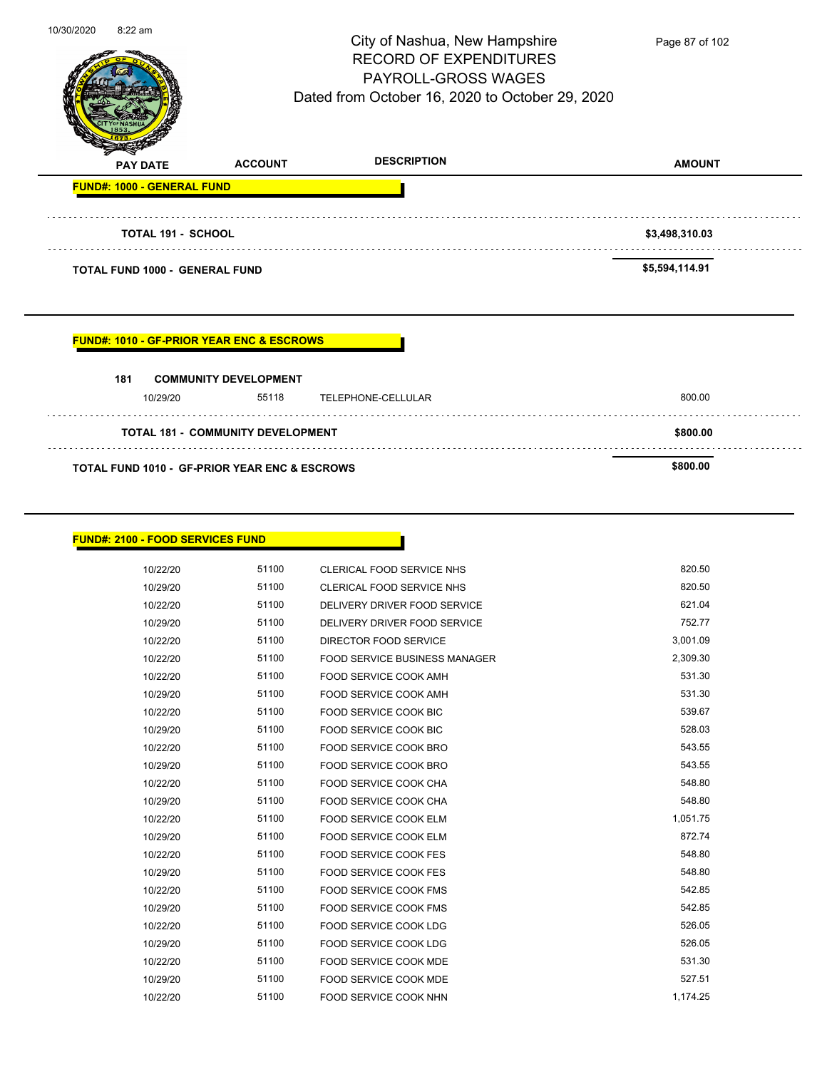|            | <b>FUND#: 1010 - GF-PRIOR YEAR ENC &amp; ESCROWS</b><br>181<br>10/29/20 | <b>COMMUNITY DEVELOPMENT</b><br>55118<br><b>TOTAL 181 - COMMUNITY DEVELOPMENT</b> | TELEPHONE-CELLULAR                                                     | 800.00<br>\$800.00  |
|------------|-------------------------------------------------------------------------|-----------------------------------------------------------------------------------|------------------------------------------------------------------------|---------------------|
|            |                                                                         |                                                                                   |                                                                        |                     |
|            |                                                                         |                                                                                   |                                                                        |                     |
|            |                                                                         |                                                                                   |                                                                        |                     |
|            | <b>TOTAL FUND 1000 - GENERAL FUND</b>                                   |                                                                                   |                                                                        | \$5,594,114.91      |
|            | <b>TOTAL 191 - SCHOOL</b>                                               |                                                                                   |                                                                        | \$3,498,310.03<br>. |
|            | <b>FUND#: 1000 - GENERAL FUND</b>                                       |                                                                                   |                                                                        |                     |
|            | <b>PAY DATE</b>                                                         | <b>ACCOUNT</b>                                                                    | <b>DESCRIPTION</b>                                                     | <b>AMOUNT</b>       |
|            |                                                                         |                                                                                   | PAYROLL-GROSS WAGES<br>Dated from October 16, 2020 to October 29, 2020 |                     |
|            |                                                                         |                                                                                   | <b>RECORD OF EXPENDITURES</b>                                          |                     |
| 10/30/2020 | 8:22 am                                                                 |                                                                                   | City of Nashua, New Hampshire                                          | Page 87 of 102      |

 $\overline{\phantom{0}}$ 

| <b>FUND#: 2100 - FOOD SERVICES FUND</b> |       |                                      |          |
|-----------------------------------------|-------|--------------------------------------|----------|
|                                         |       |                                      |          |
| 10/22/20                                | 51100 | <b>CLERICAL FOOD SERVICE NHS</b>     | 820.50   |
| 10/29/20                                | 51100 | CLERICAL FOOD SERVICE NHS            | 820.50   |
| 10/22/20                                | 51100 | DELIVERY DRIVER FOOD SERVICE         | 621.04   |
| 10/29/20                                | 51100 | DELIVERY DRIVER FOOD SERVICE         | 752.77   |
| 10/22/20                                | 51100 | DIRECTOR FOOD SERVICE                | 3,001.09 |
| 10/22/20                                | 51100 | <b>FOOD SERVICE BUSINESS MANAGER</b> | 2,309.30 |
| 10/22/20                                | 51100 | <b>FOOD SERVICE COOK AMH</b>         | 531.30   |
| 10/29/20                                | 51100 | <b>FOOD SERVICE COOK AMH</b>         | 531.30   |
| 10/22/20                                | 51100 | <b>FOOD SERVICE COOK BIC</b>         | 539.67   |
| 10/29/20                                | 51100 | <b>FOOD SERVICE COOK BIC</b>         | 528.03   |
| 10/22/20                                | 51100 | FOOD SERVICE COOK BRO                | 543.55   |
| 10/29/20                                | 51100 | FOOD SERVICE COOK BRO                | 543.55   |
| 10/22/20                                | 51100 | <b>FOOD SERVICE COOK CHA</b>         | 548.80   |
| 10/29/20                                | 51100 | <b>FOOD SERVICE COOK CHA</b>         | 548.80   |
| 10/22/20                                | 51100 | <b>FOOD SERVICE COOK ELM</b>         | 1,051.75 |
| 10/29/20                                | 51100 | <b>FOOD SERVICE COOK ELM</b>         | 872.74   |
| 10/22/20                                | 51100 | <b>FOOD SERVICE COOK FES</b>         | 548.80   |
| 10/29/20                                | 51100 | <b>FOOD SERVICE COOK FES</b>         | 548.80   |
| 10/22/20                                | 51100 | FOOD SERVICE COOK FMS                | 542.85   |
| 10/29/20                                | 51100 | <b>FOOD SERVICE COOK FMS</b>         | 542.85   |
| 10/22/20                                | 51100 | <b>FOOD SERVICE COOK LDG</b>         | 526.05   |
| 10/29/20                                | 51100 | <b>FOOD SERVICE COOK LDG</b>         | 526.05   |
| 10/22/20                                | 51100 | <b>FOOD SERVICE COOK MDE</b>         | 531.30   |
| 10/29/20                                | 51100 | FOOD SERVICE COOK MDE                | 527.51   |
| 10/22/20                                | 51100 | FOOD SERVICE COOK NHN                | 1,174.25 |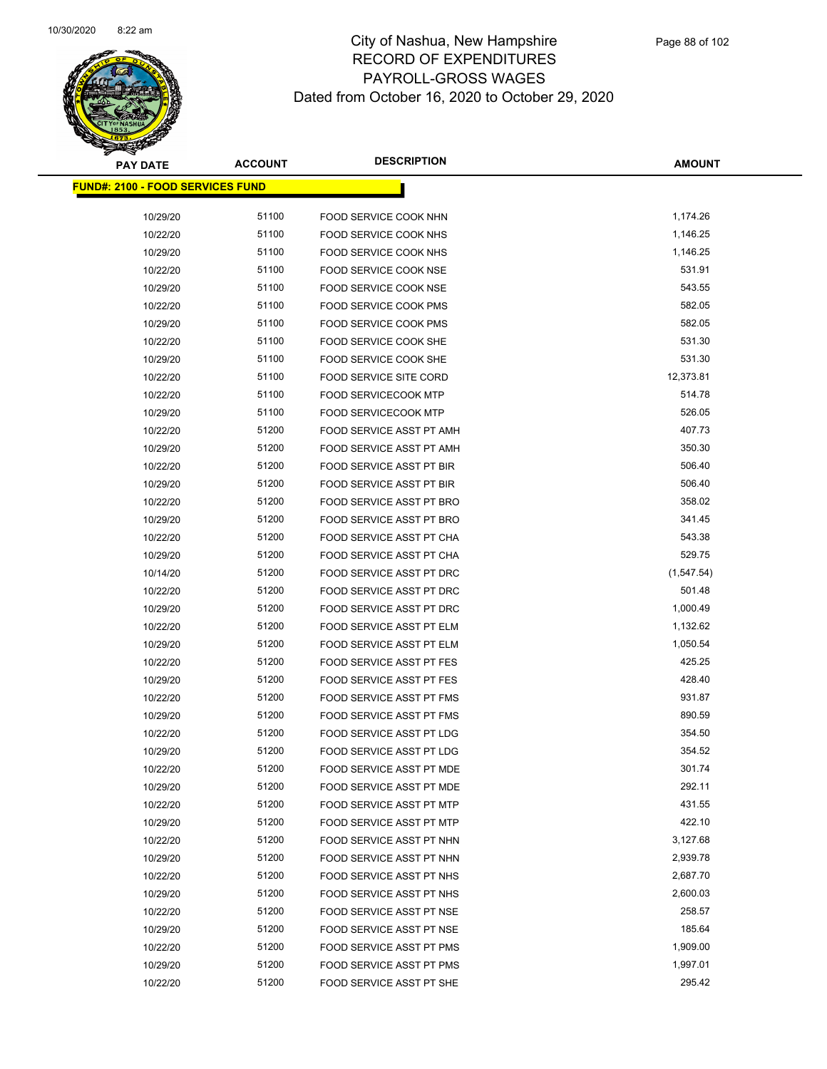

| <b>PAY DATE</b>                         | <b>ACCOUNT</b> | <b>DESCRIPTION</b>              | <b>AMOUNT</b> |
|-----------------------------------------|----------------|---------------------------------|---------------|
| <b>FUND#: 2100 - FOOD SERVICES FUND</b> |                |                                 |               |
|                                         |                |                                 |               |
| 10/29/20                                | 51100          | FOOD SERVICE COOK NHN           | 1,174.26      |
| 10/22/20                                | 51100          | FOOD SERVICE COOK NHS           | 1,146.25      |
| 10/29/20                                | 51100          | <b>FOOD SERVICE COOK NHS</b>    | 1,146.25      |
| 10/22/20                                | 51100          | FOOD SERVICE COOK NSE           | 531.91        |
| 10/29/20                                | 51100          | FOOD SERVICE COOK NSE           | 543.55        |
| 10/22/20                                | 51100          | <b>FOOD SERVICE COOK PMS</b>    | 582.05        |
| 10/29/20                                | 51100          | FOOD SERVICE COOK PMS           | 582.05        |
| 10/22/20                                | 51100          | FOOD SERVICE COOK SHE           | 531.30        |
| 10/29/20                                | 51100          | FOOD SERVICE COOK SHE           | 531.30        |
| 10/22/20                                | 51100          | <b>FOOD SERVICE SITE CORD</b>   | 12,373.81     |
| 10/22/20                                | 51100          | <b>FOOD SERVICECOOK MTP</b>     | 514.78        |
| 10/29/20                                | 51100          | <b>FOOD SERVICECOOK MTP</b>     | 526.05        |
| 10/22/20                                | 51200          | FOOD SERVICE ASST PT AMH        | 407.73        |
| 10/29/20                                | 51200          | FOOD SERVICE ASST PT AMH        | 350.30        |
| 10/22/20                                | 51200          | FOOD SERVICE ASST PT BIR        | 506.40        |
| 10/29/20                                | 51200          | <b>FOOD SERVICE ASST PT BIR</b> | 506.40        |
| 10/22/20                                | 51200          | FOOD SERVICE ASST PT BRO        | 358.02        |
| 10/29/20                                | 51200          | FOOD SERVICE ASST PT BRO        | 341.45        |
| 10/22/20                                | 51200          | FOOD SERVICE ASST PT CHA        | 543.38        |
| 10/29/20                                | 51200          | FOOD SERVICE ASST PT CHA        | 529.75        |
| 10/14/20                                | 51200          | FOOD SERVICE ASST PT DRC        | (1, 547.54)   |
| 10/22/20                                | 51200          | FOOD SERVICE ASST PT DRC        | 501.48        |
| 10/29/20                                | 51200          | FOOD SERVICE ASST PT DRC        | 1,000.49      |
| 10/22/20                                | 51200          | FOOD SERVICE ASST PT ELM        | 1,132.62      |
| 10/29/20                                | 51200          | FOOD SERVICE ASST PT ELM        | 1,050.54      |
| 10/22/20                                | 51200          | FOOD SERVICE ASST PT FES        | 425.25        |
| 10/29/20                                | 51200          | <b>FOOD SERVICE ASST PT FES</b> | 428.40        |
| 10/22/20                                | 51200          | FOOD SERVICE ASST PT FMS        | 931.87        |
| 10/29/20                                | 51200          | FOOD SERVICE ASST PT FMS        | 890.59        |
| 10/22/20                                | 51200          | FOOD SERVICE ASST PT LDG        | 354.50        |
| 10/29/20                                | 51200          | FOOD SERVICE ASST PT LDG        | 354.52        |
| 10/22/20                                | 51200          | FOOD SERVICE ASST PT MDE        | 301.74        |
| 10/29/20                                | 51200          | FOOD SERVICE ASST PT MDE        | 292.11        |
| 10/22/20                                | 51200          | FOOD SERVICE ASST PT MTP        | 431.55        |
| 10/29/20                                | 51200          | FOOD SERVICE ASST PT MTP        | 422.10        |
| 10/22/20                                | 51200          | FOOD SERVICE ASST PT NHN        | 3,127.68      |
| 10/29/20                                | 51200          | FOOD SERVICE ASST PT NHN        | 2,939.78      |
| 10/22/20                                | 51200          | FOOD SERVICE ASST PT NHS        | 2,687.70      |
| 10/29/20                                | 51200          | FOOD SERVICE ASST PT NHS        | 2,600.03      |
| 10/22/20                                | 51200          | FOOD SERVICE ASST PT NSE        | 258.57        |
| 10/29/20                                | 51200          | FOOD SERVICE ASST PT NSE        | 185.64        |
| 10/22/20                                | 51200          | FOOD SERVICE ASST PT PMS        | 1,909.00      |
| 10/29/20                                | 51200          | FOOD SERVICE ASST PT PMS        | 1,997.01      |
| 10/22/20                                | 51200          | FOOD SERVICE ASST PT SHE        | 295.42        |
|                                         |                |                                 |               |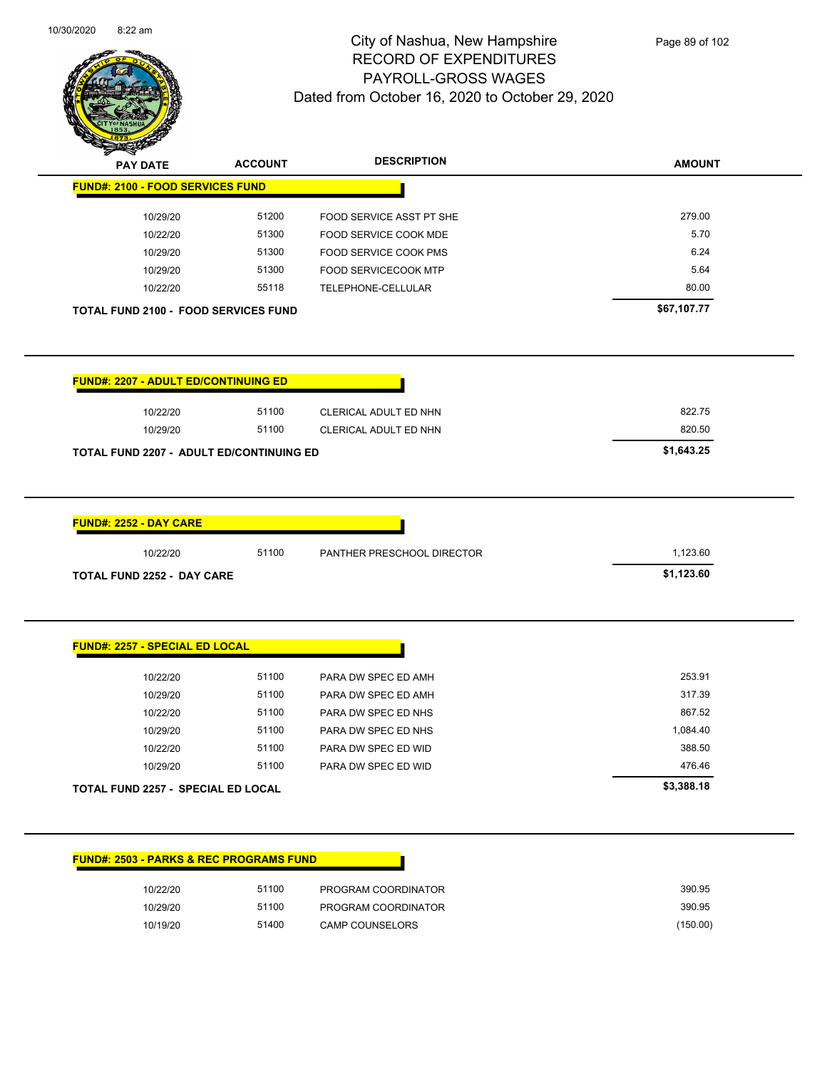

Page 89 of 102

| <b>PAY DATE</b>                                                                                                                                   | <b>ACCOUNT</b> | <b>DESCRIPTION</b>           | <b>AMOUNT</b> |
|---------------------------------------------------------------------------------------------------------------------------------------------------|----------------|------------------------------|---------------|
| <b>FUND#: 2100 - FOOD SERVICES FUND</b>                                                                                                           |                |                              |               |
| 10/29/20                                                                                                                                          | 51200          | FOOD SERVICE ASST PT SHE     | 279.00        |
| 10/22/20                                                                                                                                          | 51300          | FOOD SERVICE COOK MDE        | 5.70          |
| 10/29/20                                                                                                                                          | 51300          | FOOD SERVICE COOK PMS        | 6.24          |
| 10/29/20                                                                                                                                          | 51300          | <b>FOOD SERVICECOOK MTP</b>  | 5.64          |
| 10/22/20                                                                                                                                          | 55118          | TELEPHONE-CELLULAR           | 80.00         |
| <b>TOTAL FUND 2100 - FOOD SERVICES FUND</b>                                                                                                       |                |                              | \$67,107.77   |
| <b>FUND#: 2207 - ADULT ED/CONTINUING ED</b>                                                                                                       |                |                              |               |
| 10/22/20                                                                                                                                          | 51100          | <b>CLERICAL ADULT ED NHN</b> | 822.75        |
| 10/29/20                                                                                                                                          | 51100          | CLERICAL ADULT ED NHN        | 820.50        |
| TOTAL FUND 2207 - ADULT ED/CONTINUING ED                                                                                                          |                |                              | \$1,643.25    |
|                                                                                                                                                   |                |                              |               |
|                                                                                                                                                   |                |                              |               |
| 10/22/20                                                                                                                                          | 51100          | PANTHER PRESCHOOL DIRECTOR   | 1,123.60      |
|                                                                                                                                                   |                |                              | \$1,123.60    |
|                                                                                                                                                   |                |                              |               |
| 10/22/20                                                                                                                                          | 51100          | PARA DW SPEC ED AMH          | 253.91        |
| 10/29/20                                                                                                                                          | 51100          | PARA DW SPEC ED AMH          | 317.39        |
| 10/22/20                                                                                                                                          | 51100          | PARA DW SPEC ED NHS          | 867.52        |
| 10/29/20                                                                                                                                          | 51100          | PARA DW SPEC ED NHS          | 1,084.40      |
| 10/22/20                                                                                                                                          | 51100          | PARA DW SPEC ED WID          | 388.50        |
| 10/29/20                                                                                                                                          | 51100          | PARA DW SPEC ED WID          | 476.46        |
|                                                                                                                                                   |                |                              | \$3,388.18    |
| <b>FUND#: 2252 - DAY CARE</b><br><b>TOTAL FUND 2252 - DAY CARE</b><br><b>FUND#: 2257 - SPECIAL ED LOCAL</b><br>TOTAL FUND 2257 - SPECIAL ED LOCAL |                |                              |               |

| 10/22/20 | 51100 | PROGRAM COORDINATOR    | 390.95   |
|----------|-------|------------------------|----------|
| 10/29/20 | 51100 | PROGRAM COORDINATOR    | 390.95   |
| 10/19/20 | 51400 | <b>CAMP COUNSELORS</b> | (150.00) |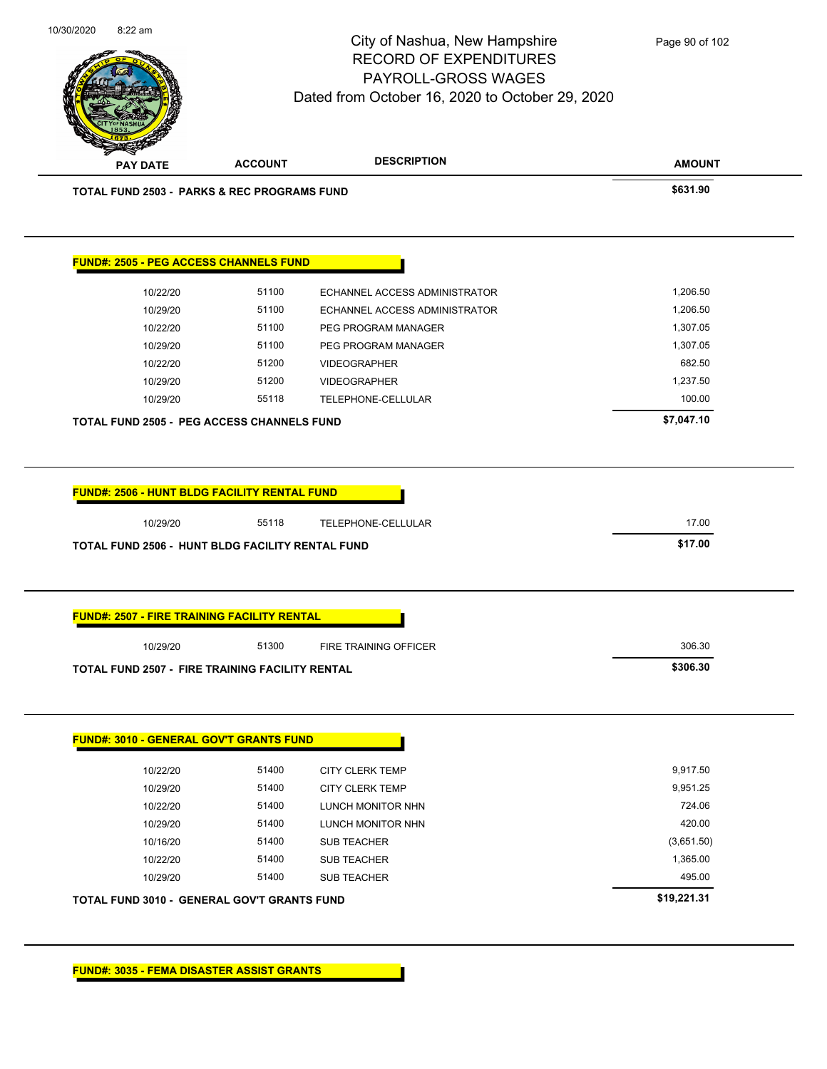

| <b>PAY DATE</b>                                                 |       |                                      |            |
|-----------------------------------------------------------------|-------|--------------------------------------|------------|
| <b>TOTAL FUND 2503 - PARKS &amp; REC PROGRAMS FUND</b>          |       |                                      | \$631.90   |
| <b>FUND#: 2505 - PEG ACCESS CHANNELS FUND</b>                   |       |                                      |            |
| 10/22/20                                                        | 51100 | ECHANNEL ACCESS ADMINISTRATOR        | 1,206.50   |
| 10/29/20                                                        | 51100 | <b>ECHANNEL ACCESS ADMINISTRATOR</b> | 1,206.50   |
| 10/22/20                                                        | 51100 | PEG PROGRAM MANAGER                  | 1,307.05   |
| 10/29/20                                                        | 51100 | PEG PROGRAM MANAGER                  | 1,307.05   |
| 10/22/20                                                        | 51200 | <b>VIDEOGRAPHER</b>                  | 682.50     |
| 10/29/20                                                        | 51200 | <b>VIDEOGRAPHER</b>                  | 1,237.50   |
| 10/29/20                                                        | 55118 | TELEPHONE-CELLULAR                   | 100.00     |
| <b>TOTAL FUND 2505 - PEG ACCESS CHANNELS FUND</b>               |       |                                      | \$7,047.10 |
|                                                                 |       |                                      |            |
|                                                                 |       |                                      |            |
| <b>FUND#: 2506 - HUNT BLDG FACILITY RENTAL FUND</b><br>10/29/20 | 55118 | TELEPHONE-CELLULAR                   | 17.00      |
| TOTAL FUND 2506 - HUNT BLDG FACILITY RENTAL FUND                |       |                                      | \$17.00    |
|                                                                 |       |                                      |            |
| <b>FUND#: 2507 - FIRE TRAINING FACILITY RENTAL</b>              |       |                                      |            |
| 10/29/20                                                        | 51300 | <b>FIRE TRAINING OFFICER</b>         | 306.30     |
| <b>TOTAL FUND 2507 - FIRE TRAINING FACILITY RENTAL</b>          |       |                                      | \$306.30   |
|                                                                 |       |                                      |            |
|                                                                 |       |                                      |            |
|                                                                 |       |                                      |            |
| 10/22/20                                                        | 51400 | CITY CLERK TEMP                      | 9,917.50   |
| 10/29/20                                                        | 51400 | CITY CLERK TEMP                      | 9,951.25   |
| 10/22/20                                                        | 51400 | <b>LUNCH MONITOR NHN</b>             | 724.06     |
| <b>FUND#: 3010 - GENERAL GOV'T GRANTS FUND</b><br>10/29/20      | 51400 | LUNCH MONITOR NHN                    | 420.00     |
| 10/16/20                                                        | 51400 | SUB TEACHER                          | (3,651.50) |
| 10/22/20                                                        | 51400 | SUB TEACHER                          | 1,365.00   |
| 10/29/20                                                        | 51400 | SUB TEACHER                          | 495.00     |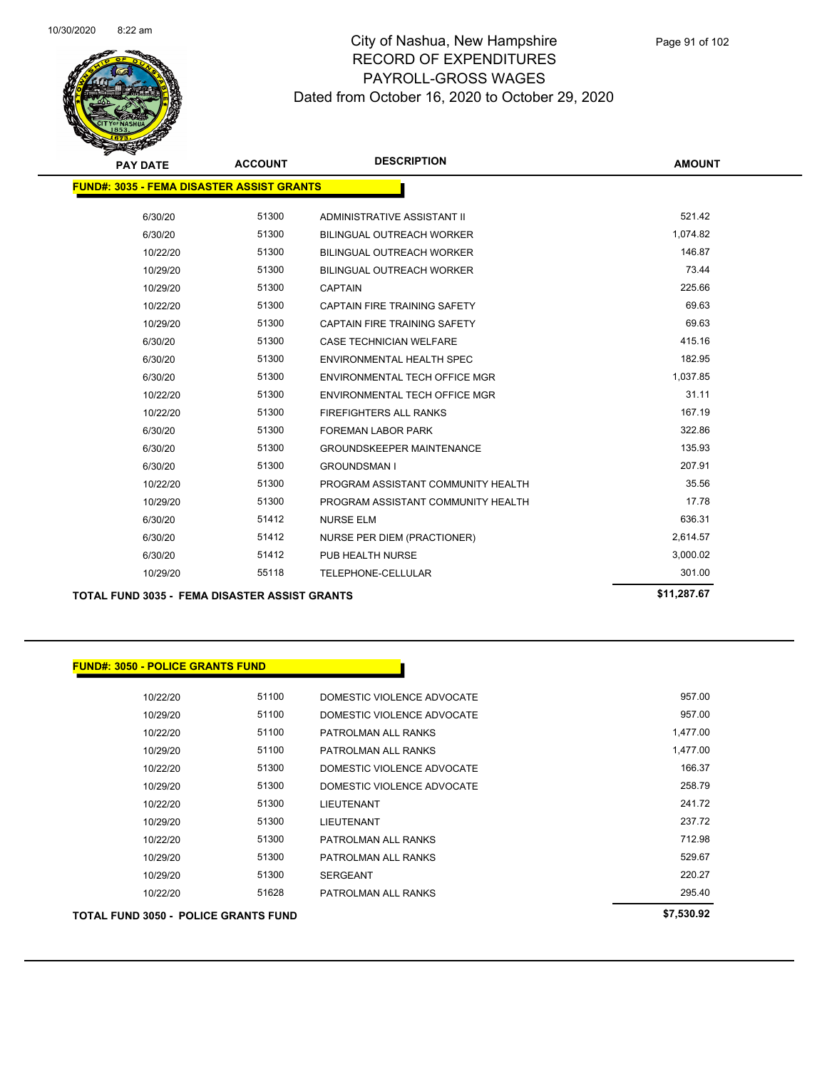

| <b>PAY DATE</b>                                      | <b>ACCOUNT</b> | <b>DESCRIPTION</b>                  | <b>AMOUNT</b> |
|------------------------------------------------------|----------------|-------------------------------------|---------------|
| <b>FUND#: 3035 - FEMA DISASTER ASSIST GRANTS</b>     |                |                                     |               |
| 6/30/20                                              | 51300          | ADMINISTRATIVE ASSISTANT II         | 521.42        |
| 6/30/20                                              | 51300          | <b>BILINGUAL OUTREACH WORKER</b>    | 1,074.82      |
| 10/22/20                                             | 51300          | <b>BILINGUAL OUTREACH WORKER</b>    | 146.87        |
| 10/29/20                                             | 51300          | <b>BILINGUAL OUTREACH WORKER</b>    | 73.44         |
| 10/29/20                                             | 51300          | <b>CAPTAIN</b>                      | 225.66        |
| 10/22/20                                             | 51300          | <b>CAPTAIN FIRE TRAINING SAFETY</b> | 69.63         |
| 10/29/20                                             | 51300          | <b>CAPTAIN FIRE TRAINING SAFETY</b> | 69.63         |
| 6/30/20                                              | 51300          | <b>CASE TECHNICIAN WELFARE</b>      | 415.16        |
| 6/30/20                                              | 51300          | <b>ENVIRONMENTAL HEALTH SPEC</b>    | 182.95        |
| 6/30/20                                              | 51300          | ENVIRONMENTAL TECH OFFICE MGR       | 1,037.85      |
| 10/22/20                                             | 51300          | ENVIRONMENTAL TECH OFFICE MGR       | 31.11         |
| 10/22/20                                             | 51300          | <b>FIREFIGHTERS ALL RANKS</b>       | 167.19        |
| 6/30/20                                              | 51300          | <b>FOREMAN LABOR PARK</b>           | 322.86        |
| 6/30/20                                              | 51300          | <b>GROUNDSKEEPER MAINTENANCE</b>    | 135.93        |
| 6/30/20                                              | 51300          | <b>GROUNDSMAN I</b>                 | 207.91        |
| 10/22/20                                             | 51300          | PROGRAM ASSISTANT COMMUNITY HEALTH  | 35.56         |
| 10/29/20                                             | 51300          | PROGRAM ASSISTANT COMMUNITY HEALTH  | 17.78         |
| 6/30/20                                              | 51412          | <b>NURSE ELM</b>                    | 636.31        |
| 6/30/20                                              | 51412          | <b>NURSE PER DIEM (PRACTIONER)</b>  | 2,614.57      |
| 6/30/20                                              | 51412          | PUB HEALTH NURSE                    | 3,000.02      |
| 10/29/20                                             | 55118          | TELEPHONE-CELLULAR                  | 301.00        |
| <b>TOTAL FUND 3035 - FEMA DISASTER ASSIST GRANTS</b> |                |                                     | \$11,287.67   |

| <b>FUND#: 3050 - POLICE GRANTS FUND</b>     |       |                            |            |
|---------------------------------------------|-------|----------------------------|------------|
|                                             | 51100 |                            | 957.00     |
| 10/22/20                                    |       | DOMESTIC VIOLENCE ADVOCATE |            |
| 10/29/20                                    | 51100 | DOMESTIC VIOLENCE ADVOCATE | 957.00     |
| 10/22/20                                    | 51100 | PATROLMAN ALL RANKS        | 1,477.00   |
| 10/29/20                                    | 51100 | PATROLMAN ALL RANKS        | 1,477.00   |
| 10/22/20                                    | 51300 | DOMESTIC VIOLENCE ADVOCATE | 166.37     |
| 10/29/20                                    | 51300 | DOMESTIC VIOLENCE ADVOCATE | 258.79     |
| 10/22/20                                    | 51300 | <b>LIEUTENANT</b>          | 241.72     |
| 10/29/20                                    | 51300 | <b>LIEUTENANT</b>          | 237.72     |
| 10/22/20                                    | 51300 | PATROLMAN ALL RANKS        | 712.98     |
| 10/29/20                                    | 51300 | PATROLMAN ALL RANKS        | 529.67     |
| 10/29/20                                    | 51300 | <b>SERGEANT</b>            | 220.27     |
| 10/22/20                                    | 51628 | PATROLMAN ALL RANKS        | 295.40     |
| <b>TOTAL FUND 3050 - POLICE GRANTS FUND</b> |       |                            | \$7,530.92 |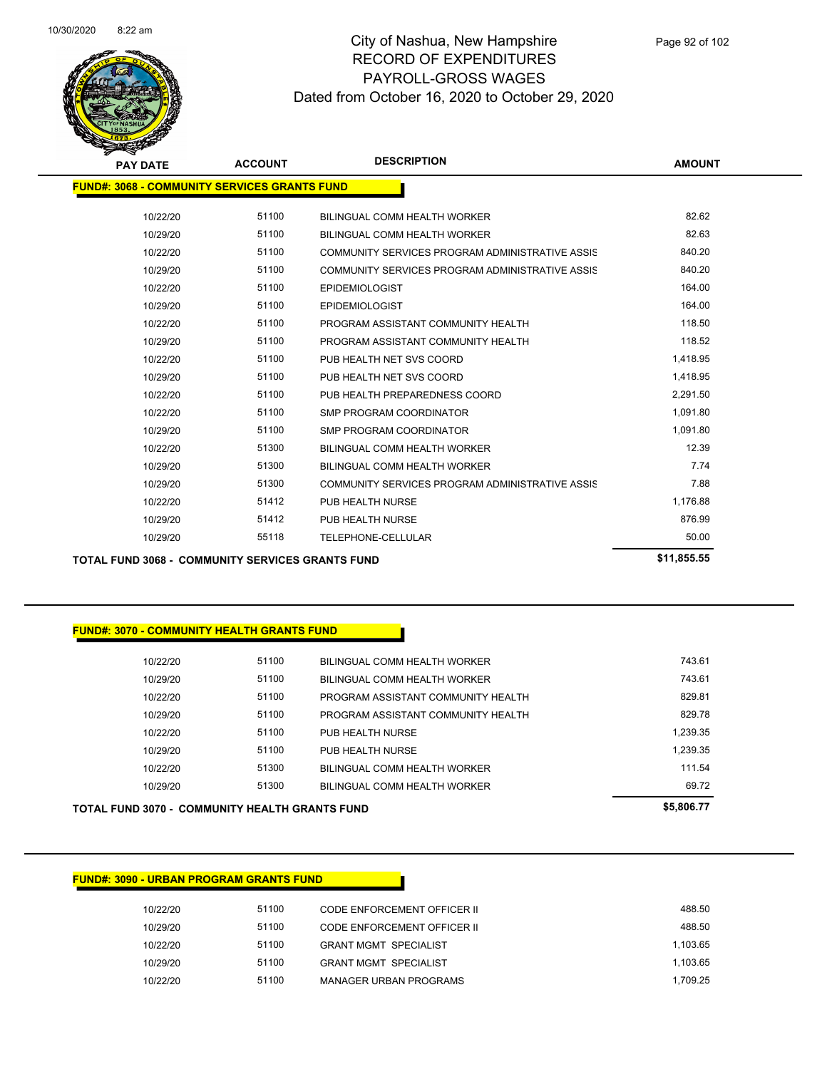

| <b>PAY DATE</b>                                     | <b>ACCOUNT</b> | <b>DESCRIPTION</b>                              | <b>AMOUNT</b> |
|-----------------------------------------------------|----------------|-------------------------------------------------|---------------|
| <b>FUND#: 3068 - COMMUNITY SERVICES GRANTS FUND</b> |                |                                                 |               |
| 10/22/20                                            | 51100          | BILINGUAL COMM HEALTH WORKER                    | 82.62         |
| 10/29/20                                            | 51100          | BILINGUAL COMM HEALTH WORKER                    | 82.63         |
| 10/22/20                                            | 51100          | COMMUNITY SERVICES PROGRAM ADMINISTRATIVE ASSIS | 840.20        |
| 10/29/20                                            | 51100          | COMMUNITY SERVICES PROGRAM ADMINISTRATIVE ASSIS | 840.20        |
| 10/22/20                                            | 51100          | <b>EPIDEMIOLOGIST</b>                           | 164.00        |
| 10/29/20                                            | 51100          | <b>EPIDEMIOLOGIST</b>                           | 164.00        |
| 10/22/20                                            | 51100          | PROGRAM ASSISTANT COMMUNITY HEALTH              | 118.50        |
| 10/29/20                                            | 51100          | PROGRAM ASSISTANT COMMUNITY HEALTH              | 118.52        |
| 10/22/20                                            | 51100          | PUB HEALTH NET SVS COORD                        | 1,418.95      |
| 10/29/20                                            | 51100          | PUB HEALTH NET SVS COORD                        | 1,418.95      |
| 10/22/20                                            | 51100          | PUB HEALTH PREPAREDNESS COORD                   | 2,291.50      |
| 10/22/20                                            | 51100          | SMP PROGRAM COORDINATOR                         | 1,091.80      |
| 10/29/20                                            | 51100          | SMP PROGRAM COORDINATOR                         | 1,091.80      |
| 10/22/20                                            | 51300          | BILINGUAL COMM HEALTH WORKER                    | 12.39         |
| 10/29/20                                            | 51300          | BILINGUAL COMM HEALTH WORKER                    | 7.74          |
| 10/29/20                                            | 51300          | COMMUNITY SERVICES PROGRAM ADMINISTRATIVE ASSIS | 7.88          |
| 10/22/20                                            | 51412          | PUB HEALTH NURSE                                | 1,176.88      |
| 10/29/20                                            | 51412          | PUB HEALTH NURSE                                | 876.99        |
| 10/29/20                                            | 55118          | TELEPHONE-CELLULAR                              | 50.00         |
|                                                     |                |                                                 |               |

#### **TOTAL FUND 3068 - COMMUNITY SERVICES GRANTS FUND \$11,855.55**

#### **FUND#: 3070 - COMMUNITY HEALTH GRANTS FUND**

| 10/22/20 | 51100 | BILINGUAL COMM HEALTH WORKER       | 743.61   |
|----------|-------|------------------------------------|----------|
| 10/29/20 | 51100 | BILINGUAL COMM HEALTH WORKER       | 743.61   |
| 10/22/20 | 51100 | PROGRAM ASSISTANT COMMUNITY HEALTH | 829.81   |
| 10/29/20 | 51100 | PROGRAM ASSISTANT COMMUNITY HEALTH | 829 78   |
| 10/22/20 | 51100 | PUB HEALTH NURSE                   | 1.239.35 |
| 10/29/20 | 51100 | PUR HEALTH NURSE                   | 1.239.35 |
| 10/22/20 | 51300 | BILINGUAL COMM HEALTH WORKER       | 111 54   |
| 10/29/20 | 51300 | BILINGUAL COMM HEALTH WORKER       | 69.72    |
|          |       |                                    |          |

### **TOTAL FUND 3070 - COMMUNITY HEALTH GRANTS FUND \$5,806.77**

| <b>FUND#: 3090 - URBAN PROGRAM GRANTS FUND</b> |  |
|------------------------------------------------|--|
|                                                |  |

| 10/22/20 | 51100 | CODE ENFORCEMENT OFFICER II   | 488.50   |
|----------|-------|-------------------------------|----------|
| 10/29/20 | 51100 | CODE ENFORCEMENT OFFICER II   | 488.50   |
| 10/22/20 | 51100 | <b>GRANT MGMT SPECIALIST</b>  | 1.103.65 |
| 10/29/20 | 51100 | <b>GRANT MGMT SPECIALIST</b>  | 1.103.65 |
| 10/22/20 | 51100 | <b>MANAGER URBAN PROGRAMS</b> | 1.709.25 |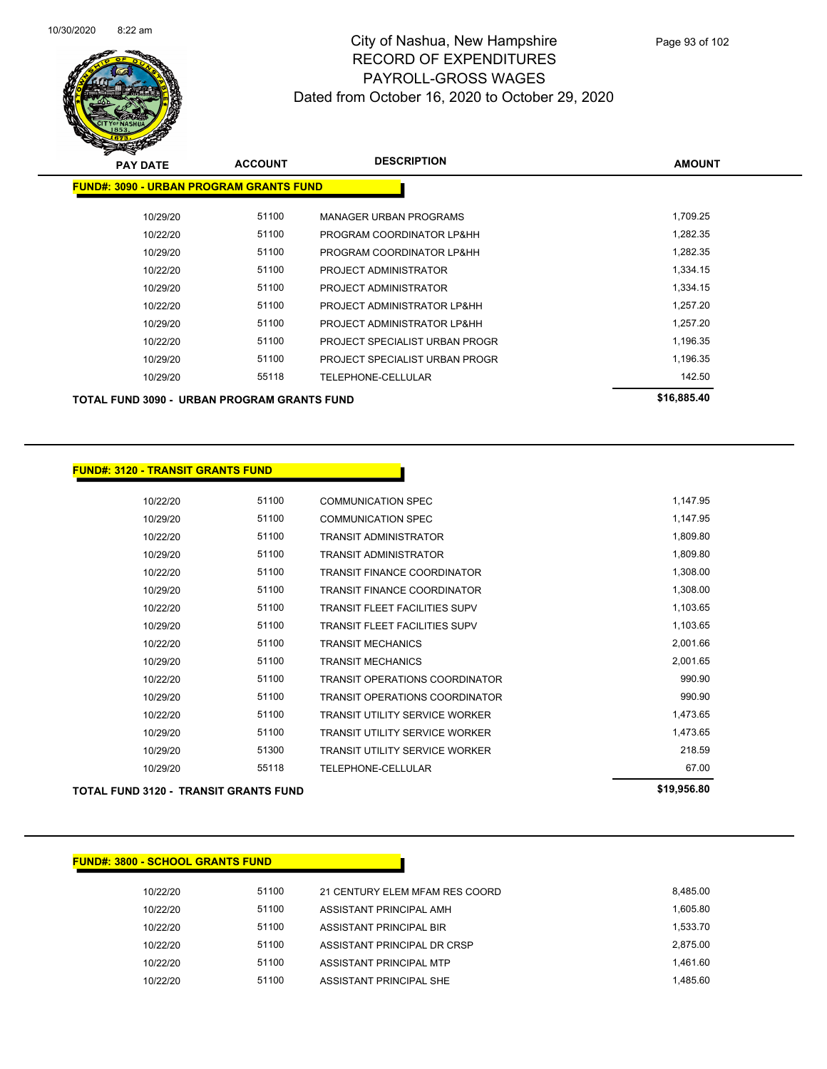

| <b>PAY DATE</b>                                | <b>ACCOUNT</b> | <b>DESCRIPTION</b>             | <b>AMOUNT</b> |
|------------------------------------------------|----------------|--------------------------------|---------------|
| <b>FUND#: 3090 - URBAN PROGRAM GRANTS FUND</b> |                |                                |               |
| 10/29/20                                       | 51100          | <b>MANAGER URBAN PROGRAMS</b>  | 1,709.25      |
| 10/22/20                                       | 51100          | PROGRAM COORDINATOR LP&HH      | 1,282.35      |
| 10/29/20                                       | 51100          | PROGRAM COORDINATOR LP&HH      | 1,282.35      |
| 10/22/20                                       | 51100          | PROJECT ADMINISTRATOR          | 1,334.15      |
| 10/29/20                                       | 51100          | PROJECT ADMINISTRATOR          | 1,334.15      |
| 10/22/20                                       | 51100          | PROJECT ADMINISTRATOR LP&HH    | 1,257.20      |
| 10/29/20                                       | 51100          | PROJECT ADMINISTRATOR LP&HH    | 1,257.20      |
| 10/22/20                                       | 51100          | PROJECT SPECIALIST URBAN PROGR | 1,196.35      |
| 10/29/20                                       | 51100          | PROJECT SPECIALIST URBAN PROGR | 1,196.35      |
| 10/29/20                                       | 55118          | TELEPHONE-CELLULAR             | 142.50        |
| TOTAL FUND 3090 - URBAN PROGRAM GRANTS FUND    |                |                                | \$16,885.40   |

#### **FUND#: 3120 - TRANSIT GRANTS FUND**

|          |       |                                       | \$19,956.80                                  |
|----------|-------|---------------------------------------|----------------------------------------------|
| 10/29/20 | 55118 | TELEPHONE-CELLULAR                    | 67.00                                        |
| 10/29/20 | 51300 | TRANSIT UTILITY SERVICE WORKER        | 218.59                                       |
| 10/29/20 | 51100 | TRANSIT UTILITY SERVICE WORKER        | 1,473.65                                     |
| 10/22/20 | 51100 | TRANSIT UTILITY SERVICE WORKER        | 1,473.65                                     |
| 10/29/20 | 51100 | <b>TRANSIT OPERATIONS COORDINATOR</b> | 990.90                                       |
| 10/22/20 | 51100 | <b>TRANSIT OPERATIONS COORDINATOR</b> | 990.90                                       |
| 10/29/20 | 51100 | <b>TRANSIT MECHANICS</b>              | 2,001.65                                     |
| 10/22/20 | 51100 | <b>TRANSIT MECHANICS</b>              | 2,001.66                                     |
| 10/29/20 | 51100 | <b>TRANSIT FLEET FACILITIES SUPV</b>  | 1,103.65                                     |
| 10/22/20 | 51100 | <b>TRANSIT FLEET FACILITIES SUPV</b>  | 1,103.65                                     |
| 10/29/20 | 51100 | <b>TRANSIT FINANCE COORDINATOR</b>    | 1,308.00                                     |
| 10/22/20 | 51100 | <b>TRANSIT FINANCE COORDINATOR</b>    | 1,308.00                                     |
| 10/29/20 | 51100 | <b>TRANSIT ADMINISTRATOR</b>          | 1,809.80                                     |
| 10/22/20 | 51100 | TRANSIT ADMINISTRATOR                 | 1,809.80                                     |
| 10/29/20 | 51100 | <b>COMMUNICATION SPEC</b>             | 1,147.95                                     |
| 10/22/20 | 51100 | <b>COMMUNICATION SPEC</b>             | 1,147.95                                     |
|          |       |                                       | <b>TOTAL FUND 3120 - TRANSIT GRANTS FUND</b> |

### **FUND#: 3800 - SCHOOL GRANTS FUND**

| 10/22/20 | 51100 | 21 CENTURY ELEM MFAM RES COORD | 8.485.00 |
|----------|-------|--------------------------------|----------|
| 10/22/20 | 51100 | ASSISTANT PRINCIPAL AMH        | 1.605.80 |
| 10/22/20 | 51100 | ASSISTANT PRINCIPAL BIR        | 1.533.70 |
| 10/22/20 | 51100 | ASSISTANT PRINCIPAL DR CRSP    | 2.875.00 |
| 10/22/20 | 51100 | ASSISTANT PRINCIPAL MTP        | 1.461.60 |
| 10/22/20 | 51100 | ASSISTANT PRINCIPAL SHE        | 1.485.60 |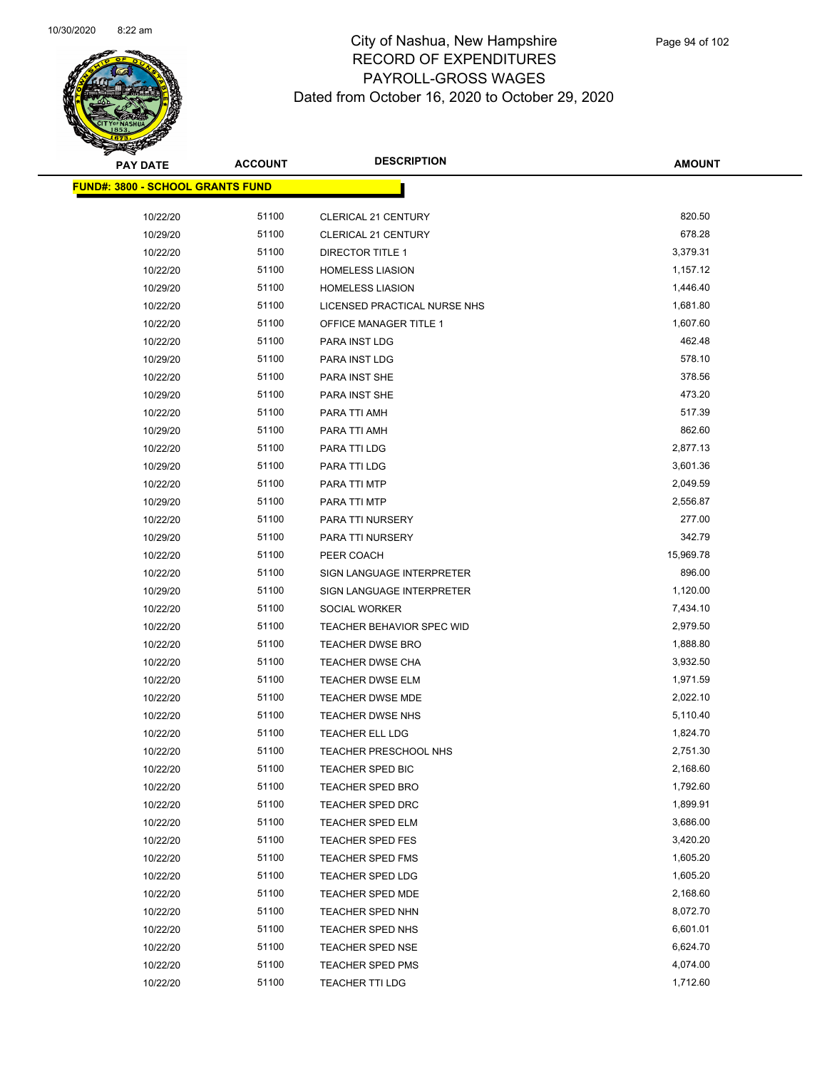

| <b>PAY DATE</b>                         | <b>ACCOUNT</b> | <b>DESCRIPTION</b>            | <b>AMOUNT</b> |
|-----------------------------------------|----------------|-------------------------------|---------------|
| <b>FUND#: 3800 - SCHOOL GRANTS FUND</b> |                |                               |               |
| 10/22/20                                | 51100          | CLERICAL 21 CENTURY           | 820.50        |
| 10/29/20                                | 51100          | <b>CLERICAL 21 CENTURY</b>    | 678.28        |
| 10/22/20                                | 51100          | <b>DIRECTOR TITLE 1</b>       | 3,379.31      |
| 10/22/20                                | 51100          | <b>HOMELESS LIASION</b>       | 1,157.12      |
| 10/29/20                                | 51100          | <b>HOMELESS LIASION</b>       | 1,446.40      |
| 10/22/20                                | 51100          | LICENSED PRACTICAL NURSE NHS  | 1,681.80      |
| 10/22/20                                | 51100          | <b>OFFICE MANAGER TITLE 1</b> | 1,607.60      |
| 10/22/20                                | 51100          | PARA INST LDG                 | 462.48        |
| 10/29/20                                | 51100          | PARA INST LDG                 | 578.10        |
| 10/22/20                                | 51100          | PARA INST SHE                 | 378.56        |
| 10/29/20                                | 51100          | PARA INST SHE                 | 473.20        |
| 10/22/20                                | 51100          | PARA TTI AMH                  | 517.39        |
| 10/29/20                                | 51100          | PARA TTI AMH                  | 862.60        |
| 10/22/20                                | 51100          | PARA TTI LDG                  | 2,877.13      |
| 10/29/20                                | 51100          | PARA TTI LDG                  | 3,601.36      |
| 10/22/20                                | 51100          | PARA TTI MTP                  | 2,049.59      |
| 10/29/20                                | 51100          | PARA TTI MTP                  | 2,556.87      |
| 10/22/20                                | 51100          | PARA TTI NURSERY              | 277.00        |
| 10/29/20                                | 51100          | PARA TTI NURSERY              | 342.79        |
| 10/22/20                                | 51100          | PEER COACH                    | 15,969.78     |
| 10/22/20                                | 51100          | SIGN LANGUAGE INTERPRETER     | 896.00        |
| 10/29/20                                | 51100          | SIGN LANGUAGE INTERPRETER     | 1,120.00      |
| 10/22/20                                | 51100          | SOCIAL WORKER                 | 7,434.10      |
| 10/22/20                                | 51100          | TEACHER BEHAVIOR SPEC WID     | 2,979.50      |
| 10/22/20                                | 51100          | <b>TEACHER DWSE BRO</b>       | 1,888.80      |
| 10/22/20                                | 51100          | <b>TEACHER DWSE CHA</b>       | 3,932.50      |
| 10/22/20                                | 51100          | <b>TEACHER DWSE ELM</b>       | 1,971.59      |
| 10/22/20                                | 51100          | <b>TEACHER DWSE MDE</b>       | 2,022.10      |
| 10/22/20                                | 51100          | <b>TEACHER DWSE NHS</b>       | 5,110.40      |
| 10/22/20                                | 51100          | TEACHER ELL LDG               | 1,824.70      |
| 10/22/20                                | 51100          | <b>TEACHER PRESCHOOL NHS</b>  | 2,751.30      |
| 10/22/20                                | 51100          | <b>TEACHER SPED BIC</b>       | 2,168.60      |
| 10/22/20                                | 51100          | TEACHER SPED BRO              | 1,792.60      |
| 10/22/20                                | 51100          | TEACHER SPED DRC              | 1,899.91      |
| 10/22/20                                | 51100          | <b>TEACHER SPED ELM</b>       | 3,686.00      |
| 10/22/20                                | 51100          | TEACHER SPED FES              | 3,420.20      |
| 10/22/20                                | 51100          | TEACHER SPED FMS              | 1,605.20      |
| 10/22/20                                | 51100          | <b>TEACHER SPED LDG</b>       | 1,605.20      |
| 10/22/20                                | 51100          | TEACHER SPED MDE              | 2,168.60      |
| 10/22/20                                | 51100          | TEACHER SPED NHN              | 8,072.70      |
| 10/22/20                                | 51100          | TEACHER SPED NHS              | 6,601.01      |
| 10/22/20                                | 51100          | <b>TEACHER SPED NSE</b>       | 6,624.70      |
| 10/22/20                                | 51100          | TEACHER SPED PMS              | 4,074.00      |
| 10/22/20                                | 51100          | <b>TEACHER TTI LDG</b>        | 1,712.60      |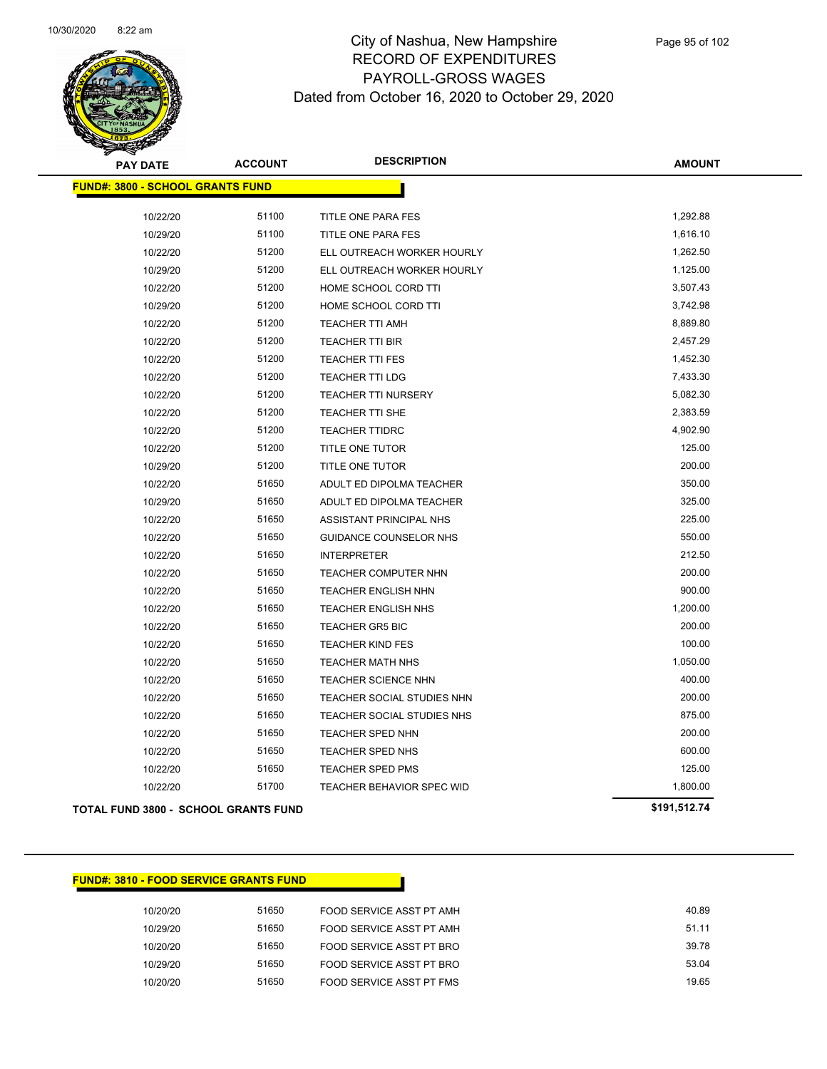

| <b>PAY DATE</b>                             | <b>ACCOUNT</b> | <b>DESCRIPTION</b>            | <b>AMOUNT</b> |
|---------------------------------------------|----------------|-------------------------------|---------------|
| <b>FUND#: 3800 - SCHOOL GRANTS FUND</b>     |                |                               |               |
|                                             |                |                               |               |
| 10/22/20                                    | 51100          | TITLE ONE PARA FES            | 1,292.88      |
| 10/29/20                                    | 51100          | TITLE ONE PARA FES            | 1,616.10      |
| 10/22/20                                    | 51200          | ELL OUTREACH WORKER HOURLY    | 1,262.50      |
| 10/29/20                                    | 51200          | ELL OUTREACH WORKER HOURLY    | 1,125.00      |
| 10/22/20                                    | 51200          | HOME SCHOOL CORD TTI          | 3,507.43      |
| 10/29/20                                    | 51200          | HOME SCHOOL CORD TTI          | 3,742.98      |
| 10/22/20                                    | 51200          | <b>TEACHER TTI AMH</b>        | 8,889.80      |
| 10/22/20                                    | 51200          | <b>TEACHER TTI BIR</b>        | 2,457.29      |
| 10/22/20                                    | 51200          | <b>TEACHER TTI FES</b>        | 1,452.30      |
| 10/22/20                                    | 51200          | <b>TEACHER TTI LDG</b>        | 7,433.30      |
| 10/22/20                                    | 51200          | TEACHER TTI NURSERY           | 5,082.30      |
| 10/22/20                                    | 51200          | TEACHER TTI SHE               | 2,383.59      |
| 10/22/20                                    | 51200          | <b>TEACHER TTIDRC</b>         | 4,902.90      |
| 10/22/20                                    | 51200          | TITLE ONE TUTOR               | 125.00        |
| 10/29/20                                    | 51200          | TITLE ONE TUTOR               | 200.00        |
| 10/22/20                                    | 51650          | ADULT ED DIPOLMA TEACHER      | 350.00        |
| 10/29/20                                    | 51650          | ADULT ED DIPOLMA TEACHER      | 325.00        |
| 10/22/20                                    | 51650          | ASSISTANT PRINCIPAL NHS       | 225.00        |
| 10/22/20                                    | 51650          | <b>GUIDANCE COUNSELOR NHS</b> | 550.00        |
| 10/22/20                                    | 51650          | <b>INTERPRETER</b>            | 212.50        |
| 10/22/20                                    | 51650          | TEACHER COMPUTER NHN          | 200.00        |
| 10/22/20                                    | 51650          | TEACHER ENGLISH NHN           | 900.00        |
| 10/22/20                                    | 51650          | TEACHER ENGLISH NHS           | 1,200.00      |
| 10/22/20                                    | 51650          | <b>TEACHER GR5 BIC</b>        | 200.00        |
| 10/22/20                                    | 51650          | <b>TEACHER KIND FES</b>       | 100.00        |
| 10/22/20                                    | 51650          | <b>TEACHER MATH NHS</b>       | 1,050.00      |
| 10/22/20                                    | 51650          | <b>TEACHER SCIENCE NHN</b>    | 400.00        |
| 10/22/20                                    | 51650          | TEACHER SOCIAL STUDIES NHN    | 200.00        |
| 10/22/20                                    | 51650          | TEACHER SOCIAL STUDIES NHS    | 875.00        |
| 10/22/20                                    | 51650          | <b>TEACHER SPED NHN</b>       | 200.00        |
| 10/22/20                                    | 51650          | TEACHER SPED NHS              | 600.00        |
| 10/22/20                                    | 51650          | TEACHER SPED PMS              | 125.00        |
| 10/22/20                                    | 51700          | TEACHER BEHAVIOR SPEC WID     | 1,800.00      |
| <b>TOTAL FUND 3800 - SCHOOL GRANTS FUND</b> |                |                               | \$191,512.74  |

#### **FUND#: 3810 - FOOD SERVICE GRANTS FUND**

| 10/20/20 | 51650 | FOOD SERVICE ASST PT AMH | 40.89 |
|----------|-------|--------------------------|-------|
| 10/29/20 | 51650 | FOOD SERVICE ASST PT AMH | 51.11 |
| 10/20/20 | 51650 | FOOD SERVICE ASST PT BRO | 39.78 |
| 10/29/20 | 51650 | FOOD SERVICE ASST PT BRO | 53.04 |
| 10/20/20 | 51650 | FOOD SERVICE ASST PT FMS | 19.65 |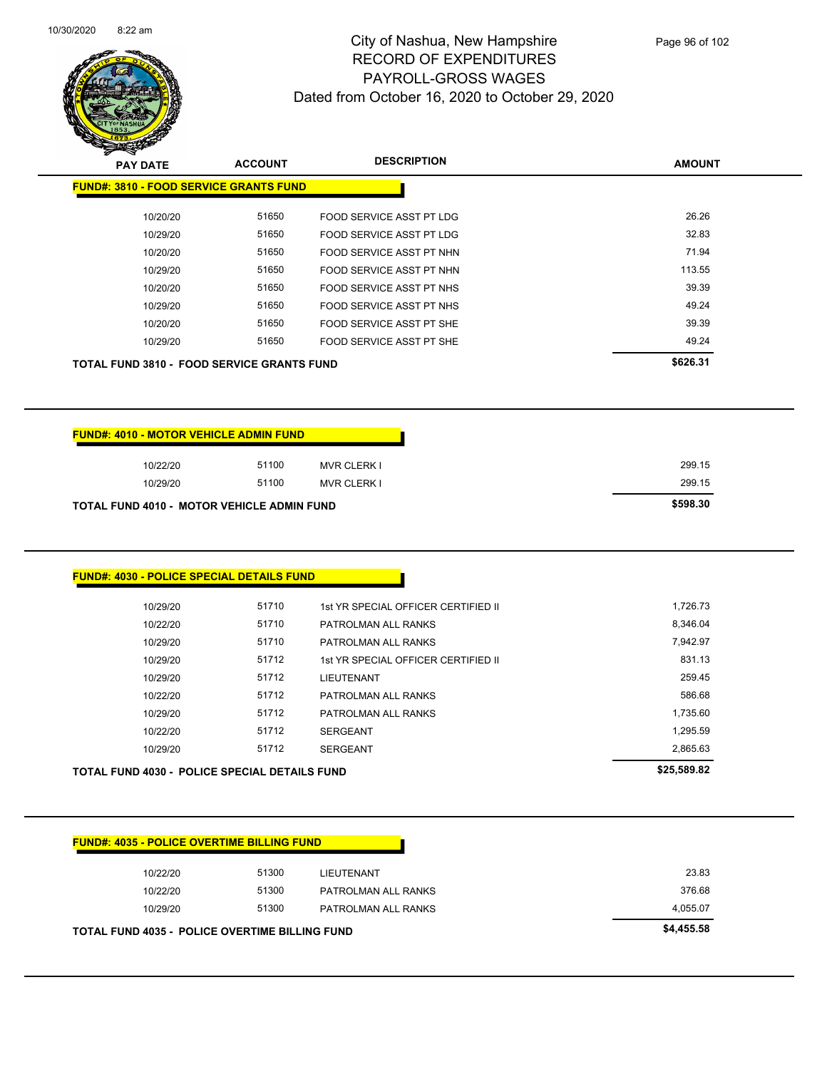

| <b>PAY DATE</b> | <b>ACCOUNT</b>                                    | <b>DESCRIPTION</b>       | <b>AMOUNT</b> |
|-----------------|---------------------------------------------------|--------------------------|---------------|
|                 | <b>FUND#: 3810 - FOOD SERVICE GRANTS FUND</b>     |                          |               |
| 10/20/20        | 51650                                             | FOOD SERVICE ASST PT LDG | 26.26         |
| 10/29/20        | 51650                                             | FOOD SERVICE ASST PT LDG | 32.83         |
| 10/20/20        | 51650                                             | FOOD SERVICE ASST PT NHN | 71.94         |
| 10/29/20        | 51650                                             | FOOD SERVICE ASST PT NHN | 113.55        |
| 10/20/20        | 51650                                             | FOOD SERVICE ASST PT NHS | 39.39         |
| 10/29/20        | 51650                                             | FOOD SERVICE ASST PT NHS | 49.24         |
| 10/20/20        | 51650                                             | FOOD SERVICE ASST PT SHE | 39.39         |
| 10/29/20        | 51650                                             | FOOD SERVICE ASST PT SHE | 49.24         |
|                 | <b>TOTAL FUND 3810 - FOOD SERVICE GRANTS FUND</b> |                          | \$626.31      |

| <b>FUND#: 4010 - MOTOR VEHICLE ADMIN FUND</b>     |       |                    |
|---------------------------------------------------|-------|--------------------|
| 10/22/20                                          | 51100 | <b>MVR CLERK I</b> |
| 10/29/20                                          | 51100 | <b>MVR CLERK I</b> |
| <b>TOTAL FUND 4010 - MOTOR VEHICLE ADMIN FUND</b> |       |                    |

### **FUND#: 4030 - POLICE SPECIAL DETAILS FUND**

| 10/29/20<br><b>TOTAL FUND 4030 - POLICE SPECIAL DETAILS FUND</b> | 51712 | <b>SERGEANT</b>                     | 2,865.63<br>\$25,589.82 |
|------------------------------------------------------------------|-------|-------------------------------------|-------------------------|
| 10/22/20                                                         | 51712 | <b>SERGEANT</b>                     | 1,295.59                |
| 10/29/20                                                         | 51712 | PATROLMAN ALL RANKS                 | 1,735.60                |
| 10/22/20                                                         | 51712 | PATROLMAN ALL RANKS                 | 586.68                  |
| 10/29/20                                                         | 51712 | <b>LIEUTENANT</b>                   | 259.45                  |
| 10/29/20                                                         | 51712 | 1st YR SPECIAL OFFICER CERTIFIED II | 831.13                  |
| 10/29/20                                                         | 51710 | PATROLMAN ALL RANKS                 | 7.942.97                |
| 10/22/20                                                         | 51710 | PATROLMAN ALL RANKS                 | 8,346.04                |
| 10/29/20                                                         | 51710 | 1st YR SPECIAL OFFICER CERTIFIED II | 1,726.73                |
|                                                                  |       |                                     |                         |

| <b>FUND#: 4035 - POLICE OVERTIME BILLING FUND</b> |          |                                                       |                     |
|---------------------------------------------------|----------|-------------------------------------------------------|---------------------|
|                                                   | 10/22/20 | 51300                                                 | LIEUTENANT          |
|                                                   | 10/22/20 | 51300                                                 | PATROLMAN ALL RANKS |
|                                                   | 10/29/20 | 51300                                                 | PATROLMAN ALL RANKS |
|                                                   |          | <b>TOTAL FUND 4035 - POLICE OVERTIME BILLING FUND</b> |                     |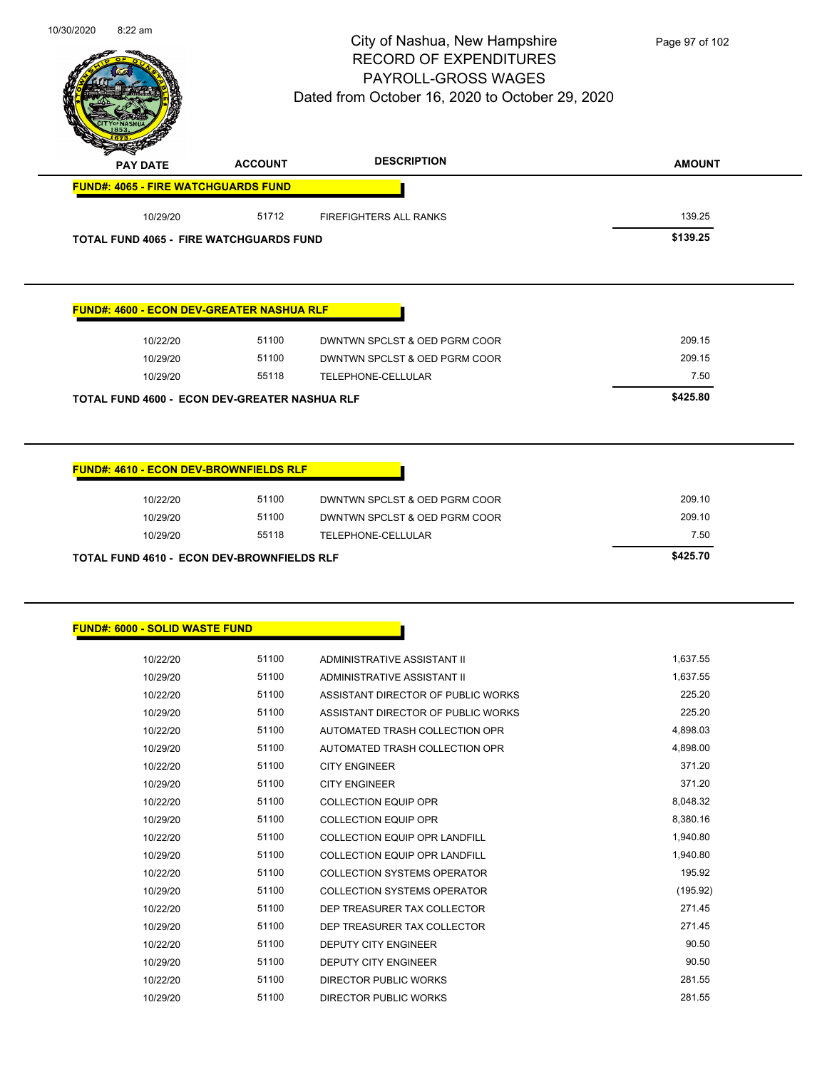|                                                   |                | City of Nashua, New Hampshire<br><b>RECORD OF EXPENDITURES</b><br>PAYROLL-GROSS WAGES<br>Dated from October 16, 2020 to October 29, 2020 | Page 97 of 102     |
|---------------------------------------------------|----------------|------------------------------------------------------------------------------------------------------------------------------------------|--------------------|
| <b>PAY DATE</b>                                   | <b>ACCOUNT</b> | <b>DESCRIPTION</b>                                                                                                                       | <b>AMOUNT</b>      |
| <b>FUND#: 4065 - FIRE WATCHGUARDS FUND</b>        |                |                                                                                                                                          |                    |
| 10/29/20                                          | 51712          | <b>FIREFIGHTERS ALL RANKS</b>                                                                                                            | 139.25             |
| <b>TOTAL FUND 4065 - FIRE WATCHGUARDS FUND</b>    |                |                                                                                                                                          | \$139.25           |
| <b>FUND#: 4600 - ECON DEV-GREATER NASHUA RLF</b>  |                |                                                                                                                                          |                    |
| 10/22/20                                          | 51100          | DWNTWN SPCLST & OED PGRM COOR                                                                                                            | 209.15             |
| 10/29/20                                          | 51100          | DWNTWN SPCLST & OED PGRM COOR                                                                                                            | 209.15             |
| 10/29/20                                          | 55118          | TELEPHONE-CELLULAR                                                                                                                       | 7.50               |
| TOTAL FUND 4600 - ECON DEV-GREATER NASHUA RLF     |                |                                                                                                                                          | \$425.80           |
| 10/29/20                                          | 55118          | TELEPHONE-CELLULAR                                                                                                                       | 7.50<br>\$425.70   |
| <b>TOTAL FUND 4610 - ECON DEV-BROWNFIELDS RLF</b> |                |                                                                                                                                          |                    |
| <b>FUND#: 6000 - SOLID WASTE FUND</b>             |                |                                                                                                                                          |                    |
| 10/22/20                                          | 51100          | ADMINISTRATIVE ASSISTANT II                                                                                                              | 1,637.55           |
| 10/29/20                                          | 51100          | ADMINISTRATIVE ASSISTANT II                                                                                                              | 1,637.55           |
| 10/22/20                                          | 51100          | ASSISTANT DIRECTOR OF PUBLIC WORKS                                                                                                       | 225.20             |
| 10/29/20                                          | 51100          | ASSISTANT DIRECTOR OF PUBLIC WORKS                                                                                                       | 225.20             |
| 10/22/20                                          | 51100          | AUTOMATED TRASH COLLECTION OPR                                                                                                           | 4,898.03           |
| 10/29/20                                          | 51100          | AUTOMATED TRASH COLLECTION OPR                                                                                                           | 4,898.00<br>371.20 |
| 10/22/20<br>10/29/20                              | 51100<br>51100 | <b>CITY ENGINEER</b><br><b>CITY ENGINEER</b>                                                                                             | 371.20             |
| 10/22/20                                          | 51100          | <b>COLLECTION EQUIP OPR</b>                                                                                                              | 8,048.32           |
| 10/29/20                                          | 51100          | <b>COLLECTION EQUIP OPR</b>                                                                                                              | 8,380.16           |
| 10/22/20                                          | 51100          | COLLECTION EQUIP OPR LANDFILL                                                                                                            | 1,940.80           |
| 10/29/20                                          | 51100          | COLLECTION EQUIP OPR LANDFILL                                                                                                            | 1,940.80           |
| 10/22/20                                          | 51100          | <b>COLLECTION SYSTEMS OPERATOR</b>                                                                                                       | 195.92             |
| 10/29/20                                          | 51100          | <b>COLLECTION SYSTEMS OPERATOR</b>                                                                                                       | (195.92)           |
| 10/22/20                                          | 51100          | DEP TREASURER TAX COLLECTOR                                                                                                              | 271.45             |
| 10/29/20                                          | 51100          | DEP TREASURER TAX COLLECTOR                                                                                                              | 271.45             |
| 10/22/20                                          | 51100          | DEPUTY CITY ENGINEER                                                                                                                     | 90.50              |

10/22/20 51100 DIRECTOR PUBLIC WORKS 281.55 10/29/20 51100 DIRECTOR PUBLIC WORKS 281.55

10/30/2020 8:22 am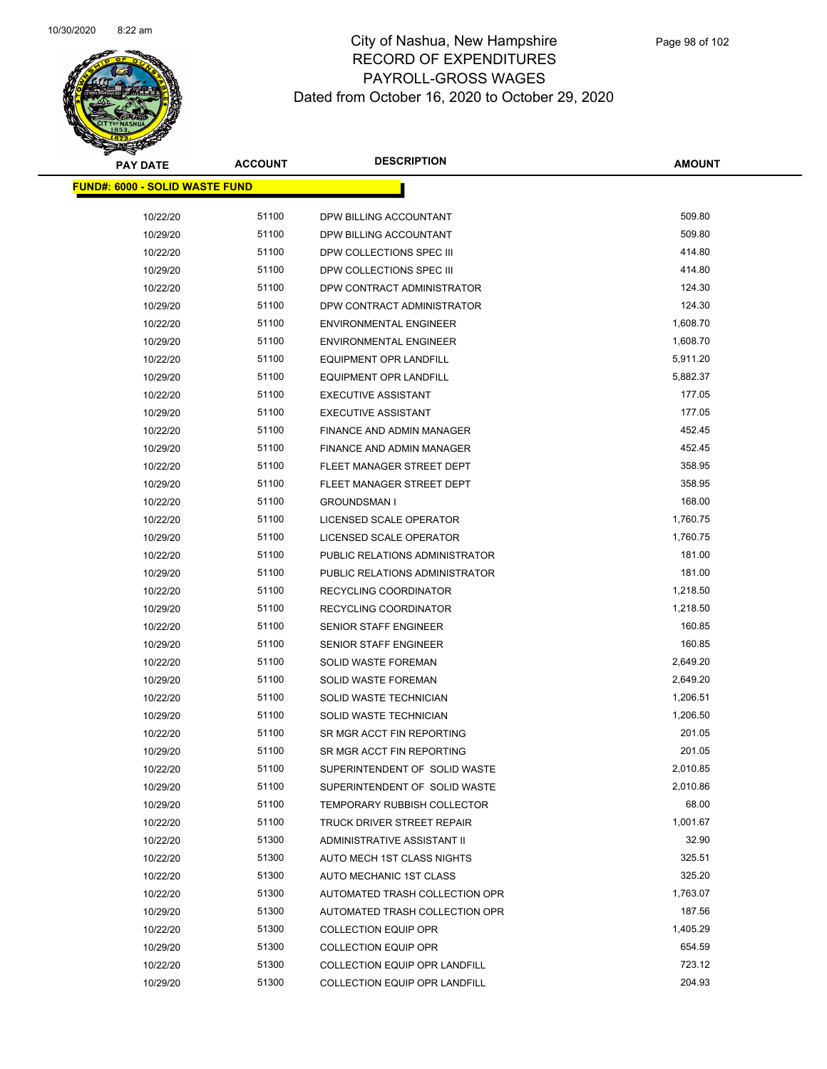

| <b>PAY DATE</b>                       | <b>ACCOUNT</b> | <b>DESCRIPTION</b>                | <b>AMOUNT</b> |
|---------------------------------------|----------------|-----------------------------------|---------------|
| <b>FUND#: 6000 - SOLID WASTE FUND</b> |                |                                   |               |
| 10/22/20                              | 51100          | DPW BILLING ACCOUNTANT            | 509.80        |
| 10/29/20                              | 51100          | DPW BILLING ACCOUNTANT            | 509.80        |
| 10/22/20                              | 51100          | DPW COLLECTIONS SPEC III          | 414.80        |
| 10/29/20                              | 51100          | DPW COLLECTIONS SPEC III          | 414.80        |
| 10/22/20                              | 51100          | DPW CONTRACT ADMINISTRATOR        | 124.30        |
| 10/29/20                              | 51100          | DPW CONTRACT ADMINISTRATOR        | 124.30        |
| 10/22/20                              | 51100          | <b>ENVIRONMENTAL ENGINEER</b>     | 1,608.70      |
| 10/29/20                              | 51100          | <b>ENVIRONMENTAL ENGINEER</b>     | 1,608.70      |
| 10/22/20                              | 51100          | <b>EQUIPMENT OPR LANDFILL</b>     | 5,911.20      |
| 10/29/20                              | 51100          | <b>EQUIPMENT OPR LANDFILL</b>     | 5,882.37      |
| 10/22/20                              | 51100          | <b>EXECUTIVE ASSISTANT</b>        | 177.05        |
| 10/29/20                              | 51100          | <b>EXECUTIVE ASSISTANT</b>        | 177.05        |
| 10/22/20                              | 51100          | FINANCE AND ADMIN MANAGER         | 452.45        |
| 10/29/20                              | 51100          | FINANCE AND ADMIN MANAGER         | 452.45        |
| 10/22/20                              | 51100          | FLEET MANAGER STREET DEPT         | 358.95        |
| 10/29/20                              | 51100          | FLEET MANAGER STREET DEPT         | 358.95        |
| 10/22/20                              | 51100          | <b>GROUNDSMAN I</b>               | 168.00        |
| 10/22/20                              | 51100          | LICENSED SCALE OPERATOR           | 1,760.75      |
| 10/29/20                              | 51100          | LICENSED SCALE OPERATOR           | 1,760.75      |
| 10/22/20                              | 51100          | PUBLIC RELATIONS ADMINISTRATOR    | 181.00        |
| 10/29/20                              | 51100          | PUBLIC RELATIONS ADMINISTRATOR    | 181.00        |
| 10/22/20                              | 51100          | RECYCLING COORDINATOR             | 1,218.50      |
| 10/29/20                              | 51100          | RECYCLING COORDINATOR             | 1,218.50      |
| 10/22/20                              | 51100          | SENIOR STAFF ENGINEER             | 160.85        |
| 10/29/20                              | 51100          | SENIOR STAFF ENGINEER             | 160.85        |
| 10/22/20                              | 51100          | SOLID WASTE FOREMAN               | 2,649.20      |
| 10/29/20                              | 51100          | SOLID WASTE FOREMAN               | 2,649.20      |
| 10/22/20                              | 51100          | SOLID WASTE TECHNICIAN            | 1,206.51      |
| 10/29/20                              | 51100          | SOLID WASTE TECHNICIAN            | 1,206.50      |
| 10/22/20                              | 51100          | SR MGR ACCT FIN REPORTING         | 201.05        |
| 10/29/20                              | 51100          | SR MGR ACCT FIN REPORTING         | 201.05        |
| 10/22/20                              | 51100          | SUPERINTENDENT OF SOLID WASTE     | 2,010.85      |
| 10/29/20                              | 51100          | SUPERINTENDENT OF SOLID WASTE     | 2,010.86      |
| 10/29/20                              | 51100          | TEMPORARY RUBBISH COLLECTOR       | 68.00         |
| 10/22/20                              | 51100          | <b>TRUCK DRIVER STREET REPAIR</b> | 1,001.67      |
| 10/22/20                              | 51300          | ADMINISTRATIVE ASSISTANT II       | 32.90         |
| 10/22/20                              | 51300          | AUTO MECH 1ST CLASS NIGHTS        | 325.51        |
| 10/22/20                              | 51300          | AUTO MECHANIC 1ST CLASS           | 325.20        |
| 10/22/20                              | 51300          | AUTOMATED TRASH COLLECTION OPR    | 1,763.07      |
| 10/29/20                              | 51300          | AUTOMATED TRASH COLLECTION OPR    | 187.56        |
| 10/22/20                              | 51300          | <b>COLLECTION EQUIP OPR</b>       | 1,405.29      |
| 10/29/20                              | 51300          | <b>COLLECTION EQUIP OPR</b>       | 654.59        |
| 10/22/20                              | 51300          | COLLECTION EQUIP OPR LANDFILL     | 723.12        |
| 10/29/20                              | 51300          | COLLECTION EQUIP OPR LANDFILL     | 204.93        |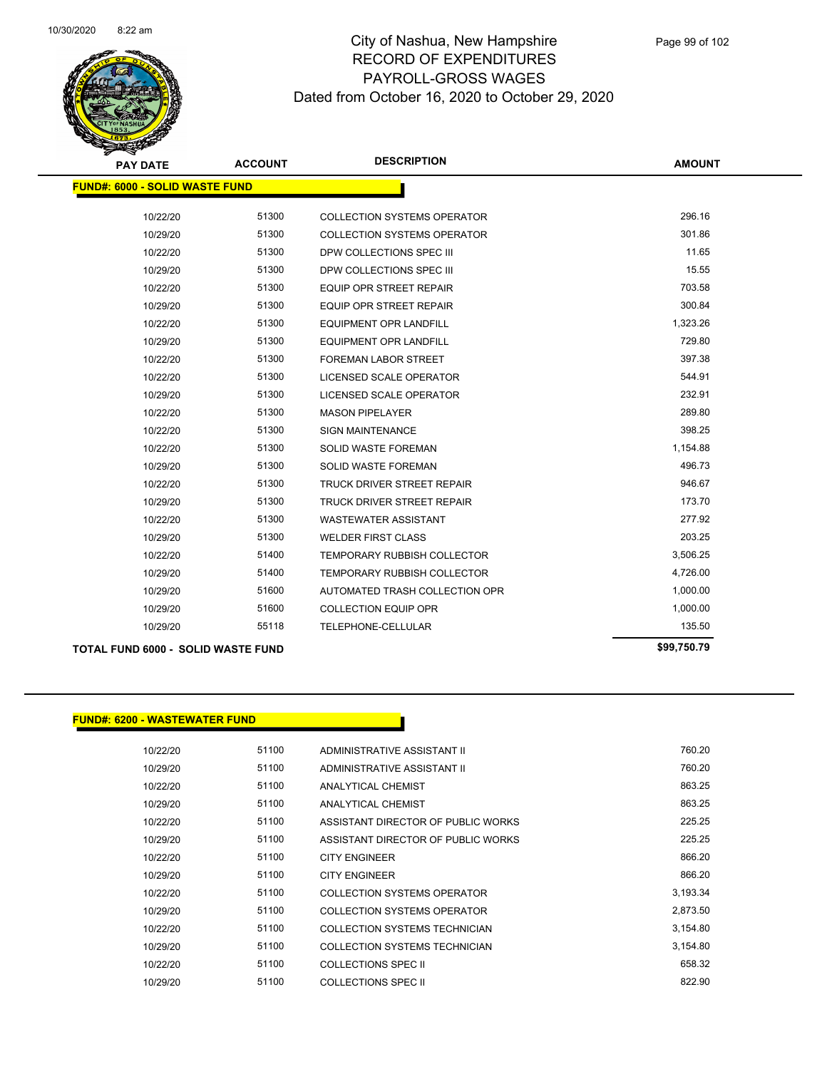

| <b>PAY DATE</b>                           | <b>ACCOUNT</b> | <b>DESCRIPTION</b>                 | <b>AMOUNT</b> |
|-------------------------------------------|----------------|------------------------------------|---------------|
| <b>FUND#: 6000 - SOLID WASTE FUND</b>     |                |                                    |               |
|                                           |                |                                    |               |
| 10/22/20                                  | 51300          | <b>COLLECTION SYSTEMS OPERATOR</b> | 296.16        |
| 10/29/20                                  | 51300          | <b>COLLECTION SYSTEMS OPERATOR</b> | 301.86        |
| 10/22/20                                  | 51300          | DPW COLLECTIONS SPEC III           | 11.65         |
| 10/29/20                                  | 51300          | DPW COLLECTIONS SPEC III           | 15.55         |
| 10/22/20                                  | 51300          | <b>EQUIP OPR STREET REPAIR</b>     | 703.58        |
| 10/29/20                                  | 51300          | <b>EQUIP OPR STREET REPAIR</b>     | 300.84        |
| 10/22/20                                  | 51300          | <b>EQUIPMENT OPR LANDFILL</b>      | 1,323.26      |
| 10/29/20                                  | 51300          | <b>EQUIPMENT OPR LANDFILL</b>      | 729.80        |
| 10/22/20                                  | 51300          | <b>FOREMAN LABOR STREET</b>        | 397.38        |
| 10/22/20                                  | 51300          | LICENSED SCALE OPERATOR            | 544.91        |
| 10/29/20                                  | 51300          | LICENSED SCALE OPERATOR            | 232.91        |
| 10/22/20                                  | 51300          | <b>MASON PIPELAYER</b>             | 289.80        |
| 10/22/20                                  | 51300          | <b>SIGN MAINTENANCE</b>            | 398.25        |
| 10/22/20                                  | 51300          | <b>SOLID WASTE FOREMAN</b>         | 1,154.88      |
| 10/29/20                                  | 51300          | <b>SOLID WASTE FOREMAN</b>         | 496.73        |
| 10/22/20                                  | 51300          | TRUCK DRIVER STREET REPAIR         | 946.67        |
| 10/29/20                                  | 51300          | <b>TRUCK DRIVER STREET REPAIR</b>  | 173.70        |
| 10/22/20                                  | 51300          | <b>WASTEWATER ASSISTANT</b>        | 277.92        |
| 10/29/20                                  | 51300          | <b>WELDER FIRST CLASS</b>          | 203.25        |
| 10/22/20                                  | 51400          | <b>TEMPORARY RUBBISH COLLECTOR</b> | 3,506.25      |
| 10/29/20                                  | 51400          | TEMPORARY RUBBISH COLLECTOR        | 4,726.00      |
| 10/29/20                                  | 51600          | AUTOMATED TRASH COLLECTION OPR     | 1,000.00      |
| 10/29/20                                  | 51600          | <b>COLLECTION EQUIP OPR</b>        | 1,000.00      |
| 10/29/20                                  | 55118          | TELEPHONE-CELLULAR                 | 135.50        |
| <b>TOTAL FUND 6000 - SOLID WASTE FUND</b> | \$99,750.79    |                                    |               |

#### **FUND#: 6200 - WASTEWATER FUND**

| ,,,,,,,,,,,,,,,,,,,,,,,, |       |                                    |          |
|--------------------------|-------|------------------------------------|----------|
| 10/22/20                 | 51100 | ADMINISTRATIVE ASSISTANT II        | 760.20   |
| 10/29/20                 | 51100 | ADMINISTRATIVE ASSISTANT II        | 760.20   |
| 10/22/20                 | 51100 | ANALYTICAL CHEMIST                 | 863.25   |
| 10/29/20                 | 51100 | <b>ANALYTICAL CHEMIST</b>          | 863.25   |
| 10/22/20                 | 51100 | ASSISTANT DIRECTOR OF PUBLIC WORKS | 225.25   |
| 10/29/20                 | 51100 | ASSISTANT DIRECTOR OF PUBLIC WORKS | 225.25   |
| 10/22/20                 | 51100 | <b>CITY ENGINEER</b>               | 866.20   |
| 10/29/20                 | 51100 | <b>CITY ENGINEER</b>               | 866.20   |
| 10/22/20                 | 51100 | COLLECTION SYSTEMS OPERATOR        | 3,193.34 |
| 10/29/20                 | 51100 | COLLECTION SYSTEMS OPERATOR        | 2,873.50 |
| 10/22/20                 | 51100 | COLLECTION SYSTEMS TECHNICIAN      | 3,154.80 |
| 10/29/20                 | 51100 | COLLECTION SYSTEMS TECHNICIAN      | 3,154.80 |
| 10/22/20                 | 51100 | COLLECTIONS SPEC II                | 658.32   |
| 10/29/20                 | 51100 | COLLECTIONS SPEC II                | 822.90   |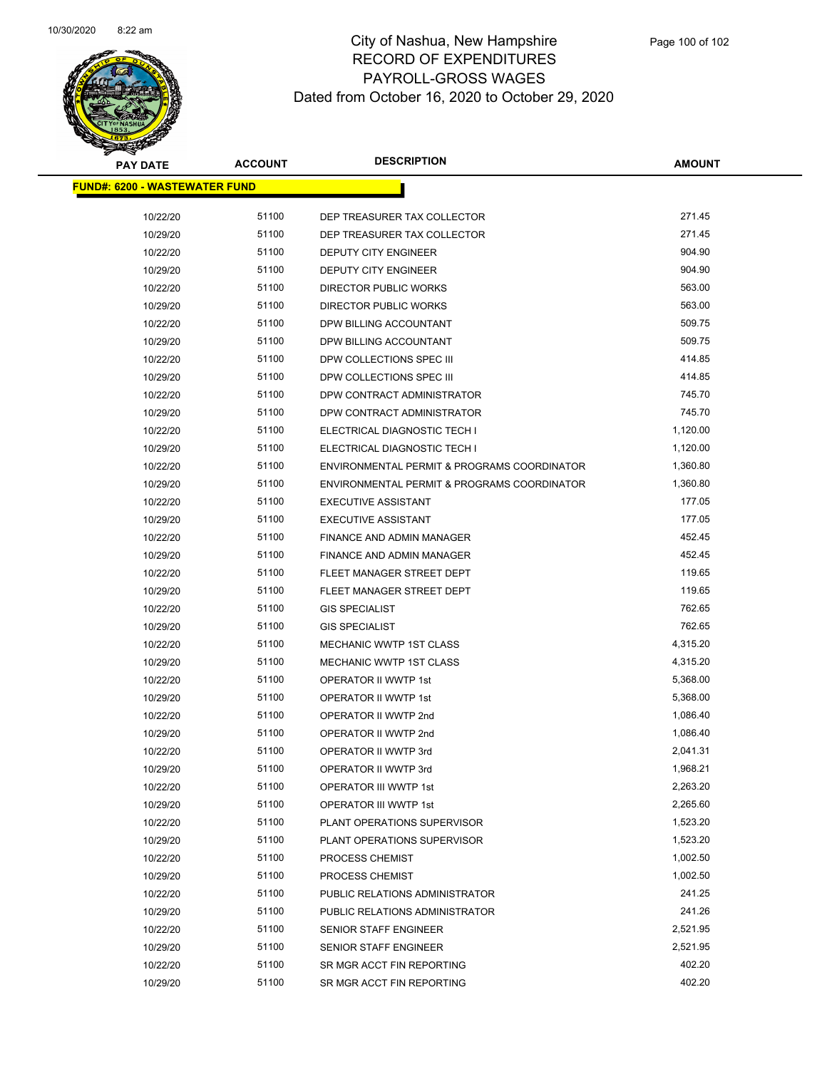

| <b>PAY DATE</b>                       | <b>ACCOUNT</b> | <b>DESCRIPTION</b>                          | AMOUNT   |  |
|---------------------------------------|----------------|---------------------------------------------|----------|--|
| <u> FUND#: 6200 - WASTEWATER FUND</u> |                |                                             |          |  |
| 10/22/20                              | 51100          | DEP TREASURER TAX COLLECTOR                 | 271.45   |  |
| 10/29/20                              | 51100          | DEP TREASURER TAX COLLECTOR                 | 271.45   |  |
| 10/22/20                              | 51100          | DEPUTY CITY ENGINEER                        | 904.90   |  |
| 10/29/20                              | 51100          | DEPUTY CITY ENGINEER                        | 904.90   |  |
| 10/22/20                              | 51100          | DIRECTOR PUBLIC WORKS                       | 563.00   |  |
| 10/29/20                              | 51100          | DIRECTOR PUBLIC WORKS                       | 563.00   |  |
| 10/22/20                              | 51100          | DPW BILLING ACCOUNTANT                      | 509.75   |  |
| 10/29/20                              | 51100          | DPW BILLING ACCOUNTANT                      | 509.75   |  |
| 10/22/20                              | 51100          | DPW COLLECTIONS SPEC III                    | 414.85   |  |
| 10/29/20                              | 51100          | DPW COLLECTIONS SPEC III                    | 414.85   |  |
| 10/22/20                              | 51100          | DPW CONTRACT ADMINISTRATOR                  | 745.70   |  |
| 10/29/20                              | 51100          | DPW CONTRACT ADMINISTRATOR                  | 745.70   |  |
| 10/22/20                              | 51100          | ELECTRICAL DIAGNOSTIC TECH I                | 1,120.00 |  |
| 10/29/20                              | 51100          | ELECTRICAL DIAGNOSTIC TECH I                | 1,120.00 |  |
| 10/22/20                              | 51100          | ENVIRONMENTAL PERMIT & PROGRAMS COORDINATOR | 1,360.80 |  |
| 10/29/20                              | 51100          | ENVIRONMENTAL PERMIT & PROGRAMS COORDINATOR | 1,360.80 |  |
| 10/22/20                              | 51100          | <b>EXECUTIVE ASSISTANT</b>                  | 177.05   |  |
| 10/29/20                              | 51100          | <b>EXECUTIVE ASSISTANT</b>                  | 177.05   |  |
| 10/22/20                              | 51100          | FINANCE AND ADMIN MANAGER                   | 452.45   |  |
| 10/29/20                              | 51100          | FINANCE AND ADMIN MANAGER                   | 452.45   |  |
| 10/22/20                              | 51100          | FLEET MANAGER STREET DEPT                   | 119.65   |  |
| 10/29/20                              | 51100          | FLEET MANAGER STREET DEPT                   | 119.65   |  |
| 10/22/20                              | 51100          | <b>GIS SPECIALIST</b>                       | 762.65   |  |
| 10/29/20                              | 51100          | <b>GIS SPECIALIST</b>                       | 762.65   |  |
| 10/22/20                              | 51100          | <b>MECHANIC WWTP 1ST CLASS</b>              | 4,315.20 |  |
| 10/29/20                              | 51100          | <b>MECHANIC WWTP 1ST CLASS</b>              | 4,315.20 |  |
| 10/22/20                              | 51100          | <b>OPERATOR II WWTP 1st</b>                 | 5,368.00 |  |
| 10/29/20                              | 51100          | OPERATOR II WWTP 1st                        | 5,368.00 |  |
| 10/22/20                              | 51100          | OPERATOR II WWTP 2nd                        | 1,086.40 |  |
| 10/29/20                              | 51100          | OPERATOR II WWTP 2nd                        | 1,086.40 |  |
| 10/22/20                              | 51100          | OPERATOR II WWTP 3rd                        | 2,041.31 |  |
| 10/29/20                              | 51100          | OPERATOR II WWTP 3rd                        | 1,968.21 |  |
| 10/22/20                              | 51100          | OPERATOR III WWTP 1st                       | 2,263.20 |  |
| 10/29/20                              | 51100          | OPERATOR III WWTP 1st                       | 2,265.60 |  |
| 10/22/20                              | 51100          | PLANT OPERATIONS SUPERVISOR                 | 1,523.20 |  |
| 10/29/20                              | 51100          | PLANT OPERATIONS SUPERVISOR                 | 1,523.20 |  |
| 10/22/20                              | 51100          | PROCESS CHEMIST                             | 1,002.50 |  |
| 10/29/20                              | 51100          | PROCESS CHEMIST                             | 1,002.50 |  |
| 10/22/20                              | 51100          | PUBLIC RELATIONS ADMINISTRATOR              | 241.25   |  |
| 10/29/20                              | 51100          | PUBLIC RELATIONS ADMINISTRATOR              | 241.26   |  |
| 10/22/20                              | 51100          | SENIOR STAFF ENGINEER                       | 2,521.95 |  |
| 10/29/20                              | 51100          | SENIOR STAFF ENGINEER                       | 2,521.95 |  |
| 10/22/20                              | 51100          | SR MGR ACCT FIN REPORTING                   | 402.20   |  |
| 10/29/20                              | 51100          | SR MGR ACCT FIN REPORTING                   | 402.20   |  |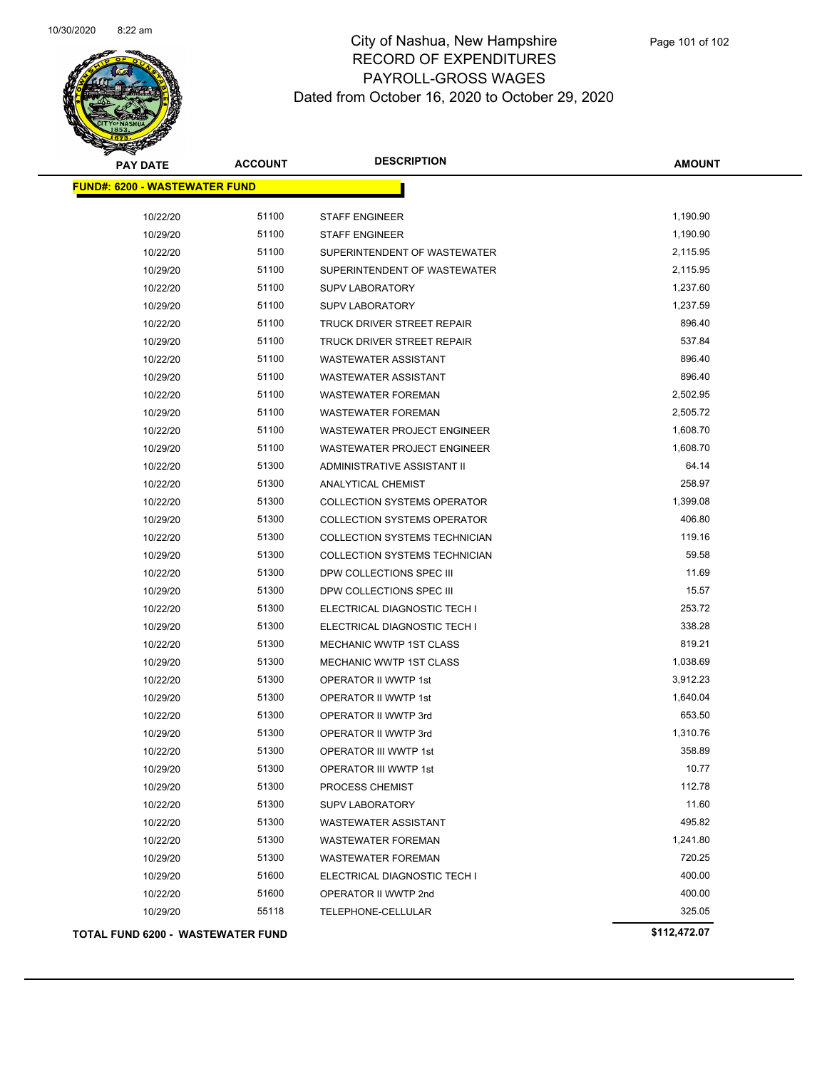

| <b>PAY DATE</b>                      | <b>ACCOUNT</b> | <b>DESCRIPTION</b>                 | <b>AMOUNT</b> |
|--------------------------------------|----------------|------------------------------------|---------------|
| <b>FUND#: 6200 - WASTEWATER FUND</b> |                |                                    |               |
| 10/22/20                             | 51100          | <b>STAFF ENGINEER</b>              | 1,190.90      |
| 10/29/20                             | 51100          | <b>STAFF ENGINEER</b>              | 1,190.90      |
| 10/22/20                             | 51100          | SUPERINTENDENT OF WASTEWATER       | 2,115.95      |
| 10/29/20                             | 51100          | SUPERINTENDENT OF WASTEWATER       | 2,115.95      |
| 10/22/20                             | 51100          | <b>SUPV LABORATORY</b>             | 1,237.60      |
| 10/29/20                             | 51100          | <b>SUPV LABORATORY</b>             | 1,237.59      |
| 10/22/20                             | 51100          | TRUCK DRIVER STREET REPAIR         | 896.40        |
| 10/29/20                             | 51100          | <b>TRUCK DRIVER STREET REPAIR</b>  | 537.84        |
| 10/22/20                             | 51100          | <b>WASTEWATER ASSISTANT</b>        | 896.40        |
| 10/29/20                             | 51100          | <b>WASTEWATER ASSISTANT</b>        | 896.40        |
| 10/22/20                             | 51100          | <b>WASTEWATER FOREMAN</b>          | 2,502.95      |
| 10/29/20                             | 51100          | <b>WASTEWATER FOREMAN</b>          | 2,505.72      |
| 10/22/20                             | 51100          | WASTEWATER PROJECT ENGINEER        | 1,608.70      |
| 10/29/20                             | 51100          | WASTEWATER PROJECT ENGINEER        | 1,608.70      |
| 10/22/20                             | 51300          | ADMINISTRATIVE ASSISTANT II        | 64.14         |
| 10/22/20                             | 51300          | ANALYTICAL CHEMIST                 | 258.97        |
| 10/22/20                             | 51300          | <b>COLLECTION SYSTEMS OPERATOR</b> | 1,399.08      |
| 10/29/20                             | 51300          | <b>COLLECTION SYSTEMS OPERATOR</b> | 406.80        |
| 10/22/20                             | 51300          | COLLECTION SYSTEMS TECHNICIAN      | 119.16        |
| 10/29/20                             | 51300          | COLLECTION SYSTEMS TECHNICIAN      | 59.58         |
| 10/22/20                             | 51300          | DPW COLLECTIONS SPEC III           | 11.69         |
| 10/29/20                             | 51300          | DPW COLLECTIONS SPEC III           | 15.57         |
| 10/22/20                             | 51300          | ELECTRICAL DIAGNOSTIC TECH I       | 253.72        |
| 10/29/20                             | 51300          | ELECTRICAL DIAGNOSTIC TECH I       | 338.28        |
| 10/22/20                             | 51300          | MECHANIC WWTP 1ST CLASS            | 819.21        |
| 10/29/20                             | 51300          | MECHANIC WWTP 1ST CLASS            | 1,038.69      |
| 10/22/20                             | 51300          | <b>OPERATOR II WWTP 1st</b>        | 3,912.23      |
| 10/29/20                             | 51300          | OPERATOR II WWTP 1st               | 1,640.04      |
| 10/22/20                             | 51300          | OPERATOR II WWTP 3rd               | 653.50        |
| 10/29/20                             | 51300          | OPERATOR II WWTP 3rd               | 1,310.76      |
| 10/22/20                             | 51300          | OPERATOR III WWTP 1st              | 358.89        |
| 10/29/20                             | 51300          | OPERATOR III WWTP 1st              | 10.77         |
| 10/29/20                             | 51300          | PROCESS CHEMIST                    | 112.78        |
| 10/22/20                             | 51300          | <b>SUPV LABORATORY</b>             | 11.60         |
| 10/22/20                             | 51300          | <b>WASTEWATER ASSISTANT</b>        | 495.82        |
| 10/22/20                             | 51300          | <b>WASTEWATER FOREMAN</b>          | 1,241.80      |
| 10/29/20                             | 51300          | <b>WASTEWATER FOREMAN</b>          | 720.25        |
| 10/29/20                             | 51600          | ELECTRICAL DIAGNOSTIC TECH I       | 400.00        |
| 10/22/20                             | 51600          | OPERATOR II WWTP 2nd               | 400.00        |
| 10/29/20                             | 55118          | TELEPHONE-CELLULAR                 | 325.05        |
| TOTAL FUND 6200 - WASTEWATER FUND    |                |                                    | \$112,472.07  |